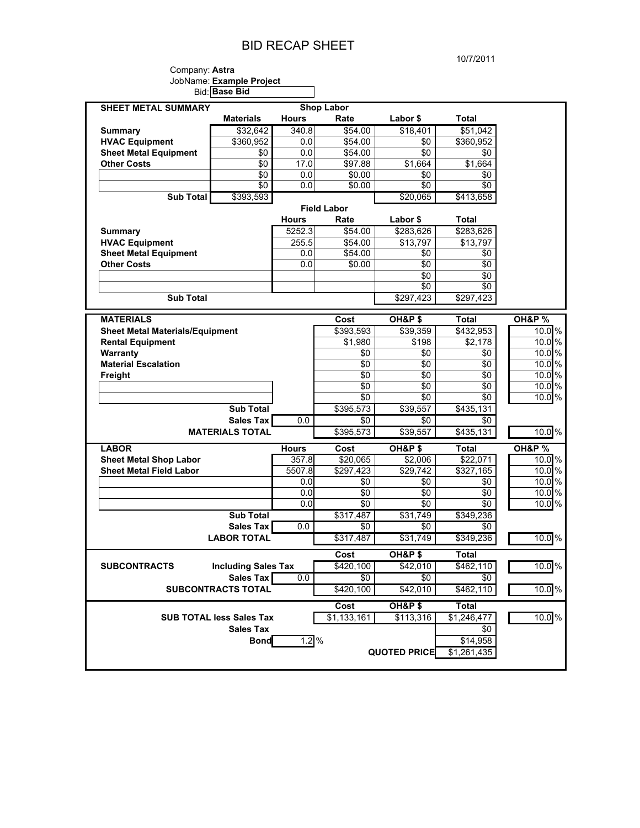## BID RECAP SHEET

#### Company: **Astra**  JobName: **Example Project** Bid: **Base Bid**

| <b>SHEET METAL SUMMARY</b>                                      |                                               |              | <b>Shop Labor</b>                 |                     |              |                            |
|-----------------------------------------------------------------|-----------------------------------------------|--------------|-----------------------------------|---------------------|--------------|----------------------------|
|                                                                 | <b>Materials</b>                              | <b>Hours</b> | Rate                              | Labor \$            | Total        |                            |
| <b>Summary</b>                                                  | \$32.642                                      | 340.8        | \$54.00                           | \$18,401            | \$51,042     |                            |
| <b>HVAC Equipment</b>                                           | \$360,952                                     | 0.0          | \$54.00                           | \$0                 | \$360,952    |                            |
| <b>Sheet Metal Equipment</b>                                    | \$0                                           | 0.0          | \$54.00                           | \$0                 | \$0          |                            |
| <b>Other Costs</b>                                              | \$0                                           | 17.0         | \$97.88                           | \$1,664             | \$1,664      |                            |
|                                                                 | \$0                                           | 0.0          | \$0.00                            | \$0                 | \$0          |                            |
|                                                                 | \$0                                           | 0.0          | \$0.00                            | \$0                 | \$0          |                            |
| <b>Sub Total</b>                                                | \$393,593                                     |              |                                   | \$20,065            | \$413,658    |                            |
|                                                                 |                                               |              | <b>Field Labor</b>                |                     |              |                            |
|                                                                 |                                               | <b>Hours</b> | Rate                              | Labor \$            | Total        |                            |
| <b>Summary</b>                                                  |                                               | 5252.3       | \$54.00                           | \$283,626           | \$283,626    |                            |
| <b>HVAC Equipment</b>                                           |                                               | 255.5        | \$54.00                           | \$13,797            | \$13,797     |                            |
| <b>Sheet Metal Equipment</b>                                    |                                               | 0.0          | \$54.00                           | \$0                 | \$0          |                            |
| <b>Other Costs</b>                                              |                                               | 0.0          | \$0.00                            | \$0                 | \$0          |                            |
|                                                                 |                                               |              |                                   | \$0                 | \$0          |                            |
|                                                                 |                                               |              |                                   | \$0                 | \$0          |                            |
| <b>Sub Total</b>                                                |                                               |              |                                   | \$297,423           | \$297,423    |                            |
| <b>MATERIALS</b>                                                |                                               |              | Cost                              | OH&P\$              | <b>Total</b> | <b>OH&amp;P %</b>          |
| <b>Sheet Metal Materials/Equipment</b>                          |                                               |              | \$393,593                         | \$39,359            | \$432,953    | 10.0 %                     |
| <b>Rental Equipment</b>                                         |                                               |              | \$1,980                           | \$198               | \$2,178      | 10.0%                      |
| Warranty                                                        |                                               |              | \$0                               | \$0                 | \$0          | 10.0 %                     |
| <b>Material Escalation</b>                                      |                                               |              | \$0                               | \$0                 | \$0          | 10.0 %                     |
| Freight                                                         |                                               |              | \$0                               | $\sqrt{6}$          | \$0          | 10.0 %                     |
|                                                                 |                                               |              |                                   |                     |              |                            |
|                                                                 |                                               |              | \$0                               | \$0                 | \$0          | 10.0 %                     |
|                                                                 |                                               |              | \$0                               | \$0                 | \$0          | 10.0%                      |
|                                                                 | <b>Sub Total</b>                              |              | \$395,573                         | \$39,557            | \$435,131    |                            |
|                                                                 | <b>Sales Tax</b>                              | 0.0          | \$0                               | $\sqrt{6}$          | \$0          |                            |
|                                                                 | <b>MATERIALS TOTAL</b>                        |              | \$395,573                         | \$39,557            | \$435,131    | 10.0 %                     |
| <b>LABOR</b>                                                    |                                               | <b>Hours</b> | Cost                              |                     | Total        |                            |
|                                                                 |                                               | 357.8        |                                   | OH&P\$<br>\$2,006   | \$22,071     | <b>OH&amp;P %</b><br>10.0% |
| <b>Sheet Metal Shop Labor</b><br><b>Sheet Metal Field Labor</b> |                                               | 5507.8       | $\overline{$20,065}$<br>\$297,423 | \$29,742            | \$327,165    | 10.0 %                     |
|                                                                 |                                               | 0.0          | \$0                               | \$0                 | \$0          | 10.0%                      |
|                                                                 |                                               | 0.0          | \$0                               | \$0                 | \$0          | 10.0%                      |
|                                                                 |                                               | 0.0          | \$0                               | \$0                 | \$0          | 10.0 %                     |
|                                                                 | <b>Sub Total</b>                              |              | \$317,487                         | \$31,749            | \$349,236    |                            |
|                                                                 | <b>Sales Tax</b>                              | 0.0          | \$0                               | \$0                 | \$0          |                            |
|                                                                 | <b>LABOR TOTAL</b>                            |              | \$317,487                         | \$31,749            | \$349,236    | 10.0 %                     |
|                                                                 |                                               |              | Cost                              | OH&P\$              | Total        |                            |
| <b>SUBCONTRACTS</b>                                             | <b>Including Sales Tax</b>                    |              | \$420,100                         | \$42,010            | \$462,110    | 10.0%                      |
|                                                                 |                                               | 0.0          | \$0                               | \$0                 | \$0          |                            |
|                                                                 | <b>Sales Tax</b><br><b>SUBCONTRACTS TOTAL</b> |              | \$420,100                         | \$42,010            | \$462,110    | 10.0%                      |
|                                                                 |                                               |              | Cost                              | OH&P\$              | Total        |                            |
|                                                                 | <b>SUB TOTAL less Sales Tax</b>               |              | \$1,133,161                       | \$113,316           | \$1,246,477  | 10.0 %                     |
|                                                                 | <b>Sales Tax</b>                              |              |                                   |                     | \$0          |                            |
|                                                                 | <b>Bond</b>                                   | $1.2\%$      |                                   |                     | \$14,958     |                            |
|                                                                 |                                               |              |                                   | <b>QUOTED PRICE</b> | \$1,261,435  |                            |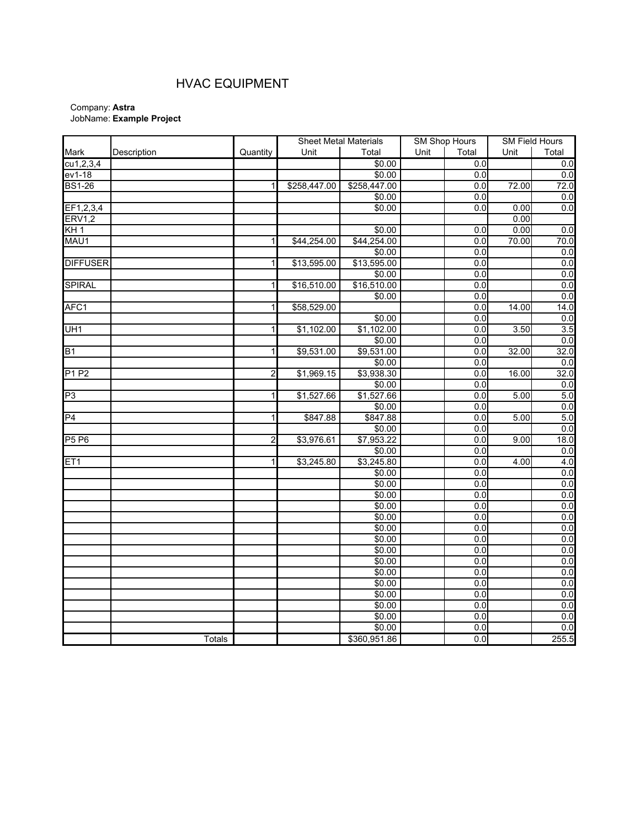## HVAC EQUIPMENT

|                 |               |                         | <b>Sheet Metal Materials</b> |                |      | <b>SM Shop Hours</b> |       | <b>SM Field Hours</b> |  |
|-----------------|---------------|-------------------------|------------------------------|----------------|------|----------------------|-------|-----------------------|--|
| Mark            | Description   | Quantity                | Unit                         | Total          | Unit | Total                | Unit  | Total                 |  |
| cu1, 2, 3, 4    |               |                         |                              | \$0.00         |      | 0.0                  |       | $\overline{0}$        |  |
| $ev1-18$        |               |                         |                              | \$0.00         |      | $\overline{0}$       |       | $\overline{0}$        |  |
| <b>BS1-26</b>   |               | 1                       | \$258,447.00                 | \$258,447.00   |      | 0.0                  | 72.00 | 72.0                  |  |
|                 |               |                         |                              | \$0.00         |      | $0.\overline{0}$     |       | 0.0                   |  |
| EF1,2,3,4       |               |                         |                              | \$0.00         |      | $\overline{0.0}$     | 0.00  | 0.0                   |  |
| <b>ERV1,2</b>   |               |                         |                              |                |      |                      | 0.00  |                       |  |
| KH <sub>1</sub> |               |                         |                              | \$0.00         |      | 0.0                  | 0.00  | $0.0\,$               |  |
| MAU1            |               | $\mathbf{1}$            | \$44,254.00                  | \$44,254.00    |      | 0.0                  | 70.00 | 70.0                  |  |
|                 |               |                         |                              | \$0.00         |      | 0.0                  |       | 0.0                   |  |
| <b>DIFFUSER</b> |               | 1                       | \$13,595.00                  | \$13,595.00    |      | $\overline{0.0}$     |       | $\overline{0}$        |  |
|                 |               |                         |                              | \$0.00         |      | $\overline{0.0}$     |       | 0.0                   |  |
| <b>SPIRAL</b>   |               | 1                       | \$16,510.00                  | \$16,510.00    |      | 0.0                  |       | 0.0                   |  |
|                 |               |                         |                              | \$0.00         |      | 0.0                  |       | $\overline{0}$        |  |
| AFC1            |               | 1                       | \$58,529.00                  |                |      | 0.0                  | 14.00 | 14.0                  |  |
|                 |               |                         |                              | \$0.00         |      | $\overline{0.0}$     |       | $\overline{0}$        |  |
| UH <sub>1</sub> |               | 1                       | \$1,102.00                   | \$1,102.00     |      | 0.0                  | 3.50  | 3.5                   |  |
|                 |               |                         |                              | \$0.00         |      | 0.0                  |       | 0.0                   |  |
| <b>B1</b>       |               | 1                       | \$9,531.00                   | \$9,531.00     |      | 0.0                  | 32.00 | 32.0                  |  |
|                 |               |                         |                              | \$0.00         |      | 0.0                  |       | $\overline{0}$        |  |
| <b>P1 P2</b>    |               | $\overline{\mathbf{c}}$ | \$1,969.15                   | \$3,938.30     |      | $\overline{0.0}$     | 16.00 | 32.0                  |  |
|                 |               |                         |                              | \$0.00         |      | $\overline{0.0}$     |       | $\overline{0}$        |  |
| P <sub>3</sub>  |               | 1                       | \$1,527.66                   | \$1,527.66     |      | 0.0                  | 5.00  | 5.0                   |  |
|                 |               |                         |                              | \$0.00         |      | $\overline{0.0}$     |       | $\overline{0}$        |  |
| $\overline{P4}$ |               | 1                       | \$847.88                     | \$847.88       |      | $\overline{0.0}$     | 5.00  | 5.0                   |  |
|                 |               |                         |                              | \$0.00         |      | 0.0                  |       | $\overline{0}$        |  |
| <b>P5 P6</b>    |               | $\overline{2}$          | \$3,976.61                   | \$7,953.22     |      | $\overline{0.0}$     | 9.00  | 18.0                  |  |
|                 |               |                         |                              | \$0.00         |      | $\overline{0.0}$     |       | 0.0                   |  |
| ET1             |               | 1                       | \$3,245.80                   | \$3,245.80     |      | 0.0                  | 4.00  | 4.0                   |  |
|                 |               |                         |                              | \$0.00         |      | $\overline{0.0}$     |       | 0.0                   |  |
|                 |               |                         |                              | \$0.00         |      | $\overline{0.0}$     |       | 0.0                   |  |
|                 |               |                         |                              | \$0.00         |      | 0.0                  |       | 0.0                   |  |
|                 |               |                         |                              | \$0.00         |      | 0.0                  |       | $\overline{0}$        |  |
|                 |               |                         |                              | \$0.00         |      | $\overline{0}$       |       | 0.0                   |  |
|                 |               |                         |                              | \$0.00         |      | $0.\overline{0}$     |       | $0.0\,$               |  |
|                 |               |                         |                              | $\sqrt{$0.00}$ |      | $\overline{0}$       |       | 0.0                   |  |
|                 |               |                         |                              | \$0.00         |      | $\overline{0.0}$     |       | 0.0                   |  |
|                 |               |                         |                              |                |      | 0.0                  |       | $\overline{0}$        |  |
|                 |               |                         |                              | \$0.00         |      | 0.0                  |       | 0.0                   |  |
|                 |               |                         |                              | \$0.00         |      | $\overline{0.0}$     |       | 0.0                   |  |
|                 |               |                         |                              | \$0.00         |      | 0.0                  |       | $\overline{0}$        |  |
|                 |               |                         |                              | \$0.00         |      | 0.0                  |       | $\overline{0}$        |  |
|                 |               |                         |                              | \$0.00         |      | 0.0                  |       | 0.0                   |  |
|                 |               |                         |                              | \$0.00         |      | 0.0                  |       | 0.0                   |  |
|                 | <b>Totals</b> |                         |                              | \$360,951.86   |      | 0.0                  |       | 255.5                 |  |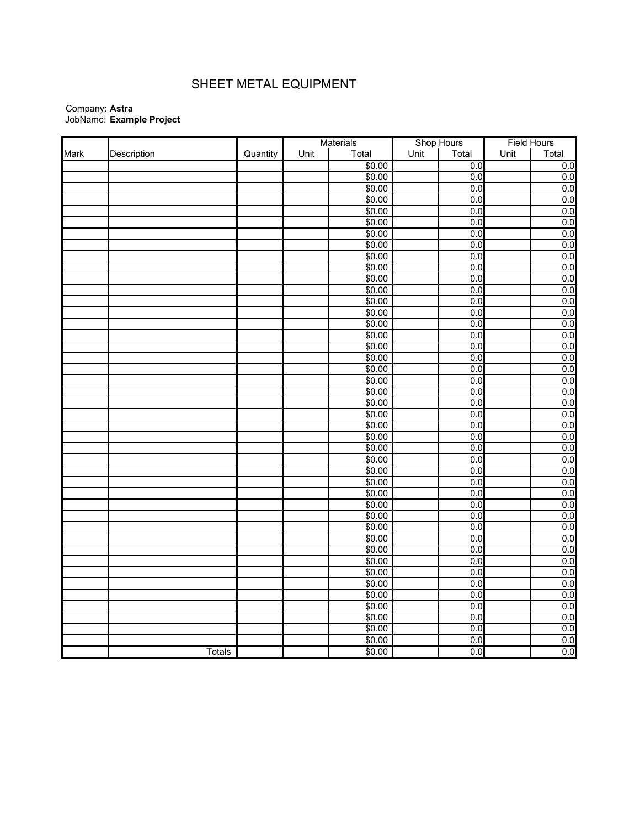## SHEET METAL EQUIPMENT

|      |               |          |      | Materials |      | Shop Hours       | <b>Field Hours</b> |       |
|------|---------------|----------|------|-----------|------|------------------|--------------------|-------|
| Mark | Description   | Quantity | Unit | Total     | Unit | Total            | Unit               | Total |
|      |               |          |      | \$0.00    |      | $\overline{0.0}$ |                    | 0.0   |
|      |               |          |      | \$0.00    |      | 0.0              |                    | 0.0   |
|      |               |          |      | \$0.00    |      | 0.0              |                    | 0.0   |
|      |               |          |      | \$0.00    |      | 0.0              |                    | 0.0   |
|      |               |          |      | \$0.00    |      | 0.0              |                    | 0.0   |
|      |               |          |      | \$0.00    |      | 0.0              |                    | 0.0   |
|      |               |          |      | \$0.00    |      | 0.0              |                    | 0.0   |
|      |               |          |      | \$0.00    |      | 0.0              |                    | 0.0   |
|      |               |          |      | \$0.00    |      | 0.0              |                    | 0.0   |
|      |               |          |      | \$0.00    |      | 0.0              |                    | 0.0   |
|      |               |          |      | \$0.00    |      | 0.0              |                    | 0.0   |
|      |               |          |      | \$0.00    |      | 0.0              |                    | 0.0   |
|      |               |          |      | \$0.00    |      | 0.0              |                    | 0.0   |
|      |               |          |      | \$0.00    |      | 0.0              |                    | 0.0   |
|      |               |          |      | \$0.00    |      | 0.0              |                    | 0.0   |
|      |               |          |      | \$0.00    |      | 0.0              |                    | 0.0   |
|      |               |          |      | \$0.00    |      | 0.0              |                    | 0.0   |
|      |               |          |      | \$0.00    |      | 0.0              |                    | 0.0   |
|      |               |          |      | \$0.00    |      | 0.0              |                    | 0.0   |
|      |               |          |      | \$0.00    |      | 0.0              |                    | 0.0   |
|      |               |          |      | \$0.00    |      | 0.0              |                    | 0.0   |
|      |               |          |      | \$0.00    |      | 0.0              |                    | 0.0   |
|      |               |          |      | \$0.00    |      | 0.0              |                    | 0.0   |
|      |               |          |      | \$0.00    |      | 0.0              |                    | 0.0   |
|      |               |          |      | \$0.00    |      | 0.0              |                    | 0.0   |
|      |               |          |      | \$0.00    |      | 0.0              |                    | 0.0   |
|      |               |          |      | \$0.00    |      | 0.0              |                    | 0.0   |
|      |               |          |      | \$0.00    |      | 0.0              |                    | 0.0   |
|      |               |          |      | \$0.00    |      | 0.0              |                    | 0.0   |
|      |               |          |      | \$0.00    |      | 0.0              |                    | 0.0   |
|      |               |          |      | \$0.00    |      | 0.0              |                    | 0.0   |
|      |               |          |      | \$0.00    |      | 0.0              |                    | 0.0   |
|      |               |          |      | \$0.00    |      | 0.0              |                    | 0.0   |
|      |               |          |      | \$0.00    |      | 0.0              |                    | 0.0   |
|      |               |          |      | \$0.00    |      | 0.0              |                    | 0.0   |
|      |               |          |      | \$0.00    |      | 0.0              |                    | 0.0   |
|      |               |          |      | \$0.00    |      | 0.0              |                    | 0.0   |
|      |               |          |      | \$0.00    |      | 0.0              |                    | 0.0   |
|      |               |          |      | \$0.00    |      | 0.0              |                    | 0.0   |
|      |               |          |      | \$0.00    |      | 0.0              |                    | 0.0   |
|      |               |          |      | \$0.00    |      | 0.0              |                    | 0.0   |
|      |               |          |      | \$0.00    |      | 0.0              |                    | 0.0   |
|      |               |          |      | \$0.00    |      | 0.0              |                    | 0.0   |
|      | <b>Totals</b> |          |      | \$0.00    |      | 0.0              |                    | 0.0   |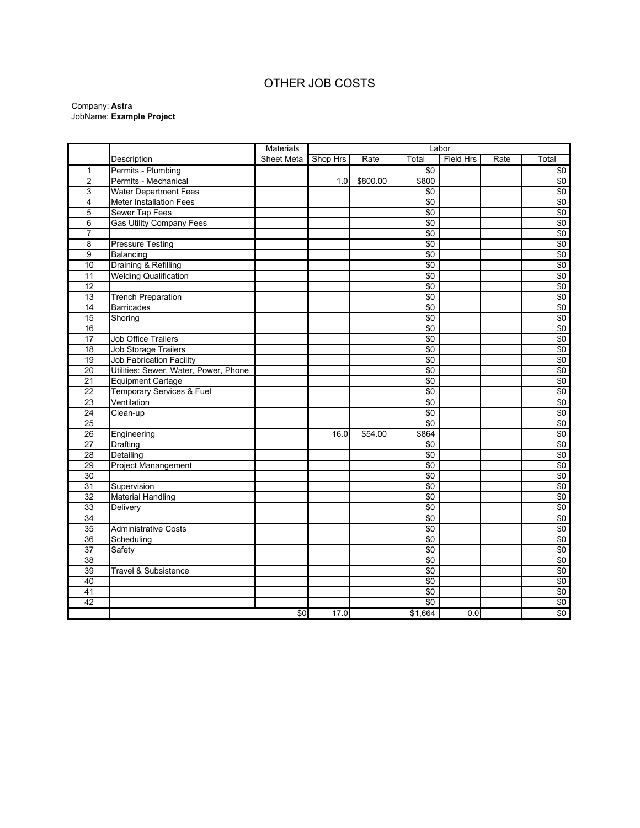## OTHER JOB COSTS

|                 |                                       | <b>Materials</b> |          |          |                 | Labor<br><b>Field Hrs</b><br>Total<br>Rate |  |                 |  |  |  |  |  |
|-----------------|---------------------------------------|------------------|----------|----------|-----------------|--------------------------------------------|--|-----------------|--|--|--|--|--|
|                 | Description                           | Sheet Meta       | Shop Hrs | Rate     |                 |                                            |  | Total           |  |  |  |  |  |
| 1               | Permits - Plumbing                    |                  |          |          | $\sqrt{50}$     |                                            |  | \$0             |  |  |  |  |  |
| $\overline{2}$  | Permits - Mechanical                  |                  | 1.0      | \$800.00 | \$800           |                                            |  | \$0             |  |  |  |  |  |
| 3               | <b>Water Department Fees</b>          |                  |          |          | $\overline{50}$ |                                            |  | \$0             |  |  |  |  |  |
| 4               | <b>Meter Installation Fees</b>        |                  |          |          | \$0             |                                            |  | $\sqrt{6}$      |  |  |  |  |  |
| 5               | Sewer Tap Fees                        |                  |          |          | $\overline{50}$ |                                            |  | \$0             |  |  |  |  |  |
| 6               | <b>Gas Utility Company Fees</b>       |                  |          |          | \$0             |                                            |  | \$0             |  |  |  |  |  |
| 7               |                                       |                  |          |          | \$0             |                                            |  | $\sqrt{6}$      |  |  |  |  |  |
| 8               | <b>Pressure Testing</b>               |                  |          |          | \$0             |                                            |  | $\overline{50}$ |  |  |  |  |  |
| 9               | Balancing                             |                  |          |          | $\sqrt{6}$      |                                            |  | $\sqrt{6}$      |  |  |  |  |  |
| 10              | Draining & Refilling                  |                  |          |          | \$0             |                                            |  | $\sqrt{6}$      |  |  |  |  |  |
| $\overline{11}$ | <b>Welding Qualification</b>          |                  |          |          | $\overline{50}$ |                                            |  | \$0             |  |  |  |  |  |
| 12              |                                       |                  |          |          | $\sqrt{6}$      |                                            |  | \$0             |  |  |  |  |  |
| 13              | <b>Trench Preparation</b>             |                  |          |          | \$0             |                                            |  | $\sqrt{6}$      |  |  |  |  |  |
| 14              | <b>Barricades</b>                     |                  |          |          | $\overline{50}$ |                                            |  | $\sqrt{6}$      |  |  |  |  |  |
| 15              | Shoring                               |                  |          |          | $\overline{50}$ |                                            |  | $\sqrt{6}$      |  |  |  |  |  |
| 16              |                                       |                  |          |          | $\overline{50}$ |                                            |  | \$0             |  |  |  |  |  |
| $\overline{17}$ | <b>Job Office Trailers</b>            |                  |          |          | $\overline{50}$ |                                            |  | \$0             |  |  |  |  |  |
| 18              | <b>Job Storage Trailers</b>           |                  |          |          | $\sqrt{6}$      |                                            |  | $\sqrt{6}$      |  |  |  |  |  |
| 19              | <b>Job Fabrication Facility</b>       |                  |          |          | $\overline{50}$ |                                            |  | $\sqrt{6}$      |  |  |  |  |  |
| 20              | Utilities: Sewer, Water, Power, Phone |                  |          |          | $\overline{50}$ |                                            |  | \$0             |  |  |  |  |  |
| 21              | <b>Equipment Cartage</b>              |                  |          |          | $\sqrt{6}$      |                                            |  | $\sqrt{6}$      |  |  |  |  |  |
| 22              | Temporary Services & Fuel             |                  |          |          | $\overline{50}$ |                                            |  | $\sqrt{6}$      |  |  |  |  |  |
| 23              | Ventilation                           |                  |          |          | $\overline{50}$ |                                            |  | \$0             |  |  |  |  |  |
| 24              | Clean-up                              |                  |          |          | $\sqrt{6}$      |                                            |  | \$0             |  |  |  |  |  |
| $\overline{25}$ |                                       |                  |          |          | \$0             |                                            |  | \$0             |  |  |  |  |  |
| 26              | Engineering                           |                  | 16.0     | \$54.00  | \$864           |                                            |  | \$0             |  |  |  |  |  |
| 27              | Drafting                              |                  |          |          | \$0             |                                            |  | $\sqrt{6}$      |  |  |  |  |  |
| 28              | Detailing                             |                  |          |          | $\overline{50}$ |                                            |  | \$0             |  |  |  |  |  |
| 29              | Project Manangement                   |                  |          |          | \$0             |                                            |  | \$0             |  |  |  |  |  |
| 30              |                                       |                  |          |          | \$0             |                                            |  | \$0             |  |  |  |  |  |
| 31              | Supervision                           |                  |          |          | $\overline{50}$ |                                            |  | \$0             |  |  |  |  |  |
| 32              | <b>Material Handling</b>              |                  |          |          | \$0             |                                            |  | $\sqrt{6}$      |  |  |  |  |  |
| 33              | Delivery                              |                  |          |          | $\sqrt{6}$      |                                            |  | \$0             |  |  |  |  |  |
| $\overline{34}$ |                                       |                  |          |          | $\overline{50}$ |                                            |  | \$0             |  |  |  |  |  |
| 35              | Administrative Costs                  |                  |          |          | \$0             |                                            |  | $\sqrt{6}$      |  |  |  |  |  |
| $\overline{36}$ | Scheduling                            |                  |          |          | \$0             |                                            |  | \$0             |  |  |  |  |  |
| 37              | Safety                                |                  |          |          | \$0             |                                            |  | $\sqrt{6}$      |  |  |  |  |  |
| 38              |                                       |                  |          |          | \$0             |                                            |  | \$0             |  |  |  |  |  |
| 39              | <b>Travel &amp; Subsistence</b>       |                  |          |          | \$0             |                                            |  | \$0             |  |  |  |  |  |
| 40              |                                       |                  |          |          | \$0             |                                            |  | \$0             |  |  |  |  |  |
| 41              |                                       |                  |          |          | \$0             |                                            |  | \$0             |  |  |  |  |  |
| 42              |                                       |                  |          |          | $\overline{50}$ |                                            |  | \$0             |  |  |  |  |  |
|                 |                                       | \$0              | 17.0     |          | \$1,664         | 0.0                                        |  | \$0             |  |  |  |  |  |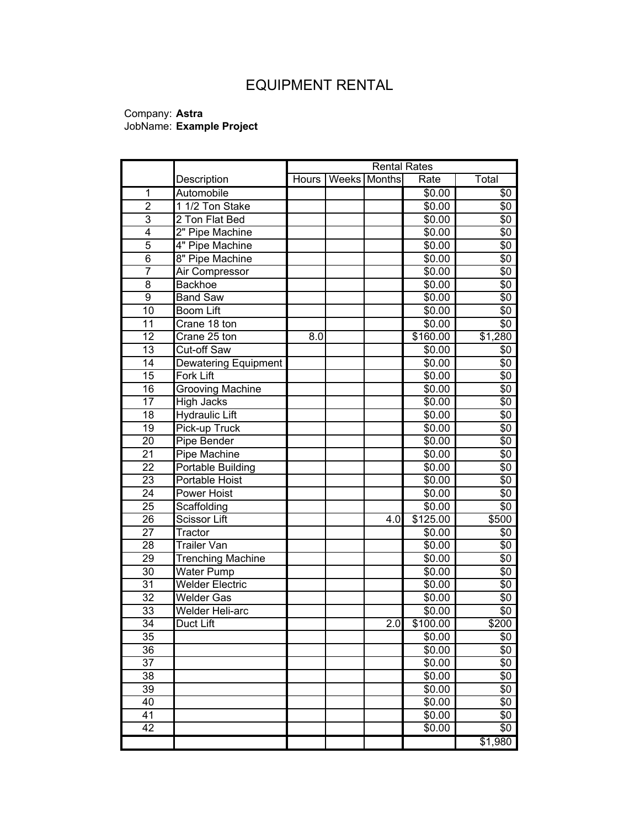# EQUIPMENT RENTAL

|                 |                          |       |              | <b>Rental Rates</b> |            |  |  |  |
|-----------------|--------------------------|-------|--------------|---------------------|------------|--|--|--|
|                 | Description              | Hours | Weeks Months | Rate                | Total      |  |  |  |
| $\overline{1}$  | Automobile               |       |              | \$0.00              | $\sqrt{6}$ |  |  |  |
| $\overline{2}$  | 1 1/2 Ton Stake          |       |              | \$0.00              | \$0        |  |  |  |
| 3               | 2 Ton Flat Bed           |       |              | \$0.00              | \$0        |  |  |  |
| 4               | 2" Pipe Machine          |       |              | \$0.00              | \$0        |  |  |  |
| 5               | 4" Pipe Machine          |       |              | \$0.00              | \$0        |  |  |  |
| $\overline{6}$  | 8" Pipe Machine          |       |              | \$0.00              | \$0        |  |  |  |
| $\overline{7}$  | Air Compressor           |       |              | \$0.00              | \$0        |  |  |  |
| 8               | <b>Backhoe</b>           |       |              | \$0.00              | \$0        |  |  |  |
| $\overline{9}$  | <b>Band Saw</b>          |       |              | \$0.00              | \$0        |  |  |  |
| $\overline{10}$ | <b>Boom Lift</b>         |       |              | \$0.00              | \$0        |  |  |  |
| 11              | Crane 18 ton             |       |              | \$0.00              | \$0        |  |  |  |
| $\overline{12}$ | Crane 25 ton             | 8.0   |              | \$160.00            | \$1,280    |  |  |  |
| 13              | Cut-off Saw              |       |              | \$0.00              | \$0        |  |  |  |
| $\overline{14}$ | Dewatering Equipment     |       |              | \$0.00              | \$0        |  |  |  |
| 15              | Fork Lift                |       |              | \$0.00              | \$0        |  |  |  |
| 16              | Grooving Machine         |       |              | \$0.00              | \$0        |  |  |  |
| 17              | <b>High Jacks</b>        |       |              | \$0.00              | \$0        |  |  |  |
| 18              | <b>Hydraulic Lift</b>    |       |              | \$0.00              | \$0        |  |  |  |
| 19              | Pick-up Truck            |       |              | \$0.00              | \$0        |  |  |  |
| 20              | Pipe Bender              |       |              | \$0.00              | \$0        |  |  |  |
| $\overline{21}$ | <b>Pipe Machine</b>      |       |              | \$0.00              | \$0        |  |  |  |
| $\overline{22}$ | Portable Building        |       |              | \$0.00              | \$0        |  |  |  |
| 23              | Portable Hoist           |       |              | \$0.00              | \$0        |  |  |  |
| $\overline{24}$ | Power Hoist              |       |              | \$0.00              | \$0        |  |  |  |
| $\overline{25}$ | Scaffolding              |       |              | \$0.00              | \$0        |  |  |  |
| $\overline{26}$ | <b>Scissor Lift</b>      |       | 4.0          | \$125.00            | \$500      |  |  |  |
| 27              | Tractor                  |       |              | \$0.00              | \$0        |  |  |  |
| 28              | <b>Trailer Van</b>       |       |              | \$0.00              | \$0        |  |  |  |
| 29              | <b>Trenching Machine</b> |       |              | \$0.00              | \$0        |  |  |  |
| 30              | <b>Water Pump</b>        |       |              | \$0.00              | \$0        |  |  |  |
| 31              | <b>Welder Electric</b>   |       |              | \$0.00              | \$0        |  |  |  |
| 32              | <b>Welder Gas</b>        |       |              | \$0.00              | \$0        |  |  |  |
| 33              | Welder Heli-arc          |       |              | \$0.00              | \$0        |  |  |  |
| 34              | Duct Lift                |       | 2.0          | \$100.00            | \$200      |  |  |  |
| 35              |                          |       |              | \$0.00              | \$0        |  |  |  |
| 36              |                          |       |              | \$0.00              | \$0        |  |  |  |
| 37              |                          |       |              | \$0.00              | \$0        |  |  |  |
| 38              |                          |       |              | \$0.00              | \$0        |  |  |  |
| 39              |                          |       |              | \$0.00              | \$0        |  |  |  |
| 40              |                          |       |              | \$0.00              | \$0        |  |  |  |
| 41              |                          |       |              | \$0.00              | \$0        |  |  |  |
| 42              |                          |       |              | \$0.00              | \$0        |  |  |  |
|                 |                          |       |              |                     | \$1,980    |  |  |  |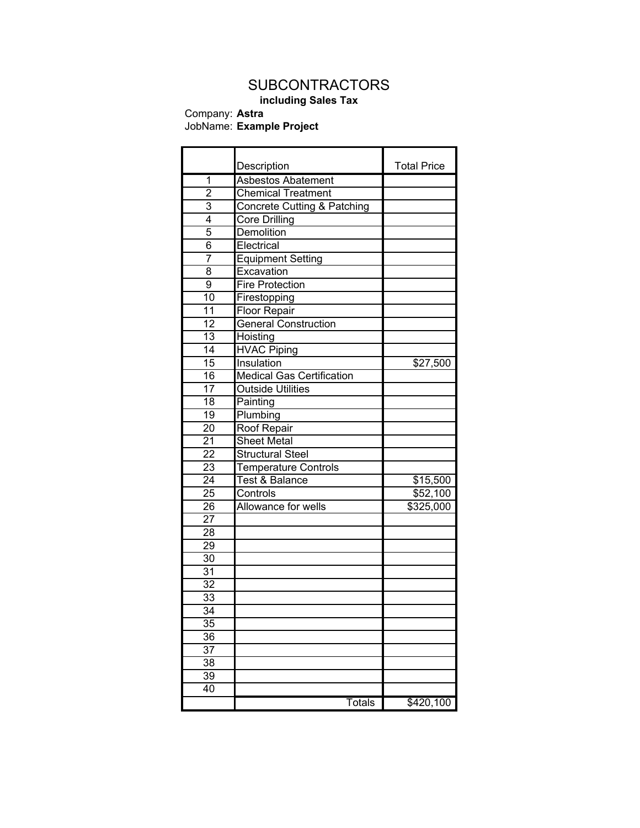# **SUBCONTRACTORS**

## **including Sales Tax**

Company: **Astra**

### JobName: **Example Project**

|                 | Description                            | <b>Total Price</b> |
|-----------------|----------------------------------------|--------------------|
| 1               | <b>Asbestos Abatement</b>              |                    |
| $\overline{2}$  | <b>Chemical Treatment</b>              |                    |
| 3               | <b>Concrete Cutting &amp; Patching</b> |                    |
| 4               | <b>Core Drilling</b>                   |                    |
| 5               | Demolition                             |                    |
| 6               | Electrical                             |                    |
| 7               | <b>Equipment Setting</b>               |                    |
| 8               | Excavation                             |                    |
| $\overline{9}$  | <b>Fire Protection</b>                 |                    |
| 10              |                                        |                    |
|                 | Firestopping                           |                    |
| 11              | Floor Repair                           |                    |
| 12              | <b>General Construction</b>            |                    |
| $\overline{13}$ | Hoisting                               |                    |
| $\overline{14}$ | <b>HVAC Piping</b>                     |                    |
| 15              | Insulation                             | \$27,500           |
| 16              | <b>Medical Gas Certification</b>       |                    |
| 17              | <b>Outside Utilities</b>               |                    |
| 18              | Painting                               |                    |
| $\overline{19}$ | Plumbing                               |                    |
| $\overline{20}$ | <b>Roof Repair</b>                     |                    |
| 21              | <b>Sheet Metal</b>                     |                    |
| $\overline{22}$ | <b>Structural Steel</b>                |                    |
| 23              | <b>Temperature Controls</b>            |                    |
| 24              | <b>Test &amp; Balance</b>              | \$15,500           |
| $\overline{25}$ | Controls                               | $\sqrt{$52,100}$   |
| 26              | Allowance for wells                    | \$325,000          |
| $\overline{27}$ |                                        |                    |
| $\overline{28}$ |                                        |                    |
| 29              |                                        |                    |
| $\overline{30}$ |                                        |                    |
| 31              |                                        |                    |
| $\overline{32}$ |                                        |                    |
| $\overline{33}$ |                                        |                    |
| $\overline{34}$ |                                        |                    |
| 35              |                                        |                    |
| 36              |                                        |                    |
| 37              |                                        |                    |
| 38              |                                        |                    |
| 39              |                                        |                    |
| 40              |                                        |                    |
|                 | <b>Totals</b>                          | \$420,100          |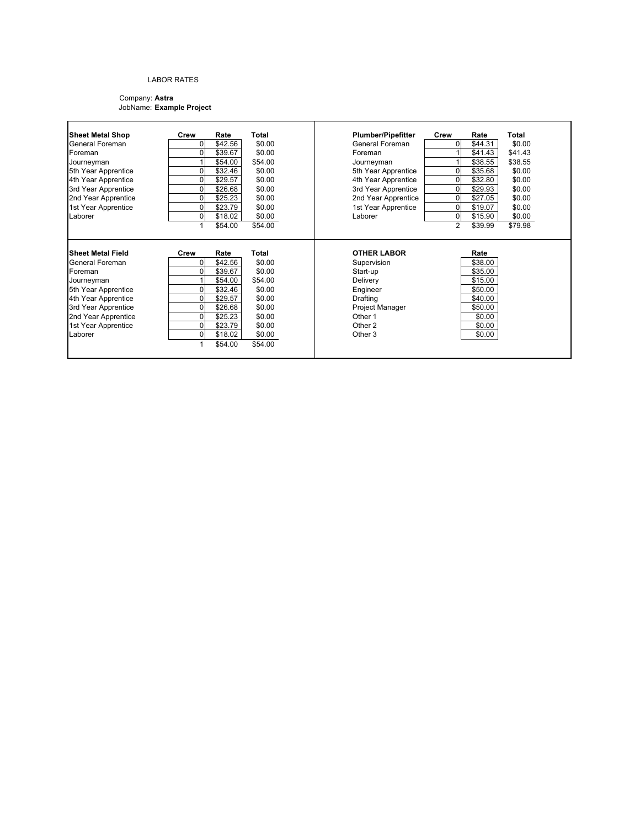### LABOR RATES

| <b>Sheet Metal Shop</b>        | Crew                 | Rate               | Total            | <b>Plumber/Pipefitter</b>     | Crew           | Rate             | Total   |
|--------------------------------|----------------------|--------------------|------------------|-------------------------------|----------------|------------------|---------|
| General Foreman                | ٥I                   | \$42.56            | \$0.00           | General Foreman               | 0              | \$44.31          | \$0.00  |
| Foreman                        | $\Omega$             | \$39.67            | \$0.00           | Foreman                       |                | \$41.43          | \$41.43 |
| Journeyman                     |                      | \$54.00            | \$54.00          | Journeyman                    |                | \$38.55          | \$38.55 |
| 5th Year Apprentice            | n.                   | \$32.46            | \$0.00           | 5th Year Apprentice           | 0              | \$35.68          | \$0.00  |
| 4th Year Apprentice            | 0                    | \$29.57            | \$0.00           | 4th Year Apprentice           | 0              | \$32.80          | \$0.00  |
| 3rd Year Apprentice            | 0                    | \$26.68            | \$0.00           | 3rd Year Apprentice           | 0              | \$29.93          | \$0.00  |
| 2nd Year Apprentice            | 0                    | \$25.23            | \$0.00           | 2nd Year Apprentice           | 0              | \$27.05          | \$0.00  |
| 1st Year Apprentice            | 0                    | \$23.79            | \$0.00           | 1st Year Apprentice           | 0              | \$19.07          | \$0.00  |
| Laborer                        | $\Omega$             | \$18.02            | \$0.00           | Laborer                       | $\overline{0}$ | \$15.90          | \$0.00  |
|                                |                      |                    |                  |                               | $\mathcal{P}$  |                  | \$79.98 |
|                                |                      | \$54.00            | \$54.00          |                               |                | \$39.99          |         |
| Sheet Metal Field              | Crew                 | Rate               | <b>Total</b>     | <b>OTHER LABOR</b>            |                | Rate             |         |
| <b>General Foreman</b>         | 01                   | \$42.56            | \$0.00           | Supervision                   |                | \$38.00          |         |
| Foreman                        | O.                   | \$39.67            | \$0.00           | Start-up                      |                | \$35.00          |         |
| Journeyman                     |                      | \$54.00            | \$54.00          | Delivery                      |                | \$15.00          |         |
| 5th Year Apprentice            |                      | \$32.46            | \$0.00           | Engineer                      |                | \$50.00          |         |
| 4th Year Apprentice            | 0                    | \$29.57            | \$0.00           | Drafting                      |                | \$40.00          |         |
| 3rd Year Apprentice            | 0                    | \$26.68            | \$0.00           | Project Manager               |                | \$50.00          |         |
| 2nd Year Apprentice            | 0                    | \$25.23            | \$0.00           | Other 1                       |                | \$0.00           |         |
| 1st Year Apprentice<br>Laborer | $\Omega$<br>$\Omega$ | \$23.79<br>\$18.02 | \$0.00<br>\$0.00 | Other 2<br>Other <sub>3</sub> |                | \$0.00<br>\$0.00 |         |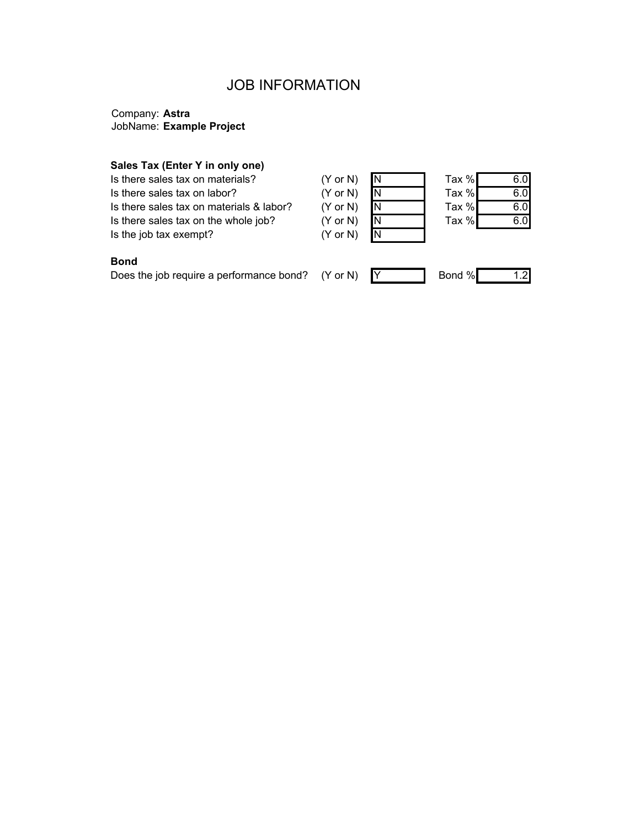## JOB INFORMATION

## Company: **Astra** JobName: **Example Project**

### **Sales Tax (Enter Y in only one)**

Is there sales tax on materials? (Y Is there sales tax on labor? (Y Is there sales tax on materials & labor? (Y Is there sales tax on the whole job?  $(Y - Y)$ Is the job tax exempt? (Y

| or $N$ ) | N |
|----------|---|
| or $N$ ) | N |
| or $N$ ) | Ν |
| or N)    | Ν |
| or N)    | N |

| Tax % | 6.0 |
|-------|-----|
| Tax % | 6.C |
| Tax % | 6.C |
| Tax % | 6.0 |
|       |     |

## **Bond**

Does the job require a performance bond?  $(Y \text{ or } N)$   $Y$  Bond % 1.2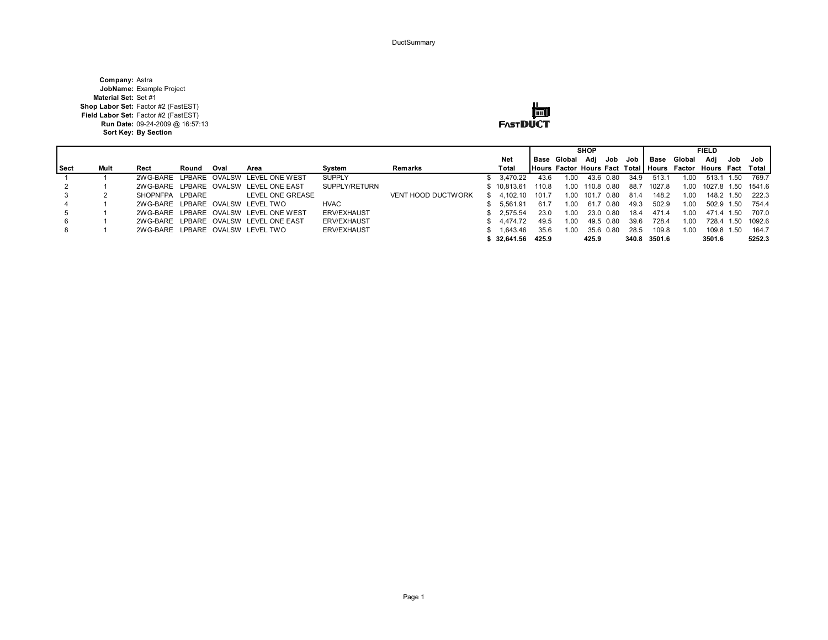**DuctSummary** 

**Company:** Astra **JobName:** Example Project **Material Set:** Set #1 **Shop Labor Set:** Factor #2 (FastEST) **Field Labor Set:** Factor #2 (FastEST) **Run Date:** 09-24-2009 @ 16:57:13 **Sort Key: By Section**



|             |      |                 |       | <b>SHOP</b> |                                       |                    |                           | <b>FIELD</b> |                    |       |             |            |           |      |              |                                                               |            |      |                    |
|-------------|------|-----------------|-------|-------------|---------------------------------------|--------------------|---------------------------|--------------|--------------------|-------|-------------|------------|-----------|------|--------------|---------------------------------------------------------------|------------|------|--------------------|
|             |      |                 |       |             |                                       |                    |                           |              | Net                |       | Base Global |            | Adi Job   | Job  | Base         | Global                                                        | Adi        | Job  | Job                |
| <b>Sect</b> | Mult | Rect            | Round | Oval        | Area                                  | Svstem             | Remarks                   |              | Total              |       |             |            |           |      |              | Hours Factor Hours Fact Total   Hours Factor Hours Fact Total |            |      |                    |
|             |      |                 |       |             | 2WG-BARE LPBARE OVALSW LEVEL ONE WEST | <b>SUPPLY</b>      |                           |              | 3.470.22           | 43.6  | 1.00        | 43.6       | 0.80      | 34.9 | 513.1        | L.OO                                                          | 513.1      | 1.50 | 769.7              |
|             |      |                 |       |             | 2WG-BARE LPBARE OVALSW LEVEL ONE EAST | SUPPLY/RETURN      |                           |              | \$10.813.61        | 110.8 | 1.00        | 110.8 0.80 |           | 88.7 | 1027.8       | 1.00.                                                         |            |      | 1027.8 1.50 1541.6 |
|             |      | SHOPNFPA LPBARE |       |             | LEVEL ONE GREASE                      |                    | <b>VENT HOOD DUCTWORK</b> |              | 4.102.10           | 101.7 | 1.00        | 101.7      | 0.80      | 81.4 | 148.2        | 1.00                                                          | 148.2 1.50 |      | 222.3              |
|             |      |                 |       |             | 2WG-BARE LPBARE OVALSW LEVEL TWO      | <b>HVAC</b>        |                           |              | 5.561.91           | 61.7  | 1.00        | 61.7       | 0.80      | 49.3 | 502.9        | 1.00                                                          | 502.9 1.50 |      | 754.4              |
|             |      |                 |       |             | 2WG-BARE LPBARE OVALSW LEVEL ONE WEST | <b>ERV/EXHAUST</b> |                           |              | \$2.575.54         | 23.0  | 1.00        |            | 23.0 0.80 | 18.4 | 471.4        | 1.00                                                          | 471.4 1.50 |      | 707.0              |
|             |      |                 |       |             | 2WG-BARE LPBARE OVALSW LEVEL ONE EAST | <b>ERV/EXHAUST</b> |                           |              | 4.474.72           | 49.5  | 1.00        | 49.5       | _ በ ጸበ    | 39.6 | 728.4        | 1.00                                                          | 728.4 1.50 |      | 1092.6             |
|             |      |                 |       |             | 2WG-BARE LPBARE OVALSW LEVEL TWO      | <b>ERV/EXHAUST</b> |                           |              | 1.643.46           | 35.6  | 1.00        |            | 35.6 0.80 | 28.5 | 109.8        | 1.00                                                          | 109.8 1.50 |      | 164.7              |
|             |      |                 |       |             |                                       |                    |                           |              | $$32.641.56$ 425.9 |       |             | 425.9      |           |      | 340.8 3501.6 |                                                               | 3501.6     |      | 5252.3             |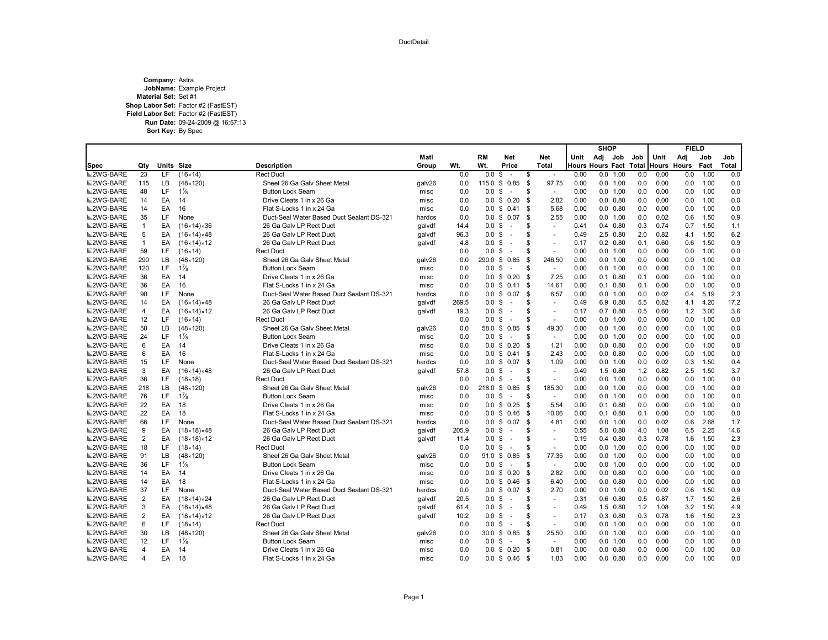# Company: Astra<br>JobName: Example Project<br>Material Set: Set #1 Shop Labor Set: Factor #2 (FastEST)<br>Field Labor Set: Factor #2 (FastEST)<br>Run Date: 09-24-2009 @ 16:57:13 Sort Key: By Spec

|                  |                |            |                            |                                           |        |       |                     |                    |                                 |              | <b>SHOP</b>             |       | <b>FIELD</b> |       |      |              |
|------------------|----------------|------------|----------------------------|-------------------------------------------|--------|-------|---------------------|--------------------|---------------------------------|--------------|-------------------------|-------|--------------|-------|------|--------------|
|                  |                |            |                            |                                           | Matl   |       | RM                  | <b>Net</b>         | <b>Net</b>                      | Unit         | Adj<br>Job              | Job   | Unit         | Adj   | Job  | Job          |
| Spec             | Qty            | Units Size |                            | Description                               | Group  | Wt.   | Wt.                 | Price              | <b>Total</b>                    |              | <b>Hours Hours Fact</b> | Total | Hours        | Hours | Fact | <b>Total</b> |
| ■2WG-BARE        | 23             | LF         | (16×14)                    | <b>Rect Duct</b>                          |        | 0.0   | 0.0                 | \$<br>$\sim$       | \$<br>÷.                        | 0.00         | 0.0 1.00                | 0.0   | 0.00         | 0.0   | 1.00 | 0.0          |
| <b>■2WG-BARE</b> | 115            | LB         | $(48 \times 120)$          | Sheet 26 Ga Galy Sheet Metal              | galv26 | 0.0   | 115.0               | \$<br>0.85         | - \$<br>97.75                   | 0.00         | 0.0 1.00                | 0.0   | 0.00         | 0.0   | 1.00 | 0.0          |
| <b>■2WG-BARE</b> | 48             | LF         | $1\frac{7}{8}$             | <b>Button Lock Seam</b>                   | misc   | 0.0   | $0.0 \text{ }$ \$   | $\sim$             | \$<br>$\sim$                    | 0.00         | 0.0 1.00                | 0.0   | 0.00         | 0.0   | 1.00 | 0.0          |
| <b>■2WG-BARE</b> | 14             | EA         | 14                         | Drive Cleats 1 in x 26 Ga                 | misc   | 0.0   | 0.0 <sup>5</sup>    | 0.20               | \$                              | 2.82<br>0.00 | $0.0$ $0.80$            | 0.0   | 0.00         | 0.0   | 1.00 | 0.0          |
| <b>■2WG-BARE</b> | 14             | EA         | 16                         | Flat S-Locks 1 in x 24 Ga                 | misc   | 0.0   |                     | $0.0 \tS 0.41$     | - \$                            | 5.68<br>0.00 | $0.0$ $0.80$            | 0.0   | 0.00         | 0.0   | 1.00 | 0.0          |
| <b>■2WG-BARE</b> | 35             | LF.        | None                       | Duct-Seal Water Based Duct Sealant DS-321 | hardcs | 0.0   |                     | $0.0 \t S \t 0.07$ | -S                              | 2.55<br>0.00 | 0.0 1.00                | 0.0   | 0.02         | 0.6   | 1.50 | 0.9          |
| <b>■2WG-BARE</b> | $\mathbf{1}$   | EA         | $(16×14)*36$               | 26 Ga Galv LP Rect Duct                   | qalvdf | 14.4  | 0.0 <sup>5</sup>    | $\sim$             | \$.<br>$\sim$                   | 0.41         | $0.4$ $0.80$            | 0.3   | 0.74         | 0.7   | 1.50 | 1.1          |
| <b>■2WG-BARE</b> | 5              | EA         | $(16×14)*48$               | 26 Ga Galv LP Rect Duct                   | qalvdf | 96.3  | 0.0                 | S.<br>$\sim$       | \$.<br>$\sim$                   | 0.49         | 2.5 0.80                | 2.0   | 0.82         | 4.1   | 1.50 | 6.2          |
| <b>■2WG-BARE</b> | $\mathbf{1}$   | EA         | $(16×14)*12$               | 26 Ga Galv LP Rect Duct                   | qalvdf | 4.8   | $0.0 \,$ \$         | $\sim$             | \$.<br>$\sim$                   | 0.17         | $0.2$ $0.80$            | 0.1   | 0.60         | 0.6   | 1.50 | 0.9          |
| <b>■2WG-BARE</b> | 59             | LF.        | (16×14)                    | <b>Rect Duct</b>                          |        | 0.0   | $0.0 \text{ }$ \$   | $\sim$             | \$<br>$\sim$                    | 0.00         | 0.0 1.00                | 0.0   | 0.00         | 0.0   | 1.00 | 0.0          |
| <b>■2WG-BARE</b> | 290            | LB         | $(48 \times 120)$          | Sheet 26 Ga Galv Sheet Metal              | galv26 | 0.0   | 290.0 \$            | 0.85               | \$<br>246.50                    | 0.00         | 0.0 1.00                | 0.0   | 0.00         | 0.0   | 1.00 | 0.0          |
| <b>■2WG-BARE</b> | 120            | LF.        | $1\frac{7}{8}$             | <b>Button Lock Seam</b>                   | misc   | 0.0   | $0.0 \text{ }$ \$   | $\sim$             | \$.<br>$\sim$                   | 0.00         | 0.0 1.00                | 0.0   | 0.00         | 0.0   | 1.00 | 0.0          |
| <b>■2WG-BARE</b> | 36             | EA         | 14                         | Drive Cleats 1 in x 26 Ga                 | misc   | 0.0   |                     | $0.0 \t$ 0.20$     | \$                              | 7.25<br>0.00 | $0.1$ $0.80$            | 0.1   | 0.00         | 0.0   | 1.00 | 0.0          |
| <b>■2WG-BARE</b> | 36             | EA         | 16                         | Flat S-Locks 1 in x 24 Ga                 | misc   | 0.0   |                     | $0.0 \tS 0.41$     | - \$<br>14.61                   | 0.00         | $0.1$ $0.80$            | 0.1   | 0.00         | 0.0   | 1.00 | 0.0          |
| <b>■2WG-BARE</b> | 90             | LF         | None                       | Duct-Seal Water Based Duct Sealant DS-321 | hardcs | 0.0   | $0.0 \,$ \$         | 0.07               | -\$                             | 6.57<br>0.00 | 0.0 1.00                | 0.0   | 0.02         | 0.4   | 5.19 | 2.3          |
| <b>■2WG-BARE</b> | 14             | EA         | $(16×14)*48$               | 26 Ga Galv LP Rect Duct                   | qalvdf | 269.5 | 0.0 <sup>5</sup>    | $\sim$             | \$.<br>÷.                       | 0.49         | 6.9 0.80                | 5.5   | 0.82         | 4.1   | 4.20 | 17.2         |
| <b>■2WG-BARE</b> | 4              | EA         | (16×14)×12                 | 26 Ga Galv LP Rect Duct                   | qalvdf | 19.3  | 0.0                 | \$<br>$\sim$       | \$.<br>$\sim$                   | 0.17         | $0.7$ $0.80$            | 0.5   | 0.60         | 1.2   | 3.00 | 3.6          |
| <b>■2WG-BARE</b> | 12             | LF         | (16×14)                    | <b>Rect Duct</b>                          |        | 0.0   | 0.0 S               | $\sim$             | \$.<br>$\overline{\phantom{a}}$ | 0.00         | 0.0 1.00                | 0.0   | 0.00         | 0.0   | 1.00 | 0.0          |
| <b>■2WG-BARE</b> | 58             | <b>LB</b>  | $(48 \times 120)$          | Sheet 26 Ga Galv Sheet Metal              | galv26 | 0.0   |                     | 58.0 \$ 0.85       | 49.30<br>- \$                   | 0.00         | 0.0 1.00                | 0.0   | 0.00         | 0.0   | 1.00 | 0.0          |
| <b>■2WG-BARE</b> | 24             | LF         | $1\frac{7}{8}$             | <b>Button Lock Seam</b>                   | misc   | 0.0   | 0.0 <sup>5</sup>    | $\sim$             | \$<br>$\sim$                    | 0.00         | 0.0 1.00                | 0.0   | 0.00         | 0.0   | 1.00 | 0.0          |
| <b>■2WG-BARE</b> | 6              | EA         | 14                         | Drive Cleats 1 in x 26 Ga                 | misc   | 0.0   | $0.0 \text{ }$ \$   | 0.20               | 1.21<br>- \$                    | 0.00         | $0.0$ $0.80$            | 0.0   | 0.00         | 0.0   | 1.00 | 0.0          |
| <b>■2WG-BARE</b> | 6              | EA         | 16                         | Flat S-Locks 1 in x 24 Ga                 | misc   | 0.0   |                     | $0.0 \t$ 0.41$     | - \$                            | 2.43<br>0.00 | $0.0$ $0.80$            | 0.0   | 0.00         | 0.0   | 1.00 | 0.0          |
| <b>■2WG-BARE</b> | 15             | LF.        | None                       | Duct-Seal Water Based Duct Sealant DS-321 | hardcs | 0.0   |                     | $0.0 \t$ 0.07$     | -S                              | 1.09<br>0.00 | 0.0 1.00                | 0.0   | 0.02         | 0.3   | 1.50 | 0.4          |
| <b>■2WG-BARE</b> | 3              | EA         | $(16 \times 14) \times 48$ | 26 Ga Galv LP Rect Duct                   | qalvdf | 57.8  | $0.0 \text{ }$ \$   | $\sim$             | \$<br>$\sim$                    | 0.49         | 1.5 0.80                | 1.2   | 0.82         | 2.5   | 1.50 | 3.7          |
| <b>■2WG-BARE</b> | 36             | LF.        | $(18 \times 18)$           | <b>Rect Duct</b>                          |        | 0.0   | $0.0 \text{ }$ \$   | $\sim$             | \$.<br>$\sim$                   | 0.00         | 0.0 1.00                | 0.0   | 0.00         | 0.0   | 1.00 | 0.0          |
| <b>■2WG-BARE</b> | 218            | LB.        | $(48 \times 120)$          | Sheet 26 Ga Galv Sheet Metal              | galv26 | 0.0   | $218.0 \text{ }$ \$ | 0.85               | - \$<br>185.30                  | 0.00         | 0.0 1.00                | 0.0   | 0.00         | 0.0   | 1.00 | 0.0          |
| <b>■2WG-BARE</b> | 76             | LF.        | $1\frac{7}{8}$             | <b>Button Lock Seam</b>                   | misc   | 0.0   | $0.0 \text{ }$ \$   | $\sim$             | \$<br>÷.                        | 0.00         | 0.0 1.00                | 0.0   | 0.00         | 0.0   | 1.00 | 0.0          |
| <b>■2WG-BARE</b> | 22             | EA         | 18                         | Drive Cleats 1 in x 26 Ga                 | misc   | 0.0   | $0.0 \,$ \$         | 0.25               | - \$                            | 5.54<br>0.00 | $0.1 \quad 0.80$        | 0.0   | 0.00         | 0.0   | 1.00 | 0.0          |
| <b>■2WG-BARE</b> | 22             | EA         | 18                         | Flat S-Locks 1 in x 24 Ga                 | misc   | 0.0   |                     | $0.0 \t$ 0.46$     | 10.06<br>- \$                   | 0.00         | $0.1 \quad 0.80$        | 0.1   | 0.00         | 0.0   | 1.00 | 0.0          |
| <b>■2WG-BARE</b> | 66             | LF         | None                       | Duct-Seal Water Based Duct Sealant DS-321 | hardcs | 0.0   | $0.0 \,$ \$         | 0.07               | -\$<br>4.81                     | 0.00         | 0.0 1.00                | 0.0   | 0.02         | 0.6   | 2.68 | 1.7          |
| <b>■2WG-BARE</b> | 9              | EA         | $(18 \times 18) \times 48$ | 26 Ga Galv LP Rect Duct                   | qalvdf | 205.9 | $0.0 \text{ }$ \$   | $\sim$             | \$.<br>$\sim$                   | 0.55         | 5.0 0.80                | 4.0   | 1.08         | 6.5   | 2.25 | 14.6         |
| <b>■2WG-BARE</b> | 2              | EA         | $(18 \times 18) \times 12$ | 26 Ga Galv LP Rect Duct                   | qalvdf | 11.4  | 0.0                 | \$<br>$\sim$       | S<br>$\sim$                     | 0.19         | $0.4$ $0.80$            | 0.3   | 0.78         | 1.6   | 1.50 | 2.3          |
| <b>■2WG-BARE</b> | 18             | LF         | $(18 \times 14)$           | <b>Rect Duct</b>                          |        | 0.0   | 0.0 S               | $\sim$             | \$.<br>$\sim$                   | 0.00         | 0.0 1.00                | 0.0   | 0.00         | 0.0   | 1.00 | 0.0          |
| <b>■2WG-BARE</b> | 91             | <b>LB</b>  | $(48 \times 120)$          | Sheet 26 Ga Galv Sheet Metal              | galv26 | 0.0   | 91.0 \$             | 0.85               | 77.35<br>- \$                   | 0.00         | 0.0 1.00                | 0.0   | 0.00         | 0.0   | 1.00 | 0.0          |
| <b>■2WG-BARE</b> | 36             | LF         | $1\frac{7}{8}$             | <b>Button Lock Seam</b>                   | misc   | 0.0   | $0.0 \,$ \$         | $\sim$             | \$<br>$\sim$                    | 0.00         | 0.0 1.00                | 0.0   | 0.00         | 0.0   | 1.00 | 0.0          |
| <b>■2WG-BARE</b> | 14             | EA         | 14                         | Drive Cleats 1 in x 26 Ga                 | misc   | 0.0   |                     | $0.0 \t$ 0.20$     | - \$                            | 2.82<br>0.00 | $0.0$ $0.80$            | 0.0   | 0.00         | 0.0   | 1.00 | 0.0          |
| <b>■2WG-BARE</b> | 14             | EA         | 18                         | Flat S-Locks 1 in x 24 Ga                 | misc   | 0.0   |                     | $0.0 \t$ 0.46$     | - \$                            | 6.40<br>0.00 | $0.0$ $0.80$            | 0.0   | 0.00         | 0.0   | 1.00 | 0.0          |
| <b>■2WG-BARE</b> | 37             | LF.        | None                       | Duct-Seal Water Based Duct Sealant DS-321 | hardcs | 0.0   | $0.0 \,$ \$         | 0.07               | -S                              | 2.70<br>0.00 | 0.0 1.00                | 0.0   | 0.02         | 0.6   | 1.50 | 0.9          |
| <b>■2WG-BARE</b> | $\overline{2}$ | EA         | $(18 \times 14) \times 24$ | 26 Ga Galv LP Rect Duct                   | qalvdf | 20.5  | 0.0 S               | $\sim$             | \$<br>$\sim$                    | 0.31         | $0.6$ $0.80$            | 0.5   | 0.87         | 1.7   | 1.50 | 2.6          |
| <b>■2WG-BARE</b> | 3              | EA         | $(18 \times 14) \times 48$ | 26 Ga Galv LP Rect Duct                   | galvdf | 61.4  | $0.0 \text{ }$ \$   | $\sim$             | \$.<br>$\sim$                   | 0.49         | 1.5 0.80                | 1.2   | 1.08         | 3.2   | 1.50 | 4.9          |
| <b>■2WG-BARE</b> | $\overline{2}$ | EA         | (18×14)×12                 | 26 Ga Galv LP Rect Duct                   | qalvdf | 10.2  | $0.0 \,$ \$         | $\sim$             | \$<br>÷,                        | 0.17         | $0.3$ $0.80$            | 0.3   | 0.78         | 1.6   | 1.50 | 2.3          |
| <b>■2WG-BARE</b> | 6              | LF         | $(18 \times 14)$           | <b>Rect Duct</b>                          |        | 0.0   | $0.0 \text{ }$ \$   | $\sim$             | S<br>÷.                         | 0.00         | 0.0 1.00                | 0.0   | 0.00         | 0.0   | 1.00 | 0.0          |
| <b>■2WG-BARE</b> | 30             | LB.        | $(48 \times 120)$          | Sheet 26 Ga Galv Sheet Metal              | galv26 | 0.0   | $30.0 \text{ } $$   | 0.85               | \$<br>25.50                     | 0.00         | 0.0 1.00                | 0.0   | 0.00         | 0.0   | 1.00 | 0.0          |
| <b>■2WG-BARE</b> | 12             | LF         | $1\frac{7}{8}$             | <b>Button Lock Seam</b>                   | misc   | 0.0   | $0.0 \text{ }$ \$   | $\sim$             | \$<br>$\sim$                    | 0.00         | 0.0 1.00                | 0.0   | 0.00         | 0.0   | 1.00 | 0.0          |
| <b>■2WG-BARE</b> | 4              | EA         | 14                         | Drive Cleats 1 in x 26 Ga                 | misc   | 0.0   | $0.0 \,$ \$         | 0.20               | \$<br>0.81                      | 0.00         | $0.0$ $0.80$            | 0.0   | 0.00         | 0.0   | 1.00 | 0.0          |
| <b>■2WG-BARE</b> | 4              | EA         | 18                         | Flat S-Locks 1 in x 24 Ga                 | misc   | 0.0   |                     | $0.0 \t$ 0.46$     | - \$                            | 1.83<br>0.00 | $0.0$ $0.80$            | 0.0   | 0.00         | 0.0   | 1.00 | 0.0          |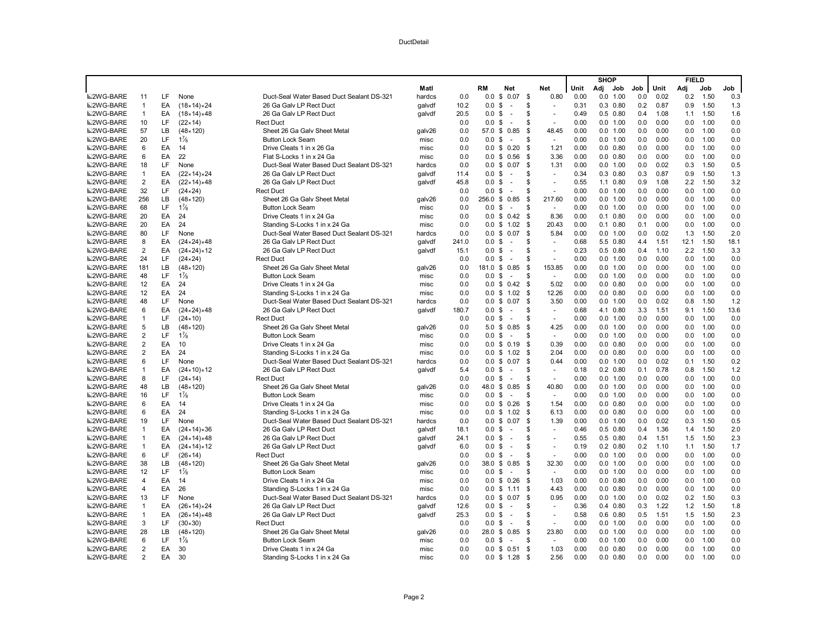|                  |                |          |                            |                                           |        |       |                   |                                |      |                     |      | <b>SHOP</b> |                  |            |      | <b>FIELD</b> |              |            |
|------------------|----------------|----------|----------------------------|-------------------------------------------|--------|-------|-------------------|--------------------------------|------|---------------------|------|-------------|------------------|------------|------|--------------|--------------|------------|
|                  |                |          |                            |                                           | Matl   |       | RM                | Net                            |      | Net                 | Unit | Adj         | Job              | Job        | Unit | Adj          | Job          | Job        |
| <b>■2WG-BARE</b> | 11             | LF       | None                       | Duct-Seal Water Based Duct Sealant DS-321 | hardcs | 0.0   | 0.0               | 0.07<br>\$                     | \$   | 0.80                | 0.00 | 0.0         | 1.00             | 0.0        | 0.02 | 0.2          | 1.50         | 0.3        |
| 2WG-BARE         | $\overline{1}$ | EA       | (18×14)×24                 | 26 Ga Galv LP Rect Duct                   | galvdf | 10.2  | 0.0               | \$<br>$\sim$                   | \$   |                     | 0.31 |             | $0.3$ $0.80$     | 0.2        | 0.87 | 0.9          | 1.50         | 1.3        |
| <b>■2WG-BARE</b> | $\overline{1}$ | EA       | $(18×14)*48$               | 26 Ga Galv LP Rect Duct                   | galvdf | 20.5  | 0.0               | \$<br>$\sim$                   | S    | $\sim$              | 0.49 |             | $0.5$ 0.80       | 0.4        | 1.08 | 1.1          | 1.50         | 1.6        |
| <b>■2WG-BARE</b> | 10             | LF       | $(22 \times 14)$           | <b>Rect Duct</b>                          |        | 0.0   | 0.0               | \$<br>÷.                       | S    | ÷.                  | 0.00 |             | 0.0 1.00         | 0.0        | 0.00 | 0.0          | 1.00         | 0.0        |
| <b>■2WG-BARE</b> | 57             | LB       | $(48 \times 120)$          | Sheet 26 Ga Galy Sheet Metal              | galv26 | 0.0   | 57.0 \$           | 0.85                           | \$   | 48.45               | 0.00 |             | 0.0 1.00         | 0.0        | 0.00 | 0.0          | 1.00         | 0.0        |
| <b>■2WG-BARE</b> | 20             | LF       | $1\frac{7}{8}$             | <b>Button Lock Seam</b>                   | misc   | 0.0   | 0.0               | -S<br>$\sim$                   | S    | $\sim$              | 0.00 |             | 0.0 1.00         | 0.0        | 0.00 | 0.0          | 1.00         | 0.0        |
| <b>■2WG-BARE</b> | 6              | EA       | 14                         | Drive Cleats 1 in x 26 Ga                 | misc   | 0.0   | 0.0               | \$<br>0.20                     | \$   | 1.21                | 0.00 |             | $0.0$ $0.80$     | 0.0        | 0.00 | 0.0          | 1.00         | 0.0        |
| <b>■2WG-BARE</b> | 6              | EA       | 22                         | Flat S-Locks 1 in x 24 Ga                 | misc   | 0.0   | $0.0 \text{ }$ \$ | 0.56                           | \$   | 3.36                | 0.00 |             | $0.0$ $0.80$     | 0.0        | 0.00 | 0.0          | 1.00         | 0.0        |
| <b>■2WG-BARE</b> | 18             | LF       | None                       | Duct-Seal Water Based Duct Sealant DS-321 | hardcs | 0.0   | 0.0               | 0.07<br>\$                     | \$   | 1.31                | 0.00 |             | 0.0 1.00         | 0.0        | 0.02 | 0.3          | 1.50         | 0.5        |
| <b>■2WG-BARE</b> | $\overline{1}$ | EA       | $(22 \times 14) \times 24$ | 26 Ga Galv LP Rect Duct                   | galvdf | 11.4  | 0.0               | \$<br>÷.                       | S    | $\sim$              | 0.34 |             | $0.3$ 0.80       | 0.3        | 0.87 | 0.9          | 1.50         | 1.3        |
| <b>■2WG-BARE</b> | $\overline{2}$ | EA       | $(22 \times 14) \times 48$ | 26 Ga Galv LP Rect Duct                   | qalvdf | 45.8  | 0.0 S             | $\sim$                         | S    | $\sim$              | 0.55 |             | $1.1 \quad 0.80$ | 0.9        | 1.08 | 2.2          | 1.50         | 3.2        |
| <b>■2WG-BARE</b> | 32             | LF       | $(24 \times 24)$           | <b>Rect Duct</b>                          |        | 0.0   | 0.0               | -\$<br>$\sim$                  | \$   |                     | 0.00 |             | 0.0 1.00         | 0.0        | 0.00 | 0.0          | 1.00         | 0.0        |
| <b>■2WG-BARE</b> | 256            | LB.      | $(48 \times 120)$          | Sheet 26 Ga Galv Sheet Metal              | galv26 | 0.0   | 256.0 \$          | 0.85                           | S.   | 217.60              | 0.00 |             | 0.0 1.00         | 0.0        | 0.00 | 0.0          | 1.00         | 0.0        |
| <b>■2WG-BARE</b> | 68             | LF       | $1\frac{7}{8}$             | <b>Button Lock Seam</b>                   | misc   | 0.0   | 0.0 <sup>5</sup>  | $\sim$                         | \$   | $\blacksquare$      | 0.00 |             | 0.0 1.00         | 0.0        | 0.00 | 0.0          | 1.00         | 0.0        |
| <b>■2WG-BARE</b> | 20             | EA       | 24                         | Drive Cleats 1 in x 24 Ga                 | misc   | 0.0   |                   | $0.0 \t$ 0.42$                 | -\$  | 8.36                | 0.00 |             | $0.1$ $0.80$     | 0.0        | 0.00 | 0.0          | 1.00         | 0.0        |
| <b>■2WG-BARE</b> | 20             | EA       | 24                         | Standing S-Locks 1 in x 24 Ga             | misc   | 0.0   |                   | $0.0 \t$ 1.02$                 | \$   | 20.43               | 0.00 |             | $0.1$ $0.80$     | 0.1        | 0.00 | 0.0          | 1.00         | 0.0        |
| <b>■2WG-BARE</b> | 80             | LF       | None                       | Duct-Seal Water Based Duct Sealant DS-321 | hardcs | 0.0   | $0.0 \text{ }$ \$ | 0.07                           | S.   | 5.84                | 0.00 |             | 0.0 1.00         | 0.0        | 0.02 | 1.3          | 1.50         | 2.0        |
| <b>■2WG-BARE</b> | 8              | EA       | $(24 \times 24) \times 48$ | 26 Ga Galv LP Rect Duct                   | qalvdf | 241.0 | $0.0 \text{ }$ \$ | $\sim$                         | \$   | $\sim$              | 0.68 |             | 5.5 0.80         | 4.4        | 1.51 | 12.1         | 1.50         | 18.1       |
| <b>■2WG-BARE</b> | $\overline{2}$ | EA       | $(24 \times 24) \times 12$ | 26 Ga Galv LP Rect Duct                   | qalvdf | 15.1  | 0.0               | -\$<br>$\sim$                  | S    | $\sim$              | 0.23 |             | $0.5$ 0.80       | 0.4        | 1.10 | 2.2          | 1.50         | 3.3        |
| <b>■2WG-BARE</b> | 24             | LF       | $(24 \times 24)$           | <b>Rect Duct</b>                          |        | 0.0   | 0.0               | \$<br>$\sim$                   | \$   | ÷.                  | 0.00 |             | 0.0 1.00         | 0.0        | 0.00 | 0.0          | 1.00         | 0.0        |
| <b>■2WG-BARE</b> | 181            | LB       | $(48 \times 120)$          | Sheet 26 Ga Galv Sheet Metal              | galv26 | 0.0   | 181.0 \$          | 0.85                           | \$   | 153.85              | 0.00 |             | 0.0 1.00         | 0.0        | 0.00 | 0.0          | 1.00         | 0.0        |
| <b>■2WG-BARE</b> | 48             | LF       | $1\frac{7}{8}$             | <b>Button Lock Seam</b>                   | misc   | 0.0   | 0.0               | \$<br>$\sim$                   | \$   | $\sim$              | 0.00 |             | 0.0 1.00         | 0.0        | 0.00 | 0.0          | 1.00         | 0.0        |
| <b>■2WG-BARE</b> | 12             | EA       | 24                         | Drive Cleats 1 in x 24 Ga                 | misc   | 0.0   |                   | $0.0 \tS 0.42$                 | - \$ | 5.02                | 0.00 |             | $0.0$ $0.80$     | 0.0        | 0.00 | 0.0          | 1.00         | 0.0        |
| <b>■2WG-BARE</b> | 12             | EA       | 24                         | Standing S-Locks 1 in x 24 Ga             | misc   | 0.0   |                   | $0.0 \t$ 1.02$                 | S.   | 12.26               | 0.00 |             | $0.0$ $0.80$     | 0.0        | 0.00 | 0.0          | 1.00         | 0.0        |
| <b>■2WG-BARE</b> | 48             | LF       | None                       | Duct-Seal Water Based Duct Sealant DS-321 | hardcs | 0.0   | 0.0               | 0.07<br>\$                     | \$   | 3.50                | 0.00 |             | 0.0 1.00         | 0.0        | 0.02 | 0.8          | 1.50         | 1.2        |
| <b>■2WG-BARE</b> | 6              | EA       | $(24 \times 24) \times 48$ | 26 Ga Galv LP Rect Duct                   | galvdf | 180.7 | $0.0 \,$ \$       | $\sim$                         | S    | $\sim$              | 0.68 |             | 4.1 0.80         | 3.3        | 1.51 | 9.1          | 1.50         | 13.6       |
| <b>■2WG-BARE</b> | $\mathbf{1}$   | LF       | $(24 \times 10)$           | <b>Rect Duct</b>                          |        | 0.0   | $0.0 \text{ }$ \$ | $\sim$                         | \$   | $\blacksquare$      | 0.00 |             | 0.0 1.00         | 0.0        | 0.00 | 0.0          | 1.00         | 0.0        |
| <b>■2WG-BARE</b> | 5              | LB       | $(48 \times 120)$          | Sheet 26 Ga Galv Sheet Metal              | galv26 | 0.0   |                   | 5.0 \$ 0.85                    | \$   | 4.25                | 0.00 |             | 0.0 1.00         | 0.0        | 0.00 | 0.0          | 1.00         | 0.0        |
| <b>■2WG-BARE</b> | $\overline{2}$ | LF       | $1\frac{7}{8}$             | <b>Button Lock Seam</b>                   | misc   | 0.0   | 0.0               | \$<br>$\sim$                   | S    | $\sim$              | 0.00 |             | 0.0 1.00         | 0.0        | 0.00 | 0.0          | 1.00         | 0.0        |
| <b>■2WG-BARE</b> | 2              | EA       | 10                         | Drive Cleats 1 in x 24 Ga                 | misc   | 0.0   | $0.0 \text{ }$ \$ | 0.19                           | \$   | 0.39                | 0.00 |             | $0.0$ $0.80$     | 0.0        | 0.00 | 0.0          | 1.00         | 0.0        |
| <b>■2WG-BARE</b> | $\overline{2}$ | EA       | 24                         | Standing S-Locks 1 in x 24 Ga             | misc   | 0.0   |                   | $0.0 \t$ 1.02$                 | S.   | 2.04                | 0.00 |             | $0.0$ $0.80$     | 0.0        | 0.00 | 0.0          | 1.00         | 0.0        |
| <b>■2WG-BARE</b> | 6              | LF       | None                       | Duct-Seal Water Based Duct Sealant DS-321 | hardcs | 0.0   | 0.0               | \$<br>0.07                     | \$   | 0.44                | 0.00 |             | 0.0 1.00         | 0.0        | 0.02 | 0.1          | 1.50         | 0.2        |
| <b>■2WG-BARE</b> | $\overline{1}$ | EA       | $(24 \times 10) \times 12$ | 26 Ga Galv LP Rect Duct                   | galvdf | 5.4   | 0.0               | \$<br>$\sim$                   | \$   | $\sim$              | 0.18 |             | $0.2$ $0.80$     | 0.1        | 0.78 | 0.8          | 1.50         | 1.2        |
| <b>■2WG-BARE</b> | 8              | LF       | $(24 \times 14)$           | <b>Rect Duct</b>                          |        | 0.0   | 0.0               | \$<br>$\sim$                   | \$   | $\sim$              | 0.00 |             | 0.0 1.00         | 0.0        | 0.00 | 0.0          | 1.00         | 0.0        |
| <b>■2WG-BARE</b> | 48             | LB       | $(48 \times 120)$          | Sheet 26 Ga Galy Sheet Metal              | galv26 | 0.0   |                   | 48.0 \$ 0.85                   | - \$ | 40.80               | 0.00 |             | 0.0 1.00         | 0.0        | 0.00 | 0.0          | 1.00         | 0.0        |
| <b>■2WG-BARE</b> | 16             | LF       | $1\frac{7}{8}$             | <b>Button Lock Seam</b>                   | misc   | 0.0   | 0.0               | \$<br>$\sim$                   | S    | $\sim$              | 0.00 |             | 0.0 1.00         | 0.0        | 0.00 | 0.0          | 1.00         | 0.0        |
| <b>■2WG-BARE</b> | 6              | EA       | 14                         | Drive Cleats 1 in x 24 Ga                 | misc   | 0.0   |                   | $0.0 \t$ 0.26$                 | \$   | 1.54                | 0.00 |             | $0.0$ $0.80$     | 0.0        | 0.00 | 0.0          | 1.00         | 0.0        |
| <b>■2WG-BARE</b> | 6              | EA       | 24                         | Standing S-Locks 1 in x 24 Ga             | misc   | 0.0   | 0.0               | \$1.02                         | \$   | 6.13                | 0.00 |             | $0.0$ $0.80$     | 0.0        | 0.00 | 0.0          | 1.00         | 0.0        |
| <b>■2WG-BARE</b> | 19             | LF       | None                       | Duct-Seal Water Based Duct Sealant DS-321 | hardcs | 0.0   | $0.0 \text{ }$ \$ | 0.07                           | \$   | 1.39                | 0.00 |             | 0.0 1.00         | 0.0        | 0.02 | 0.3          | 1.50         | 0.5        |
| <b>■2WG-BARE</b> | $\mathbf{1}$   | EA       | $(24 \times 14) \times 36$ | 26 Ga Galv LP Rect Duct                   | qalvdf | 18.1  | $0.0 \text{ }$ \$ | $\sim$                         | \$   | $\bar{\phantom{a}}$ | 0.46 |             | $0.5$ 0.80       | 0.4        | 1.36 | 1.4          | 1.50         | 2.0        |
| <b>■2WG-BARE</b> | $\overline{1}$ | EA       | $(24 \times 14) \times 48$ | 26 Ga Galv LP Rect Duct                   | galvdf | 24.1  | 0.0               | \$<br>$\sim$                   | \$   | ÷.                  | 0.55 |             | $0.5$ $0.80$     | 0.4        | 1.51 | 1.5          | 1.50         | 2.3        |
| <b>■2WG-BARE</b> | $\overline{1}$ | EA       | $(24 \times 14) \times 12$ | 26 Ga Galv LP Rect Duct                   | qalvdf | 6.0   | 0.0               | \$<br>÷.                       | S    | $\overline{a}$      | 0.19 |             | $0.2 \quad 0.80$ | 0.2        | 1.10 | 1.1          | 1.50         | 1.7        |
| <b>■2WG-BARE</b> | 6              | LF       | $(26 \times 14)$           | <b>Rect Duct</b>                          |        | 0.0   | 0.0               | \$<br>$\overline{\phantom{a}}$ | S    | $\sim$              | 0.00 |             | 0.0 1.00         | 0.0        | 0.00 | 0.0          | 1.00         | 0.0        |
| <b>■2WG-BARE</b> | 38             | LB       | $(48 \times 120)$          | Sheet 26 Ga Galv Sheet Metal              | galv26 | 0.0   | 38.0 \$           | 0.85                           | \$   | 32.30               | 0.00 |             | 0.0 1.00         | 0.0        | 0.00 | 0.0          | 1.00         | 0.0        |
| <b>■2WG-BARE</b> | 12             | LF       | $1\frac{7}{8}$             | <b>Button Lock Seam</b>                   | misc   | 0.0   | 0.0               | \$<br>$\sim$                   | \$   | $\sim$              | 0.00 |             | 0.0 1.00         | 0.0        | 0.00 | 0.0          | 1.00         | 0.0        |
| <b>■2WG-BARE</b> | 4              | EA       | 14                         | Drive Cleats 1 in x 24 Ga                 | misc   | 0.0   | $0.0 \,$ \$       | 0.26                           | \$   | 1.03                | 0.00 |             | $0.0$ $0.80$     | 0.0        | 0.00 | 0.0          | 1.00         | 0.0        |
| <b>■2WG-BARE</b> | 4              | EA       | 26                         | Standing S-Locks 1 in x 24 Ga             | misc   | 0.0   |                   | $0.0 \t$ 1.11$                 | \$   | 4.43                | 0.00 |             | $0.0$ $0.80$     | 0.0        | 0.00 | 0.0          | 1.00         | 0.0        |
| <b>■2WG-BARE</b> | 13             | LF       | None                       | Duct-Seal Water Based Duct Sealant DS-321 | hardcs | 0.0   | 0.0               | \$0.07                         | S.   | 0.95                | 0.00 |             | 0.0 1.00         | 0.0        | 0.02 | 0.2          | 1.50         | 0.3        |
| <b>■2WG-BARE</b> | $\overline{1}$ | EA       | $(26 \times 14) \times 24$ | 26 Ga Galv LP Rect Duct                   | qalvdf | 12.6  | 0.0               | \$<br>$\sim$                   | S    | $\sim$              | 0.36 |             | $0.4$ 0.80       | 0.3        | 1.22 | 1.2          | 1.50         | 1.8        |
| <b>■2WG-BARE</b> | $\overline{1}$ | EA       | $(26 \times 14) \times 48$ | 26 Ga Galv LP Rect Duct                   | galvdf | 25.3  | $0.0 \,$ \$       | $\sim$                         | S    | $\sim$              | 0.58 |             | $0.6$ $0.80$     | 0.5        | 1.51 | 1.5          | 1.50         | 2.3        |
| <b>■2WG-BARE</b> | 3              | LF       | $(30 \times 30)$           | <b>Rect Duct</b>                          |        | 0.0   | 0.0               | \$<br>$\sim$                   | \$   | ÷.                  | 0.00 |             | 0.0 1.00         | 0.0        | 0.00 | 0.0          | 1.00         | 0.0        |
| <b>■2WG-BARE</b> | 28             | LB       | $(48 \times 120)$          | Sheet 26 Ga Galv Sheet Metal              | galv26 | 0.0   |                   | 28.0 \$ 0.85                   | \$   | 23.80               | 0.00 |             | 0.0 1.00         | 0.0<br>0.0 | 0.00 | 0.0          | 1.00         | 0.0        |
| <b>■2WG-BARE</b> | 6              | LF<br>EA | $1\frac{7}{8}$             | <b>Button Lock Seam</b>                   | misc   | 0.0   | $0.0 \text{ }$ \$ | ÷.                             | S    | $\omega$            | 0.00 |             | 0.0 1.00         |            | 0.00 | 0.0          | 1.00         | 0.0        |
| <b>■2WG-BARE</b> | $\overline{2}$ | EA       | 30<br>30                   | Drive Cleats 1 in x 24 Ga                 | misc   | 0.0   | $0.0 \text{ }$ \$ | 0.51                           | S.   | 1.03<br>2.56        | 0.00 |             | $0.0$ $0.80$     | 0.0        | 0.00 | 0.0          | 1.00<br>1.00 | 0.0<br>0.0 |
| <b>■2WG-BARE</b> | $\overline{2}$ |          |                            | Standing S-Locks 1 in x 24 Ga             | misc   | 0.0   |                   | $0.0 \t S 1.28$                | -S   |                     | 0.00 |             | $0.0$ $0.80$     | 0.0        | 0.00 | 0.0          |              |            |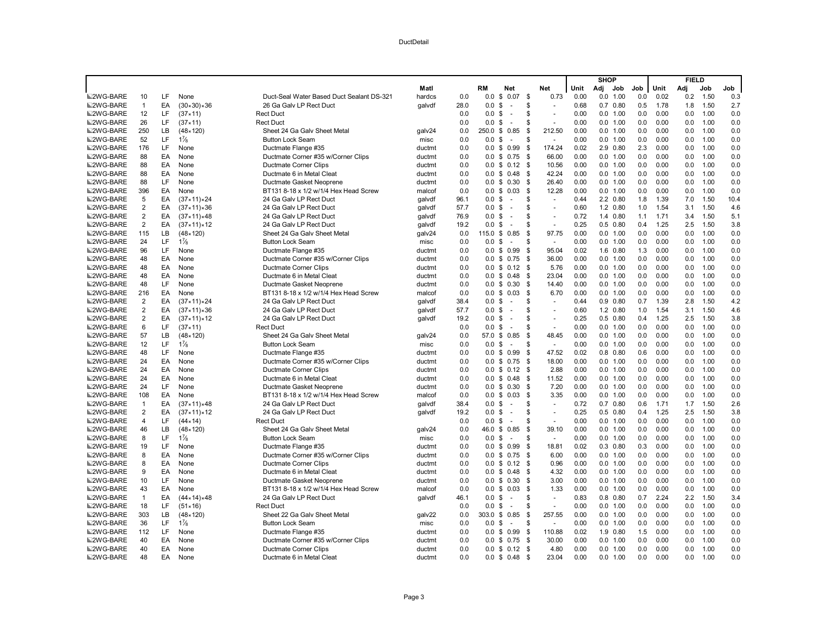|                  |                         |           |                            |                                           |        |      |                             |      |                     |      | <b>SHOP</b> |              |     |      | <b>FIELD</b> |      |      |
|------------------|-------------------------|-----------|----------------------------|-------------------------------------------|--------|------|-----------------------------|------|---------------------|------|-------------|--------------|-----|------|--------------|------|------|
|                  |                         |           |                            |                                           | Matl   |      | RM<br>Net                   |      | Net                 | Unit | Adj         | Job          | Job | Unit | Adj          | Job  | Job  |
| <b>■2WG-BARE</b> | 10                      | LF        | None                       | Duct-Seal Water Based Duct Sealant DS-321 | hardcs | 0.0  | 0.0<br>\$<br>0.07           | - \$ | 0.73                | 0.00 | 0.0         | 1.00         | 0.0 | 0.02 | 0.2          | 1.50 | 0.3  |
| <b>■2WG-BARE</b> | $\mathbf{1}$            | EA        | $(30 \times 30) \times 36$ | 26 Ga Galv LP Rect Duct                   | galvdf | 28.0 | 0.0<br>\$<br>$\sim$         | S    |                     | 0.68 |             | $0.7$ $0.80$ | 0.5 | 1.78 | 1.8          | 1.50 | 2.7  |
| <b>■2WG-BARE</b> | 12                      | LF        | $(37 \times 11)$           | <b>Rect Duct</b>                          |        | 0.0  | 0.0<br>\$<br>$\sim$         | \$.  | ÷,                  | 0.00 |             | 0.0 1.00     | 0.0 | 0.00 | 0.0          | 1.00 | 0.0  |
| <b>■2WG-BARE</b> | 26                      | LF.       | (37 × 11)                  | <b>Rect Duct</b>                          |        | 0.0  | 0.0<br>\$<br>÷.             | \$.  | ÷,                  | 0.00 |             | 0.0 1.00     | 0.0 | 0.00 | 0.0          | 1.00 | 0.0  |
| <b>■2WG-BARE</b> | 250                     | LB        | $(48 \times 120)$          | Sheet 24 Ga Galv Sheet Metal              | galv24 | 0.0  | 250.0 \$<br>0.85            | \$   | 212.50              | 0.00 | 0.0         | 1.00         | 0.0 | 0.00 | 0.0          | 1.00 | 0.0  |
| <b>■2WG-BARE</b> | 52                      | LF.       | $1\frac{7}{8}$             | <b>Button Lock Seam</b>                   | misc   | 0.0  | \$<br>0.0<br>$\sim$         | \$   | $\bar{a}$           | 0.00 | 0.0         | 1.00         | 0.0 | 0.00 | 0.0          | 1.00 | 0.0  |
| <b>■2WG-BARE</b> | 176                     | LF        | None                       | Ductmate Flange #35                       | ductmt | 0.0  | 0.99<br>0.0<br>\$           | -\$  | 174.24              | 0.02 |             | 2.9 0.80     | 2.3 | 0.00 | 0.0          | 1.00 | 0.0  |
| <b>■2WG-BARE</b> | 88                      | EA        | None                       | Ductmate Corner #35 w/Corner Clips        | ductmt | 0.0  | $0.0 \t$ 0.75$              | - \$ | 66.00               | 0.00 |             | 0.0 1.00     | 0.0 | 0.00 | 0.0          | 1.00 | 0.0  |
| <b>■2WG-BARE</b> | 88                      | EA        | None                       | Ductmate Corner Clips                     | ductmt | 0.0  | 0.12<br>0.0<br>\$           | - \$ | 10.56               | 0.00 |             | 0.0 1.00     | 0.0 | 0.00 | 0.0          | 1.00 | 0.0  |
| <b>■2WG-BARE</b> | 88                      | EA        | None                       | Ductmate 6 in Metal Cleat                 | ductmt | 0.0  | 0.0 S<br>0.48               | \$   | 42.24               | 0.00 |             | 0.0 1.00     | 0.0 | 0.00 | 0.0          | 1.00 | 0.0  |
| <b>■2WG-BARE</b> | 88                      | LF        | None                       | Ductmate Gasket Neoprene                  | ductmt | 0.0  | 0.30<br>0.0 S               | -\$  | 26.40               | 0.00 |             | 0.0 1.00     | 0.0 | 0.00 | 0.0          | 1.00 | 0.0  |
| ■2WG-BARE        | 396                     | EA        | None                       | BT131 8-18 x 1/2 w/1/4 Hex Head Screw     | malcof | 0.0  | 0.03<br>0.0<br>\$           | - \$ | 12.28               | 0.00 |             | 0.0 1.00     | 0.0 | 0.00 | 0.0          | 1.00 | 0.0  |
| <b>■2WG-BARE</b> | 5                       | EA        | $(37 \times 11) \times 24$ | 24 Ga Galv LP Rect Duct                   | qalvdf | 96.1 | -S<br>0.0<br>$\sim$         | \$   | $\sim$              | 0.44 |             | 2.2 0.80     | 1.8 | 1.39 | 7.0          | 1.50 | 10.4 |
| <b>■2WG-BARE</b> | $\overline{2}$          | EA        | $(37 \times 11) \times 36$ | 24 Ga Galv LP Rect Duct                   | galvdf | 57.7 | 0.0 S<br>$\sim$             | \$.  | $\sim$              | 0.60 |             | 1.2 0.80     | 1.0 | 1.54 | 3.1          | 1.50 | 4.6  |
| <b>■2WG-BARE</b> | $\overline{\mathbf{c}}$ | EA        | $(37×11)*48$               | 24 Ga Galv LP Rect Duct                   | galvdf | 76.9 | \$<br>0.0<br>$\sim$         | S    | ÷.                  | 0.72 |             | 1.4 0.80     | 1.1 | 1.71 | 3.4          | 1.50 | 5.1  |
| <b>■2WG-BARE</b> | $\overline{\mathbf{c}}$ | EA        | $(37 \times 11) \times 12$ | 24 Ga Galv LP Rect Duct                   | galvdf | 19.2 | $0.0 \text{ }$ \$<br>$\sim$ | S    | $\sim$              | 0.25 |             | $0.5$ 0.80   | 0.4 | 1.25 | 2.5          | 1.50 | 3.8  |
| <b>■2WG-BARE</b> | 115                     | LB.       | $(48 \times 120)$          | Sheet 24 Ga Galv Sheet Metal              | galv24 | 0.0  | 0.85<br>$115.0$ \$          | \$   | 97.75               | 0.00 |             | 0.0 1.00     | 0.0 | 0.00 | 0.0          | 1.00 | 0.0  |
| <b>■2WG-BARE</b> | 24                      | LF        | $1\frac{7}{8}$             | <b>Button Lock Seam</b>                   | misc   | 0.0  | \$<br>0.0<br>$\sim$         | \$   | $\sim$              | 0.00 |             | 0.0 1.00     | 0.0 | 0.00 | 0.0          | 1.00 | 0.0  |
| <b>■2WG-BARE</b> | 96                      | LF        | None                       | Ductmate Flange #35                       | ductmt | 0.0  | 0.99<br>0.0 S               | \$   | 95.04               | 0.02 |             | 1.6 0.80     | 1.3 | 0.00 | 0.0          | 1.00 | 0.0  |
| <b>■2WG-BARE</b> | 48                      | EA        | None                       | Ductmate Corner #35 w/Corner Clips        | ductmt | 0.0  | $0.0 \t$ 0.75$              | -\$  | 36.00               | 0.00 |             | 0.0 1.00     | 0.0 | 0.00 | 0.0          | 1.00 | 0.0  |
| <b>■2WG-BARE</b> | 48                      | EA        | None                       | <b>Ductmate Corner Clips</b>              | ductmt | 0.0  | 0.0 S<br>0.12               | -\$  | 5.76                | 0.00 |             | 0.0 1.00     | 0.0 | 0.00 | 0.0          | 1.00 | 0.0  |
| <b>■2WG-BARE</b> | 48                      | EA        | None                       | Ductmate 6 in Metal Cleat                 | ductmt | 0.0  | 0.48<br>0.0<br>\$           | -S   | 23.04               | 0.00 | 0.0         | 1.00         | 0.0 | 0.00 | 0.0          | 1.00 | 0.0  |
| <b>■2WG-BARE</b> | 48                      | LF        | None                       | Ductmate Gasket Neoprene                  | ductmt | 0.0  | 0.0 S<br>0.30               | - \$ | 14.40               | 0.00 |             | 0.0 1.00     | 0.0 | 0.00 | 0.0          | 1.00 | 0.0  |
| <b>■2WG-BARE</b> | 216                     | EA        | None                       | BT131 8-18 x 1/2 w/1/4 Hex Head Screw     | malcof | 0.0  | $0.0 \text{ }$ \$<br>0.03   | \$   | 6.70                | 0.00 |             | 0.0 1.00     | 0.0 | 0.00 | 0.0          | 1.00 | 0.0  |
| <b>■2WG-BARE</b> | $\overline{2}$          | EA        | (37 × 11) × 24             | 24 Ga Galv LP Rect Duct                   | qalvdf | 38.4 | 0.0<br>\$<br>$\sim$         | S    | $\bar{\phantom{a}}$ | 0.44 |             | $0.9$ $0.80$ | 0.7 | 1.39 | 2.8          | 1.50 | 4.2  |
| <b>■2WG-BARE</b> | $\overline{2}$          | EA        | $(37 \times 11) \times 36$ | 24 Ga Galv LP Rect Duct                   | galvdf | 57.7 | 0.0<br>-S<br>÷.             | \$.  | ÷,                  | 0.60 |             | 1.2 0.80     | 1.0 | 1.54 | 3.1          | 1.50 | 4.6  |
| <b>■2WG-BARE</b> | $\overline{2}$          | EA        | $(37×11)*12$               | 24 Ga Galv LP Rect Duct                   | qalvdf | 19.2 | 0.0 S<br>$\sim$             | \$.  | ÷,                  | 0.25 |             | $0.5$ $0.80$ | 0.4 | 1.25 | 2.5          | 1.50 | 3.8  |
| <b>■2WG-BARE</b> | 6                       | LF        | (37 × 11)                  | <b>Rect Duct</b>                          |        | 0.0  | 0.0<br>\$<br>$\sim$         | S    |                     | 0.00 |             | 0.0 1.00     | 0.0 | 0.00 | 0.0          | 1.00 | 0.0  |
| <b>■2WG-BARE</b> | 57                      | <b>LB</b> | $(48 \times 120)$          | Sheet 24 Ga Galv Sheet Metal              | galv24 | 0.0  | 57.0 \$<br>0.85             | \$   | 48.45               | 0.00 |             | 0.0 1.00     | 0.0 | 0.00 | 0.0          | 1.00 | 0.0  |
| <b>■2WG-BARE</b> | 12                      | LF        | $1\frac{7}{8}$             | <b>Button Lock Seam</b>                   | misc   | 0.0  | \$<br>0.0<br>$\sim$         | S    | $\sim$              | 0.00 |             | 0.0 1.00     | 0.0 | 0.00 | 0.0          | 1.00 | 0.0  |
| <b>■2WG-BARE</b> | 48                      | LF.       | None                       | Ductmate Flange #35                       | ductmt | 0.0  | \$<br>0.99<br>0.0           | - \$ | 47.52               | 0.02 |             | $0.8$ 0.80   | 0.6 | 0.00 | 0.0          | 1.00 | 0.0  |
| <b>■2WG-BARE</b> | 24                      | EA        | None                       | Ductmate Corner #35 w/Corner Clips        | ductmt | 0.0  | $0.0 \t$ 0.75$              | - \$ | 18.00               | 0.00 |             | 0.0 1.00     | 0.0 | 0.00 | 0.0          | 1.00 | 0.0  |
| <b>■2WG-BARE</b> | 24                      | EA        | None                       | Ductmate Corner Clips                     | ductmt | 0.0  | $0.0 \t$ 0.12$              | - \$ | 2.88                | 0.00 |             | 0.0 1.00     | 0.0 | 0.00 | 0.0          | 1.00 | 0.0  |
| <b>■2WG-BARE</b> | 24                      | EA        | None                       | Ductmate 6 in Metal Cleat                 | ductmt | 0.0  | 0.0<br>\$<br>0.48           | -\$  | 11.52               | 0.00 |             | 0.0 1.00     | 0.0 | 0.00 | 0.0          | 1.00 | 0.0  |
| <b>■2WG-BARE</b> | 24                      | LF        | None                       | Ductmate Gasket Neoprene                  | ductmt | 0.0  | $0.0 \,$ \$<br>0.30         | \$   | 7.20                | 0.00 |             | 0.0 1.00     | 0.0 | 0.00 | 0.0          | 1.00 | 0.0  |
| <b>■2WG-BARE</b> | 108                     | EA        | None                       | BT131 8-18 x 1/2 w/1/4 Hex Head Screw     | malcof | 0.0  | $0.0 \,$ \$<br>0.03         | - \$ | 3.35                | 0.00 |             | 0.0 1.00     | 0.0 | 0.00 | 0.0          | 1.00 | 0.0  |
| <b>■2WG-BARE</b> | $\mathbf{1}$            | EA        | (37 × 11) × 48             | 24 Ga Galv LP Rect Duct                   | qalvdf | 38.4 | $0.0 \,$ \$<br>$\sim$       | \$   | $\sim$              | 0.72 |             | $0.7$ $0.80$ | 0.6 | 1.71 | 1.7          | 1.50 | 2.6  |
| <b>■2WG-BARE</b> | $\overline{2}$          | EA        | $(37 \times 11) \times 12$ | 24 Ga Galv LP Rect Duct                   | galvdf | 19.2 | \$<br>0.0<br>$\blacksquare$ | \$   | $\sim$              | 0.25 |             | $0.5$ $0.80$ | 0.4 | 1.25 | 2.5          | 1.50 | 3.8  |
| <b>■2WG-BARE</b> | 4                       | LF        | $(44 \times 14)$           | <b>Rect Duct</b>                          |        | 0.0  | 0.0<br>\$<br>$\sim$         | S    | ÷,                  | 0.00 |             | 0.0 1.00     | 0.0 | 0.00 | 0.0          | 1.00 | 0.0  |
| <b>■2WG-BARE</b> | 46                      | LB        | $(48 \times 120)$          | Sheet 24 Ga Galv Sheet Metal              | galv24 | 0.0  | 0.85<br>46.0 \$             | \$   | 39.10               | 0.00 |             | 0.0 1.00     | 0.0 | 0.00 | 0.0          | 1.00 | 0.0  |
| <b>■2WG-BARE</b> | 8                       | LF.       | $1\frac{7}{8}$             | <b>Button Lock Seam</b>                   | misc   | 0.0  | 0.0<br>\$<br>$\sim$         | \$.  | ÷.                  | 0.00 |             | 0.0 1.00     | 0.0 | 0.00 | 0.0          | 1.00 | 0.0  |
| ■2WG-BARE        | 19                      | LF.       | None                       | Ductmate Flange #35                       | ductmt | 0.0  | \$<br>0.99<br>0.0           | - \$ | 18.81               | 0.02 |             | $0.3$ $0.80$ | 0.3 | 0.00 | 0.0          | 1.00 | 0.0  |
| <b>■2WG-BARE</b> | 8                       | EA        | None                       | Ductmate Corner #35 w/Corner Clips        | ductmt | 0.0  | 0.75<br>$0.0 \,$ \$         | - \$ | 6.00                | 0.00 |             | 0.0 1.00     | 0.0 | 0.00 | 0.0          | 1.00 | 0.0  |
| <b>■2WG-BARE</b> | 8                       | EA        | None                       | Ductmate Corner Clips                     | ductmt | 0.0  | 0.0<br>\$<br>0.12           | -\$  | 0.96                | 0.00 |             | 0.0 1.00     | 0.0 | 0.00 | 0.0          | 1.00 | 0.0  |
| <b>■2WG-BARE</b> | 9                       | EA        | None                       | Ductmate 6 in Metal Cleat                 | ductmt | 0.0  | $0.0 \tS 0.48$              | \$   | 4.32                | 0.00 |             | 0.0 1.00     | 0.0 | 0.00 | 0.0          | 1.00 | 0.0  |
| <b>■2WG-BARE</b> | 10                      | LF.       | None                       | Ductmate Gasket Neoprene                  | ductmt | 0.0  | 0.0 S<br>0.30               | \$   | 3.00                | 0.00 |             | 0.0 1.00     | 0.0 | 0.00 | 0.0          | 1.00 | 0.0  |
| <b>■2WG-BARE</b> | 43                      | EA        | None                       | BT131 8-18 x 1/2 w/1/4 Hex Head Screw     | malcof | 0.0  | 0.0<br>\$<br>0.03           | \$   | 1.33                | 0.00 |             | $0.0$ 1.00   | 0.0 | 0.00 | 0.0          | 1.00 | 0.0  |
| <b>■2WG-BARE</b> | $\mathbf{1}$            | EA        | $(44 \times 14) \times 48$ | 24 Ga Galv LP Rect Duct                   | galvdf | 46.1 | \$<br>0.0<br>$\sim$         | S    | $\bar{a}$           | 0.83 |             | $0.8$ 0.80   | 0.7 | 2.24 | 2.2          | 1.50 | 3.4  |
| <b>■2WG-BARE</b> | 18                      | LF        | $(51 \times 16)$           | <b>Rect Duct</b>                          |        | 0.0  | 0.0<br>\$<br>$\sim$         | S    | $\bar{\phantom{a}}$ | 0.00 |             | 0.0 1.00     | 0.0 | 0.00 | 0.0          | 1.00 | 0.0  |
| <b>■2WG-BARE</b> | 303                     | LB.       | $(48 \times 120)$          | Sheet 22 Ga Galv Sheet Metal              | galv22 | 0.0  | 303.0<br>\$<br>0.85         | - \$ | 257.55              | 0.00 |             | 0.0 1.00     | 0.0 | 0.00 | 0.0          | 1.00 | 0.0  |
| <b>■2WG-BARE</b> | 36                      | LF        | $1\frac{7}{8}$             | <b>Button Lock Seam</b>                   | misc   | 0.0  | \$<br>0.0<br>$\sim$         | \$.  | $\sim$              | 0.00 |             | 0.0 1.00     | 0.0 | 0.00 | 0.0          | 1.00 | 0.0  |
| <b>■2WG-BARE</b> | 112                     | LF.       | None                       | Ductmate Flange #35                       | ductmt | 0.0  | 0.99<br>$0.0 \text{ }$ \$   | -\$  | 110.88              | 0.02 |             | 1.9 0.80     | 1.5 | 0.00 | 0.0          | 1.00 | 0.0  |
| <b>■2WG-BARE</b> | 40                      | EA        | None                       | Ductmate Corner #35 w/Corner Clips        | ductmt | 0.0  | $0.0 \t$ 0.75$              | - \$ | 30.00               | 0.00 |             | 0.0 1.00     | 0.0 | 0.00 | 0.0          | 1.00 | 0.0  |
| <b>■2WG-BARE</b> | 40                      | EA        | None                       | Ductmate Corner Clips                     | ductmt | 0.0  | $0.0 \t$ 0.12$              | -\$  | 4.80                | 0.00 |             | 0.0 1.00     | 0.0 | 0.00 | 0.0          | 1.00 | 0.0  |
| <b>■2WG-BARE</b> | 48                      | EA        | None                       | Ductmate 6 in Metal Cleat                 | ductmt | 0.0  | $0.0 \tS 0.48$              | - \$ | 23.04               | 0.00 |             | 0.0 1.00     | 0.0 | 0.00 | 0.0          | 1.00 | 0.0  |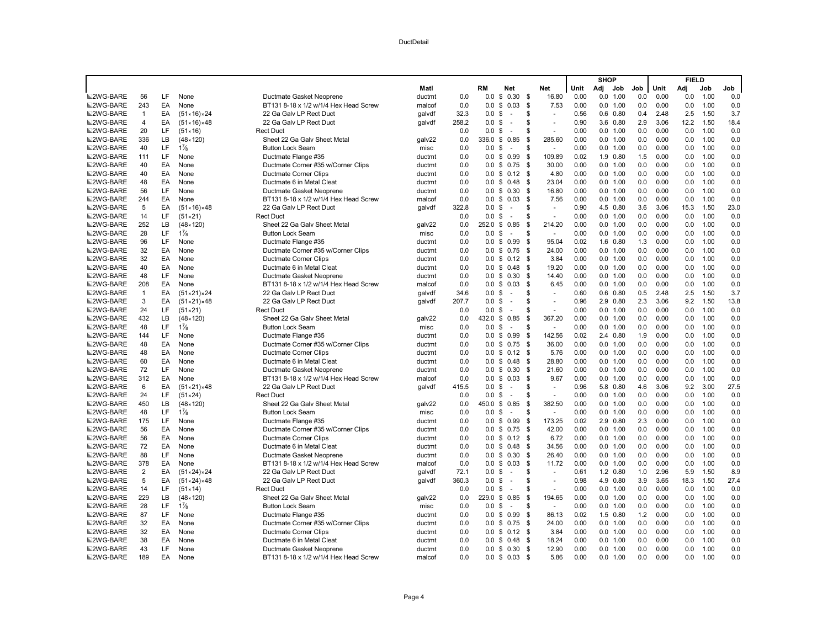|                  |                |           |                            |                                                           |                  |            |                                          |          |                |      | <b>SHOP</b>          |       |      | <b>FIELD</b> |              |      |
|------------------|----------------|-----------|----------------------------|-----------------------------------------------------------|------------------|------------|------------------------------------------|----------|----------------|------|----------------------|-------|------|--------------|--------------|------|
|                  |                |           |                            |                                                           | Matl             |            | RM<br>Net                                |          | Net            | Unit | Adj<br>Job           | Job I | Unit | Adj          | Job          | Job  |
| <b>■2WG-BARE</b> | 56             | LF        | None                       | Ductmate Gasket Neoprene                                  | ductmt           | 0.0        | 0.0<br>\$<br>0.30                        | \$       | 16.80          | 0.00 | 0.0 1.00             | 0.0   | 0.00 | 0.0          | 1.00         | 0.0  |
| <b>■2WG-BARE</b> | 243            | EA        | None                       | BT131 8-18 x 1/2 w/1/4 Hex Head Screw                     | malcof           | 0.0        | 0.0<br>\$<br>0.03                        | \$       | 7.53           | 0.00 | 0.0 1.00             | 0.0   | 0.00 | 0.0          | 1.00         | 0.0  |
| <b>■2WG-BARE</b> | $\mathbf{1}$   | EA        | $(51 \times 16) \times 24$ | 22 Ga Galv LP Rect Duct                                   | galvdf           | 32.3       | 0.0<br>\$<br>$\sim$                      | \$       |                | 0.56 | $0.6$ $0.80$         | 0.4   | 2.48 | 2.5          | 1.50         | 3.7  |
| <b>■2WG-BARE</b> | $\overline{4}$ | EA        | $(51 \times 16) \times 48$ | 22 Ga Galv LP Rect Duct                                   | qalvdf           | 258.2      | 0.0<br>\$<br>$\overline{a}$              | S        |                | 0.90 | 3.6 0.80             | 2.9   | 3.06 | 12.2         | 1.50         | 18.4 |
| <b>■2WG-BARE</b> | 20             | LF        | $(51 \times 16)$           | <b>Rect Duct</b>                                          |                  | 0.0        | \$<br>0.0<br>$\sim$                      | S        | ÷,             | 0.00 | 0.0 1.00             | 0.0   | 0.00 | 0.0          | 1.00         | 0.0  |
| <b>■2WG-BARE</b> | 336            | LB        | $(48 \times 120)$          | Sheet 22 Ga Galv Sheet Metal                              | galv22           | 0.0        | 336.0<br>\$<br>0.85                      | -\$      | 285.60         | 0.00 | 0.0 1.00             | 0.0   | 0.00 | 0.0          | 1.00         | 0.0  |
| <b>■2WG-BARE</b> | 40             | LF.       | $1\frac{7}{8}$             | <b>Button Lock Seam</b>                                   | misc             | 0.0        | \$<br>0.0<br>$\sim$                      | \$       | $\sim$         | 0.00 | 0.0 1.00             | 0.0   | 0.00 | 0.0          | 1.00         | 0.0  |
| <b>■2WG-BARE</b> | 111            | LF        | None                       | Ductmate Flange #35                                       | ductmt           | 0.0        | 0.99<br>$0.0 \text{ }$ \$                | \$       | 109.89         | 0.02 | 1.9 0.80             | 1.5   | 0.00 | 0.0          | 1.00         | 0.0  |
| <b>■2WG-BARE</b> | 40             | EA        | None                       | Ductmate Corner #35 w/Corner Clips                        | ductmt           | 0.0        | 0.0<br>\$<br>0.75                        | \$       | 30.00          | 0.00 | 0.0 1.00             | 0.0   | 0.00 | 0.0          | 1.00         | 0.0  |
| <b>■2WG-BARE</b> | 40             | EA        | None                       | <b>Ductmate Corner Clips</b>                              | ductmt           | 0.0        | \$<br>0.12<br>0.0                        | - \$     | 4.80           | 0.00 | 0.0 1.00             | 0.0   | 0.00 | 0.0          | 1.00         | 0.0  |
| <b>■2WG-BARE</b> | 48             | EA        | None                       | Ductmate 6 in Metal Cleat                                 | ductmt           | 0.0        | 0.48<br>0.0 S                            | - \$     | 23.04          | 0.00 | 0.0 1.00             | 0.0   | 0.00 | 0.0          | 1.00         | 0.0  |
| <b>■2WG-BARE</b> | 56             | LF        | None                       | Ductmate Gasket Neoprene                                  | ductmt           | 0.0        | 0.0<br>\$<br>0.30                        | \$       | 16.80          | 0.00 | 0.0 1.00             | 0.0   | 0.00 | 0.0          | 1.00         | 0.0  |
| <b>■2WG-BARE</b> | 244            | EA        | None                       | BT131 8-18 x 1/2 w/1/4 Hex Head Screw                     | malcof           | 0.0        | 0.0<br>\$<br>0.03                        | \$       | 7.56           | 0.00 | 0.0 1.00             | 0.0   | 0.00 | 0.0          | 1.00         | 0.0  |
| <b>■2WG-BARE</b> | 5              | EA        | $(51 \times 16) \times 48$ | 22 Ga Galv LP Rect Duct                                   | galvdf           | 322.8      | 0.0<br>\$<br>$\overline{a}$              | \$       | ÷              | 0.90 | 4.5 0.80             | 3.6   | 3.06 | 15.3         | 1.50         | 23.0 |
| <b>■2WG-BARE</b> | 14             | LF        | $(51 \times 21)$           | <b>Rect Duct</b>                                          |                  | 0.0        | 0.0<br>\$<br>$\sim$                      | \$       | $\sim$         | 0.00 | 0.0 1.00             | 0.0   | 0.00 | 0.0          | 1.00         | 0.0  |
| <b>■2WG-BARE</b> | 252            | LB.       | $(48 \times 120)$          | Sheet 22 Ga Galv Sheet Metal                              | galv22           | 0.0        | 252.0<br>\$<br>0.85                      | - \$     | 214.20         | 0.00 | 0.0 1.00             | 0.0   | 0.00 | 0.0          | 1.00         | 0.0  |
| <b>■2WG-BARE</b> | 28             | LF.       | $1\frac{7}{8}$             | <b>Button Lock Seam</b>                                   | misc             | 0.0        | 0.0<br>\$<br>$\sim$                      | \$       | ÷              | 0.00 | 0.0 1.00             | 0.0   | 0.00 | 0.0          | 1.00         | 0.0  |
| <b>■2WG-BARE</b> | 96             | LF.       | None                       | Ductmate Flange #35                                       | ductmt           | 0.0        | 0.99<br>$0.0 \text{ }$ \$                | \$       | 95.04          | 0.02 | 1.6 0.80             | 1.3   | 0.00 | 0.0          | 1.00         | 0.0  |
| <b>■2WG-BARE</b> | 32             | EA        | None                       | Ductmate Corner #35 w/Corner Clips                        | ductmt           | 0.0        | 0.0<br>\$<br>0.75                        | -\$      | 24.00          | 0.00 | 0.0 1.00             | 0.0   | 0.00 | 0.0          | 1.00         | 0.0  |
| ■2WG-BARE        | 32             | EA        | None                       | <b>Ductmate Corner Clips</b>                              | ductmt           | 0.0        | \$<br>0.12<br>0.0                        | - \$     | 3.84           | 0.00 | 0.0 1.00             | 0.0   | 0.00 | 0.0          | 1.00         | 0.0  |
| <b>■2WG-BARE</b> | 40             | EA        | None                       | Ductmate 6 in Metal Cleat                                 | ductmt           | 0.0        | 0.0 S<br>0.48                            | \$       | 19.20          | 0.00 | 0.0 1.00             | 0.0   | 0.00 | 0.0          | 1.00         | 0.0  |
| <b>■2WG-BARE</b> | 48             | LF        | None                       | Ductmate Gasket Neoprene                                  | ductmt           | 0.0        | 0.0<br>\$<br>0.30                        | -\$      | 14.40          | 0.00 | 0.0 1.00             | 0.0   | 0.00 | 0.0          | 1.00         | 0.0  |
| <b>■2WG-BARE</b> | 208            | EA        | None                       | BT131 8-18 x 1/2 w/1/4 Hex Head Screw                     | malcof           | 0.0        | $0.0 \t$ 0.03$                           | S.       | 6.45           | 0.00 | 0.0 1.00             | 0.0   | 0.00 | 0.0          | 1.00         | 0.0  |
| <b>■2WG-BARE</b> | $\mathbf{1}$   | EA        | $(51 \times 21) \times 24$ | 22 Ga Galv LP Rect Duct                                   | galvdf           | 34.6       | 0.0 <sup>5</sup><br>$\sim$               | \$       | $\blacksquare$ | 0.60 | $0.6$ $0.80$         | 0.5   | 2.48 | 2.5          | 1.50         | 3.7  |
| <b>■2WG-BARE</b> | 3              | EA        | $(51 \times 21) \times 48$ | 22 Ga Galv LP Rect Duct                                   | galvdf           | 207.7      | 0.0<br>\$<br>$\sim$                      | \$       | L.             | 0.96 | 2.9 0.80             | 2.3   | 3.06 | 9.2          | 1.50         | 13.8 |
| <b>■2WG-BARE</b> | 24             | LF        | $(51 \times 21)$           | <b>Rect Duct</b>                                          |                  | 0.0        | \$<br>0.0<br>$\sim$                      | S        | ÷              | 0.00 | 0.0 1.00             | 0.0   | 0.00 | 0.0          | 1.00         | 0.0  |
| <b>■2WG-BARE</b> | 432            | LB        | $(48 \times 120)$          | Sheet 22 Ga Galv Sheet Metal                              | galv22           | 0.0        | 432.0 \$<br>0.85                         | - \$     | 367.20         | 0.00 | 0.0 1.00             | 0.0   | 0.00 | 0.0          | 1.00         | 0.0  |
| <b>■2WG-BARE</b> | 48             | LF        | $1\frac{7}{8}$             | <b>Button Lock Seam</b>                                   | misc             | 0.0        | 0.0<br>\$<br>$\sim$                      | \$       | $\sim$         | 0.00 | 0.0 1.00             | 0.0   | 0.00 | 0.0          | 1.00         | 0.0  |
| <b>■2WG-BARE</b> | 144            | <b>LF</b> | None                       | Ductmate Flange #35                                       | ductmt           | 0.0        | 0.0<br>\$<br>0.99                        | \$       | 142.56         | 0.02 | 2.4 0.80             | 1.9   | 0.00 | 0.0          | 1.00         | 0.0  |
| <b>■2WG-BARE</b> | 48             | EA        | None                       | Ductmate Corner #35 w/Corner Clips                        | ductmt           | 0.0        | \$<br>0.75<br>0.0                        | -\$      | 36.00          | 0.00 | 0.0 1.00             | 0.0   | 0.00 | 0.0          | 1.00         | 0.0  |
| <b>■2WG-BARE</b> | 48             | EA        | None                       | <b>Ductmate Corner Clips</b>                              | ductmt           | 0.0        | $0.0 \t S \t 0.12$                       | - \$     | 5.76           | 0.00 | 0.0 1.00             | 0.0   | 0.00 | 0.0          | 1.00         | 0.0  |
| <b>■2WG-BARE</b> | 60             | EA        | None                       | Ductmate 6 in Metal Cleat                                 | ductmt           | 0.0        | 0.48<br>0.0<br>\$                        | - \$     | 28.80          | 0.00 | 0.0 1.00             | 0.0   | 0.00 | 0.0          | 1.00         | 0.0  |
| ■2WG-BARE        | 72             | LF        | None                       | Ductmate Gasket Neoprene                                  | ductmt           | 0.0        | \$<br>0.30<br>0.0                        | \$       | 21.60          | 0.00 | 0.0 1.00             | 0.0   | 0.00 | 0.0          | 1.00         | 0.0  |
| <b>■2WG-BARE</b> | 312            | EA        | None                       | BT131 8-18 x 1/2 w/1/4 Hex Head Screw                     | malcof           | 0.0        | $\boldsymbol{\mathsf{S}}$<br>0.03<br>0.0 | <b>S</b> | 9.67           | 0.00 | 0.0 1.00             | 0.0   | 0.00 | 0.0          | 1.00         | 0.0  |
| <b>■2WG-BARE</b> | 6              | EA        | $(51 \times 21) \times 48$ | 22 Ga Galv LP Rect Duct                                   | galvdf           | 415.5      | 0.0<br>\$<br>$\sim$                      | \$       |                | 0.96 | 5.8 0.80             | 4.6   | 3.06 | 9.2          | 3.00         | 27.5 |
| <b>■2WG-BARE</b> | 24             | LF        | $(51 \times 24)$           | <b>Rect Duct</b>                                          |                  | 0.0        | \$<br>0.0<br>$\sim$                      | \$       | ÷              | 0.00 | 0.0 1.00             | 0.0   | 0.00 | 0.0          | 1.00         | 0.0  |
| <b>■2WG-BARE</b> | 450            | LB        | $(48 \times 120)$          | Sheet 22 Ga Galy Sheet Metal                              |                  | 0.0        | 0.85<br>450.0 \$                         | \$       | 382.50         | 0.00 | 0.0 1.00             | 0.0   | 0.00 | 0.0          | 1.00         | 0.0  |
| <b>■2WG-BARE</b> | 48             | LF        | $1\frac{7}{8}$             |                                                           | galv22           |            | 0.0<br>$\overline{a}$                    | \$       | ÷              | 0.00 | 0.0 1.00             | 0.0   | 0.00 | 0.0          | 1.00         | 0.0  |
| <b>■2WG-BARE</b> | 175            | LF.       | None                       | <b>Button Lock Seam</b>                                   | misc             | 0.0<br>0.0 | \$<br>0.99<br>0.0                        | - \$     | 173.25         | 0.02 | 2.9 0.80             | 2.3   | 0.00 | 0.0          | 1.00         | 0.0  |
| <b>■2WG-BARE</b> | 56             | EA        | None                       | Ductmate Flange #35<br>Ductmate Corner #35 w/Corner Clips | ductmt<br>ductmt | 0.0        | \$<br>0.75<br>$0.0 \text{ }$ \$          | - \$     | 42.00          | 0.00 | 0.0 1.00             | 0.0   | 0.00 | 0.0          | 1.00         | 0.0  |
|                  | 56             | EA        |                            |                                                           |                  | 0.0        | 0.0                                      | - \$     | 6.72           | 0.00 |                      | 0.0   | 0.00 | 0.0          |              | 0.0  |
| <b>■2WG-BARE</b> | 72             | EA        | None<br>None               | <b>Ductmate Corner Clips</b>                              | ductmt           |            | \$0.12<br>0.48                           |          | 34.56          | 0.00 | 0.0 1.00<br>0.0 1.00 | 0.0   | 0.00 | 0.0          | 1.00<br>1.00 |      |
| <b>■2WG-BARE</b> |                |           | None                       | Ductmate 6 in Metal Cleat                                 | ductmt           | 0.0<br>0.0 | \$<br>0.0                                | -S       |                |      |                      |       |      |              |              | 0.0  |
| ■2WG-BARE        | 88             | LF        |                            | Ductmate Gasket Neoprene                                  | ductmt           |            | \$<br>0.30<br>0.0                        | \$       | 26.40          | 0.00 | 0.0 1.00             | 0.0   | 0.00 | 0.0          | 1.00         | 0.0  |
| <b>■2WG-BARE</b> | 378            | EA        | None                       | BT131 8-18 x 1/2 w/1/4 Hex Head Screw                     | malcof           | 0.0        | $0.0 \text{ }$ \$<br>0.03                | - \$     | 11.72          | 0.00 | 0.0 1.00             | 0.0   | 0.00 | 0.0          | 1.00         | 0.0  |
| <b>■2WG-BARE</b> | $\overline{2}$ | EA        | $(51 \times 24) \times 24$ | 22 Ga Galv LP Rect Duct                                   | galvdf           | 72.1       | 0.0<br>\$<br>$\sim$                      | \$       | $\sim$         | 0.61 | 1.2 0.80             | 1.0   | 2.96 | 5.9          | 1.50         | 8.9  |
| <b>■2WG-BARE</b> | 5              | EA        | $(51 \times 24) \times 48$ | 22 Ga Galv LP Rect Duct                                   | galvdf           | 360.3      | \$<br>0.0<br>$\sim$                      | S        |                | 0.98 | 4.9 0.80             | 3.9   | 3.65 | 18.3         | 1.50         | 27.4 |
| <b>■2WG-BARE</b> | 14             | LF        | $(51 \times 14)$           | <b>Rect Duct</b>                                          |                  | 0.0        | 0.0<br>\$                                | S        | L.             | 0.00 | 0.0 1.00             | 0.0   | 0.00 | 0.0          | 1.00         | 0.0  |
| <b>■2WG-BARE</b> | 229            | LB        | $(48 \times 120)$          | Sheet 22 Ga Galy Sheet Metal                              | galv22           | 0.0        | 229.0<br>\$<br>0.85                      | - \$     | 194.65         | 0.00 | 0.0 1.00             | 0.0   | 0.00 | 0.0          | 1.00         | 0.0  |
| <b>■2WG-BARE</b> | 28             | LF.       | $1\frac{7}{8}$             | <b>Button Lock Seam</b>                                   | misc             | 0.0        | \$<br>0.0<br>$\sim$                      | \$       | ÷              | 0.00 | 0.0 1.00             | 0.0   | 0.00 | 0.0          | 1.00         | 0.0  |
| ■2WG-BARE        | 87             | LF        | None                       | Ductmate Flange #35                                       | ductmt           | 0.0        | 0.99<br>0.0<br>- \$                      | \$       | 86.13          | 0.02 | 1.5 0.80             | 1.2   | 0.00 | 0.0          | 1.00         | 0.0  |
| <b>■2WG-BARE</b> | 32             | EA        | None                       | Ductmate Corner #35 w/Corner Clips                        | ductmt           | 0.0        | 0.0<br>\$<br>0.75                        | -\$      | 24.00          | 0.00 | 0.0 1.00             | 0.0   | 0.00 | 0.0          | 1.00         | 0.0  |
| <b>■2WG-BARE</b> | 32             | EA        | None                       | Ductmate Corner Clips                                     | ductmt           | 0.0        | \$<br>0.12<br>0.0                        | -\$      | 3.84           | 0.00 | 0.0 1.00             | 0.0   | 0.00 | 0.0          | 1.00         | 0.0  |
| <b>■2WG-BARE</b> | 38             | EA        | None                       | Ductmate 6 in Metal Cleat                                 | ductmt           | 0.0        | \$<br>0.48<br>0.0                        | - \$     | 18.24          | 0.00 | 0.0 1.00             | 0.0   | 0.00 | 0.0          | 1.00         | 0.0  |
| <b>■2WG-BARE</b> | 43             | LF        | None                       | Ductmate Gasket Neoprene                                  | ductmt           | 0.0        | \$<br>0.0<br>0.30                        | - \$     | 12.90          | 0.00 | 0.0 1.00             | 0.0   | 0.00 | 0.0          | 1.00         | 0.0  |
| <b>■2WG-BARE</b> | 189            | EA        | None                       | BT131 8-18 x 1/2 w/1/4 Hex Head Screw                     | malcof           | 0.0        | 0.0<br>\$ 0.03                           | - \$     | 5.86           | 0.00 | $0.0$ 1.00           | 0.0   | 0.00 | 0.0          | 1.00         | 0.0  |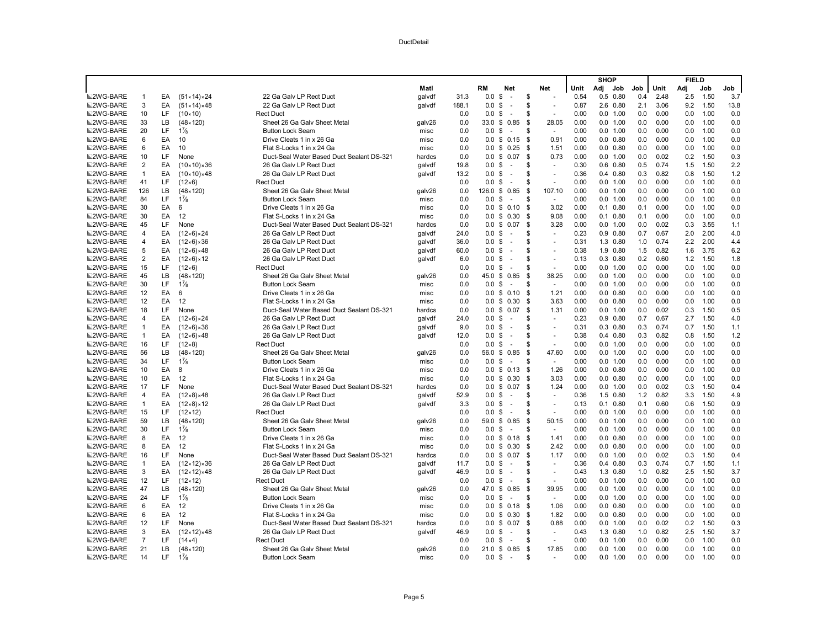|                  |                |          |                            |                                           |        |       |                   |                                |      |                |      | <b>SHOP</b> |              |            |      | <b>FIELD</b> |              |            |
|------------------|----------------|----------|----------------------------|-------------------------------------------|--------|-------|-------------------|--------------------------------|------|----------------|------|-------------|--------------|------------|------|--------------|--------------|------------|
|                  |                |          |                            |                                           | Matl   |       | RM                | <b>Net</b>                     |      | Net            | Unit | Adj         | Job          | Job        | Unit | Adj          | Job          | Job        |
| <b>■2WG-BARE</b> | $\overline{1}$ | EA       | $(51 \times 14) \times 24$ | 22 Ga Galv LP Rect Duct                   | galvdf | 31.3  | 0.0               | \$<br>$\sim$                   | \$   |                | 0.54 | 0.5         | 0.80         | 0.4        | 2.48 | 2.5          | 1.50         | 3.7        |
| 2WG-BARE         | $\mathbf{3}$   | EA       | $(51 \times 14) \times 48$ | 22 Ga Galv LP Rect Duct                   | galvdf | 188.1 | 0.0               | \$<br>$\sim$                   | \$   |                | 0.87 |             | 2.6 0.80     | 2.1        | 3.06 | 9.2          | 1.50         | 13.8       |
| <b>■2WG-BARE</b> | 10             | LF       | $(10 \times 10)$           | <b>Rect Duct</b>                          |        | 0.0   | 0.0               | \$<br>$\sim$                   | \$   |                | 0.00 |             | 0.0 1.00     | 0.0        | 0.00 | 0.0          | 1.00         | 0.0        |
| <b>■2WG-BARE</b> | 33             | LB       | $(48 \times 120)$          | Sheet 26 Ga Galv Sheet Metal              | galv26 | 0.0   | $33.0 \text{ } $$ | 0.85                           | \$   | 28.05          | 0.00 |             | 0.0 1.00     | 0.0        | 0.00 | 0.0          | 1.00         | 0.0        |
| <b>■2WG-BARE</b> | 20             | LF       | $1\frac{7}{8}$             | <b>Button Lock Seam</b>                   | misc   | 0.0   | 0.0               | \$<br>÷.                       | S    | $\sim$         | 0.00 |             | 0.0 1.00     | 0.0        | 0.00 | 0.0          | 1.00         | 0.0        |
| <b>■2WG-BARE</b> | 6              | EA       | 10                         | Drive Cleats 1 in x 26 Ga                 | misc   | 0.0   |                   | $0.0 \t$ 0.15$                 | - \$ | 0.91           | 0.00 |             | $0.0$ $0.80$ | 0.0        | 0.00 | 0.0          | 1.00         | 0.0        |
| <b>■2WG-BARE</b> | 6              | EA       | 10                         | Flat S-Locks 1 in x 24 Ga                 | misc   | 0.0   | 0.0               | \$<br>0.25                     | - \$ | 1.51           | 0.00 |             | $0.0$ $0.80$ | 0.0        | 0.00 | 0.0          | 1.00         | 0.0        |
| <b>■2WG-BARE</b> | 10             | LF       | None                       | Duct-Seal Water Based Duct Sealant DS-321 | hardcs | 0.0   |                   | $0.0 \t$ 0.07$                 | \$   | 0.73           | 0.00 |             | 0.0 1.00     | 0.0        | 0.02 | 0.2          | 1.50         | 0.3        |
| <b>■2WG-BARE</b> | $\overline{2}$ | EA       | $(10 \times 10) \times 36$ | 26 Ga Galv LP Rect Duct                   | galvdf | 19.8  | 0.0               | \$<br>$\sim$                   | \$   |                | 0.30 |             | $0.6$ 0.80   | 0.5        | 0.74 | 1.5          | 1.50         | 2.2        |
| <b>■2WG-BARE</b> | $\overline{1}$ | EA       | $(10 \times 10) \times 48$ | 26 Ga Galv LP Rect Duct                   | galvdf | 13.2  | 0.0               | \$<br>÷.                       | S    | ÷,             | 0.36 |             | $0.4$ 0.80   | 0.3        | 0.82 | 0.8          | 1.50         | 1.2        |
| <b>■2WG-BARE</b> | 41             | LF       | $(12 \times 6)$            | <b>Rect Duct</b>                          |        | 0.0   | 0.0 <sup>5</sup>  | $\sim$                         | S    | ÷,             | 0.00 |             | 0.0 1.00     | 0.0        | 0.00 | 0.0          | 1.00         | 0.0        |
| <b>■2WG-BARE</b> | 126            | LB       | $(48 \times 120)$          | Sheet 26 Ga Galv Sheet Metal              | galv26 | 0.0   | 126.0             | \$<br>0.85                     | -\$  | 107.10         | 0.00 |             | 0.0 1.00     | 0.0        | 0.00 | 0.0          | 1.00         | 0.0        |
| <b>■2WG-BARE</b> | 84             | LF       | $1\frac{7}{8}$             | <b>Button Lock Seam</b>                   | misc   | 0.0   | 0.0               | \$<br>÷.                       | S    | $\sim$         | 0.00 |             | 0.0 1.00     | 0.0        | 0.00 | 0.0          | 1.00         | 0.0        |
| <b>■2WG-BARE</b> | 30             | EA       | 6                          | Drive Cleats 1 in x 26 Ga                 | misc   | 0.0   |                   | $0.0 \t$ 0.10$                 | \$   | 3.02           | 0.00 |             | $0.1$ $0.80$ | 0.1        | 0.00 | 0.0          | 1.00         | 0.0        |
| <b>■2WG-BARE</b> | 30             | EA       | 12                         | Flat S-Locks 1 in x 24 Ga                 | misc   | 0.0   | 0.0               | \$0.30                         | \$   | 9.08           | 0.00 |             | $0.1$ $0.80$ | 0.1        | 0.00 | 0.0          | 1.00         | 0.0        |
| <b>■2WG-BARE</b> | 45             | LF       | None                       | Duct-Seal Water Based Duct Sealant DS-321 | hardcs | 0.0   |                   | $0.0 \$ 0.07$                  | \$   | 3.28           | 0.00 |             | 0.0 1.00     | 0.0        | 0.02 | 0.3          | 3.55         | 1.1        |
| <b>■2WG-BARE</b> | $\overline{4}$ | EA       | $(12 \times 6) \times 24$  | 26 Ga Galv LP Rect Duct                   | qalvdf | 24.0  | $0.0 \text{ }$ \$ | ÷.                             | S    | $\sim$         | 0.23 |             | $0.9$ $0.80$ | 0.7        | 0.67 | 2.0          | 2.00         | 4.0        |
| <b>■2WG-BARE</b> | $\overline{4}$ | EA       | $(12\times6)\times36$      | 26 Ga Galv LP Rect Duct                   | qalvdf | 36.0  | 0.0 <sup>5</sup>  | ÷.                             | S    | $\sim$         | 0.31 |             | 1.3 0.80     | 1.0        | 0.74 | 2.2          | 2.00         | 4.4        |
| <b>■2WG-BARE</b> | 5              | EA       | $(12\times6)\times48$      | 26 Ga Galv LP Rect Duct                   | galvdf | 60.0  | 0.0               | \$<br>$\sim$                   | S    | $\sim$         | 0.38 |             | 1.9 0.80     | 1.5        | 0.82 | 1.6          | 3.75         | 6.2        |
| <b>■2WG-BARE</b> | $\overline{2}$ | EA       | $(12\times6)\times12$      | 26 Ga Galv LP Rect Duct                   | galvdf | 6.0   | 0.0               | \$<br>$\overline{\phantom{a}}$ | S    | ÷,             | 0.13 |             | $0.3$ 0.80   | 0.2        | 0.60 | 1.2          | 1.50         | 1.8        |
| <b>■2WG-BARE</b> | 15             | LF       | $(12 \times 6)$            | <b>Rect Duct</b>                          |        | 0.0   | 0.0               | \$<br>$\sim$                   | \$   | $\sim$         | 0.00 |             | 0.0 1.00     | 0.0        | 0.00 | 0.0          | 1.00         | 0.0        |
| <b>■2WG-BARE</b> | 45             | LB       | $(48 \times 120)$          | Sheet 26 Ga Galv Sheet Metal              | galv26 | 0.0   | 45.0              | 0.85<br>\$                     | \$   | 38.25          | 0.00 |             | 0.0 1.00     | 0.0        | 0.00 | 0.0          | 1.00         | 0.0        |
| <b>■2WG-BARE</b> | 30             | LF       | $1\frac{7}{8}$             | <b>Button Lock Seam</b>                   | misc   | 0.0   | 0.0               | \$<br>$\sim$                   | S    | $\sim$         | 0.00 |             | 0.0 1.00     | 0.0        | 0.00 | 0.0          | 1.00         | 0.0        |
| <b>■2WG-BARE</b> | 12             | EA       | 6                          | Drive Cleats 1 in x 26 Ga                 | misc   | 0.0   |                   | $0.0 \t$ 0.10$                 | \$   | 1.21           | 0.00 |             | $0.0$ $0.80$ | 0.0        | 0.00 | 0.0          | 1.00         | 0.0        |
| <b>■2WG-BARE</b> | 12             | EA       | 12                         | Flat S-Locks 1 in x 24 Ga                 | misc   | 0.0   | 0.0               | \$<br>0.30                     | \$   | 3.63           | 0.00 |             | $0.0$ $0.80$ | 0.0        | 0.00 | 0.0          | 1.00         | 0.0        |
| <b>■2WG-BARE</b> | 18             | LF       | None                       | Duct-Seal Water Based Duct Sealant DS-321 | hardcs | 0.0   | 0.0               | \$<br>0.07                     | \$   | 1.31           | 0.00 |             | 0.0 1.00     | 0.0        | 0.02 | 0.3          | 1.50         | 0.5        |
| <b>■2WG-BARE</b> | 4              | EA       | $(12 \times 6) \times 24$  | 26 Ga Galv LP Rect Duct                   | galvdf | 24.0  | $0.0 \text{ }$ \$ | $\sim$                         | \$   | $\blacksquare$ | 0.23 |             | $0.9$ $0.80$ | 0.7        | 0.67 | 2.7          | 1.50         | 4.0        |
| <b>■2WG-BARE</b> | $\overline{1}$ | EA       | $(12 \times 6) \times 36$  | 26 Ga Galv LP Rect Duct                   | galvdf | 9.0   | 0.0               | \$<br>$\sim$                   | \$   | ÷.             | 0.31 |             | $0.3$ $0.80$ | 0.3        | 0.74 | 0.7          | 1.50         | 1.1        |
| <b>■2WG-BARE</b> | $\overline{1}$ | EA       | $(12 \times 6) \times 48$  | 26 Ga Galv LP Rect Duct                   | qalvdf | 12.0  | 0.0               | \$<br>$\overline{a}$           | S    | $\overline{a}$ | 0.38 |             | $0.4$ $0.80$ | 0.3        | 0.82 | 0.8          | 1.50         | 1.2        |
| <b>■2WG-BARE</b> | 16             | LF       | $(12 \times 8)$            | <b>Rect Duct</b>                          |        | 0.0   | 0.0               | \$<br>$\sim$                   | \$   | ÷.             | 0.00 |             | 0.0 1.00     | 0.0        | 0.00 | 0.0          | 1.00         | 0.0        |
| <b>■2WG-BARE</b> | 56             | LB       | $(48 \times 120)$          | Sheet 26 Ga Galv Sheet Metal              | galv26 | 0.0   | 56.0 \$           | 0.85                           | \$   | 47.60          | 0.00 |             | 0.0 1.00     | 0.0        | 0.00 | 0.0          | 1.00         | 0.0        |
| <b>■2WG-BARE</b> | 34             | LF       | $1\frac{7}{8}$             | <b>Button Lock Seam</b>                   | misc   | 0.0   | 0.0               | \$<br>$\sim$                   | \$   | $\sim$         | 0.00 |             | 0.0 1.00     | 0.0        | 0.00 | 0.0          | 1.00         | 0.0        |
| <b>■2WG-BARE</b> | 10             | EA       | 8                          | Drive Cleats 1 in x 26 Ga                 | misc   | 0.0   | 0.0               | 0.13<br>\$                     | \$   | 1.26           | 0.00 |             | $0.0$ $0.80$ | 0.0        | 0.00 | 0.0          | 1.00         | 0.0        |
| <b>■2WG-BARE</b> | 10             | EA       | 12                         | Flat S-Locks 1 in x 24 Ga                 | misc   | 0.0   |                   | $0.0 \t$ 0.30$                 | \$   | 3.03           | 0.00 |             | $0.0$ $0.80$ | 0.0        | 0.00 | 0.0          | 1.00         | 0.0        |
| <b>■2WG-BARE</b> | 17             | LF       | None                       | Duct-Seal Water Based Duct Sealant DS-321 | hardcs | 0.0   | 0.0               | \$<br>0.07                     | S.   | 1.24           | 0.00 |             | 0.0 1.00     | 0.0        | 0.02 | 0.3          | 1.50         | 0.4        |
| <b>■2WG-BARE</b> | $\overline{4}$ | EA       | $(12 \times 8) \times 48$  | 26 Ga Galv LP Rect Duct                   | qalvdf | 52.9  | 0.0               | \$<br>$\sim$                   | S    | $\sim$         | 0.36 |             | 1.5 0.80     | 1.2        | 0.82 | 3.3          | 1.50         | 4.9        |
| <b>■2WG-BARE</b> | $\overline{1}$ | EA       | $(12 \times 8) \times 12$  | 26 Ga Galv LP Rect Duct                   | galvdf | 3.3   | $0.0 \text{ }$ \$ | $\sim$                         | \$   | $\sim$         | 0.13 |             | $0.1$ $0.80$ | 0.1        | 0.60 | 0.6          | 1.50         | 0.9        |
| <b>■2WG-BARE</b> | 15             | LF       | $(12 \times 12)$           | <b>Rect Duct</b>                          |        | 0.0   | 0.0               | \$<br>$\sim$                   | S    |                | 0.00 |             | 0.0 1.00     | 0.0        | 0.00 | 0.0          | 1.00         | 0.0        |
| <b>■2WG-BARE</b> | 59             | LB       | $(48 \times 120)$          | Sheet 26 Ga Galv Sheet Metal              | galv26 | 0.0   | 59.0 \$           | 0.85                           | \$   | 50.15          | 0.00 |             | 0.0 1.00     | 0.0        | 0.00 | 0.0          | 1.00         | 0.0        |
| <b>■2WG-BARE</b> | 30             | LF       | $1\frac{7}{8}$             | <b>Button Lock Seam</b>                   | misc   | 0.0   | 0.0               | \$<br>$\sim$                   | S    | $\blacksquare$ | 0.00 |             | 0.0 1.00     | 0.0        | 0.00 | 0.0          | 1.00         | 0.0        |
| <b>■2WG-BARE</b> | 8              | EA       | 12                         | Drive Cleats 1 in x 26 Ga                 | misc   | 0.0   | 0.0               | \$0.18                         | \$   | 1.41           | 0.00 |             | $0.0$ $0.80$ | 0.0        | 0.00 | 0.0          | 1.00         | 0.0        |
| <b>■2WG-BARE</b> | 8              | EA       | 12                         | Flat S-Locks 1 in x 24 Ga                 | misc   | 0.0   | 0.0               | 0.30<br>\$                     | \$   | 2.42           | 0.00 |             | $0.0$ $0.80$ | 0.0        | 0.00 | 0.0          | 1.00         | 0.0        |
| <b>■2WG-BARE</b> | 16             | LF       | None                       | Duct-Seal Water Based Duct Sealant DS-321 | hardcs | 0.0   | 0.0               | 0.07<br>\$                     | \$   | 1.17           | 0.00 |             | 0.0 1.00     | 0.0        | 0.02 | 0.3          | 1.50         | 0.4        |
| <b>■2WG-BARE</b> | $\overline{1}$ | EA       | $(12 \times 12) \times 36$ | 26 Ga Galv LP Rect Duct                   | qalvdf | 11.7  | 0.0               | \$<br>$\sim$                   | S    | $\sim$         | 0.36 |             | $0.4$ $0.80$ | 0.3        | 0.74 | 0.7          | 1.50         | 1.1        |
| <b>■2WG-BARE</b> | 3              | EA       | $(12 \times 12) \times 48$ | 26 Ga Galv LP Rect Duct                   | galvdf | 46.9  | 0.0               | \$<br>$\sim$                   | \$   | ÷,             | 0.43 |             | 1.3 0.80     | 1.0        | 0.82 | 2.5          | 1.50         | 3.7        |
| <b>■2WG-BARE</b> | 12             | LF       | $(12 \times 12)$           | <b>Rect Duct</b>                          |        | 0.0   | 0.0               | \$<br>$\sim$                   | S    | ÷.             | 0.00 |             | 0.0 1.00     | 0.0        | 0.00 | 0.0          | 1.00         | 0.0        |
| <b>■2WG-BARE</b> | 47             | LB       | $(48 \times 120)$          | Sheet 26 Ga Galy Sheet Metal              | galv26 | 0.0   | 47.0 \$           | 0.85                           | \$   | 39.95          | 0.00 |             | 0.0 1.00     | 0.0        | 0.00 | 0.0          | 1.00         | 0.0        |
| <b>■2WG-BARE</b> | 24             | LF       | $1\frac{7}{8}$             | <b>Button Lock Seam</b>                   | misc   | 0.0   | 0.0               | \$                             | S    | ÷              | 0.00 |             | 0.0 1.00     | 0.0        | 0.00 | 0.0          | 1.00         | 0.0        |
| <b>■2WG-BARE</b> | 6              | EA       | 12                         | Drive Cleats 1 in x 26 Ga                 | misc   | 0.0   | 0.0               | \$<br>0.18                     | - \$ | 1.06           | 0.00 |             | $0.0$ $0.80$ | 0.0        | 0.00 | 0.0          | 1.00         | 0.0        |
| <b>■2WG-BARE</b> | 6              | EA       | 12                         | Flat S-Locks 1 in x 24 Ga                 | misc   | 0.0   | $0.0 \,$ \$       | 0.30                           | \$   | 1.82           | 0.00 |             | $0.0$ $0.80$ | 0.0        | 0.00 | 0.0          | 1.00         | 0.0        |
| <b>■2WG-BARE</b> | 12             | LF       | None                       | Duct-Seal Water Based Duct Sealant DS-321 | hardcs | 0.0   | 0.0               | \$<br>0.07                     | \$   | 0.88           | 0.00 |             | 0.0 1.00     | 0.0        | 0.02 | 0.2          | 1.50         | 0.3        |
| <b>■2WG-BARE</b> | 3              | EA       | $(12 \times 12) \times 48$ | 26 Ga Galv LP Rect Duct                   | galvdf | 46.9  | $0.0 \,$ \$       | ÷.                             | \$   | $\sim$         | 0.43 |             | 1.3 0.80     | 1.0<br>0.0 | 0.82 | 2.5          | 1.50         | 3.7        |
| <b>■2WG-BARE</b> | $\overline{7}$ | LF       | (14×4)                     | <b>Rect Duct</b>                          |        | 0.0   | 0.0               | \$<br>$\sim$                   | S    | $\sim$         | 0.00 |             | 0.0 1.00     |            | 0.00 | 0.0          | 1.00         | 0.0        |
| <b>■2WG-BARE</b> | 21<br>14       | LB<br>LF | $(48 \times 120)$          | Sheet 26 Ga Galy Sheet Metal              | galv26 | 0.0   | 21.0              | \$<br>0.85                     | S.   | 17.85          | 0.00 |             | 0.0 1.00     | 0.0        | 0.00 | 0.0          | 1.00<br>1.00 | 0.0<br>0.0 |
| <b>■2WG-BARE</b> |                |          | $1\frac{7}{8}$             | <b>Button Lock Seam</b>                   | misc   | 0.0   | 0.0 S             | $\sim$                         | S    |                | 0.00 | 0.0         | 1.00         | 0.0        | 0.00 | 0.0          |              |            |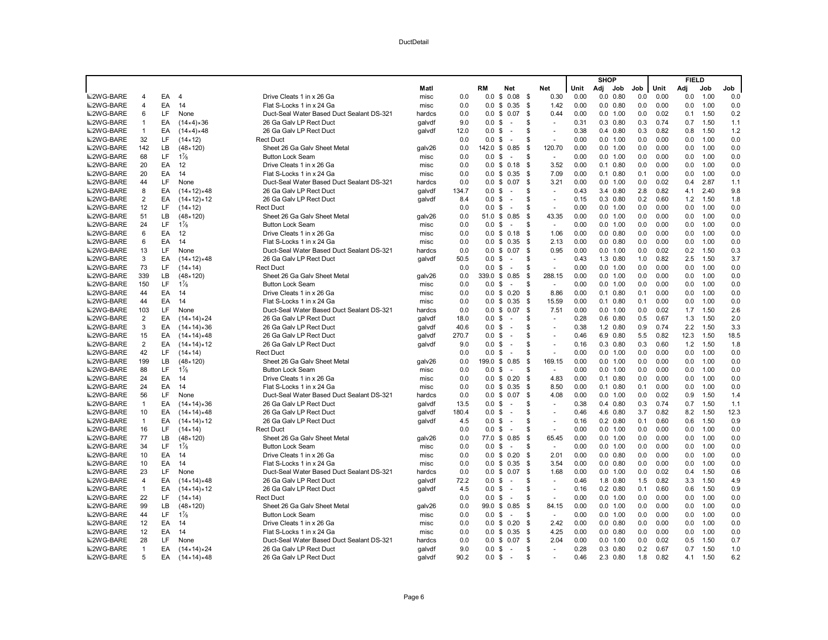|                  |                |    |                            |                                           |        |       |                   |                                |                           |                |              | <b>SHOP</b> |                  |     |      | <b>FIELD</b> |              |            |
|------------------|----------------|----|----------------------------|-------------------------------------------|--------|-------|-------------------|--------------------------------|---------------------------|----------------|--------------|-------------|------------------|-----|------|--------------|--------------|------------|
|                  |                |    |                            |                                           | Matl   |       | RM                | <b>Net</b>                     |                           | <b>Net</b>     | Unit         | Adj         | Job              | Job | Unit | Adj          | Job          | Job        |
| <b>■2WG-BARE</b> | 4              | EA | $\overline{4}$             | Drive Cleats 1 in x 26 Ga                 | misc   | 0.0   | 0.0               | \$<br>0.08                     | - \$                      | 0.30           | 0.00         |             | $0.0$ $0.80$     | 0.0 | 0.00 | 0.0          | 1.00         | 0.0        |
| <b>M2WG-BARE</b> | $\overline{4}$ | EA | 14                         | Flat S-Locks 1 in x 24 Ga                 | misc   | 0.0   | 0.0               | \$<br>0.35                     | S.                        | 1.42           | 0.00         |             | $0.0$ $0.80$     | 0.0 | 0.00 | 0.0          | 1.00         | 0.0        |
| <b>■2WG-BARE</b> | 6              | LF | None                       | Duct-Seal Water Based Duct Sealant DS-321 | hardcs | 0.0   | 0.0               | \$<br>0.07                     | \$                        | 0.44           | 0.00         |             | 0.0 1.00         | 0.0 | 0.02 | 0.1          | 1.50         | 0.2        |
| <b>■2WG-BARE</b> | $\overline{1}$ | EA | $(14×4)*36$                | 26 Ga Galv LP Rect Duct                   | galvdf | 9.0   | $0.0 \text{ }$ \$ | $\sim$                         | \$                        | $\sim$         | 0.31         |             | $0.3$ $0.80$     | 0.3 | 0.74 | 0.7          | 1.50         | 1.1        |
| <b>■2WG-BARE</b> | $\overline{1}$ | EA | (14×4)×48                  | 26 Ga Galv LP Rect Duct                   | galvdf | 12.0  | 0.0               | \$<br>$\sim$                   | S                         |                | 0.38         |             | $0.4$ 0.80       | 0.3 | 0.82 | 0.8          | 1.50         | 1.2        |
| <b>■2WG-BARE</b> | 32             | LF | $(14 \times 12)$           | <b>Rect Duct</b>                          |        | 0.0   | 0.0               | \$<br>÷.                       | S                         | $\overline{a}$ | 0.00         |             | 0.0 1.00         | 0.0 | 0.00 | 0.0          | 1.00         | 0.0        |
| <b>■2WG-BARE</b> | 142            | LB | $(48 \times 120)$          | Sheet 26 Ga Galv Sheet Metal              | galv26 | 0.0   | 142.0 \$          | 0.85                           | S.                        | 120.70         | 0.00         |             | 0.0 1.00         | 0.0 | 0.00 | 0.0          | 1.00         | 0.0        |
| <b>■2WG-BARE</b> | 68             | LF | $1\frac{7}{8}$             | <b>Button Lock Seam</b>                   | misc   | 0.0   | 0.0               | \$<br>÷.                       | S                         | ÷              | 0.00         |             | 0.0 1.00         | 0.0 | 0.00 | 0.0          | 1.00         | 0.0        |
| <b>■2WG-BARE</b> | 20             | EA | 12                         | Drive Cleats 1 in x 26 Ga                 | misc   | 0.0   | 0.0               | \$<br>0.18                     | \$                        | 3.52           | 0.00         |             | $0.1$ $0.80$     | 0.0 | 0.00 | 0.0          | 1.00         | 0.0        |
| <b>■2WG-BARE</b> | 20             | EA | 14                         | Flat S-Locks 1 in x 24 Ga                 | misc   | 0.0   | 0.0               | \$<br>0.35                     | \$                        | 7.09           | 0.00         |             | $0.1$ $0.80$     | 0.1 | 0.00 | 0.0          | 1.00         | 0.0        |
| <b>■2WG-BARE</b> | 44             | LF | None                       | Duct-Seal Water Based Duct Sealant DS-321 | hardcs | 0.0   |                   | $0.0 \t$ 0.07$                 | \$                        | 3.21           | 0.00         |             | 0.0 1.00         | 0.0 | 0.02 | 0.4          | 2.87         | 1.1        |
| <b>■2WG-BARE</b> | 8              | EA | $(14 \times 12) \times 48$ | 26 Ga Galv LP Rect Duct                   | galvdf | 134.7 | 0.0               | \$<br>$\sim$                   | \$                        | $\overline{a}$ | 0.43         |             | 3.4 0.80         | 2.8 | 0.82 | 4.1          | 2.40         | 9.8        |
| <b>■2WG-BARE</b> | $\overline{2}$ | EA | $(14 \times 12) \times 12$ | 26 Ga Galv LP Rect Duct                   | galvdf | 8.4   | 0.0               | \$<br>$\sim$                   | S                         | ÷,             | 0.15         |             | $0.3$ $0.80$     | 0.2 | 0.60 | 1.2          | 1.50         | 1.8        |
| <b>■2WG-BARE</b> | 12             | LF | $(14 \times 12)$           | <b>Rect Duct</b>                          |        | 0.0   | 0.0               | \$<br>$\sim$                   | S                         | $\sim$         | 0.00         |             | 0.0 1.00         | 0.0 | 0.00 | 0.0          | 1.00         | 0.0        |
| <b>■2WG-BARE</b> | 51             | LB | $(48 \times 120)$          | Sheet 26 Ga Galv Sheet Metal              | galv26 | 0.0   | 51.0              | 0.85<br>\$                     | S.                        | 43.35          | 0.00         |             | 0.0 1.00         | 0.0 | 0.00 | 0.0          | 1.00         | 0.0        |
| <b>■2WG-BARE</b> | 24             | LF | $1\frac{7}{8}$             | <b>Button Lock Seam</b>                   | misc   | 0.0   | 0.0               | \$<br>$\sim$                   | S                         | $\sim$         | 0.00         |             | 0.0 1.00         | 0.0 | 0.00 | 0.0          | 1.00         | 0.0        |
| <b>■2WG-BARE</b> | 6              | EA | 12                         | Drive Cleats 1 in x 26 Ga                 | misc   | 0.0   | 0.0 S             | 0.18                           | - \$                      | 1.06           | 0.00         |             | $0.0$ $0.80$     | 0.0 | 0.00 | 0.0          | 1.00         | 0.0        |
| <b>■2WG-BARE</b> | 6              | EA | 14                         | Flat S-Locks 1 in x 24 Ga                 | misc   | 0.0   | 0.0               | \$0.35                         | \$                        | 2.13           | 0.00         |             | $0.0$ $0.80$     | 0.0 | 0.00 | 0.0          | 1.00         | 0.0        |
| <b>■2WG-BARE</b> | 13             | LF | None                       | Duct-Seal Water Based Duct Sealant DS-321 | hardcs | 0.0   | 0.0               | 0.07<br>\$                     | \$                        | 0.95           | 0.00         |             | 0.0 1.00         | 0.0 | 0.02 | 0.2          | 1.50         | 0.3        |
| <b>■2WG-BARE</b> | 3              | EA | $(14 \times 12) \times 48$ | 26 Ga Galv LP Rect Duct                   | galvdf | 50.5  | 0.0               | \$<br>$\sim$                   | \$                        | $\sim$         | 0.43         |             | 1.3 0.80         | 1.0 | 0.82 | 2.5          | 1.50         | 3.7        |
| <b>■2WG-BARE</b> | 73             | LF | $(14 \times 14)$           | <b>Rect Duct</b>                          |        | 0.0   | 0.0               | \$<br>$\sim$                   | S                         | ÷,             | 0.00         |             | 0.0 1.00         | 0.0 | 0.00 | 0.0          | 1.00         | 0.0        |
| <b>■2WG-BARE</b> | 339            | LB | $(48 \times 120)$          | Sheet 26 Ga Galy Sheet Metal              | galv26 | 0.0   | 339.0             | \$0.85                         | S.                        | 288.15         | 0.00         | 0.0         | 1.00             | 0.0 | 0.00 | 0.0          | 1.00         | 0.0        |
| <b>■2WG-BARE</b> | 150            | LF | $1\frac{7}{8}$             | <b>Button Lock Seam</b>                   | misc   | 0.0   | 0.0               | \$<br>$\sim$                   | \$                        | $\sim$         | 0.00         |             | 0.0 1.00         | 0.0 | 0.00 | 0.0          | 1.00         | 0.0        |
| <b>■2WG-BARE</b> | 44             | EA | 14                         | Drive Cleats 1 in x 26 Ga                 | misc   | 0.0   |                   | $0.0 \t$ 0.20$                 | \$                        | 8.86           | 0.00         |             | $0.1$ $0.80$     | 0.1 | 0.00 | 0.0          | 1.00         | 0.0        |
| <b>■2WG-BARE</b> | 44             | EA | 14                         | Flat S-Locks 1 in x 24 Ga                 | misc   | 0.0   | 0.0               | \$0.35                         | S.                        | 15.59          | 0.00         |             | $0.1$ $0.80$     | 0.1 | 0.00 | 0.0          | 1.00         | 0.0        |
| <b>■2WG-BARE</b> | 103            | LF | None                       | Duct-Seal Water Based Duct Sealant DS-321 | hardcs | 0.0   | 0.0               | \$<br>0.07                     | \$                        | 7.51           | 0.00         |             | 0.0 1.00         | 0.0 | 0.02 | 1.7          | 1.50         | 2.6        |
| <b>■2WG-BARE</b> | $\overline{2}$ | EA | $(14 \times 14) \times 24$ | 26 Ga Galv LP Rect Duct                   | galvdf | 18.0  | $0.0 \,$ \$       | $\sim$                         | \$                        | $\sim$         | 0.28         |             | $0.6$ $0.80$     | 0.5 | 0.67 | 1.3          | 1.50         | 2.0        |
| <b>■2WG-BARE</b> | 3              | EA | $(14 \times 14) \times 36$ | 26 Ga Galv LP Rect Duct                   | galvdf | 40.6  | 0.0               | \$<br>$\sim$                   | \$                        |                | 0.38         |             | 1.2 0.80         | 0.9 | 0.74 | 2.2          | 1.50         | 3.3        |
| <b>■2WG-BARE</b> | 15             | EA | $(14 \times 14) \times 48$ | 26 Ga Galv LP Rect Duct                   | galvdf | 270.7 | $0.0 \text{ } $$  |                                | \$                        | ÷.             | 0.46         |             | 6.9 0.80         | 5.5 | 0.82 | 12.3         | 1.50         | 18.5       |
| <b>■2WG-BARE</b> | $\overline{2}$ | EA | $(14 \times 14) \times 12$ | 26 Ga Galv LP Rect Duct                   | qalvdf | 9.0   | 0.0               | \$<br>÷.                       | S                         | ÷.             | 0.16         |             | $0.3$ $0.80$     | 0.3 | 0.60 | 1.2          | 1.50         | 1.8        |
| <b>■2WG-BARE</b> | 42             | LF | $(14 \times 14)$           | <b>Rect Duct</b>                          |        | 0.0   | 0.0               | \$                             | S                         |                | 0.00         |             | 0.0 1.00         | 0.0 | 0.00 | 0.0          | 1.00         | 0.0        |
| <b>■2WG-BARE</b> | 199            | LB | $(48 \times 120)$          | Sheet 26 Ga Galy Sheet Metal              | galv26 | 0.0   | 199.0             | \$<br>0.85                     | \$                        | 169.15         | 0.00         |             | 0.0 1.00         | 0.0 | 0.00 | 0.0          | 1.00         | 0.0        |
| <b>■2WG-BARE</b> | 88             | LF | $1\frac{7}{8}$             | <b>Button Lock Seam</b>                   | misc   | 0.0   | 0.0               | \$<br>$\sim$                   | \$                        | ÷.             | 0.00         |             | 0.0 1.00         | 0.0 | 0.00 | 0.0          | 1.00         | 0.0        |
| <b>■2WG-BARE</b> | 24             | EA | 14                         | Drive Cleats 1 in x 26 Ga                 | misc   | 0.0   | $0.0 \,$ \$       | 0.20                           | \$                        | 4.83           | 0.00         |             | $0.1$ $0.80$     | 0.0 | 0.00 | 0.0          | 1.00         | 0.0        |
| <b>■2WG-BARE</b> | 24             | EA | 14                         | Flat S-Locks 1 in x 24 Ga                 | misc   | 0.0   | 0.0               | \$0.35                         | \$                        | 8.50           | 0.00         |             | $0.1$ $0.80$     | 0.1 | 0.00 | 0.0          | 1.00         | 0.0        |
| <b>■2WG-BARE</b> | 56             | LF | None                       | Duct-Seal Water Based Duct Sealant DS-321 | hardcs | 0.0   | $0.0 \,$ \$       | 0.07                           | \$                        | 4.08           | 0.00         |             | 0.0 1.00         | 0.0 | 0.02 | 0.9          | 1.50         | 1.4        |
| <b>■2WG-BARE</b> | $\mathbf{1}$   | EA | $(14 \times 14) \times 36$ | 26 Ga Galv LP Rect Duct                   | galvdf | 13.5  | $0.0 \,$ \$       | $\sim$                         | \$                        | $\sim$         | 0.38         |             | $0.4$ 0.80       | 0.3 | 0.74 | 0.7          | 1.50         | 1.1        |
| <b>■2WG-BARE</b> | 10             | EA | $(14 \times 14) \times 48$ | 26 Ga Galv LP Rect Duct                   | qalvdf | 180.4 | 0.0               | \$<br>÷.                       | \$                        |                | 0.46         |             | 4.6 0.80         | 3.7 | 0.82 | 8.2          | 1.50         | 12.3       |
| <b>■2WG-BARE</b> | $\overline{1}$ | EA | $(14 \times 14) \times 12$ | 26 Ga Galv LP Rect Duct                   | qalvdf | 4.5   | 0.0               | \$<br>÷.                       | S                         | $\overline{a}$ | 0.16         |             | $0.2 \quad 0.80$ | 0.1 | 0.60 | 0.6          | 1.50         | 0.9        |
| <b>■2WG-BARE</b> | 16             | LF | $(14 \times 14)$           | <b>Rect Duct</b>                          |        | 0.0   | 0.0               | \$<br>$\sim$                   | S                         | ÷,             | 0.00         |             | 0.0 1.00         | 0.0 | 0.00 | 0.0          | 1.00         | 0.0        |
| <b>■2WG-BARE</b> | 77             | LB | $(48 \times 120)$          | Sheet 26 Ga Galv Sheet Metal              | galv26 | 0.0   | 77.0              | 0.85<br>\$                     | S.                        | 65.45          | 0.00         |             | 0.0 1.00         | 0.0 | 0.00 | 0.0          | 1.00         | 0.0        |
| <b>■2WG-BARE</b> | 34             | LF | $1\frac{7}{8}$             | <b>Button Lock Seam</b>                   | misc   | 0.0   | 0.0               | \$<br>÷.                       | \$                        | $\sim$         | 0.00         |             | 0.0 1.00         | 0.0 | 0.00 | 0.0          | 1.00         | 0.0        |
| <b>■2WG-BARE</b> | 10             | EA | 14                         | Drive Cleats 1 in x 26 Ga                 | misc   | 0.0   | 0.0               | 0.20<br>\$                     | \$                        | 2.01           | 0.00         |             | $0.0$ $0.80$     | 0.0 | 0.00 | 0.0          | 1.00         | 0.0        |
| <b>■2WG-BARE</b> | 10             | EA | 14                         | Flat S-Locks 1 in x 24 Ga                 | misc   | 0.0   | 0.0               | \$0.35                         | $\boldsymbol{\mathsf{s}}$ | 3.54           | 0.00         |             | $0.0$ $0.80$     | 0.0 | 0.00 | 0.0          | 1.00         | 0.0        |
| <b>■2WG-BARE</b> | 23             | LF | None                       | Duct-Seal Water Based Duct Sealant DS-321 | hardcs | 0.0   | 0.0               | \$ 0.07                        | \$                        | 1.68           | 0.00         |             | 0.0 1.00         | 0.0 | 0.02 | 0.4          | 1.50         | 0.6        |
| <b>■2WG-BARE</b> | $\overline{4}$ | EA | $(14 \times 14) \times 48$ | 26 Ga Galv LP Rect Duct                   | qalvdf | 72.2  | 0.0               | \$<br>$\sim$                   | S                         | ÷.             | 0.46         |             | 1.8 0.80         | 1.5 | 0.82 | 3.3          | 1.50         | 4.9        |
| <b>■2WG-BARE</b> | $\overline{1}$ | EA | $(14 \times 14) \times 12$ | 26 Ga Galv LP Rect Duct                   | qalvdf | 4.5   | 0.0 <sup>5</sup>  | ÷.                             | S                         | $\sim$         | 0.16         |             | $0.2$ $0.80$     | 0.1 | 0.60 | 0.6          | 1.50         | 0.9        |
| <b>■2WG-BARE</b> | 22             | LF | $(14 \times 14)$           | <b>Rect Duct</b>                          |        | 0.0   | 0.0               | -\$<br>÷.                      | S                         |                | 0.00         |             | 0.0 1.00         | 0.0 | 0.00 | 0.0          | 1.00         | 0.0        |
| <b>■2WG-BARE</b> | 99             | LB | $(48 \times 120)$          | Sheet 26 Ga Galy Sheet Metal              | galv26 | 0.0   | 99.0 \$           | 0.85                           | \$                        | 84.15          | 0.00         |             | 0.0 1.00         | 0.0 | 0.00 | 0.0          | 1.00         | 0.0        |
| <b>■2WG-BARE</b> | 44             | LF | $1\frac{7}{8}$             | <b>Button Lock Seam</b>                   | misc   | 0.0   | 0.0               | \$<br>$\overline{\phantom{a}}$ | \$                        | $\sim$         | 0.00         |             | 0.0 1.00         | 0.0 | 0.00 | 0.0          | 1.00         | 0.0        |
| <b>■2WG-BARE</b> | 12             | EA | 14                         | Drive Cleats 1 in x 26 Ga                 | misc   | 0.0   | 0.0               | \$<br>0.20                     | \$                        | 2.42           | 0.00         |             | $0.0$ $0.80$     | 0.0 | 0.00 | 0.0          | 1.00         | 0.0        |
| <b>■2WG-BARE</b> | 12             | EA | 14                         | Flat S-Locks 1 in x 24 Ga                 | misc   | 0.0   |                   | $0.0 \t$ 0.35$                 | \$                        | 4.25           | 0.00         |             | $0.0$ $0.80$     | 0.0 | 0.00 | 0.0          | 1.00         | 0.0        |
| <b>■2WG-BARE</b> | 28             | LF | None                       | Duct-Seal Water Based Duct Sealant DS-321 | hardcs | 0.0   | 0.0 S             | 0.07                           | \$                        | 2.04           | 0.00         |             | 0.0 1.00         | 0.0 | 0.02 | 0.5          | 1.50         | 0.7        |
| <b>■2WG-BARE</b> | $\overline{1}$ | EA | $(14 \times 14) \times 24$ | 26 Ga Galv LP Rect Duct                   | qalvdf | 9.0   | 0.0               | \$<br>$\sim$                   | \$                        | ÷.             | 0.28<br>0.46 |             | $0.3$ $0.80$     | 0.2 | 0.67 | 0.7          | 1.50<br>1.50 | 1.0<br>6.2 |
| <b>■2WG-BARE</b> | 5              | EA | $(14 \times 14) \times 48$ | 26 Ga Galv LP Rect Duct                   | galvdf | 90.2  | $0.0 \text{ }$ \$ | $\sim$                         | S                         |                |              |             | 2.3 0.80         | 1.8 | 0.82 | 4.1          |              |            |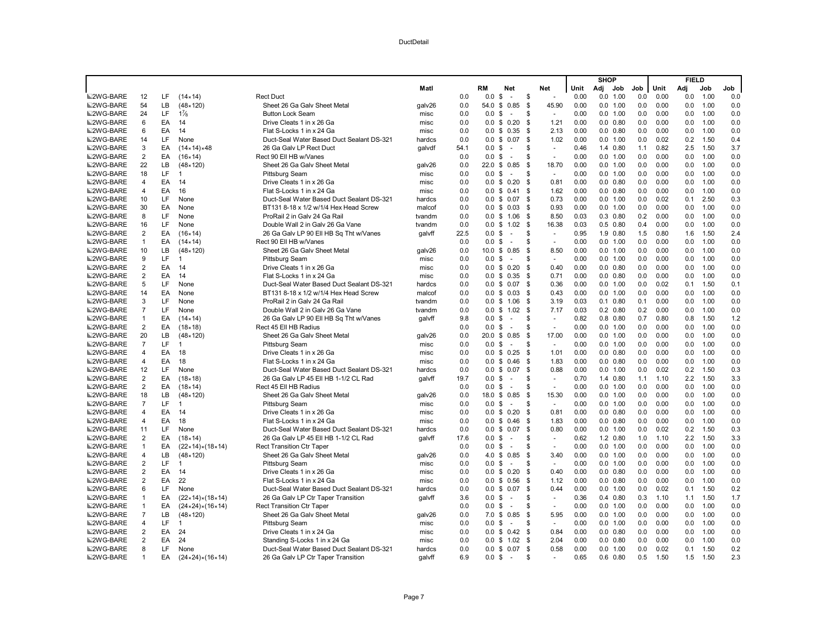|                  |                         |           |                                        |                                           |        |      |                    |                    |      |                |      | <b>SHOP</b> |                  |     |      | <b>FIELD</b> |      |     |
|------------------|-------------------------|-----------|----------------------------------------|-------------------------------------------|--------|------|--------------------|--------------------|------|----------------|------|-------------|------------------|-----|------|--------------|------|-----|
|                  |                         |           |                                        |                                           | Matl   |      | RM                 | Net                |      | Net            | Unit | Adj         | Job              | Job | Unit | Adj          | Job  | Job |
| <b>■2WG-BARE</b> | 12                      | LF        | $(14 \times 14)$                       | <b>Rect Duct</b>                          |        | 0.0  | 0.0                | \$<br>$\sim$       | \$   | $\omega$       | 0.00 | 0.0         | 1.00             | 0.0 | 0.00 | 0.0          | 1.00 | 0.0 |
| <b>■2WG-BARE</b> | 54                      | LB        | $(48 \times 120)$                      | Sheet 26 Ga Galv Sheet Metal              | galv26 | 0.0  | 54.0               | 0.85<br>\$         | -\$  | 45.90          | 0.00 |             | 0.0 1.00         | 0.0 | 0.00 | 0.0          | 1.00 | 0.0 |
| <b>■2WG-BARE</b> | 24                      | LF.       | $1\frac{7}{8}$                         | <b>Button Lock Seam</b>                   | misc   | 0.0  | 0.0                | \$<br>$\sim$       | \$.  | $\sim$         | 0.00 |             | 0.0 1.00         | 0.0 | 0.00 | 0.0          | 1.00 | 0.0 |
| <b>■2WG-BARE</b> | 6                       | EA        | 14                                     | Drive Cleats 1 in x 26 Ga                 | misc   | 0.0  |                    | $0.0 \tS 0.20$     | \$   | 1.21           | 0.00 |             | $0.0$ $0.80$     | 0.0 | 0.00 | 0.0          | 1.00 | 0.0 |
| <b>■2WG-BARE</b> | 6                       | EA        | 14                                     | Flat S-Locks 1 in x 24 Ga                 | misc   | 0.0  | 0.0                | \$0.35             | - \$ | 2.13           | 0.00 |             | $0.0$ $0.80$     | 0.0 | 0.00 | 0.0          | 1.00 | 0.0 |
| <b>■2WG-BARE</b> | 14                      | LF.       | None                                   | Duct-Seal Water Based Duct Sealant DS-321 | hardcs | 0.0  |                    | $0.0 \t$ 0.07$     | -S   | 1.02           | 0.00 |             | 0.0 1.00         | 0.0 | 0.02 | 0.2          | 1.50 | 0.4 |
| <b>■2WG-BARE</b> | 3                       | EA        | $(14 \times 14) \times 48$             | 26 Ga Galv LP Rect Duct                   | galvdf | 54.1 | $0.0 \text{ } $$   | $\sim$             | \$   | $\blacksquare$ | 0.46 |             | 1.4 0.80         | 1.1 | 0.82 | 2.5          | 1.50 | 3.7 |
| <b>■2WG-BARE</b> | $\overline{\mathbf{c}}$ | EA        | (16×14)                                | Rect 90 Ell HB w/Vanes                    |        | 0.0  | 0.0                | \$<br>$\sim$       | S    | $\bar{a}$      | 0.00 |             | 0.0 1.00         | 0.0 | 0.00 | 0.0          | 1.00 | 0.0 |
| <b>■2WG-BARE</b> | 22                      | LВ        | $(48 \times 120)$                      | Sheet 26 Ga Galv Sheet Metal              | galv26 | 0.0  |                    | 22.0 \$ 0.85       | \$   | 18.70          | 0.00 |             | 0.0 1.00         | 0.0 | 0.00 | 0.0          | 1.00 | 0.0 |
| <b>■2WG-BARE</b> | 18                      | LF.       | $\overline{1}$                         | Pittsburg Seam                            | misc   | 0.0  | 0.0                | \$<br>$\sim$       | S    | $\sim$         | 0.00 |             | 0.0 1.00         | 0.0 | 0.00 | 0.0          | 1.00 | 0.0 |
| <b>■2WG-BARE</b> | 4                       | EA        | 14                                     | Drive Cleats 1 in x 26 Ga                 | misc   | 0.0  |                    | $0.0 \t$ 0.20$     | \$   | 0.81           | 0.00 |             | $0.0$ $0.80$     | 0.0 | 0.00 | 0.0          | 1.00 | 0.0 |
| <b>■2WG-BARE</b> | 4                       | EA        | 16                                     | Flat S-Locks 1 in x 24 Ga                 | misc   | 0.0  |                    | $0.0 \t$ 0.41$     | \$   | 1.62           | 0.00 |             | $0.0$ $0.80$     | 0.0 | 0.00 | 0.0          | 1.00 | 0.0 |
| <b>■2WG-BARE</b> | 10                      | LF        | None                                   | Duct-Seal Water Based Duct Sealant DS-321 | hardcs | 0.0  | 0.0 S              | 0.07               | \$   | 0.73           | 0.00 |             | 0.0 1.00         | 0.0 | 0.02 | 0.1          | 2.50 | 0.3 |
| <b>■2WG-BARE</b> | 30                      | EA        | None                                   | BT131 8-18 x 1/2 w/1/4 Hex Head Screw     | malcof | 0.0  |                    | $0.0 \t$ 0.03$     | -\$  | 0.93           | 0.00 |             | 0.0 1.00         | 0.0 | 0.00 | 0.0          | 1.00 | 0.0 |
| <b>■2WG-BARE</b> | 8                       | LF.       | None                                   | ProRail 2 in Galv 24 Ga Rail              | tvandm | 0.0  |                    | $0.0$ \$ 1.06      | - \$ | 8.50           | 0.03 |             | $0.3$ $0.80$     | 0.2 | 0.00 | 0.0          | 1.00 | 0.0 |
| <b>■2WG-BARE</b> | 16                      | LF        | None                                   | Double Wall 2 in Galv 26 Ga Vane          | tvandm | 0.0  |                    | $0.0 \t$ 1.02$     | \$   | 16.38          | 0.03 |             | $0.5$ $0.80$     | 0.4 | 0.00 | 0.0          | 1.00 | 0.0 |
| <b>■2WG-BARE</b> | $\overline{\mathbf{c}}$ | EA        | (16×14)                                | 26 Ga Galv LP 90 Ell HB Sq Tht w/Vanes    | qalvff | 22.5 | 0.0 <sup>5</sup>   | $\sim$             | \$   | $\blacksquare$ | 0.95 |             | 1.9 0.80         | 1.5 | 0.80 | 1.6          | 1.50 | 2.4 |
| <b>■2WG-BARE</b> | $\mathbf{1}$            | EA        | $(14 \times 14)$                       | Rect 90 Ell HB w/Vanes                    |        | 0.0  | 0.0                | \$<br>$\sim$       | S    |                | 0.00 |             | 0.0 1.00         | 0.0 | 0.00 | 0.0          | 1.00 | 0.0 |
| <b>■2WG-BARE</b> | 10                      | LВ        | $(48 \times 120)$                      | Sheet 26 Ga Galv Sheet Metal              | galv26 | 0.0  |                    | 10.0 \$ 0.85       | \$   | 8.50           | 0.00 |             | 0.0 1.00         | 0.0 | 0.00 | 0.0          | 1.00 | 0.0 |
| <b>■2WG-BARE</b> | 9                       | LF        | $\overline{1}$                         | Pittsburg Seam                            | misc   | 0.0  | $0.0 \text{ }$ \$  | $\sim$             | S    | $\blacksquare$ | 0.00 |             | 0.0 1.00         | 0.0 | 0.00 | 0.0          | 1.00 | 0.0 |
| <b>■2WG-BARE</b> | $\overline{\mathbf{c}}$ | EA        | 14                                     | Drive Cleats 1 in x 26 Ga                 | misc   | 0.0  | $0.0 \,$ \$        | 0.20               | \$   | 0.40           | 0.00 |             | $0.0$ $0.80$     | 0.0 | 0.00 | 0.0          | 1.00 | 0.0 |
| <b>■2WG-BARE</b> | 2                       | EA        | 14                                     | Flat S-Locks 1 in x 24 Ga                 | misc   | 0.0  |                    | $0.0 \t$ 0.35$     | -S   | 0.71           | 0.00 |             | $0.0$ $0.80$     | 0.0 | 0.00 | 0.0          | 1.00 | 0.0 |
| <b>■2WG-BARE</b> | 5                       | LF        | None                                   | Duct-Seal Water Based Duct Sealant DS-321 | hardcs | 0.0  |                    | $0.0 \t$ 0.07$     | - \$ | 0.36           | 0.00 |             | 0.0 1.00         | 0.0 | 0.02 | 0.1          | 1.50 | 0.1 |
| <b>■2WG-BARE</b> | 14                      | EA        | None                                   | BT131 8-18 x 1/2 w/1/4 Hex Head Screw     | malcof | 0.0  |                    | $0.0 \t$ 0.03$     | - \$ | 0.43           | 0.00 |             | 0.0 1.00         | 0.0 | 0.00 | 0.0          | 1.00 | 0.0 |
| <b>■2WG-BARE</b> | 3                       | LF        | None                                   | ProRail 2 in Galv 24 Ga Rail              | tvandm | 0.0  |                    | $0.0 \t$ 1.06$     | \$   | 3.19           | 0.03 |             | $0.1$ $0.80$     | 0.1 | 0.00 | 0.0          | 1.00 | 0.0 |
| <b>■2WG-BARE</b> | $\overline{7}$          | LF        | None                                   | Double Wall 2 in Galy 26 Ga Vane          | tvandm | 0.0  | $0.0 \,$ \$        | 1.02               | - \$ | 7.17           | 0.03 |             | $0.2 \quad 0.80$ | 0.2 | 0.00 | 0.0          | 1.00 | 0.0 |
| <b>■2WG-BARE</b> | $\mathbf{1}$            | EA        | $(14 \times 14)$                       | 26 Ga Galv LP 90 Ell HB Sq Tht w/Vanes    | qalvff | 9.8  | $0.0 \text{ }$ \$  | $\sim$             | \$   | $\omega$       | 0.82 |             | $0.8$ 0.80       | 0.7 | 0.80 | 0.8          | 1.50 | 1.2 |
| <b>■2WG-BARE</b> | $\overline{\mathbf{c}}$ | EA        | $(18 \times 18)$                       | Rect 45 Ell HB Radius                     |        | 0.0  | 0.0                | \$<br>$\sim$       | S    | $\sim$         | 0.00 |             | 0.0 1.00         | 0.0 | 0.00 | 0.0          | 1.00 | 0.0 |
| <b>■2WG-BARE</b> | 20                      | <b>LB</b> | $(48 \times 120)$                      | Sheet 26 Ga Galv Sheet Metal              | galv26 | 0.0  | $20.0 \text{ }$ \$ | 0.85               | \$   | 17.00          | 0.00 |             | 0.0 1.00         | 0.0 | 0.00 | 0.0          | 1.00 | 0.0 |
| <b>■2WG-BARE</b> | $\overline{7}$          | LF.       | $\overline{1}$                         | Pittsburg Seam                            | misc   | 0.0  | $0.0 \text{ }$ \$  | $\sim$             | \$   | $\blacksquare$ | 0.00 |             | 0.0 1.00         | 0.0 | 0.00 | 0.0          | 1.00 | 0.0 |
| <b>■2WG-BARE</b> | 4                       | EA        | 18                                     | Drive Cleats 1 in x 26 Ga                 | misc   | 0.0  | 0.0                | \$<br>0.25         | -\$  | 1.01           | 0.00 |             | $0.0$ $0.80$     | 0.0 | 0.00 | 0.0          | 1.00 | 0.0 |
| <b>■2WG-BARE</b> | 4                       | EA        | 18                                     | Flat S-Locks 1 in x 24 Ga                 | misc   | 0.0  |                    | $0.0 \t$ 0.46$     | \$   | 1.83           | 0.00 |             | $0.0$ $0.80$     | 0.0 | 0.00 | 0.0          | 1.00 | 0.0 |
| <b>■2WG-BARE</b> | 12                      | LF.       | None                                   | Duct-Seal Water Based Duct Sealant DS-321 | hardcs | 0.0  |                    | $0.0 \t$ 0.07$     | - \$ | 0.88           | 0.00 |             | 0.0 1.00         | 0.0 | 0.02 | 0.2          | 1.50 | 0.3 |
| <b>■2WG-BARE</b> | $\overline{\mathbf{c}}$ | EA        | $(18 \times 18)$                       | 26 Ga Galv LP 45 Ell HB 1-1/2 CL Rad      | qalvff | 19.7 | 0.0                | \$<br>$\sim$       | \$   | $\bar{a}$      | 0.70 |             | 1.4 0.80         | 1.1 | 1.10 | 2.2          | 1.50 | 3.3 |
| <b>■2WG-BARE</b> | $\overline{\mathbf{c}}$ | EA        | $(18 \times 14)$                       | Rect 45 Ell HB Radius                     |        | 0.0  | 0.0                | \$<br>$\sim$       | S    | $\sim$         | 0.00 |             | 0.0 1.00         | 0.0 | 0.00 | 0.0          | 1.00 | 0.0 |
| <b>■2WG-BARE</b> | 18                      | LB        | $(48 \times 120)$                      | Sheet 26 Ga Galv Sheet Metal              | galv26 | 0.0  | 18.0 \$            | 0.85               | -\$  | 15.30          | 0.00 |             | 0.0 1.00         | 0.0 | 0.00 | 0.0          | 1.00 | 0.0 |
| <b>■2WG-BARE</b> | $\overline{7}$          | LF.       | $\overline{1}$                         | <b>Pittsburg Seam</b>                     | misc   | 0.0  | 0.0                | \$<br>$\sim$       | \$.  | $\omega$       | 0.00 |             | 0.0 1.00         | 0.0 | 0.00 | 0.0          | 1.00 | 0.0 |
| <b>■2WG-BARE</b> | 4                       | EA        | 14                                     | Drive Cleats 1 in x 26 Ga                 | misc   | 0.0  |                    | $0.0 \tS 0.20$     | \$.  | 0.81           | 0.00 |             | $0.0 \quad 0.80$ | 0.0 | 0.00 | 0.0          | 1.00 | 0.0 |
| <b>■2WG-BARE</b> | 4                       | EA        | 18                                     | Flat S-Locks 1 in x 24 Ga                 | misc   | 0.0  |                    | $0.0 \t$ 0.46$     | - \$ | 1.83           | 0.00 |             | $0.0$ $0.80$     | 0.0 | 0.00 | 0.0          | 1.00 | 0.0 |
| <b>■2WG-BARE</b> | 11                      | LF        | None                                   | Duct-Seal Water Based Duct Sealant DS-321 | hardcs | 0.0  |                    | $0.0 \t$ 0.07$     | \$   | 0.80           | 0.00 |             | 0.0 1.00         | 0.0 | 0.02 | 0.2          | 1.50 | 0.3 |
| <b>■2WG-BARE</b> | $\overline{\mathbf{c}}$ | EA        | $(18 \times 14)$                       | 26 Ga Galv LP 45 Ell HB 1-1/2 CL Rad      | galvff | 17.6 | 0.0                | \$<br>$\sim$       | S    | $\blacksquare$ | 0.62 |             | 1.2 0.80         | 1.0 | 1.10 | 2.2          | 1.50 | 3.3 |
| <b>■2WG-BARE</b> | $\mathbf{1}$            | EA        | $(22 \times 14) \times (18 \times 14)$ | <b>Rect Transition Ctr Taper</b>          |        | 0.0  | $0.0 \text{ }$ \$  | $\sim$             | S    | $\sim$         | 0.00 |             | 0.0 1.00         | 0.0 | 0.00 | 0.0          | 1.00 | 0.0 |
| <b>■2WG-BARE</b> | 4                       | LB.       | $(48 \times 120)$                      | Sheet 26 Ga Galv Sheet Metal              | galv26 | 0.0  |                    | 4.0 \$ 0.85        | \$   | 3.40           | 0.00 |             | 0.0 1.00         | 0.0 | 0.00 | 0.0          | 1.00 | 0.0 |
| <b>■2WG-BARE</b> | 2                       | LF        | $\overline{1}$                         | Pittsburg Seam                            | misc   | 0.0  | 0.0                | \$<br>$\sim$       | S    | $\sim$         | 0.00 |             | 0.0 1.00         | 0.0 | 0.00 | 0.0          | 1.00 | 0.0 |
| <b>■2WG-BARE</b> | $\overline{2}$          | EA        | 14                                     | Drive Cleats 1 in x 26 Ga                 | misc   | 0.0  |                    | $0.0 \t$ 0.20$     | \$   | 0.40           | 0.00 |             | $0.0$ $0.80$     | 0.0 | 0.00 | 0.0          | 1.00 | 0.0 |
| <b>■2WG-BARE</b> | $\overline{2}$          | EA        | 22                                     | Flat S-Locks 1 in x 24 Ga                 | misc   | 0.0  |                    | $0.0 \t$ 0.56$     | \$   | 1.12           | 0.00 |             | $0.0$ $0.80$     | 0.0 | 0.00 | 0.0          | 1.00 | 0.0 |
| <b>■2WG-BARE</b> | 6                       | LF        | None                                   | Duct-Seal Water Based Duct Sealant DS-321 | hardcs | 0.0  | 0.0                | \$<br>0.07         | \$   | 0.44           | 0.00 |             | 0.0 1.00         | 0.0 | 0.02 | 0.1          | 1.50 | 0.2 |
| <b>■2WG-BARE</b> | $\mathbf{1}$            | EA        | $(22 \times 14) \times (18 \times 14)$ | 26 Ga Galv LP Ctr Taper Transition        | galvff | 3.6  | $0.0 \,$ \$        | $\sim$             | S    | $\sim$         | 0.36 |             | $0.4$ $0.80$     | 0.3 | 1.10 | 1.1          | 1.50 | 1.7 |
| <b>■2WG-BARE</b> | $\mathbf{1}$            | EA        | $(24 \times 24) \times (16 \times 14)$ | <b>Rect Transition Ctr Taper</b>          |        | 0.0  | $0.0 \text{ }$ \$  | $\sim$             | \$.  | $\omega$       | 0.00 |             | 0.0 1.00         | 0.0 | 0.00 | 0.0          | 1.00 | 0.0 |
| <b>■2WG-BARE</b> | $\overline{7}$          | LВ        | $(48 \times 120)$                      | Sheet 26 Ga Galv Sheet Metal              | galv26 | 0.0  | 7.0                | 0.85<br>\$         | - \$ | 5.95           | 0.00 |             | 0.0 1.00         | 0.0 | 0.00 | 0.0          | 1.00 | 0.0 |
| <b>■2WG-BARE</b> | 4                       | LF.       | $\mathbf 1$                            | Pittsburg Seam                            | misc   | 0.0  | $0.0 \text{ }$ \$  | $\sim$             | S    | $\sim$         | 0.00 |             | 0.0 1.00         | 0.0 | 0.00 | 0.0          | 1.00 | 0.0 |
| <b>■2WG-BARE</b> | $\overline{2}$          | EA        | 24                                     | Drive Cleats 1 in x 24 Ga                 | misc   | 0.0  |                    | $0.0 \t$ 0.42$     | -\$  | 0.84           | 0.00 |             | $0.0$ $0.80$     | 0.0 | 0.00 | 0.0          | 1.00 | 0.0 |
| <b>■2WG-BARE</b> | $\overline{2}$          | EA        | 24                                     | Standing S-Locks 1 in x 24 Ga             | misc   | 0.0  |                    | $0.0 \t$ 1.02$     | - \$ | 2.04           | 0.00 |             | $0.0$ $0.80$     | 0.0 | 0.00 | 0.0          | 1.00 | 0.0 |
| <b>■2WG-BARE</b> | 8                       | LF.       | None                                   | Duct-Seal Water Based Duct Sealant DS-321 | hardcs | 0.0  |                    | $0.0 \t S \t 0.07$ | - \$ | 0.58           | 0.00 |             | 0.0 1.00         | 0.0 | 0.02 | 0.1          | 1.50 | 0.2 |
| <b>■2WG-BARE</b> | $\mathbf{1}$            | EA        | $(24 \times 24) \times (16 \times 14)$ | 26 Ga Galv LP Ctr Taper Transition        | galvff | 6.9  | 0.0 S              | $\sim$             | \$.  | ÷              | 0.65 |             | $0.6$ $0.80$     | 0.5 | 1.50 | 1.5          | 1.50 | 2.3 |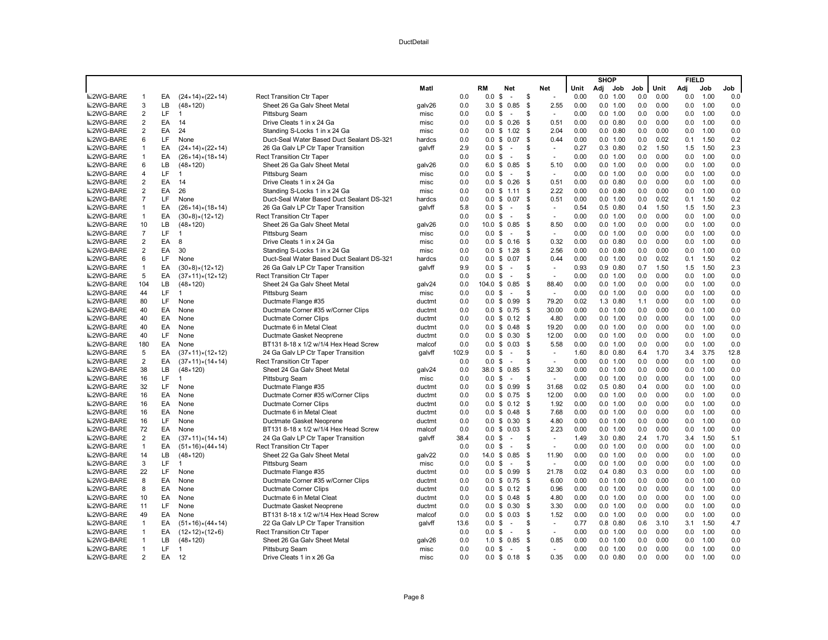|                  |                |    |                                        |                                           |        |       |                    |                      |                      |      | <b>SHOP</b> |              |     |      | <b>FIELD</b> |      |      |
|------------------|----------------|----|----------------------------------------|-------------------------------------------|--------|-------|--------------------|----------------------|----------------------|------|-------------|--------------|-----|------|--------------|------|------|
|                  |                |    |                                        |                                           | Matl   |       | RM                 | Net                  | Net                  | Unit | Adj         | Job          | Job | Unit | Adj          | Job  | Job  |
| <b>■2WG-BARE</b> | -1             | EA | $(24 \times 14) \times (22 \times 14)$ | <b>Rect Transition Ctr Taper</b>          |        | 0.0   | 0.0                | \$<br>$\overline{a}$ | \$<br>$\sim$         | 0.00 |             | 0.0 1.00     | 0.0 | 0.00 | 0.0          | 1.00 | 0.0  |
| 2WG-BARE         | 3              | LB | $(48 \times 120)$                      | Sheet 26 Ga Galv Sheet Metal              | galv26 | 0.0   | 3.0                | 0.85<br>\$           | 2.55<br>\$           | 0.00 |             | 0.0 1.00     | 0.0 | 0.00 | 0.0          | 1.00 | 0.0  |
| <b>■2WG-BARE</b> | $\overline{2}$ | LF | $\mathbf 1$                            | <b>Pittsburg Seam</b>                     | misc   | 0.0   | 0.0                | \$<br>$\sim$         | \$<br>$\sim$         | 0.00 |             | 0.0 1.00     | 0.0 | 0.00 | 0.0          | 1.00 | 0.0  |
| <b>■2WG-BARE</b> | $\overline{2}$ | EA | 14                                     | Drive Cleats 1 in x 24 Ga                 | misc   | 0.0   | $0.0 \,$ \$        | 0.26                 | 0.51<br>\$           | 0.00 |             | $0.0$ $0.80$ | 0.0 | 0.00 | 0.0          | 1.00 | 0.0  |
| <b>■2WG-BARE</b> | $\overline{2}$ | EA | 24                                     | Standing S-Locks 1 in x 24 Ga             | misc   | 0.0   | 0.0                | \$1.02               | \$<br>2.04           | 0.00 |             | $0.0$ $0.80$ | 0.0 | 0.00 | 0.0          | 1.00 | 0.0  |
| <b>■2WG-BARE</b> | 6              | LF | None                                   | Duct-Seal Water Based Duct Sealant DS-321 | hardcs | 0.0   |                    | $0.0 \$ 0.07$        | \$<br>0.44           | 0.00 |             | 0.0 1.00     | 0.0 | 0.02 | 0.1          | 1.50 | 0.2  |
| <b>■2WG-BARE</b> | $\overline{1}$ | EA | $(24 \times 14) \times (22 \times 14)$ | 26 Ga Galv LP Ctr Taper Transition        | qalvff | 2.9   | 0.0 S              | $\sim$               | \$<br>$\sim$         | 0.27 |             | $0.3$ $0.80$ | 0.2 | 1.50 | 1.5          | 1.50 | 2.3  |
| <b>■2WG-BARE</b> | $\overline{1}$ | EA | $(26 \times 14) \times (18 \times 14)$ | Rect Transition Ctr Taper                 |        | 0.0   | 0.0                | \$<br>$\sim$         | S<br>÷.              | 0.00 |             | 0.0 1.00     | 0.0 | 0.00 | 0.0          | 1.00 | 0.0  |
| <b>■2WG-BARE</b> | 6              | LB | $(48 \times 120)$                      | Sheet 26 Ga Galv Sheet Metal              | galv26 | 0.0   |                    | 6.0 \$ 0.85          | \$<br>5.10           | 0.00 |             | 0.0 1.00     | 0.0 | 0.00 | 0.0          | 1.00 | 0.0  |
| <b>■2WG-BARE</b> | $\overline{4}$ | LF | $\overline{1}$                         | <b>Pittsburg Seam</b>                     | misc   | 0.0   | 0.0 S              | $\sim$               | S<br>$\sim$          | 0.00 |             | 0.0 1.00     | 0.0 | 0.00 | 0.0          | 1.00 | 0.0  |
| <b>■2WG-BARE</b> | $\overline{2}$ | EA | 14                                     | Drive Cleats 1 in x 24 Ga                 | misc   | 0.0   |                    | $0.0 \t$ 0.26$       | \$<br>0.51           | 0.00 |             | $0.0$ $0.80$ | 0.0 | 0.00 | 0.0          | 1.00 | 0.0  |
| <b>■2WG-BARE</b> | $\overline{2}$ | EA | 26                                     | Standing S-Locks 1 in x 24 Ga             | misc   | 0.0   | 0.0                | \$1.11               | 2.22<br>\$           | 0.00 |             | $0.0$ $0.80$ | 0.0 | 0.00 | 0.0          | 1.00 | 0.0  |
| <b>■2WG-BARE</b> | $\overline{7}$ | LF | None                                   | Duct-Seal Water Based Duct Sealant DS-321 | hardcs | 0.0   | $0.0 \text{ }$ \$  | 0.07                 | \$<br>0.51           | 0.00 |             | 0.0 1.00     | 0.0 | 0.02 | 0.1          | 1.50 | 0.2  |
| <b>■2WG-BARE</b> | $\mathbf{1}$   | EA | $(26×14)*(18×14)$                      | 26 Ga Galv LP Ctr Taper Transition        | qalvff | 5.8   | 0.0 <sup>5</sup>   | $\sim$               | \$<br>$\sim$         | 0.54 |             | $0.5$ 0.80   | 0.4 | 1.50 | 1.5          | 1.50 | 2.3  |
| <b>■2WG-BARE</b> | $\mathbf{1}$   | EA | (30×8)×(12×12)                         | <b>Rect Transition Ctr Taper</b>          |        | 0.0   | 0.0                | \$<br>$\sim$         | S<br>$\sim$          | 0.00 |             | 0.0 1.00     | 0.0 | 0.00 | 0.0          | 1.00 | 0.0  |
| <b>■2WG-BARE</b> | 10             | LB | $(48 \times 120)$                      | Sheet 26 Ga Galv Sheet Metal              | galv26 | 0.0   | $10.0 \text{ }$ \$ | 0.85                 | \$<br>8.50           | 0.00 |             | 0.0 1.00     | 0.0 | 0.00 | 0.0          | 1.00 | 0.0  |
| <b>■2WG-BARE</b> | $\overline{7}$ | LF | $\mathbf{1}$                           | <b>Pittsburg Seam</b>                     | misc   | 0.0   | 0.0                | \$<br>$\sim$         | \$<br>$\omega$       | 0.00 |             | 0.0 1.00     | 0.0 | 0.00 | 0.0          | 1.00 | 0.0  |
| <b>■2WG-BARE</b> | $\overline{2}$ | EA | 8                                      | Drive Cleats 1 in x 24 Ga                 | misc   | 0.0   | 0.0                | \$0.16               | 0.32<br>-\$          | 0.00 |             | $0.0$ $0.80$ | 0.0 | 0.00 | 0.0          | 1.00 | 0.0  |
| 2WG-BARE         | $\overline{2}$ | EA | 30                                     | Standing S-Locks 1 in x 24 Ga             | misc   | 0.0   |                    | $0.0 \t$ 1.28$       | 2.56<br>\$           | 0.00 |             | $0.0$ $0.80$ | 0.0 | 0.00 | 0.0          | 1.00 | 0.0  |
| <b>■2WG-BARE</b> | 6              | LF | None                                   | Duct-Seal Water Based Duct Sealant DS-321 | hardcs | 0.0   |                    | $0.0 \tS 0.07$       | - \$<br>0.44         | 0.00 |             | 0.0 1.00     | 0.0 | 0.02 | 0.1          | 1.50 | 0.2  |
| <b>■2WG-BARE</b> | $\mathbf{1}$   | EA | $(30×8)\times(12×12)$                  | 26 Ga Galv LP Ctr Taper Transition        | qalvff | 9.9   | 0.0                | \$<br>$\sim$         | S<br>$\sim$          | 0.93 |             | $0.9$ $0.80$ | 0.7 | 1.50 | 1.5          | 1.50 | 2.3  |
| <b>■2WG-BARE</b> | 5              | EA | (37×11)×(12×12)                        | <b>Rect Transition Ctr Taper</b>          |        | 0.0   | 0.0                | \$<br>$\sim$         | \$<br>$\sim$         | 0.00 |             | 0.0 1.00     | 0.0 | 0.00 | 0.0          | 1.00 | 0.0  |
| <b>■2WG-BARE</b> | 104            | LB | $(48 \times 120)$                      | Sheet 24 Ga Galv Sheet Meta               | galv24 | 0.0   | $104.0$ \$         | 0.85                 | 88.40<br>\$          | 0.00 |             | 0.0 1.00     | 0.0 | 0.00 | 0.0          | 1.00 | 0.0  |
| <b>■2WG-BARE</b> | 44             | LF | $\mathbf{1}$                           | <b>Pittsburg Seam</b>                     | misc   | 0.0   | 0.0                | \$<br>$\sim$         | \$<br>$\sim$         | 0.00 |             | 0.0 1.00     | 0.0 | 0.00 | 0.0          | 1.00 | 0.0  |
| <b>■2WG-BARE</b> | 80             | LF | None                                   | Ductmate Flange #35                       | ductmt | 0.0   |                    | $0.0 \t$ 0.99$       | \$<br>79.20          | 0.02 |             | 1.3 0.80     | 1.1 | 0.00 | 0.0          | 1.00 | 0.0  |
| <b>■2WG-BARE</b> | 40             | EA | None                                   | Ductmate Corner #35 w/Corner Clips        | ductmt | 0.0   |                    | $0.0 \t$ 0.75$       | - \$<br>30.00        | 0.00 |             | 0.0 1.00     | 0.0 | 0.00 | 0.0          | 1.00 | 0.0  |
| <b>■2WG-BARE</b> | 40             | EA | None                                   | Ductmate Corner Clips                     | ductmt | 0.0   |                    | $0.0 \t$ 0.12$       | - \$<br>4.80         | 0.00 |             | 0.0 1.00     | 0.0 | 0.00 | 0.0          | 1.00 | 0.0  |
| <b>■2WG-BARE</b> | 40             | EA | None                                   | Ductmate 6 in Metal Cleat                 | ductmt | 0.0   |                    | $0.0 \t$ 0.48$       | 19.20<br>- \$        | 0.00 |             | 0.0 1.00     | 0.0 | 0.00 | 0.0          | 1.00 | 0.0  |
| <b>■2WG-BARE</b> | 40             | LF | None                                   | Ductmate Gasket Neoprene                  | ductmt | 0.0   |                    | $0.0 \t$ 0.30$       | - \$<br>12.00        | 0.00 |             | 0.0 1.00     | 0.0 | 0.00 | 0.0          | 1.00 | 0.0  |
| <b>■2WG-BARE</b> | 180            | EA | None                                   | BT131 8-18 x 1/2 w/1/4 Hex Head Screw     | malcof | 0.0   |                    | $0.0 \t S \t 0.03$   | -\$<br>5.58          | 0.00 |             | 0.0 1.00     | 0.0 | 0.00 | 0.0          | 1.00 | 0.0  |
| <b>■2WG-BARE</b> | 5              | EA | $(37×11)*(12×12)$                      | 24 Ga Galv LP Ctr Taper Transition        | galvff | 102.9 | 0.0                | \$<br>$\sim$         | \$<br>$\sim$         | 1.60 |             | 8.0 0.80     | 6.4 | 1.70 | 3.4          | 3.75 | 12.8 |
| <b>■2WG-BARE</b> | $\overline{2}$ | EA | $(37×11)\times(14×14)$                 | Rect Transition Ctr Taper                 |        | 0.0   | 0.0                | \$<br>$\sim$         | \$<br>$\sim$         | 0.00 |             | 0.0 1.00     | 0.0 | 0.00 | 0.0          | 1.00 | 0.0  |
| <b>■2WG-BARE</b> | 38             | LB | $(48 \times 120)$                      | Sheet 24 Ga Galv Sheet Metal              | galv24 | 0.0   |                    | 38.0 \$ 0.85         | 32.30<br>- \$        | 0.00 |             | 0.0 1.00     | 0.0 | 0.00 | 0.0          | 1.00 | 0.0  |
| <b>■2WG-BARE</b> | 16             | LF | $\mathbf{1}$                           | Pittsburg Seam                            | misc   | 0.0   | 0.0                | \$<br>$\sim$         | \$<br>$\overline{a}$ | 0.00 |             | 0.0 1.00     | 0.0 | 0.00 | 0.0          | 1.00 | 0.0  |
| <b>■2WG-BARE</b> | 32             | LF | None                                   | Ductmate Flange #35                       | ductmt | 0.0   | 0.0                | \$0.99               | 31.68<br>-S          | 0.02 |             | $0.5$ 0.80   | 0.4 | 0.00 | 0.0          | 1.00 | 0.0  |
| <b>■2WG-BARE</b> | 16             | EA | None                                   | Ductmate Corner #35 w/Corner Clips        | ductmt | 0.0   |                    | $0.0 \t$ 0.75$       | 12.00<br>-\$         | 0.00 |             | 0.0 1.00     | 0.0 | 0.00 | 0.0          | 1.00 | 0.0  |
| <b>■2WG-BARE</b> | 16             | EA | None                                   | <b>Ductmate Corner Clips</b>              | ductmt | 0.0   |                    | $0.0 \t$ 0.12$       | 1.92<br>- \$         | 0.00 |             | 0.0 1.00     | 0.0 | 0.00 | 0.0          | 1.00 | 0.0  |
| <b>■2WG-BARE</b> | 16             | EA | None                                   | Ductmate 6 in Metal Cleat                 | ductmt | 0.0   |                    | $0.0 \t$ 0.48$       | 7.68<br>\$           | 0.00 |             | 0.0 1.00     | 0.0 | 0.00 | 0.0          | 1.00 | 0.0  |
| <b>■2WG-BARE</b> | 16             | LF | None                                   | Ductmate Gasket Neoprene                  | ductmt | 0.0   |                    | $0.0 \t$ 0.30$       | -\$<br>4.80          | 0.00 |             | 0.0 1.00     | 0.0 | 0.00 | 0.0          | 1.00 | 0.0  |
| <b>■2WG-BARE</b> | 72             | EA | None                                   | BT131 8-18 x 1/2 w/1/4 Hex Head Screw     | malcof | 0.0   |                    | $0.0 \t$ 0.03$       | - \$<br>2.23         | 0.00 |             | 0.0 1.00     | 0.0 | 0.00 | 0.0          | 1.00 | 0.0  |
| <b>■2WG-BARE</b> | $\overline{2}$ | EA | $(37×11)*(14×14)$                      | 24 Ga Galv LP Ctr Taper Transition        | qalvff | 38.4  | 0.0                | \$<br>$\sim$         | \$<br>$\sim$         | 1.49 |             | 3.0 0.80     | 2.4 | 1.70 | 3.4          | 1.50 | 5.1  |
| <b>■2WG-BARE</b> | $\overline{1}$ | EA | $(51 \times 16) \times (44 \times 14)$ | <b>Rect Transition Ctr Taper</b>          |        | 0.0   | 0.0                | \$<br>$\sim$         | \$<br>ä,             | 0.00 |             | 0.0 1.00     | 0.0 | 0.00 | 0.0          | 1.00 | 0.0  |
| <b>■2WG-BARE</b> | 14             | LB | $(48 \times 120)$                      | Sheet 22 Ga Galv Sheet Metal              | galv22 | 0.0   |                    | 14.0 \$ 0.85         | 11.90<br>- \$        | 0.00 |             | 0.0 1.00     | 0.0 | 0.00 | 0.0          | 1.00 | 0.0  |
| 2WG-BARE         | 3              | LF | $\overline{1}$                         | <b>Pittsburg Seam</b>                     | misc   | 0.0   | 0.0                | \$<br>$\sim$         | \$<br>$\sim$         | 0.00 |             | 0.0 1.00     | 0.0 | 0.00 | 0.0          | 1.00 | 0.0  |
| <b>■2WG-BARE</b> | 22             | LF | None                                   | Ductmate Flange #35                       | ductmt | 0.0   |                    | $0.0 \t$ 0.99$       | 21.78<br>-\$         | 0.02 |             | $0.4$ 0.80   | 0.3 | 0.00 | 0.0          | 1.00 | 0.0  |
| <b>■2WG-BARE</b> | 8              | EA | None                                   | Ductmate Corner #35 w/Corner Clips        | ductmt | 0.0   |                    | $0.0 \t$ 0.75$       | -\$<br>6.00          | 0.00 |             | 0.0 1.00     | 0.0 | 0.00 | 0.0          | 1.00 | 0.0  |
| <b>■2WG-BARE</b> | 8              | EA | None                                   | Ductmate Corner Clips                     | ductmt | 0.0   |                    | $0.0 \t$ 0.12$       | - \$<br>0.96         | 0.00 |             | 0.0 1.00     | 0.0 | 0.00 | 0.0          | 1.00 | 0.0  |
| <b>■2WG-BARE</b> | 10             | EA | None                                   | Ductmate 6 in Metal Cleat                 | ductmt | 0.0   |                    | $0.0 \t$ 0.48$       | 4.80<br>- \$         | 0.00 |             | 0.0 1.00     | 0.0 | 0.00 | 0.0          | 1.00 | 0.0  |
| <b>■2WG-BARE</b> | 11             | LF | None                                   | Ductmate Gasket Neoprene                  | ductmt | 0.0   |                    | $0.0 \t$ 0.30$       | - \$<br>3.30         | 0.00 |             | 0.0 1.00     | 0.0 | 0.00 | 0.0          | 1.00 | 0.0  |
| <b>■2WG-BARE</b> | 49             | EA | None                                   | BT131 8-18 x 1/2 w/1/4 Hex Head Screw     | malcof | 0.0   |                    | $0.0 \t$ 0.03$       | \$<br>1.52           | 0.00 |             | 0.0 1.00     | 0.0 | 0.00 | 0.0          | 1.00 | 0.0  |
| <b>■2WG-BARE</b> | $\mathbf{1}$   | EA | $(51 \times 16) \times (44 \times 14)$ | 22 Ga Galv LP Ctr Taper Transition        | galvff | 13.6  | 0.0                | \$<br>$\sim$         | \$<br>$\blacksquare$ | 0.77 |             | $0.8$ 0.80   | 0.6 | 3.10 | 3.1          | 1.50 | 4.7  |
| <b>■2WG-BARE</b> | $\overline{1}$ | EA | $(12 \times 12) \times (12 \times 6)$  | Rect Transition Ctr Taper                 |        | 0.0   | $0.0$ \$           | $\sim$               | \$<br>$\sim$         | 0.00 |             | 0.0 1.00     | 0.0 | 0.00 | 0.0          | 1.00 | 0.0  |
| <b>■2WG-BARE</b> | $\overline{1}$ | LB | $(48 \times 120)$                      | Sheet 26 Ga Galv Sheet Metal              | galv26 | 0.0   | $1.0 \text{ } $$   | 0.85                 | \$<br>0.85           | 0.00 |             | 0.0 1.00     | 0.0 | 0.00 | 0.0          | 1.00 | 0.0  |
| <b>■2WG-BARE</b> | $\overline{1}$ | LF | $\mathbf{1}$                           | Pittsburg Seam                            | misc   | 0.0   | 0.0                | \$<br>$\sim$         | \$<br>$\sim$         | 0.00 |             | 0.0 1.00     | 0.0 | 0.00 | 0.0          | 1.00 | 0.0  |
| <b>■2WG-BARE</b> | $\overline{2}$ | EA | 12                                     | Drive Cleats 1 in x 26 Ga                 | misc   | 0.0   |                    | $0.0 \t$ 0.18$       | 0.35<br>- \$         | 0.00 |             | $0.0$ $0.80$ | 0.0 | 0.00 | 0.0          | 1.00 | 0.0  |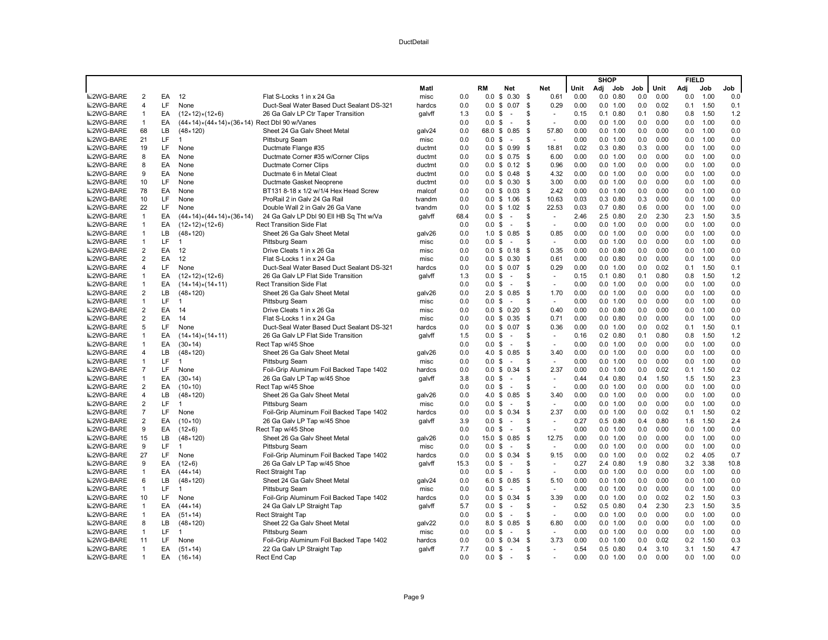|                  |                                |     |                                                              |                                           |                  |      |                   |                 |         |                |              | <b>SHOP</b> |                  |            |              | <b>FIELD</b> |              |            |
|------------------|--------------------------------|-----|--------------------------------------------------------------|-------------------------------------------|------------------|------|-------------------|-----------------|---------|----------------|--------------|-------------|------------------|------------|--------------|--------------|--------------|------------|
|                  |                                |     |                                                              |                                           | Matl             |      | <b>RM</b>         | Net             |         | Net            | Unit         | Adi Job     |                  | Job        | Unit         | Adj          | Job          | Job        |
| <b>■2WG-BARE</b> | $\overline{2}$                 | EA  | 12                                                           | Flat S-Locks 1 in x 24 Ga                 | misc             | 0.0  |                   | $0.0 \tS 0.30$  | -S      | 0.61           | 0.00         |             | $0.0$ $0.80$     | 0.0        | 0.00         | 0.0          | 1.00         | 0.0        |
| <b>M2WG-BARE</b> | $\overline{4}$                 | LF  | None                                                         | Duct-Seal Water Based Duct Sealant DS-321 | hardcs           | 0.0  | 0.0               | \$0.07          | \$      | 0.29           | 0.00         |             | 0.0 1.00         | 0.0        | 0.02         | 0.1          | 1.50         | 0.1        |
| <b>■2WG-BARE</b> | $\mathbf{1}$                   | EA  | $(12 \times 12) \times (12 \times 6)$                        | 26 Ga Galv LP Ctr Taper Transition        | galvff           | 1.3  | 0.0               | \$<br>$\sim$    | S       | $\sim$         | 0.15         |             | $0.1$ $0.80$     | 0.1        | 0.80         | 0.8          | 1.50         | 1.2        |
| <b>■2WG-BARE</b> | $\mathbf{1}$                   | EA  | (44×14)×(44×14)×(36×14) Rect Dbl 90 w/Vanes                  |                                           |                  | 0.0  | 0.0 <sup>5</sup>  | $\sim$          | S       | $\omega$       | 0.00         |             | 0.0 1.00         | 0.0        | 0.00         | 0.0          | 1.00         | 0.0        |
| <b>■2WG-BARE</b> | 68                             | LB  | $(48 \times 120)$                                            | Sheet 24 Ga Galv Sheet Metal              | galv24           | 0.0  |                   | 68.0 \$ 0.85    | -\$     | 57.80          | 0.00         |             | 0.0 1.00         | 0.0        | 0.00         | 0.0          | 1.00         | 0.0        |
| <b>■2WG-BARE</b> | 21                             | LF  | 1                                                            | <b>Pittsburg Seam</b>                     | misc             | 0.0  | 0.0 <sup>5</sup>  | $\sim$          | \$      | $\sim$         | 0.00         |             | 0.0 1.00         | 0.0        | 0.00         | 0.0          | 1.00         | 0.0        |
| <b>■2WG-BARE</b> | 19                             | LF  | None                                                         | Ductmate Flange #35                       | ductmt           | 0.0  |                   | $0.0 \tS 0.99$  | \$      | 18.81          | 0.02         |             | $0.3$ $0.80$     | 0.3        | 0.00         | 0.0          | 1.00         | 0.0        |
| <b>■2WG-BARE</b> | 8                              | EA  | None                                                         | Ductmate Corner #35 w/Corner Clips        | ductmt           | 0.0  |                   | $0.0 \t$ 0.75$  | - \$    | 6.00           | 0.00         |             | 0.0 1.00         | 0.0        | 0.00         | 0.0          | 1.00         | 0.0        |
| <b>■2WG-BARE</b> | 8                              | EA  | None                                                         | <b>Ductmate Corner Clips</b>              | ductmt           | 0.0  |                   | $0.0 \tS 0.12$  | - \$    | 0.96           | 0.00         |             | 0.0 1.00         | 0.0        | 0.00         | 0.0          | 1.00         | 0.0        |
| 2WG-BARE         | 9                              | EA  | None                                                         | Ductmate 6 in Metal Cleat                 | ductmt           | 0.0  |                   | $0.0 \tS 0.48$  | \$      | 4.32           | 0.00         |             | 0.0 1.00         | 0.0        | 0.00         | 0.0          | 1.00         | 0.0        |
| 2WG-BARE         | 10                             | LF  | None                                                         | Ductmate Gasket Neoprene                  | ductmt           | 0.0  |                   | $0.0 \t S 0.30$ | \$      | 3.00           | 0.00         |             | 0.0 1.00         | 0.0        | 0.00         | 0.0          | 1.00         | 0.0        |
| 2WG-BARE         | 78                             | EA  | None                                                         | BT131 8-18 x 1/2 w/1/4 Hex Head Screw     | malcof           | 0.0  |                   | $0.0 \t$ 0.03$  | \$      | 2.42           | 0.00         |             | 0.0 1.00         | 0.0        | 0.00         | 0.0          | 1.00         | 0.0        |
| <b>■2WG-BARE</b> | 10                             | LF  | None                                                         | ProRail 2 in Galv 24 Ga Rail              | tvandm           | 0.0  |                   | $0.0 \t$ 1.06$  | \$      | 10.63          | 0.03         |             | $0.3$ $0.80$     | 0.3        | 0.00         | 0.0          | 1.00         | 0.0        |
| <b>■2WG-BARE</b> | 22                             | LF  | None                                                         | Double Wall 2 in Galy 26 Ga Vane          | tvandm           | 0.0  |                   | $0.0 \tS 1.02$  | - \$    | 22.53          | 0.03         |             | $0.7$ $0.80$     | 0.6        | 0.00         | 0.0          | 1.00         | 0.0        |
| <b>■2WG-BARE</b> | $\mathbf{1}$                   | EA  | $(44 \times 14) \times (44 \times 14) \times (36 \times 14)$ | 24 Ga Galv LP Dbl 90 Ell HB Sq Tht w/Va   | qalvff           | 68.4 | 0.0               | \$<br>$\sim$    | \$      | ÷.             | 2.46         |             | 2.5 0.80         | 2.0        | 2.30         | 2.3          | 1.50         | 3.5        |
| <b>■2WG-BARE</b> | $\mathbf{1}$                   | EA  | $(12 \times 12) \times (12 \times 6)$                        | <b>Rect Transition Side Flat</b>          |                  | 0.0  | 0.0               | \$<br>$\sim$    | S       | $\sim$         | 0.00         |             | 0.0 1.00         | 0.0        | 0.00         | 0.0          | 1.00         | 0.0        |
| <b>■2WG-BARE</b> | $\mathbf{1}$                   | LB  | $(48 \times 120)$                                            | Sheet 26 Ga Galy Sheet Metal              | galv26           | 0.0  |                   | 1.0 \$ 0.85     | \$      | 0.85           | 0.00         |             | 0.0 1.00         | 0.0        | 0.00         | 0.0          | 1.00         | 0.0        |
| 2WG-BARE         | $\mathbf{1}$                   | LF  | $\overline{1}$                                               | <b>Pittsburg Seam</b>                     | misc             | 0.0  | 0.0               | \$<br>$\sim$    | \$      | $\sim$         | 0.00         |             | 0.0 1.00         | 0.0        | 0.00         | 0.0          | 1.00         | 0.0        |
| 2WG-BARE         | $\overline{2}$                 | EA  | 12                                                           | Drive Cleats 1 in x 26 Ga                 | misc             | 0.0  |                   | $0.0 \tS 0.18$  | \$      | 0.35           | 0.00         |             | $0.0$ $0.80$     | 0.0        | 0.00         | 0.0          | 1.00         | 0.0        |
| 2WG-BARE         | $\overline{2}$                 | EA  | 12                                                           | Flat S-Locks 1 in x 24 Ga                 | misc             | 0.0  |                   | $0.0 \t$ 0.30$  | \$      | 0.61           | 0.00         |             | $0.0$ $0.80$     | 0.0        | 0.00         | 0.0          | 1.00         | 0.0        |
| 2WG-BARE         | $\overline{4}$                 | LF  | None                                                         | Duct-Seal Water Based Duct Sealant DS-321 |                  | 0.0  | 0.0               | \$0.07          | \$      | 0.29           | 0.00         |             | 0.0 1.00         | 0.0        | 0.02         | 0.1          | 1.50         | 0.1        |
| <b>■2WG-BARE</b> | $\mathbf{1}$                   | EA  | $(12 \times 12) \times (12 \times 6)$                        | 26 Ga Galy LP Flat Side Transition        | hardcs<br>qalvff | 1.3  | 0.0               | \$<br>$\sim$    | \$      | $\sim$         | 0.15         |             | $0.1 \quad 0.80$ | 0.1        | 0.80         | 0.8          | 1.50         | 1.2        |
| <b>■2WG-BARE</b> | $\mathbf{1}$                   | EA  |                                                              | <b>Rect Transition Side Flat</b>          |                  | 0.0  | $0.0 \text{ }$ \$ | $\sim$          | S       | $\sim$         | 0.00         |             | 0.0 1.00         | 0.0        | 0.00         | 0.0          | 1.00         | 0.0        |
|                  |                                | LB  | $(14 \times 14) \times (14 \times 11)$                       |                                           |                  | 0.0  |                   |                 |         |                | 0.00         |             | 0.0 1.00         | 0.0        | 0.00         | 0.0          | 1.00         | 0.0        |
| <b>■2WG-BARE</b> | $\overline{2}$                 | LF  | $(48 \times 120)$                                            | Sheet 26 Ga Galv Sheet Metal              | galv26           |      |                   | 2.0 \$ 0.85     | -\$     | 1.70           |              |             |                  |            | 0.00         |              | 1.00         |            |
| <b>■2WG-BARE</b> | $\mathbf{1}$<br>$\overline{2}$ | EA  | -1                                                           | <b>Pittsburg Seam</b>                     | misc             | 0.0  | 0.0               | \$<br>$\sim$    | \$      | $\omega$       | 0.00<br>0.00 |             | 0.0 1.00         | 0.0<br>0.0 | 0.00         | 0.0          |              | 0.0<br>0.0 |
| <b>■2WG-BARE</b> | $\overline{2}$                 | EA  | 14                                                           | Drive Cleats 1 in x 26 Ga                 | misc             | 0.0  |                   | $0.0 \t$ 0.20$  | \$      | 0.40           |              |             | $0.0$ $0.80$     |            | 0.00         | 0.0          | 1.00<br>1.00 | 0.0        |
| <b>■2WG-BARE</b> |                                |     | 14                                                           | Flat S-Locks 1 in x 24 Ga                 | misc             | 0.0  |                   | $0.0 \t$ 0.35$  | - \$    | 0.71           | 0.00         |             | $0.0$ $0.80$     | 0.0        | 0.02         | 0.0          |              |            |
| 2WG-BARE         | 5                              | LF  | None                                                         | Duct-Seal Water Based Duct Sealant DS-321 | hardcs           | 0.0  | 0.0               | \$0.07          | \$      | 0.36           | 0.00         |             | 0.0 1.00         | 0.0        |              | 0.1          | 1.50         | 0.1        |
| <b>■2WG-BARE</b> | $\mathbf{1}$                   | EA  | $(14 \times 14) \times (14 \times 11)$                       | 26 Ga Galv LP Flat Side Transition        | galvff           | 1.5  | $0.0\,$           | \$<br>$\sim$    | \$<br>S | $\sim$         | 0.16         |             | $0.2$ $0.80$     | 0.1        | 0.80<br>0.00 | 0.8          | 1.50<br>1.00 | 1.2        |
| <b>■2WG-BARE</b> | $\mathbf{1}$                   | EA  | $(30 \times 14)$                                             | Rect Tap w/45 Shoe                        |                  | 0.0  | 0.0               | \$<br>$\sim$    |         | $\sim$         | 0.00         |             | 0.0 1.00         | 0.0        |              | 0.0          |              | 0.0        |
| <b>■2WG-BARE</b> | $\overline{4}$                 | LB  | $(48 \times 120)$                                            | Sheet 26 Ga Galv Sheet Metal              | galv26           | 0.0  | 4.0               | \$0.85          | \$      | 3.40           | 0.00         |             | 0.0 1.00         | 0.0        | 0.00         | 0.0          | 1.00         | 0.0        |
| <b>■2WG-BARE</b> | $\mathbf{1}$                   | LF  | 1                                                            | <b>Pittsburg Seam</b>                     | misc             | 0.0  | 0.0               | \$<br>$\sim$    | S       | $\sim$         | 0.00         |             | 0.0 1.00         | 0.0        | 0.00         | 0.0          | 1.00         | 0.0        |
| <b>■2WG-BARE</b> | $\overline{7}$                 | LF  | None                                                         | Foil-Grip Aluminum Foil Backed Tape 1402  | hardcs           | 0.0  |                   | $0.0 \t$ 0.34$  | \$      | 2.37           | 0.00         |             | 0.0 1.00         | 0.0        | 0.02         | 0.1          | 1.50         | 0.2        |
| <b>■2WG-BARE</b> | $\mathbf{1}$                   | EA  | $(30 \times 14)$                                             | 26 Ga Galv LP Tap w/45 Shoe               | galvff           | 3.8  | 0.0               | \$<br>$\sim$    | S       | $\blacksquare$ | 0.44         |             | $0.4$ $0.80$     | 0.4        | 1.50         | 1.5          | 1.50         | 2.3        |
| <b>■2WG-BARE</b> | $\overline{2}$                 | EA  | $(10 \times 10)$                                             | Rect Tap w/45 Shoe                        |                  | 0.0  | 0.0               | \$<br>$\sim$    | \$      | $\sim$         | 0.00         |             | 0.0 1.00         | 0.0        | 0.00         | 0.0          | 1.00         | 0.0        |
| <b>■2WG-BARE</b> | $\overline{4}$                 | LВ  | $(48 \times 120)$                                            | Sheet 26 Ga Galv Sheet Metal              | galv26           | 0.0  |                   | 4.0 \$ 0.85     | \$      | 3.40           | 0.00         |             | 0.0 1.00         | 0.0        | 0.00         | 0.0          | 1.00         | 0.0        |
| 2WG-BARE         | $\overline{2}$                 | LF. | $\overline{1}$                                               | <b>Pittsburg Seam</b>                     | misc             | 0.0  | $0.0\,$           | \$<br>$\sim$    | S       | $\omega$       | 0.00         |             | 0.0 1.00         | 0.0        | 0.00         | 0.0          | 1.00         | 0.0        |
| <b>■2WG-BARE</b> | $\overline{7}$                 | LF  | None                                                         | Foil-Grip Aluminum Foil Backed Tape 1402  | hardcs           | 0.0  | 0.0               | \$0.34          | \$      | 2.37           | 0.00         |             | 0.0 1.00         | 0.0        | 0.02         | 0.1          | 1.50         | 0.2        |
| <b>■2WG-BARE</b> | $\overline{2}$                 | EA  | $(10 \times 10)$                                             | 26 Ga Galv LP Tap w/45 Shoe               | qalvff           | 3.9  | 0.0               | \$<br>$\sim$    | S       | $\sim$         | 0.27         |             | $0.5$ $0.80$     | 0.4        | 0.80         | 1.6          | 1.50         | 2.4        |
| <b>■2WG-BARE</b> | 9                              | EA  | $(12 \times 6)$                                              | Rect Tap w/45 Shoe                        |                  | 0.0  | $0.0 \text{ }$ \$ | $\sim$          | S       | $\omega$       | 0.00         |             | 0.0 1.00         | 0.0        | 0.00         | 0.0          | 1.00         | 0.0        |
| <b>■2WG-BARE</b> | 15                             | LB  | $(48 \times 120)$                                            | Sheet 26 Ga Galv Sheet Metal              | galv26           | 0.0  | 15.0              | \$0.85          | \$      | 12.75          | 0.00         |             | 0.0 1.00         | 0.0        | 0.00         | 0.0          | 1.00         | $0.0\,$    |
| <b>■2WG-BARE</b> | 9                              | LF  | 1                                                            | Pittsburg Seam                            | misc             | 0.0  | $0.0\,$           | \$<br>$\sim$    | S       | $\sim$         | 0.00         |             | 0.0 1.00         | 0.0        | 0.00         | 0.0          | 1.00         | 0.0        |
| <b>■2WG-BARE</b> | 27                             | LF  | None                                                         | Foil-Grip Aluminum Foil Backed Tape 1402  | hardcs           | 0.0  | $0.0\,$           | \$0.34          | \$      | 9.15           | 0.00         |             | 0.0 1.00         | 0.0        | 0.02         | 0.2          | 4.05         | 0.7        |
| <b>■2WG-BARE</b> | 9                              | EA  | $(12 \times 6)$                                              | 26 Ga Galv LP Tap w/45 Shoe               | galvff           | 15.3 | 0.0               | \$<br>$\sim$    | S       | $\sim$         | 0.27         |             | 2.4 0.80         | 1.9        | 0.80         | 3.2          | 3.38         | 10.8       |
| <b>■2WG-BARE</b> | $\mathbf{1}$                   | EA  | $(44 \times 14)$                                             | Rect Straight Tap                         |                  | 0.0  | 0.0 S             | $\sim$          | S       | $\sim$         | 0.00         |             | 0.0 1.00         | 0.0        | 0.00         | 0.0          | 1.00         | 0.0        |
| <b>■2WG-BARE</b> | 6                              | LB  | $(48 \times 120)$                                            | Sheet 24 Ga Galv Sheet Metal              | galv24           | 0.0  |                   | 6.0 \$ 0.85     | \$      | 5.10           | 0.00         |             | 0.0 1.00         | 0.0        | 0.00         | 0.0          | 1.00         | 0.0        |
| <b>■2WG-BARE</b> | $\mathbf{1}$                   | LF  | $\overline{1}$                                               | <b>Pittsburg Seam</b>                     | misc             | 0.0  | 0.0               | \$<br>$\sim$    | S       | $\omega$       | 0.00         |             | 0.0 1.00         | 0.0        | 0.00         | 0.0          | 1.00         | 0.0        |
| <b>■2WG-BARE</b> | 10                             | LF  | None                                                         | Foil-Grip Aluminum Foil Backed Tape 1402  | hardcs           | 0.0  | 0.0               | \$0.34          | \$      | 3.39           | 0.00         |             | 0.0 1.00         | 0.0        | 0.02         | 0.2          | 1.50         | 0.3        |
| <b>■2WG-BARE</b> | $\overline{1}$                 | EA  | $(44 \times 14)$                                             | 24 Ga Galv LP Straight Tap                | galvff           | 5.7  | $0.0 \text{ } $$  | $\sim$          | \$      | $\sim$         | 0.52         |             | $0.5$ $0.80$     | 0.4        | 2.30         | 2.3          | 1.50         | 3.5        |
| <b>■2WG-BARE</b> | $\overline{1}$                 | EA  | $(51 \times 14)$                                             | Rect Straight Tap                         |                  | 0.0  | $0.0 \text{ }$ \$ | $\sim$          | S       | $\sim$         | 0.00         |             | 0.0 1.00         | 0.0        | 0.00         | 0.0          | 1.00         | 0.0        |
| <b>■2WG-BARE</b> | 8                              | LВ  | $(48 \times 120)$                                            | Sheet 22 Ga Galv Sheet Metal              | galv22           | 0.0  | 8.0               | \$0.85          | \$      | 6.80           | 0.00         |             | 0.0 1.00         | 0.0        | 0.00         | 0.0          | 1.00         | 0.0        |
| <b>■2WG-BARE</b> | $\mathbf{1}$                   | LF  | -1                                                           | <b>Pittsburg Seam</b>                     | misc             | 0.0  | $0.0\,$           | \$<br>$\sim$    | \$      | $\sim$         | 0.00         |             | 0.0 1.00         | 0.0        | 0.00         | 0.0          | 1.00         | 0.0        |
| <b>■2WG-BARE</b> | 11                             | LF  | None                                                         | Foil-Grip Aluminum Foil Backed Tape 1402  | hardcs           | 0.0  |                   | $0.0 \tS 0.34$  | \$      | 3.73           | 0.00         |             | 0.0 1.00         | 0.0        | 0.02         | 0.2          | 1.50         | 0.3        |
| <b>■2WG-BARE</b> | $\overline{1}$                 | EA  | $(51 \times 14)$                                             | 22 Ga Galv LP Straight Tap                | qalvff           | 7.7  | 0.0               | \$<br>$\sim$    | \$      | $\overline{a}$ | 0.54         |             | $0.5$ 0.80       | 0.4        | 3.10         | 3.1          | 1.50         | 4.7        |
| <b>■2WG-BARE</b> | $\overline{1}$                 | EA  | $(16 \times 14)$                                             | Rect End Cap                              |                  | 0.0  | 0.0 S             | $\sim$          | \$.     |                | 0.00         |             | 0.0 1.00         | 0.0        | 0.00         | 0.0          | 1.00         | 0.0        |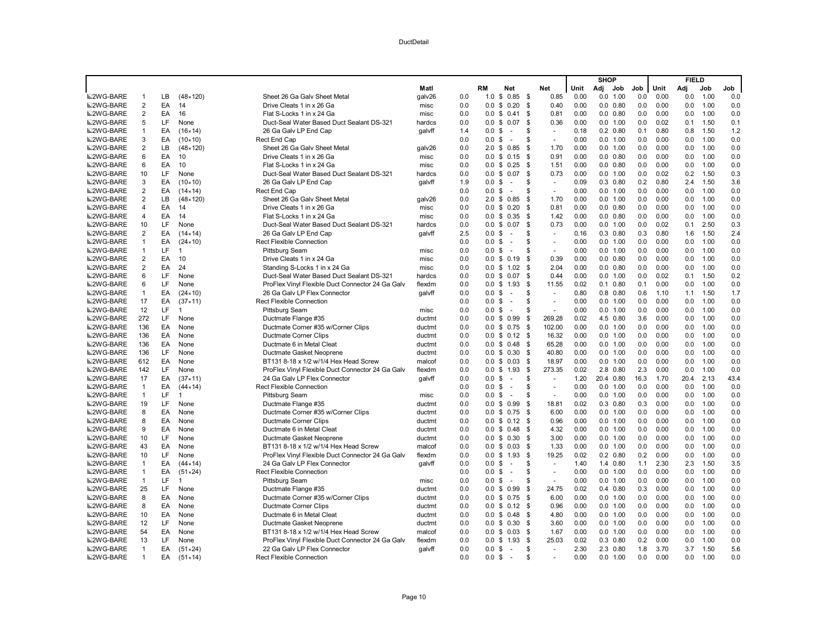|                  |                         |           |                   |                                                  |        |     |                   |                                |          |                     |      | <b>SHOP</b> |                  |      |      | <b>FIELD</b> |      |      |
|------------------|-------------------------|-----------|-------------------|--------------------------------------------------|--------|-----|-------------------|--------------------------------|----------|---------------------|------|-------------|------------------|------|------|--------------|------|------|
|                  |                         |           |                   |                                                  | Matl   |     | RM                | Net                            |          | Net                 | Unit | Adj         | Job              | Job  | Unit | Adj          | Job  | Job  |
| <b>■2WG-BARE</b> | 1                       | LВ        | $(48 \times 120)$ | Sheet 26 Ga Galv Sheet Metal                     | galv26 | 0.0 | 1.0               | 0.85<br>\$                     | <b>S</b> | 0.85                | 0.00 | $0.0\,$     | 1.00             | 0.0  | 0.00 | 0.0          | 1.00 | 0.0  |
| <b>■2WG-BARE</b> | $\overline{\mathbf{c}}$ | EA        | 14                | Drive Cleats 1 in x 26 Ga                        | misc   | 0.0 | 0.0               | \$<br>0.20                     | \$       | 0.40                | 0.00 |             | $0.0$ $0.80$     | 0.0  | 0.00 | 0.0          | 1.00 | 0.0  |
| <b>■2WG-BARE</b> | $\overline{\mathbf{c}}$ | EA        | 16                | Flat S-Locks 1 in x 24 Ga                        | misc   | 0.0 | 0.0 S             | 0.41                           | \$       | 0.81                | 0.00 |             | $0.0$ $0.80$     | 0.0  | 0.00 | 0.0          | 1.00 | 0.0  |
| <b>■2WG-BARE</b> | 5                       | LF.       | None              | Duct-Seal Water Based Duct Sealant DS-321        | hardcs | 0.0 | 0.0 S             | 0.07                           | \$       | 0.36                | 0.00 |             | 0.0 1.00         | 0.0  | 0.02 | 0.1          | 1.50 | 0.1  |
| <b>■2WG-BARE</b> | 1                       | EA        | $(16 \times 14)$  | 26 Ga Galv LP End Cap                            | galvff | 1.4 | 0.0               | \$<br>$\overline{\phantom{a}}$ | \$       | $\sim$              | 0.18 |             | $0.2$ $0.80$     | 0.1  | 0.80 | 0.8          | 1.50 | 1.2  |
| <b>■2WG-BARE</b> | 3                       | EA        | $(10 \times 10)$  | Rect End Cap                                     |        | 0.0 | 0.0 <sup>5</sup>  | ÷.                             | \$.      | $\sim$              | 0.00 |             | 0.0 1.00         | 0.0  | 0.00 | 0.0          | 1.00 | 0.0  |
| <b>■2WG-BARE</b> | $\overline{\mathbf{c}}$ | LB        | $(48 \times 120)$ | Sheet 26 Ga Galv Sheet Metal                     | galv26 | 0.0 | 2.0 <sup>5</sup>  | 0.85                           | \$       | 1.70                | 0.00 |             | 0.0 1.00         | 0.0  | 0.00 | 0.0          | 1.00 | 0.0  |
| <b>■2WG-BARE</b> | 6                       | EA        | 10                | Drive Cleats 1 in x 26 Ga                        | misc   | 0.0 |                   | $0.0 \t$ 0.15$                 | \$       | 0.91                | 0.00 |             | $0.0$ $0.80$     | 0.0  | 0.00 | 0.0          | 1.00 | 0.0  |
| <b>■2WG-BARE</b> | 6                       | EA        | 10                | Flat S-Locks 1 in x 24 Ga                        | misc   | 0.0 | 0.0 S             | 0.25                           | \$       | 1.51                | 0.00 |             | $0.0$ $0.80$     | 0.0  | 0.00 | 0.0          | 1.00 | 0.0  |
| <b>■2WG-BARE</b> | 10                      | LF.       | None              | Duct-Seal Water Based Duct Sealant DS-321        | hardcs | 0.0 | 0.0 S             | 0.07                           | \$       | 0.73                | 0.00 |             | 0.0 1.00         | 0.0  | 0.02 | 0.2          | 1.50 | 0.3  |
| <b>■2WG-BARE</b> | 3                       | EA        | $(10 \times 10)$  | 26 Ga Galv LP End Cap                            | qalvff | 1.9 | 0.0 <sup>5</sup>  | $\overline{\phantom{a}}$       | \$.      | $\sim$              | 0.09 |             | $0.3$ $0.80$     | 0.2  | 0.80 | 2.4          | 1.50 | 3.6  |
| <b>■2WG-BARE</b> | $\overline{\mathbf{c}}$ | EA        | $(14 \times 14)$  | Rect End Cap                                     |        | 0.0 | $0.0 \text{ }$ \$ | $\sim$                         | S        | $\sim$              | 0.00 |             | 0.0 1.00         | 0.0  | 0.00 | 0.0          | 1.00 | 0.0  |
| <b>■2WG-BARE</b> | $\overline{\mathbf{c}}$ | LB.       | $(48 \times 120)$ | Sheet 26 Ga Galv Sheet Metal                     | galv26 | 0.0 | 2.0 <sup>5</sup>  | 0.85                           | \$       | 1.70                | 0.00 |             | 0.0 1.00         | 0.0  | 0.00 | 0.0          | 1.00 | 0.0  |
| <b>■2WG-BARE</b> | 4                       | EA        | 14                | Drive Cleats 1 in x 26 Ga                        | misc   | 0.0 | 0.0 S             | 0.20                           | \$       | 0.81                | 0.00 |             | $0.0$ $0.80$     | 0.0  | 0.00 | 0.0          | 1.00 | 0.0  |
| <b>■2WG-BARE</b> | 4                       | EA        | 14                | Flat S-Locks 1 in x 24 Ga                        | misc   | 0.0 | 0.0               | \$<br>0.35                     | - \$     | 1.42                | 0.00 |             | $0.0$ $0.80$     | 0.0  | 0.00 | 0.0          | 1.00 | 0.0  |
| <b>■2WG-BARE</b> | 10                      | <b>LF</b> | None              | Duct-Seal Water Based Duct Sealant DS-321        | hardcs | 0.0 | $0.0 \,$ \$       | 0.07                           | \$       | 0.73                | 0.00 |             | 0.0 1.00         | 0.0  | 0.02 | 0.1          | 2.50 | 0.3  |
| <b>■2WG-BARE</b> | $\overline{2}$          | EA        | $(14 \times 14)$  | 26 Ga Galv LP End Cap                            | galvff | 2.5 | 0.0 S             | $\sim$                         | \$.      | $\bar{\phantom{a}}$ | 0.16 |             | $0.3$ $0.80$     | 0.3  | 0.80 | 1.6          | 1.50 | 2.4  |
| <b>■2WG-BARE</b> | $\mathbf{1}$            | EA        | $(24 \times 10)$  | <b>Rect Flexible Connection</b>                  |        | 0.0 | $0.0 \text{ }$ \$ | $\sim$                         | S        | $\bar{a}$           | 0.00 |             | 0.0 1.00         | 0.0  | 0.00 | 0.0          | 1.00 | 0.0  |
| <b>■2WG-BARE</b> | $\mathbf{1}$            | LF        | $\overline{1}$    | Pittsburg Seam                                   | misc   | 0.0 | $0.0 \text{ }$ \$ | $\sim$                         | \$       | $\sim$              | 0.00 |             | 0.0 1.00         | 0.0  | 0.00 | 0.0          | 1.00 | 0.0  |
| <b>■2WG-BARE</b> | $\overline{\mathbf{c}}$ | EA        | 10                | Drive Cleats 1 in x 24 Ga                        | misc   | 0.0 |                   | $0.0 \t$ 0.19$                 | \$       | 0.39                | 0.00 |             | $0.0$ $0.80$     | 0.0  | 0.00 | 0.0          | 1.00 | 0.0  |
| <b>■2WG-BARE</b> | $\overline{2}$          | EA        | 24                | Standing S-Locks 1 in x 24 Ga                    | misc   | 0.0 |                   | $0.0 \t S 1.02$                | \$       | 2.04                | 0.00 |             | $0.0$ $0.80$     | 0.0  | 0.00 | 0.0          | 1.00 | 0.0  |
| <b>■2WG-BARE</b> | 6                       | LF        | None              | Duct-Seal Water Based Duct Sealant DS-321        | hardcs | 0.0 |                   | $0.0 \tS 0.07$                 | \$       | 0.44                | 0.00 |             | 0.0 1.00         | 0.0  | 0.02 | 0.1          | 1.50 | 0.2  |
| <b>■2WG-BARE</b> | 6                       | LF.       | None              | ProFlex Vinyl Flexible Duct Connector 24 Ga Galv | flexdm | 0.0 |                   | $0.0 \t$ 1.93$                 | -\$      | 11.55               | 0.02 |             | $0.1 \quad 0.80$ | 0.1  | 0.00 | 0.0          | 1.00 | 0.0  |
| <b>■2WG-BARE</b> | $\mathbf{1}$            | EA        | $(24 \times 10)$  | 26 Ga Galv LP Flex Connector                     | galvff | 0.0 | $0.0 \text{ }$ \$ | $\sim$                         | \$       | $\bar{\phantom{a}}$ | 0.80 |             | $0.8$ 0.80       | 0.6  | 1.10 | 1.1          | 1.50 | 1.7  |
| <b>■2WG-BARE</b> | 17                      | EA        | (37 × 11)         | <b>Rect Flexible Connection</b>                  |        | 0.0 | 0.0               | \$<br>$\sim$                   | \$       | ÷,                  | 0.00 |             | 0.0 1.00         | 0.0  | 0.00 | 0.0          | 1.00 | 0.0  |
| <b>■2WG-BARE</b> | 12                      | LF.       | $\mathbf 1$       | <b>Pittsburg Seam</b>                            | misc   | 0.0 | 0.0 S             | $\sim$                         | \$.      | ÷,                  | 0.00 |             | 0.0 1.00         | 0.0  | 0.00 | 0.0          | 1.00 | 0.0  |
| <b>■2WG-BARE</b> | 272                     | LF.       | None              | Ductmate Flange #35                              | ductmt | 0.0 |                   | $0.0 \t$ 0.99$                 | \$       | 269.28              | 0.02 |             | 4.5 0.80         | 3.6  | 0.00 | 0.0          | 1.00 | 0.0  |
| <b>■2WG-BARE</b> | 136                     | EA        | None              | Ductmate Corner #35 w/Corner Clips               | ductmt | 0.0 |                   | $0.0 \t$ 0.75$                 | -\$      | 102.00              | 0.00 |             | 0.0 1.00         | 0.0  | 0.00 | 0.0          | 1.00 | 0.0  |
| <b>■2WG-BARE</b> | 136                     | EA        | None              | Ductmate Corner Clips                            | ductmt | 0.0 |                   | $0.0 \t$ 0.12$                 | - \$     | 16.32               | 0.00 |             | 0.0 1.00         | 0.0  | 0.00 | 0.0          | 1.00 | 0.0  |
| <b>■2WG-BARE</b> | 136                     | EA        | None              | Ductmate 6 in Metal Cleat                        | ductmt | 0.0 |                   | $0.0 \t$ 0.48$                 | -\$      | 65.28               | 0.00 |             | 0.0 1.00         | 0.0  | 0.00 | 0.0          | 1.00 | 0.0  |
| <b>■2WG-BARE</b> | 136                     | LF        | None              | Ductmate Gasket Neoprene                         | ductmt | 0.0 |                   | $0.0 \t$ 0.30$                 | -\$      | 40.80               | 0.00 |             | 0.0 1.00         | 0.0  | 0.00 | 0.0          | 1.00 | 0.0  |
| <b>■2WG-BARE</b> | 612                     | EA        | None              | BT131 8-18 x 1/2 w/1/4 Hex Head Screw            | malcof | 0.0 | $0.0 \,$ \$       | 0.03                           | - \$     | 18.97               | 0.00 |             | 0.0 1.00         | 0.0  | 0.00 | 0.0          | 1.00 | 0.0  |
| <b>■2WG-BARE</b> | 142                     | LF.       | None              | ProFlex Vinyl Flexible Duct Connector 24 Ga Galv | flexdm | 0.0 |                   | $0.0 \t$ 1.93$                 | - \$     | 273.35              | 0.02 |             | 2.8 0.80         | 2.3  | 0.00 | 0.0          | 1.00 | 0.0  |
| <b>■2WG-BARE</b> | 17                      | EA        | $(37 \times 11)$  | 24 Ga Galv LP Flex Connector                     | galvff | 0.0 | 0.0               | \$<br>$\overline{\phantom{a}}$ | \$       | $\sim$              | 1.20 |             | 20.4 0.80        | 16.3 | 1.70 | 20.4         | 2.13 | 43.4 |
| <b>■2WG-BARE</b> | $\mathbf{1}$            | EA        | $(44 \times 14)$  | <b>Rect Flexible Connection</b>                  |        | 0.0 | $0.0 \text{ }$ \$ | $\sim$                         | \$.      | $\sim$              | 0.00 |             | 0.0 1.00         | 0.0  | 0.00 | 0.0          | 1.00 | 0.0  |
| <b>■2WG-BARE</b> | $\mathbf{1}$            | LF        | $\overline{1}$    | Pittsburg Seam                                   | misc   | 0.0 | $0.0 \,$ \$       | $\sim$                         | \$       | $\sim$              | 0.00 |             | 0.0 1.00         | 0.0  | 0.00 | 0.0          | 1.00 | 0.0  |
| <b>■2WG-BARE</b> | 19                      | LF.       | None              | Ductmate Flange #35                              | ductmt | 0.0 |                   | $0.0 \tS 0.99$                 | \$       | 18.81               | 0.02 |             | $0.3$ $0.80$     | 0.3  | 0.00 | 0.0          | 1.00 | 0.0  |
| <b>■2WG-BARE</b> | 8                       | EA        | None              | Ductmate Corner #35 w/Corner Clips               | ductmt | 0.0 | 0.0               | \$ 0.75                        | -S       | 6.00                | 0.00 |             | 0.0 1.00         | 0.0  | 0.00 | 0.0          | 1.00 | 0.0  |
| <b>■2WG-BARE</b> | 8                       | EA        | None              | Ductmate Corner Clips                            | ductmt | 0.0 | $0.0 \text{ }$ \$ | 0.12                           | - \$     | 0.96                | 0.00 |             | 0.0 1.00         | 0.0  | 0.00 | 0.0          | 1.00 | 0.0  |
| <b>■2WG-BARE</b> | 9                       | EA        | None              | Ductmate 6 in Metal Cleat                        | ductmt | 0.0 | $0.0 \text{ }$ \$ | 0.48                           | \$       | 4.32                | 0.00 |             | 0.0 1.00         | 0.0  | 0.00 | 0.0          | 1.00 | 0.0  |
| <b>■2WG-BARE</b> | 10                      | LF        | None              | Ductmate Gasket Neoprene                         | ductmt | 0.0 | 0.0               | \$<br>0.30                     | \$       | 3.00                | 0.00 |             | 0.0 1.00         | 0.0  | 0.00 | 0.0          | 1.00 | 0.0  |
| <b>■2WG-BARE</b> | 43                      | EA        | None              | BT131 8-18 x 1/2 w/1/4 Hex Head Screw            | malcof | 0.0 | $0.0 \,$ \$       | 0.03                           | \$       | 1.33                | 0.00 |             | 0.0 1.00         | 0.0  | 0.00 | 0.0          | 1.00 | 0.0  |
| <b>■2WG-BARE</b> | 10                      | LF        | None              | ProFlex Vinyl Flexible Duct Connector 24 Ga Galv | flexdm | 0.0 |                   | $0.0 \t S 1.93$                | - \$     | 19.25               | 0.02 |             | $0.2 \quad 0.80$ | 0.2  | 0.00 | 0.0          | 1.00 | 0.0  |
| <b>■2WG-BARE</b> | $\mathbf{1}$            | EA        | $(44 \times 14)$  | 24 Ga Galv LP Flex Connector                     | galvff | 0.0 | 0.0               | \$<br>$\sim$                   | \$       | $\sim$              | 1.40 |             | 1.4 0.80         | 1.1  | 2.30 | 2.3          | 1.50 | 3.5  |
| <b>■2WG-BARE</b> | $\overline{1}$          | EA        | $(51 \times 24)$  | <b>Rect Flexible Connection</b>                  |        | 0.0 | $0.0 \text{ }$ \$ | $\sim$                         | \$.      | $\sim$              | 0.00 |             | 0.0 1.00         | 0.0  | 0.00 | 0.0          | 1.00 | 0.0  |
| <b>■2WG-BARE</b> | $\overline{1}$          | LF        | $\overline{1}$    | Pittsburg Seam                                   | misc   | 0.0 | $0.0 \text{ }$ \$ | $\sim$                         | \$.      | ÷,                  | 0.00 |             | 0.0 1.00         | 0.0  | 0.00 | 0.0          | 1.00 | 0.0  |
| <b>■2WG-BARE</b> | 25                      | LF.       | None              | Ductmate Flange #35                              | ductmt | 0.0 | $0.0 \,$ \$       | 0.99                           | \$       | 24.75               | 0.02 |             | $0.4$ 0.80       | 0.3  | 0.00 | 0.0          | 1.00 | 0.0  |
| <b>■2WG-BARE</b> | 8                       | EA        | None              | Ductmate Corner #35 w/Corner Clips               | ductmt | 0.0 |                   | $0.0 \t$ 0.75$                 | \$       | 6.00                | 0.00 |             | 0.0 1.00         | 0.0  | 0.00 | 0.0          | 1.00 | 0.0  |
| <b>■2WG-BARE</b> | 8                       | EA        | None              | Ductmate Corner Clips                            | ductmt | 0.0 | $0.0 \,$ \$       | 0.12                           | - \$     | 0.96                | 0.00 |             | 0.0 1.00         | 0.0  | 0.00 | 0.0          | 1.00 | 0.0  |
| <b>■2WG-BARE</b> | 10                      | EA        | None              | Ductmate 6 in Metal Cleat                        | ductmt | 0.0 |                   | $0.0 \t$ 0.48$                 | - \$     | 4.80                | 0.00 |             | 0.0 1.00         | 0.0  | 0.00 | 0.0          | 1.00 | 0.0  |
| <b>■2WG-BARE</b> | 12                      | <b>LF</b> | None              | Ductmate Gasket Neoprene                         | ductmt | 0.0 |                   | $0.0 \t$ 0.30$                 | \$       | 3.60                | 0.00 |             | 0.0 1.00         | 0.0  | 0.00 | 0.0          | 1.00 | 0.0  |
| <b>■2WG-BARE</b> | 54                      | EA        | None              | BT131 8-18 x 1/2 w/1/4 Hex Head Screw            | malcof | 0.0 |                   | $0.0 \t$ 0.03$                 | -\$      | 1.67                | 0.00 |             | 0.0 1.00         | 0.0  | 0.00 | 0.0          | 1.00 | 0.0  |
| <b>■2WG-BARE</b> | 13                      | LF        | None              | ProFlex Vinyl Flexible Duct Connector 24 Ga Galv | flexdm | 0.0 |                   | $0.0 \t$ 1.93$                 | -\$      | 25.03               | 0.02 |             | $0.3$ $0.80$     | 0.2  | 0.00 | 0.0          | 1.00 | 0.0  |
| <b>■2WG-BARE</b> | $\mathbf{1}$            | EA        | $(51 \times 24)$  | 22 Ga Galv LP Flex Connector                     | qalvff | 0.0 | 0.0               | \$<br>$\sim$                   | \$       | ÷.                  | 2.30 |             | 2.3 0.80         | 1.8  | 3.70 | 3.7          | 1.50 | 5.6  |
| <b>■2WG-BARE</b> | $\mathbf{1}$            | EA        | $(51 \times 14)$  | <b>Rect Flexible Connection</b>                  |        | 0.0 | 0.0 S             | $\sim$                         | \$.      | ÷.                  | 0.00 |             | 0.0 1.00         | 0.0  | 0.00 | 0.0          | 1.00 | 0.0  |
|                  |                         |           |                   |                                                  |        |     |                   |                                |          |                     |      |             |                  |      |      |              |      |      |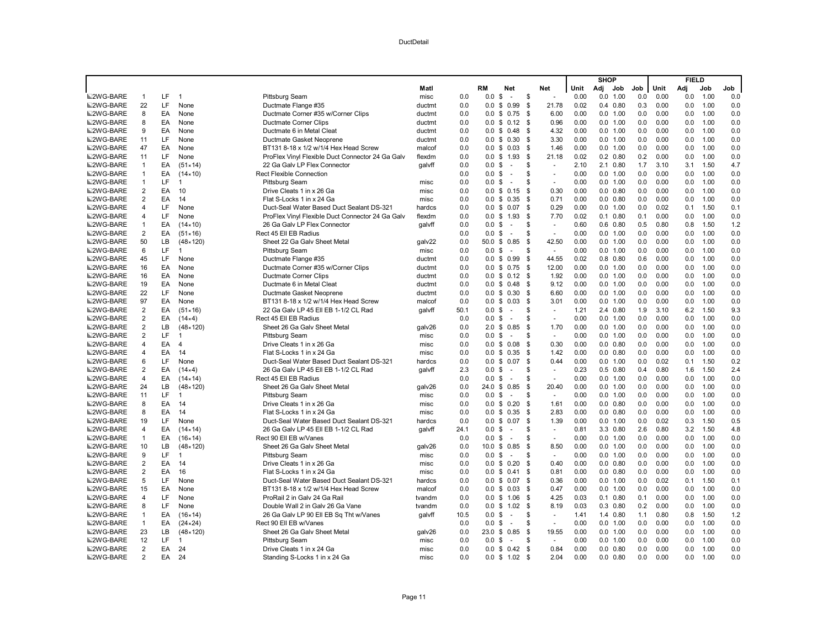|                  |                         |     |                   |                                                  |        |      |                    |                          |      |                          |      | <b>SHOP</b> |                  |     |      | <b>FIELD</b> |      |     |
|------------------|-------------------------|-----|-------------------|--------------------------------------------------|--------|------|--------------------|--------------------------|------|--------------------------|------|-------------|------------------|-----|------|--------------|------|-----|
|                  |                         |     |                   |                                                  | Matl   |      | RM                 | Net                      |      | Net                      | Unit | Adj         | Job              | Job | Unit | Adj          | Job  | Job |
| <b>■2WG-BARE</b> | $\mathbf{1}$            | LF  | $\overline{1}$    | Pittsburg Seam                                   | misc   | 0.0  | 0.0                | \$<br>$\sim$             | \$   | $\omega$                 | 0.00 | 0.0         | 1.00             | 0.0 | 0.00 | 0.0          | 1.00 | 0.0 |
| <b>■2WG-BARE</b> | 22                      | LF  | None              | Ductmate Flange #35                              | ductmt | 0.0  | 0.0                | 0.99<br>\$               | \$   | 21.78                    | 0.02 |             | $0.4$ 0.80       | 0.3 | 0.00 | 0.0          | 1.00 | 0.0 |
| <b>■2WG-BARE</b> | 8                       | EA  | None              | Ductmate Corner #35 w/Corner Clips               | ductmt | 0.0  | 0.0                | \$<br>0.75               | \$   | 6.00                     | 0.00 |             | 0.0 1.00         | 0.0 | 0.00 | 0.0          | 1.00 | 0.0 |
| <b>■2WG-BARE</b> | 8                       | EA  | None              | Ductmate Corner Clips                            | ductmt | 0.0  |                    | $0.0 \tS 0.12 \tS$       |      | 0.96                     | 0.00 |             | 0.0 1.00         | 0.0 | 0.00 | 0.0          | 1.00 | 0.0 |
| <b>■2WG-BARE</b> | 9                       | EA  | None              | Ductmate 6 in Metal Cleat                        | ductmt | 0.0  | 0.0                | \$ 0.48                  | -\$  | 4.32                     | 0.00 |             | 0.0 1.00         | 0.0 | 0.00 | 0.0          | 1.00 | 0.0 |
| <b>■2WG-BARE</b> | 11                      | LF  | None              | Ductmate Gasket Neoprene                         | ductmt | 0.0  |                    | $0.0 \t S 0.30$          | \$   | 3.30                     | 0.00 |             | 0.0 1.00         | 0.0 | 0.00 | 0.0          | 1.00 | 0.0 |
| <b>■2WG-BARE</b> | 47                      | EA  | None              | BT131 8-18 x 1/2 w/1/4 Hex Head Screw            | malcof | 0.0  |                    | $0.0 \t S \t 0.03$       | -\$  | 1.46                     | 0.00 |             | 0.0 1.00         | 0.0 | 0.00 | 0.0          | 1.00 | 0.0 |
| <b>■2WG-BARE</b> | 11                      | LF  | None              | ProFlex Vinyl Flexible Duct Connector 24 Ga Galv | flexdm | 0.0  |                    | $0.0 \t$ 1.93$           | - \$ | 21.18                    | 0.02 |             | $0.2$ $0.80$     | 0.2 | 0.00 | 0.0          | 1.00 | 0.0 |
| <b>■2WG-BARE</b> | $\mathbf{1}$            | EA  | $(51 \times 14)$  | 22 Ga Galv LP Flex Connector                     | galvff | 0.0  | 0.0 <sup>5</sup>   | $\sim$                   | \$.  | $\sim$                   | 2.10 |             | 2.1 0.80         | 1.7 | 3.10 | 3.1          | 1.50 | 4.7 |
| <b>■2WG-BARE</b> | $\mathbf{1}$            | EA  | $(14 \times 10)$  | <b>Rect Flexible Connection</b>                  |        | 0.0  | 0.0 <sup>5</sup>   | $\overline{\phantom{a}}$ | \$   | $\sim$                   | 0.00 |             | 0.0 1.00         | 0.0 | 0.00 | 0.0          | 1.00 | 0.0 |
| <b>■2WG-BARE</b> | $\mathbf{1}$            | LF  | -1                | Pittsburg Seam                                   | misc   | 0.0  | $0.0 \text{ } $$   | $\sim$                   | S    | $\blacksquare$           | 0.00 |             | 0.0 1.00         | 0.0 | 0.00 | 0.0          | 1.00 | 0.0 |
| <b>■2WG-BARE</b> | $\overline{\mathbf{c}}$ | EA  | 10                | Drive Cleats 1 in x 26 Ga                        | misc   | 0.0  |                    | $0.0 \t$ 0.15$           | \$   | 0.30                     | 0.00 |             | $0.0$ $0.80$     | 0.0 | 0.00 | 0.0          | 1.00 | 0.0 |
| <b>■2WG-BARE</b> | $\overline{\mathbf{c}}$ | EA  | 14                | Flat S-Locks 1 in x 24 Ga                        | misc   | 0.0  | $0.0 \,$ \$        | 0.35                     | -\$  | 0.71                     | 0.00 |             | $0.0$ $0.80$     | 0.0 | 0.00 | 0.0          | 1.00 | 0.0 |
| <b>■2WG-BARE</b> | 4                       | LF  | None              | Duct-Seal Water Based Duct Sealant DS-321        | hardcs | 0.0  |                    | $0.0 \t$ 0.07$           | \$   | 0.29                     | 0.00 |             | 0.0 1.00         | 0.0 | 0.02 | 0.1          | 1.50 | 0.1 |
| <b>■2WG-BARE</b> | 4                       | LF. | None              | ProFlex Vinyl Flexible Duct Connector 24 Ga Galv | flexdm | 0.0  | 0.0                | \$1.93                   | - \$ | 7.70                     | 0.02 |             | $0.1$ $0.80$     | 0.1 | 0.00 | 0.0          | 1.00 | 0.0 |
| <b>■2WG-BARE</b> | 1                       | EA  | $(14 \times 10)$  | 26 Ga Galv LP Flex Connector                     | galvff | 0.0  | 0.0                | \$<br>$\sim$             | \$.  | $\sim$                   | 0.60 |             | $0.6$ $0.80$     | 0.5 | 0.80 | 0.8          | 1.50 | 1.2 |
| <b>■2WG-BARE</b> | $\overline{2}$          | EA  | $(51 \times 16)$  | Rect 45 Ell EB Radius                            |        | 0.0  | $0.0 \text{ }$ \$  | $\sim$                   | \$   | $\sim$                   | 0.00 |             | 0.0 1.00         | 0.0 | 0.00 | 0.0          | 1.00 | 0.0 |
| <b>■2WG-BARE</b> | 50                      | LВ  | $(48 \times 120)$ | Sheet 22 Ga Galv Sheet Metal                     | galv22 | 0.0  | 50.0 \$            | 0.85                     | -\$  | 42.50                    | 0.00 |             | 0.0 1.00         | 0.0 | 0.00 | 0.0          | 1.00 | 0.0 |
| <b>■2WG-BARE</b> | 6                       | LF. | $\overline{1}$    | Pittsburg Seam                                   | misc   | 0.0  | $0.0 \text{ }$ \$  | $\sim$                   | \$.  | $\sim$                   | 0.00 |             | 0.0 1.00         | 0.0 | 0.00 | 0.0          | 1.00 | 0.0 |
| <b>■2WG-BARE</b> | 45                      | LF. | None              | Ductmate Flange #35                              | ductmt | 0.0  |                    | $0.0 \t$ 0.99$           | -S   | 44.55                    | 0.02 |             | $0.8$ 0.80       | 0.6 | 0.00 | 0.0          | 1.00 | 0.0 |
| <b>■2WG-BARE</b> | 16                      | EA  | None              | Ductmate Corner #35 w/Corner Clips               | ductmt | 0.0  | $0.0 \,$ \$        | 0.75                     | -\$  | 12.00                    | 0.00 |             | 0.0 1.00         | 0.0 | 0.00 | 0.0          | 1.00 | 0.0 |
| <b>■2WG-BARE</b> | 16                      | EA  | None              | Ductmate Corner Clips                            | ductmt | 0.0  |                    | $0.0 \t S \t 0.12$       | \$   | 1.92                     | 0.00 |             | 0.0 1.00         | 0.0 | 0.00 | 0.0          | 1.00 | 0.0 |
| <b>■2WG-BARE</b> | 19                      | EA  | None              | Ductmate 6 in Metal Cleat                        | ductmt | 0.0  |                    | $0.0 \t$ 0.48$           | -\$  | 9.12                     | 0.00 |             | 0.0 1.00         | 0.0 | 0.00 | 0.0          | 1.00 | 0.0 |
| <b>■2WG-BARE</b> | 22                      | LF  | None              | Ductmate Gasket Neoprene                         | ductmt | 0.0  |                    | $0.0 \t S \t 0.30$       | \$   | 6.60                     | 0.00 |             | 0.0 1.00         | 0.0 | 0.00 | 0.0          | 1.00 | 0.0 |
| <b>■2WG-BARE</b> | 97                      | EA  | None              | BT131 8-18 x 1/2 w/1/4 Hex Head Screw            | malcof | 0.0  | $0.0 \,$ \$        | 0.03                     | - \$ | 3.01                     | 0.00 |             | 0.0 1.00         | 0.0 | 0.00 | 0.0          | 1.00 | 0.0 |
| <b>■2WG-BARE</b> | 2                       | EA  | $(51 \times 16)$  | 22 Ga Galv LP 45 Ell EB 1-1/2 CL Rad             | galvff | 50.1 | $0.0 \,$ \$        | $\sim$                   | \$   | $\sim$                   | 1.21 |             | 2.4 0.80         | 1.9 | 3.10 | 6.2          | 1.50 | 9.3 |
| <b>■2WG-BARE</b> | $\overline{\mathbf{c}}$ | EA  | (14×4)            | Rect 45 Ell EB Radius                            |        | 0.0  | $0.0 \,$ \$        | $\sim$                   | S    | $\omega$                 | 0.00 |             | 0.0 1.00         | 0.0 | 0.00 | 0.0          | 1.00 | 0.0 |
| <b>■2WG-BARE</b> | $\overline{\mathbf{c}}$ | LВ  | $(48 \times 120)$ | Sheet 26 Ga Galv Sheet Metal                     | galv26 | 0.0  |                    | 2.0 \$ 0.85              | \$   | 1.70                     | 0.00 |             | 0.0 1.00         | 0.0 | 0.00 | 0.0          | 1.00 | 0.0 |
| <b>■2WG-BARE</b> | $\overline{\mathbf{c}}$ | LF. | $\mathbf 1$       | Pittsburg Seam                                   | misc   | 0.0  | $0.0 \text{ }$ \$  | $\sim$                   | \$.  | $\sim$                   | 0.00 |             | 0.0 1.00         | 0.0 | 0.00 | 0.0          | 1.00 | 0.0 |
| <b>■2WG-BARE</b> | 4                       | EA  | $\overline{4}$    | Drive Cleats 1 in x 26 Ga                        | misc   | 0.0  | $0.0 \,$ \$        | 0.08                     | \$   | 0.30                     | 0.00 |             | $0.0$ $0.80$     | 0.0 | 0.00 | 0.0          | 1.00 | 0.0 |
| <b>■2WG-BARE</b> | 4                       | EA  | 14                | Flat S-Locks 1 in x 24 Ga                        | misc   | 0.0  |                    | $0.0 \t$ 0.35$           | -\$  | 1.42                     | 0.00 |             | $0.0$ $0.80$     | 0.0 | 0.00 | 0.0          | 1.00 | 0.0 |
| <b>■2WG-BARE</b> | 6                       | LF  | None              | Duct-Seal Water Based Duct Sealant DS-321        | hardcs | 0.0  | $0.0 \,$ \$        | 0.07                     | \$   | 0.44                     | 0.00 |             | 0.0 1.00         | 0.0 | 0.02 | 0.1          | 1.50 | 0.2 |
| <b>■2WG-BARE</b> | $\overline{\mathbf{c}}$ | EA  | (14×4)            | 26 Ga Galv LP 45 Ell EB 1-1/2 CL Rad             | galvff | 2.3  | $0.0 \text{ }$ \$  | $\sim$                   | S    | $\blacksquare$           | 0.23 |             | $0.5$ 0.80       | 0.4 | 0.80 | 1.6          | 1.50 | 2.4 |
| <b>■2WG-BARE</b> | 4                       | EA  | $(14 \times 14)$  | Rect 45 Ell EB Radius                            |        | 0.0  | 0.0                | \$<br>$\sim$             | \$   |                          | 0.00 |             | 0.0 1.00         | 0.0 | 0.00 | 0.0          | 1.00 | 0.0 |
| <b>■2WG-BARE</b> | 24                      | LB. | $(48 \times 120)$ | Sheet 26 Ga Galv Sheet Metal                     | galv26 | 0.0  |                    | 24.0 \$ 0.85             | \$   | 20.40                    | 0.00 |             | 0.0 1.00         | 0.0 | 0.00 | 0.0          | 1.00 | 0.0 |
| <b>■2WG-BARE</b> | 11                      | LF. | $\overline{1}$    | <b>Pittsburg Seam</b>                            | misc   | 0.0  | $0.0 \text{ }$ \$  | $\sim$                   | S    | $\overline{\phantom{a}}$ | 0.00 |             | 0.0 1.00         | 0.0 | 0.00 | 0.0          | 1.00 | 0.0 |
| <b>■2WG-BARE</b> | 8                       | EA  | 14                | Drive Cleats 1 in x 26 Ga                        | misc   | 0.0  |                    | $0.0 \t$ 0.20$           | \$   | 1.61                     | 0.00 |             | $0.0 \quad 0.80$ | 0.0 | 0.00 | 0.0          | 1.00 | 0.0 |
| <b>■2WG-BARE</b> | 8                       | EA  | 14                | Flat S-Locks 1 in x 24 Ga                        | misc   | 0.0  | $0.0 \,$ \$        | 0.35                     | \$   | 2.83                     | 0.00 |             | $0.0$ $0.80$     | 0.0 | 0.00 | 0.0          | 1.00 | 0.0 |
| <b>■2WG-BARE</b> | 19                      | LF. | None              | Duct-Seal Water Based Duct Sealant DS-321        | hardcs | 0.0  | $0.0 \,$ \$        | 0.07                     | \$   | 1.39                     | 0.00 |             | 0.0 1.00         | 0.0 | 0.02 | 0.3          | 1.50 | 0.5 |
| <b>■2WG-BARE</b> | 4                       | EA  | $(14 \times 14)$  | 26 Ga Galy LP 45 Ell EB 1-1/2 CL Rad             | galvff | 24.1 | $0.0 \text{ }$ \$  | $\sim$                   | \$.  | ÷                        | 0.81 |             | 3.3 0.80         | 2.6 | 0.80 | 3.2          | 1.50 | 4.8 |
| <b>■2WG-BARE</b> | $\mathbf{1}$            | EA  | $(16 \times 14)$  | Rect 90 Ell EB w/Vanes                           |        | 0.0  | 0.0                | \$<br>$\sim$             | \$.  | $\sim$                   | 0.00 |             | 0.0 1.00         | 0.0 | 0.00 | 0.0          | 1.00 | 0.0 |
| <b>■2WG-BARE</b> | 10                      | LB  | $(48 \times 120)$ | Sheet 26 Ga Galv Sheet Metal                     | galv26 | 0.0  | $10.0 \text{ }$ \$ | 0.85                     | \$   | 8.50                     | 0.00 |             | 0.0 1.00         | 0.0 | 0.00 | 0.0          | 1.00 | 0.0 |
| <b>■2WG-BARE</b> | 9                       | LF. | $\overline{1}$    | Pittsburg Seam                                   | misc   | 0.0  | $0.0 \,$ \$        | $\sim$                   | S    | $\sim$                   | 0.00 |             | 0.0 1.00         | 0.0 | 0.00 | 0.0          | 1.00 | 0.0 |
| <b>■2WG-BARE</b> | $\overline{2}$          | EA  | 14                | Drive Cleats 1 in x 26 Ga                        | misc   | 0.0  | 0.0                | 0.20<br>\$               | -S   | 0.40                     | 0.00 |             | $0.0$ $0.80$     | 0.0 | 0.00 | 0.0          | 1.00 | 0.0 |
| <b>■2WG-BARE</b> | $\overline{2}$          | EA  | 16                | Flat S-Locks 1 in x 24 Ga                        | misc   | 0.0  | 0.0 S              | 0.41                     | \$   | 0.81                     | 0.00 |             | $0.0$ $0.80$     | 0.0 | 0.00 | 0.0          | 1.00 | 0.0 |
| <b>■2WG-BARE</b> | 5                       | LF  | None              | Duct-Seal Water Based Duct Sealant DS-321        | hardcs | 0.0  | $0.0 \,$ \$        | 0.07                     | -S   | 0.36                     | 0.00 |             | 0.0 1.00         | 0.0 | 0.02 | 0.1          | 1.50 | 0.1 |
| <b>■2WG-BARE</b> | 15                      | EA  | None              | BT131 8-18 x 1/2 w/1/4 Hex Head Screw            | malcof | 0.0  | $0.0 \,$ \$        | 0.03                     | -\$  | 0.47                     | 0.00 |             | 0.0 1.00         | 0.0 | 0.00 | 0.0          | 1.00 | 0.0 |
| <b>■2WG-BARE</b> | 4                       | LF  | None              | ProRail 2 in Galv 24 Ga Rail                     | tvandm | 0.0  |                    | $0.0 \t$ 1.06$           | \$   | 4.25                     | 0.03 |             | $0.1$ $0.80$     | 0.1 | 0.00 | 0.0          | 1.00 | 0.0 |
| <b>■2WG-BARE</b> | 8                       | LF  | None              | Double Wall 2 in Galv 26 Ga Vane                 | tvandm | 0.0  |                    | $0.0 \t$ 1.02$           | -\$  | 8.19                     | 0.03 |             | $0.3$ $0.80$     | 0.2 | 0.00 | 0.0          | 1.00 | 0.0 |
| <b>■2WG-BARE</b> | $\mathbf{1}$            | EA  | $(16 \times 14)$  | 26 Ga Galv LP 90 Ell EB Sq Tht w/Vanes           | qalvff | 10.5 | 0.0                | \$<br>$\sim$             | \$.  | $\sim$                   | 1.41 |             | 1.4 0.80         | 1.1 | 0.80 | 0.8          | 1.50 | 1.2 |
| <b>■2WG-BARE</b> | $\overline{1}$          | EA  | $(24 \times 24)$  | Rect 90 Ell EB w/Vanes                           |        | 0.0  | 0.0                | \$<br>$\sim$             | \$   | $\sim$                   | 0.00 |             | 0.0 1.00         | 0.0 | 0.00 | 0.0          | 1.00 | 0.0 |
| <b>■2WG-BARE</b> | 23                      | LB  | $(48 \times 120)$ | Sheet 26 Ga Galv Sheet Metal                     | galv26 | 0.0  | $23.0 \text{ } $$  | 0.85                     | \$   | 19.55                    | 0.00 |             | 0.0 1.00         | 0.0 | 0.00 | 0.0          | 1.00 | 0.0 |
| <b>■2WG-BARE</b> | 12                      | LF  | $\overline{1}$    | Pittsburg Seam                                   | misc   | 0.0  | $0.0 \text{ }$ \$  | $\sim$                   | \$   | $\sim$                   | 0.00 |             | 0.0 1.00         | 0.0 | 0.00 | 0.0          | 1.00 | 0.0 |
| <b>■2WG-BARE</b> | $\overline{2}$          | EA  | 24                | Drive Cleats 1 in x 24 Ga                        | misc   | 0.0  |                    | $0.0 \t$ 0.42$           | \$   | 0.84                     | 0.00 |             | $0.0$ $0.80$     | 0.0 | 0.00 | 0.0          | 1.00 | 0.0 |
| <b>■2WG-BARE</b> | $\mathfrak{p}$          | EA  | 24                | Standing S-Locks 1 in x 24 Ga                    | misc   | 0.0  |                    | $0.0 \tS 1.02$           | - \$ | 2.04                     | 0.00 |             | $0.0 \quad 0.80$ | 0.0 | 0.00 | 0.0          | 1.00 | 0.0 |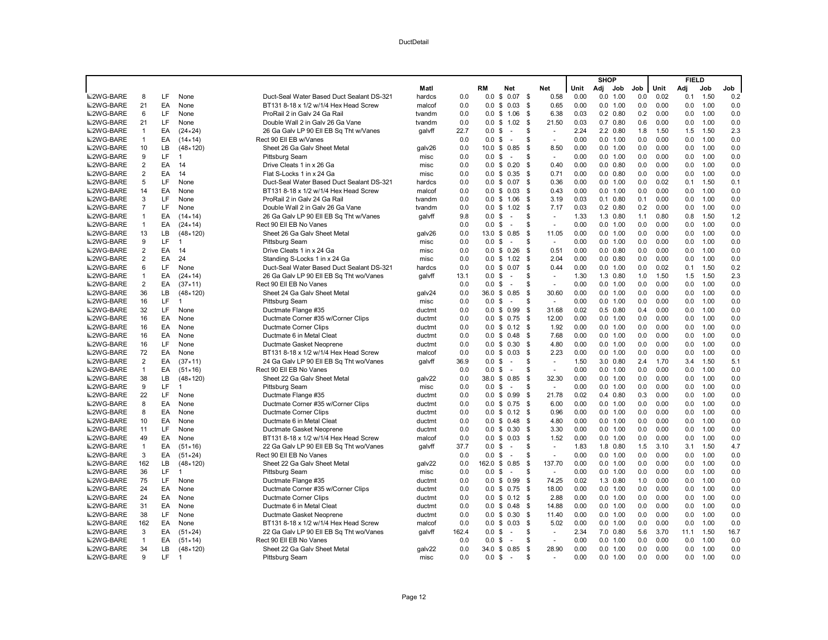|                  |                         |           |                   |                                           |        |       |                   |                          |                  |      | <b>SHOP</b> |              |     |      | <b>FIELD</b> |      |      |
|------------------|-------------------------|-----------|-------------------|-------------------------------------------|--------|-------|-------------------|--------------------------|------------------|------|-------------|--------------|-----|------|--------------|------|------|
|                  |                         |           |                   |                                           | Matl   |       | RM                | Net                      | Net              | Unit |             | Adj Job      | Job | Unit | Adi          | Job  | Job  |
| <b>■2WG-BARE</b> | 8                       | LF.       | None              | Duct-Seal Water Based Duct Sealant DS-321 | hardcs | 0.0   |                   | $0.0 \t$ 0.07 \t$$       | 0.58             | 0.00 |             | 0.0 1.00     | 0.0 | 0.02 | 0.1          | 1.50 | 0.2  |
| <b>■2WG-BARE</b> | 21                      | EA        | None              | BT131 8-18 x 1/2 w/1/4 Hex Head Screw     | malcof | 0.0   |                   | $0.0 \t S \t 0.03$       | \$<br>0.65       | 0.00 |             | 0.0 1.00     | 0.0 | 0.00 | 0.0          | 1.00 | 0.0  |
| <b>■2WG-BARE</b> | 6                       | LF        | None              | ProRail 2 in Galv 24 Ga Rail              | tvandm | 0.0   |                   | $0.0 \t$ 1.06$           | 6.38<br>- \$     | 0.03 |             | $0.2$ $0.80$ | 0.2 | 0.00 | 0.0          | 1.00 | 0.0  |
| <b>■2WG-BARE</b> | 21                      | LF.       | None              | Double Wall 2 in Galy 26 Ga Vane          | tvandm | 0.0   |                   | $0.0 \t$ 1.02$           | - \$<br>21.50    | 0.03 |             | $0.7$ $0.80$ | 0.6 | 0.00 | 0.0          | 1.00 | 0.0  |
| <b>■2WG-BARE</b> | $\mathbf{1}$            | EA        | $(24 \times 24)$  | 26 Ga Galv LP 90 Ell EB Sq Tht w/Vanes    | qalvff | 22.7  | $0.0 \text{ }$ \$ | $\sim$                   | \$               | 2.24 |             | 2.2 0.80     | 1.8 | 1.50 | 1.5          | 1.50 | 2.3  |
| <b>■2WG-BARE</b> | $\mathbf{1}$            | EA        | $(14 \times 14)$  | Rect 90 Ell EB w/Vanes                    |        | 0.0   | $0.0 \text{ }$ \$ | $\sim$                   | \$<br>$\sim$     | 0.00 |             | 0.0 1.00     | 0.0 | 0.00 | 0.0          | 1.00 | 0.0  |
| <b>■2WG-BARE</b> | 10                      | LВ        | $(48 \times 120)$ | Sheet 26 Ga Galv Sheet Metal              | galv26 | 0.0   |                   | 10.0 \$ 0.85             | \$<br>8.50       | 0.00 |             | 0.0 1.00     | 0.0 | 0.00 | 0.0          | 1.00 | 0.0  |
| <b>■2WG-BARE</b> | 9                       | LF        | $\overline{1}$    | Pittsburg Seam                            | misc   | 0.0   | $0.0 \,$ \$       | $\sim$                   | \$               | 0.00 |             | 0.0 1.00     | 0.0 | 0.00 | 0.0          | 1.00 | 0.0  |
| <b>■2WG-BARE</b> | $\overline{\mathbf{c}}$ | EA        | 14                | Drive Cleats 1 in x 26 Ga                 | misc   | 0.0   |                   | $0.0 \t$ 0.20$           | 0.40<br>- \$     | 0.00 |             | $0.0$ $0.80$ | 0.0 | 0.00 | 0.0          | 1.00 | 0.0  |
| <b>■2WG-BARE</b> | 2                       | EA        | 14                | Flat S-Locks 1 in x 24 Ga                 | misc   | 0.0   |                   | $0.0 \t S 0.35$          | 0.71<br>- \$     | 0.00 |             | $0.0$ $0.80$ | 0.0 | 0.00 | 0.0          | 1.00 | 0.0  |
| <b>■2WG-BARE</b> | 5                       | LF        | None              | Duct-Seal Water Based Duct Sealant DS-321 | hardcs | 0.0   |                   | $0.0 \t S \t 0.07$       | <b>S</b><br>0.36 | 0.00 |             | 0.0 1.00     | 0.0 | 0.02 | 0.1          | 1.50 | 0.1  |
| <b>■2WG-BARE</b> | 14                      | EA        | None              | BT131 8-18 x 1/2 w/1/4 Hex Head Screw     | malcof | 0.0   |                   | $0.0 \t$ 0.03$           | \$<br>0.43       | 0.00 |             | 0.0 1.00     | 0.0 | 0.00 | 0.0          | 1.00 | 0.0  |
| <b>■2WG-BARE</b> | 3                       | LF        | None              | ProRail 2 in Galv 24 Ga Rai               | tvandm | 0.0   |                   | $0.0$ \$ 1.06            | 3.19<br>\$       | 0.03 |             | $0.1$ $0.80$ | 0.1 | 0.00 | 0.0          | 1.00 | 0.0  |
| <b>■2WG-BARE</b> | $\overline{7}$          | LF        | None              | Double Wall 2 in Galv 26 Ga Vane          | tvandm | 0.0   |                   | $0.0 \t$ 1.02$           | -S<br>7.17       | 0.03 |             | $0.2$ $0.80$ | 0.2 | 0.00 | 0.0          | 1.00 | 0.0  |
| <b>■2WG-BARE</b> | $\mathbf{1}$            | EA        | $(14 \times 14)$  | 26 Ga Galv LP 90 Ell EB Sq Tht w/Vanes    | qalvff | 9.8   | $0.0 \text{ }$ \$ | $\overline{\phantom{a}}$ | \$               | 1.33 |             | 1.3 0.80     | 1.1 | 0.80 | 0.8          | 1.50 | 1.2  |
| <b>■2WG-BARE</b> | $\mathbf{1}$            | EA        | $(24 \times 14)$  | Rect 90 Ell EB No Vanes                   |        | 0.0   | $0.0 \text{ }$ \$ | $\sim$                   | \$               | 0.00 |             | 0.0 1.00     | 0.0 | 0.00 | 0.0          | 1.00 | 0.0  |
| <b>■2WG-BARE</b> | 13                      | <b>LB</b> | $(48 \times 120)$ | Sheet 26 Ga Galv Sheet Metal              | galv26 | 0.0   |                   | 13.0 \$ 0.85             | 11.05<br>\$      | 0.00 |             | 0.0 1.00     | 0.0 | 0.00 | 0.0          | 1.00 | 0.0  |
| <b>■2WG-BARE</b> | 9                       | LF        | $\overline{1}$    | Pittsburg Seam                            | misc   | 0.0   | $0.0 \,$ \$       | $\sim$                   | \$               | 0.00 |             | 0.0 1.00     | 0.0 | 0.00 | 0.0          | 1.00 | 0.0  |
| <b>■2WG-BARE</b> | $\overline{2}$          | EA        | 14                | Drive Cleats 1 in x 24 Ga                 | misc   | 0.0   |                   | $0.0 \t$ 0.26$           | 0.51<br>- \$     | 0.00 |             | $0.0$ $0.80$ | 0.0 | 0.00 | 0.0          | 1.00 | 0.0  |
| <b>■2WG-BARE</b> | $\overline{2}$          | EA        | 24                | Standing S-Locks 1 in x 24 Ga             | misc   | 0.0   |                   | $0.0 \tS 1.02$           | 2.04<br>- \$     | 0.00 |             | $0.0$ $0.80$ | 0.0 | 0.00 | 0.0          | 1.00 | 0.0  |
| <b>■2WG-BARE</b> | 6                       | LF        | None              | Duct-Seal Water Based Duct Sealant DS-321 | hardcs | 0.0   | $0.0 \,$ \$       | 0.07                     | -S<br>0.44       | 0.00 |             | 0.0 1.00     | 0.0 | 0.02 | 0.1          | 1.50 | 0.2  |
| <b>■2WG-BARE</b> | $\mathbf{1}$            | EA        | $(24 \times 14)$  | 26 Ga Galv LP 90 Ell EB Sq Tht wo/Vanes   | galvff | 13.1  | $0.0 \text{ }$ \$ | $\sim$                   | \$               | 1.30 |             | 1.3 0.80     | 1.0 | 1.50 | 1.5          | 1.50 | 2.3  |
| <b>■2WG-BARE</b> | $\overline{\mathbf{c}}$ | EA        | $(37 \times 11)$  | Rect 90 Ell EB No Vanes                   |        | 0.0   | $0.0 \text{ }$ \$ | $\sim$                   | \$               | 0.00 |             | 0.0 1.00     | 0.0 | 0.00 | 0.0          | 1.00 | 0.0  |
| <b>■2WG-BARE</b> | 36                      | LB.       | $(48 \times 120)$ | Sheet 24 Ga Galv Sheet Metal              | galv24 | 0.0   |                   | 36.0 \$ 0.85             | - \$<br>30.60    | 0.00 |             | 0.0 1.00     | 0.0 | 0.00 | 0.0          | 1.00 | 0.0  |
| <b>■2WG-BARE</b> | 16                      | LF.       | 1                 | Pittsburg Seam                            | misc   | 0.0   | $0.0 \text{ }$ \$ | $\sim$                   | \$               | 0.00 |             | 0.0 1.00     | 0.0 | 0.00 | 0.0          | 1.00 | 0.0  |
| <b>■2WG-BARE</b> | 32                      | LF        | None              | Ductmate Flange #35                       | ductmt | 0.0   |                   | $0.0 \t$ 0.99$           | 31.68<br>- \$    | 0.02 |             | $0.5$ 0.80   | 0.4 | 0.00 | 0.0          | 1.00 | 0.0  |
| <b>■2WG-BARE</b> | 16                      | EA        | None              | Ductmate Corner #35 w/Corner Clips        | ductmt | 0.0   |                   | $0.0 \t S \t 0.75$       | 12.00<br>-\$     | 0.00 |             | 0.0 1.00     | 0.0 | 0.00 | 0.0          | 1.00 | 0.0  |
| <b>■2WG-BARE</b> | 16                      | EA        | None              | Ductmate Corner Clips                     | ductmt | 0.0   |                   | $0.0 \t S \t 0.12$       | 1.92<br>- \$     | 0.00 |             | 0.0 1.00     | 0.0 | 0.00 | 0.0          | 1.00 | 0.0  |
| <b>■2WG-BARE</b> | 16                      | EA        | None              | Ductmate 6 in Metal Cleat                 | ductmt | 0.0   | 0.0 S             | 0.48                     | -S<br>7.68       | 0.00 |             | 0.0 1.00     | 0.0 | 0.00 | 0.0          | 1.00 | 0.0  |
| <b>■2WG-BARE</b> | 16                      | LF        | None              | Ductmate Gasket Neoprene                  | ductmt | 0.0   |                   | $0.0 \t$ 0.30$           | 4.80<br>- \$     | 0.00 |             | 0.0 1.00     | 0.0 | 0.00 | 0.0          | 1.00 | 0.0  |
| <b>■2WG-BARE</b> | 72                      | EA        | None              | BT131 8-18 x 1/2 w/1/4 Hex Head Screw     | malcof | 0.0   |                   | $0.0 \t S \t 0.03$       | 2.23<br>-\$      | 0.00 |             | 0.0 1.00     | 0.0 | 0.00 | 0.0          | 1.00 | 0.0  |
| <b>■2WG-BARE</b> | $\overline{2}$          | EA        | (37 × 11)         | 24 Ga Galv LP 90 Ell EB Sq Tht wo/Vanes   | qalvff | 36.9  | $0.0 \text{ }$ \$ | $\sim$                   | \$<br>$\sim$     | 1.50 |             | 3.0 0.80     | 2.4 | 1.70 | 3.4          | 1.50 | 5.1  |
| <b>■2WG-BARE</b> | $\mathbf{1}$            | EA        | $(51 \times 16)$  | Rect 90 Ell EB No Vanes                   |        | 0.0   | $0.0 \,$ \$       | $\sim$                   | \$<br>$\sim$     | 0.00 |             | 0.0 1.00     | 0.0 | 0.00 | 0.0          | 1.00 | 0.0  |
| <b>■2WG-BARE</b> | 38                      | LB.       | $(48 \times 120)$ | Sheet 22 Ga Galv Sheet Metal              | galv22 | 0.0   |                   | 38.0 \$ 0.85             | 32.30<br>- \$    | 0.00 |             | 0.0 1.00     | 0.0 | 0.00 | 0.0          | 1.00 | 0.0  |
| <b>■2WG-BARE</b> | 9                       | LF.       | $\overline{1}$    | Pittsburg Seam                            | misc   | 0.0   | $0.0 \text{ }$ \$ | $\sim$                   | \$               | 0.00 |             | 0.0 1.00     | 0.0 | 0.00 | 0.0          | 1.00 | 0.0  |
| <b>■2WG-BARE</b> | 22                      | LF        | None              | Ductmate Flange #35                       | ductmt | 0.0   |                   | $0.0 \t$ 0.99$           | 21.78<br>- \$    | 0.02 |             | $0.4$ 0.80   | 0.3 | 0.00 | 0.0          | 1.00 | 0.0  |
| <b>■2WG-BARE</b> | 8                       | EA        | None              | Ductmate Corner #35 w/Corner Clips        | ductmt | 0.0   |                   | $0.0 \t$ 0.75$           | - \$<br>6.00     | 0.00 |             | 0.0 1.00     | 0.0 | 0.00 | 0.0          | 1.00 | 0.0  |
| <b>■2WG-BARE</b> | 8                       | EA        | None              | Ductmate Corner Clips                     | ductmt | 0.0   |                   | $0.0 \t$ 0.12$           | 0.96<br>\$       | 0.00 |             | 0.0 1.00     | 0.0 | 0.00 | 0.0          | 1.00 | 0.0  |
| <b>■2WG-BARE</b> | 10                      | EA        | None              | Ductmate 6 in Metal Cleat                 | ductmt | 0.0   |                   | $0.0 \t$ 0.48$           | 4.80<br>- \$     | 0.00 |             | 0.0 1.00     | 0.0 | 0.00 | 0.0          | 1.00 | 0.0  |
| <b>■2WG-BARE</b> | 11                      | LF        | None              | Ductmate Gasket Neoprene                  | ductmt | 0.0   |                   | $0.0 \t$ 0.30$           | -S<br>3.30       | 0.00 |             | 0.0 1.00     | 0.0 | 0.00 | 0.0          | 1.00 | 0.0  |
| <b>■2WG-BARE</b> | 49                      | EA        | None              | BT131 8-18 x 1/2 w/1/4 Hex Head Screw     | malcof | 0.0   |                   | $0.0 \t$ 0.03$           | 1.52<br>\$       | 0.00 |             | 0.0 1.00     | 0.0 | 0.00 | 0.0          | 1.00 | 0.0  |
| <b>■2WG-BARE</b> | $\mathbf{1}$            | EA        | $(51 \times 16)$  | 22 Ga Galv LP 90 Ell EB Sq Tht wo/Vanes   | qalvff | 37.7  | $0.0 \text{ }$ \$ | $\sim$                   | \$<br>$\sim$     | 1.83 |             | 1.8 0.80     | 1.5 | 3.10 | 3.1          | 1.50 | 4.7  |
| <b>■2WG-BARE</b> | 3                       | EA        | $(51 \times 24)$  | Rect 90 Ell EB No Vanes                   |        | 0.0   | $0.0 \,$ \$       | $\sim$                   | \$<br>$\sim$     | 0.00 |             | 0.0 1.00     | 0.0 | 0.00 | 0.0          | 1.00 | 0.0  |
| <b>■2WG-BARE</b> | 162                     | LB.       | $(48 \times 120)$ | Sheet 22 Ga Galv Sheet Metal              | galv22 | 0.0   |                   | 162.0 \$ 0.85            | 137.70<br>- \$   | 0.00 |             | $0.0$ 1.00   | 0.0 | 0.00 | 0.0          | 1.00 | 0.0  |
| ■2WG-BARE        | 36                      | LF.       | $\overline{1}$    | Pittsburg Seam                            | misc   | 0.0   | 0.0 S             | $\sim$                   | \$<br>÷.         | 0.00 |             | $0.0$ 1.00   | 0.0 | 0.00 | 0.0          | 1.00 | 0.0  |
| <b>■2WG-BARE</b> | 75                      | LF.       | None              | Ductmate Flange #35                       | ductmt | 0.0   |                   | $0.0 \t$ 0.99$           | 74.25<br>- \$    | 0.02 |             | 1.3 0.80     | 1.0 | 0.00 | 0.0          | 1.00 | 0.0  |
| <b>■2WG-BARE</b> | 24                      | EA        | None              | Ductmate Corner #35 w/Corner Clips        | ductmt | 0.0   |                   | $0.0 \t$ 0.75$           | 18.00<br>\$      | 0.00 |             | 0.0 1.00     | 0.0 | 0.00 | 0.0          | 1.00 | 0.0  |
| <b>■2WG-BARE</b> | 24                      | EA        | None              | Ductmate Corner Clips                     | ductmt | 0.0   |                   | $0.0 \t$ 0.12$           | 2.88<br>- \$     | 0.00 |             | 0.0 1.00     | 0.0 | 0.00 | 0.0          | 1.00 | 0.0  |
| <b>■2WG-BARE</b> | 31                      | EA        | None              | Ductmate 6 in Metal Cleat                 | ductmt | 0.0   |                   | $0.0 \t$ 0.48$           | 14.88<br>\$      | 0.00 |             | 0.0 1.00     | 0.0 | 0.00 | 0.0          | 1.00 | 0.0  |
| <b>■2WG-BARE</b> | 38                      | LF        | None              | Ductmate Gasket Neoprene                  | ductmt | 0.0   | $0.0 \text{ }$ \$ | 0.30                     | 11.40<br>- \$    | 0.00 |             | $0.0$ 1.00   | 0.0 | 0.00 | 0.0          | 1.00 | 0.0  |
| <b>■2WG-BARE</b> | 162                     | EA        | None              | BT131 8-18 x 1/2 w/1/4 Hex Head Screw     | malcof | 0.0   |                   | $0.0 \t$ 0.03$           | 5.02<br>- \$     | 0.00 |             | $0.0$ 1.00   | 0.0 | 0.00 | 0.0          | 1.00 | 0.0  |
| <b>■2WG-BARE</b> | 3                       | EA        | $(51 \times 24)$  | 22 Ga Galv LP 90 Ell EB Sq Tht wo/Vanes   | galvff | 162.4 | $0.0 \text{ }$ \$ | $\sim$                   | \$<br>$\sim$     | 2.34 |             | 7.0 0.80     | 5.6 | 3.70 | 11.1         | 1.50 | 16.7 |
| <b>■2WG-BARE</b> | $\mathbf{1}$            | EA        | $(51 \times 14)$  | Rect 90 Ell EB No Vanes                   |        | 0.0   | 0.0 <sup>5</sup>  | $\sim$                   | \$<br>$\sim$     | 0.00 |             | 0.0 1.00     | 0.0 | 0.00 | 0.0          | 1.00 | 0.0  |
| <b>■2WG-BARE</b> | 34                      | LB.       | $(48 \times 120)$ | Sheet 22 Ga Galv Sheet Metal              | galv22 | 0.0   |                   | 34.0 \$ 0.85             | \$<br>28.90      | 0.00 |             | $0.0$ 1.00   | 0.0 | 0.00 | 0.0          | 1.00 | 0.0  |
| <b>■2WG-BARE</b> | 9                       | LF        | -1                | Pittsburg Seam                            | misc   | 0.0   | 0.0 S             | nia.                     | . ፍ              | 0.00 |             | 0.0 1.00     | 0.0 | 0.00 | 0.0          | 1.00 | 0.0  |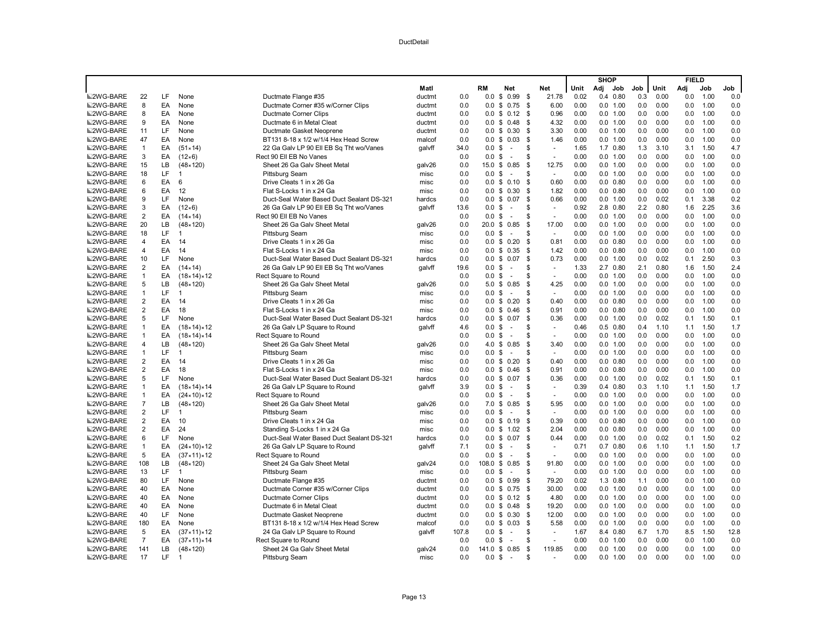|                  |                |          |                            |                                           |        |       |                    |                |      |                     |      | <b>SHOP</b> |              |     |      | <b>FIELD</b> |      |            |
|------------------|----------------|----------|----------------------------|-------------------------------------------|--------|-------|--------------------|----------------|------|---------------------|------|-------------|--------------|-----|------|--------------|------|------------|
|                  |                |          |                            |                                           | Matl   |       | RM                 | <b>Net</b>     |      | <b>Net</b>          | Unit | Adj         | Job          | Job | Unit | Adj          | Job  | Job        |
| <b>■2WG-BARE</b> | 22             | LF       | None                       | Ductmate Flange #35                       | ductmt | 0.0   | 0.0                | \$<br>0.99     | - \$ | 21.78               | 0.02 |             | $0.4$ 0.80   | 0.3 | 0.00 | 0.0          | 1.00 | 0.0        |
| <b>M2WG-BARE</b> | 8              | EA       | None                       | Ductmate Corner #35 w/Corner Clips        | ductmt | 0.0   | 0.0                | \$<br>0.75     | \$   | 6.00                | 0.00 |             | 0.0 1.00     | 0.0 | 0.00 | 0.0          | 1.00 | 0.0        |
| <b>■2WG-BARE</b> | 8              | EA       | None                       | Ductmate Corner Clips                     | ductmt | 0.0   | 0.0                | \$0.12         | \$   | 0.96                | 0.00 |             | 0.0 1.00     | 0.0 | 0.00 | 0.0          | 1.00 | 0.0        |
| <b>■2WG-BARE</b> | 9              | EA       | None                       | Ductmate 6 in Metal Cleat                 | ductmt | 0.0   | $0.0 \text{ }$ \$  | 0.48           | \$   | 4.32                | 0.00 |             | 0.0 1.00     | 0.0 | 0.00 | 0.0          | 1.00 | 0.0        |
| <b>■2WG-BARE</b> | 11             | LF       | None                       | Ductmate Gasket Neoprene                  | ductmt | 0.0   |                    | $0.0 \t$ 0.30$ | \$   | 3.30                | 0.00 |             | 0.0 1.00     | 0.0 | 0.00 | 0.0          | 1.00 | 0.0        |
| <b>■2WG-BARE</b> | 47             | EA       | None                       | BT131 8-18 x 1/2 w/1/4 Hex Head Screw     | malcof | 0.0   | $0.0 \,$ \$        | 0.03           | \$   | 1.46                | 0.00 |             | 0.0 1.00     | 0.0 | 0.00 | 0.0          | 1.00 | 0.0        |
| <b>■2WG-BARE</b> | $\overline{1}$ | EA       | $(51 \times 14)$           | 22 Ga Galv LP 90 Ell EB Sq Tht wo/Vanes   | qalvff | 34.0  | $0.0 \text{ }$ \$  | ÷.             | \$   | $\sim$              | 1.65 |             | 1.7 0.80     | 1.3 | 3.10 | 3.1          | 1.50 | 4.7        |
| <b>■2WG-BARE</b> | 3              | EA       | $(12\times 6)$             | Rect 90 Ell EB No Vanes                   |        | 0.0   | 0.0                | \$<br>$\sim$   | S    | ÷,                  | 0.00 |             | 0.0 1.00     | 0.0 | 0.00 | 0.0          | 1.00 | 0.0        |
| <b>■2WG-BARE</b> | 15             | LB       | $(48 \times 120)$          | Sheet 26 Ga Galv Sheet Metal              | galv26 | 0.0   | $15.0 \text{ }$ \$ | 0.85           | \$   | 12.75               | 0.00 |             | 0.0 1.00     | 0.0 | 0.00 | 0.0          | 1.00 | 0.0        |
| <b>■2WG-BARE</b> | 18             | LF       | 1                          | Pittsburg Seam                            | misc   | 0.0   | 0.0                | \$<br>$\sim$   | \$   | $\sim$              | 0.00 |             | 0.0 1.00     | 0.0 | 0.00 | 0.0          | 1.00 | 0.0        |
| <b>■2WG-BARE</b> | 6              | EA       | 6                          | Drive Cleats 1 in x 26 Ga                 | misc   | 0.0   |                    | $0.0 \t$ 0.10$ | \$   | 0.60                | 0.00 |             | $0.0$ $0.80$ | 0.0 | 0.00 | 0.0          | 1.00 | 0.0        |
| <b>■2WG-BARE</b> | 6              | EA       | 12                         | Flat S-Locks 1 in x 24 Ga                 | misc   | 0.0   |                    | $0.0 \t$ 0.30$ | \$   | 1.82                | 0.00 |             | $0.0$ $0.80$ | 0.0 | 0.00 | 0.0          | 1.00 | 0.0        |
| <b>■2WG-BARE</b> | 9              | LF       | None                       | Duct-Seal Water Based Duct Sealant DS-321 | hardcs | 0.0   | $0.0 \text{ }$ \$  | 0.07           | \$   | 0.66                | 0.00 |             | 0.0 1.00     | 0.0 | 0.02 | 0.1          | 3.38 | 0.2        |
| <b>■2WG-BARE</b> | 3              | EA       | $(12 \times 6)$            | 26 Ga Galv LP 90 Ell EB Sq Tht wo/Vanes   | galvff | 13.6  | $0.0 \,$ \$        | $\sim$         | \$   | $\omega$            | 0.92 |             | 2.8 0.80     | 2.2 | 0.80 | 1.6          | 2.25 | 3.6        |
| <b>■2WG-BARE</b> | $\overline{2}$ | EA       | $(14 \times 14)$           | Rect 90 Ell EB No Vanes                   |        | 0.0   | 0.0                | -\$<br>$\sim$  | \$   | $\sim$              | 0.00 |             | 0.0 1.00     | 0.0 | 0.00 | 0.0          | 1.00 | 0.0        |
| <b>■2WG-BARE</b> | 20             | LB       | $(48 \times 120)$          | Sheet 26 Ga Galv Sheet Metal              | galv26 | 0.0   |                    | 20.0 \$ 0.85   | S.   | 17.00               | 0.00 |             | 0.0 1.00     | 0.0 | 0.00 | 0.0          | 1.00 | 0.0        |
| <b>■2WG-BARE</b> | 18             | LF.      | $\mathbf{1}$               | Pittsburg Seam                            | misc   | 0.0   | 0.0 S              | ÷.             | \$   | $\sim$              | 0.00 |             | 0.0 1.00     | 0.0 | 0.00 | 0.0          | 1.00 | 0.0        |
| <b>■2WG-BARE</b> | $\overline{4}$ | EA       | 14                         | Drive Cleats 1 in x 26 Ga                 | misc   | 0.0   |                    | $0.0 \t$ 0.20$ | \$   | 0.81                | 0.00 |             | $0.0$ $0.80$ | 0.0 | 0.00 | 0.0          | 1.00 | 0.0        |
| <b>■2WG-BARE</b> | $\overline{4}$ | EA       | 14                         | Flat S-Locks 1 in x 24 Ga                 | misc   | 0.0   |                    | $0.0 \t$ 0.35$ | \$   | 1.42                | 0.00 |             | $0.0$ $0.80$ | 0.0 | 0.00 | 0.0          | 1.00 | 0.0        |
| <b>■2WG-BARE</b> | 10             | LF       | None                       | Duct-Seal Water Based Duct Sealant DS-321 | hardcs | 0.0   |                    | $0.0 \$ 0.07$  | \$   | 0.73                | 0.00 |             | 0.0 1.00     | 0.0 | 0.02 | 0.1          | 2.50 | 0.3        |
| <b>■2WG-BARE</b> | $\overline{2}$ | EA       | $(14 \times 14)$           | 26 Ga Galv LP 90 Ell EB Sq Tht wo/Vanes   | qalvff | 19.6  | $0.0 \text{ }$ \$  | $\sim$         | \$   | $\bar{\phantom{a}}$ | 1.33 |             | 2.7 0.80     | 2.1 | 0.80 | 1.6          | 1.50 | 2.4        |
| <b>■2WG-BARE</b> | $\overline{1}$ | EA       | (18×14)×12                 | Rect Square to Round                      |        | 0.0   | 0.0 S              | ÷.             | S    |                     | 0.00 |             | 0.0 1.00     | 0.0 | 0.00 | 0.0          | 1.00 | 0.0        |
| <b>■2WG-BARE</b> | 5              | LB       | $(48 \times 120)$          | Sheet 26 Ga Galv Sheet Metal              | galv26 | 0.0   | 5.0 <sup>5</sup>   | 0.85           | \$   | 4.25                | 0.00 |             | 0.0 1.00     | 0.0 | 0.00 | 0.0          | 1.00 | 0.0        |
| <b>■2WG-BARE</b> | $\overline{1}$ | LF.      | $\overline{1}$             | Pittsburg Seam                            | misc   | 0.0   | $0.0 \text{ }$ \$  | $\sim$         | \$   | $\omega$            | 0.00 |             | 0.0 1.00     | 0.0 | 0.00 | 0.0          | 1.00 | 0.0        |
| <b>■2WG-BARE</b> | $\overline{2}$ | EA       | 14                         | Drive Cleats 1 in x 26 Ga                 | misc   | 0.0   | 0.0                | 0.20<br>\$     | S.   | 0.40                | 0.00 |             | $0.0$ $0.80$ | 0.0 | 0.00 | 0.0          | 1.00 | 0.0        |
| <b>■2WG-BARE</b> | $\overline{2}$ | EA       | 18                         | Flat S-Locks 1 in x 24 Ga                 | misc   | 0.0   | 0.0                | \$0.46         | \$   | 0.91                | 0.00 |             | $0.0$ $0.80$ | 0.0 | 0.00 | 0.0          | 1.00 | 0.0        |
| <b>■2WG-BARE</b> | 5              | LF       | None                       | Duct-Seal Water Based Duct Sealant DS-321 | hardcs | 0.0   |                    | $0.0 \t$ 0.07$ | \$   | 0.36                | 0.00 |             | 0.0 1.00     | 0.0 | 0.02 | 0.1          | 1.50 | 0.1        |
| <b>■2WG-BARE</b> | $\overline{1}$ | EA       | $(18 \times 14) \times 12$ | 26 Ga Galv LP Square to Round             | qalvff | 4.6   | 0.0                | \$<br>$\sim$   | \$   | $\sim$              | 0.46 |             | $0.5$ 0.80   | 0.4 | 1.10 | 1.1          | 1.50 | 1.7        |
| <b>■2WG-BARE</b> | $\overline{1}$ | EA       | (18×14)×14                 | Rect Square to Round                      |        | 0.0   | $0.0 \,$ \$        | ÷.             | \$   | $\sim$              | 0.00 |             | 0.0 1.00     | 0.0 | 0.00 | 0.0          | 1.00 | 0.0        |
| <b>■2WG-BARE</b> | $\overline{4}$ | LB       | $(48 \times 120)$          | Sheet 26 Ga Galv Sheet Metal              | galv26 | 0.0   |                    | 4.0 \$ 0.85    | S.   | 3.40                | 0.00 |             | 0.0 1.00     | 0.0 | 0.00 | 0.0          | 1.00 | 0.0        |
| <b>■2WG-BARE</b> | $\overline{1}$ | LF       | $\overline{1}$             | Pittsburg Seam                            | misc   | 0.0   | 0.0                | \$<br>$\sim$   | S    | $\omega$            | 0.00 |             | $0.0$ 1.00   | 0.0 | 0.00 | 0.0          | 1.00 | 0.0        |
| <b>■2WG-BARE</b> | $\overline{2}$ | EA       | 14                         | Drive Cleats 1 in x 26 Ga                 | misc   | 0.0   |                    | $0.0 \t$ 0.20$ | \$   | 0.40                | 0.00 |             | $0.0$ $0.80$ | 0.0 | 0.00 | 0.0          | 1.00 | 0.0        |
| <b>■2WG-BARE</b> | 2              | EA       | 18                         | Flat S-Locks 1 in x 24 Ga                 | misc   | 0.0   | $0.0 \text{ }$ \$  | 0.46           | - \$ | 0.91                | 0.00 |             | $0.0$ $0.80$ | 0.0 | 0.00 | 0.0          | 1.00 | 0.0        |
| <b>■2WG-BARE</b> | 5              | LF       | None                       | Duct-Seal Water Based Duct Sealant DS-321 | hardcs | 0.0   |                    | $0.0 \t$ 0.07$ | \$   | 0.36                | 0.00 |             | 0.0 1.00     | 0.0 | 0.02 | 0.1          | 1.50 | 0.1        |
| <b>■2WG-BARE</b> | $\mathbf{1}$   | EA       | $(18 \times 14) \times 14$ | 26 Ga Galv LP Square to Round             | qalvff | 3.9   | 0.0                | \$<br>$\sim$   | \$   | $\blacksquare$      | 0.39 |             | $0.4$ 0.80   | 0.3 | 1.10 | 1.1          | 1.50 | 1.7        |
| <b>■2WG-BARE</b> | $\overline{1}$ | EA       | $(24 \times 10) \times 12$ | Rect Square to Round                      |        | 0.0   | $0.0 \,$ \$        | $\sim$         | \$   | $\sim$              | 0.00 |             | 0.0 1.00     | 0.0 | 0.00 | 0.0          | 1.00 | 0.0        |
| <b>■2WG-BARE</b> | $\overline{7}$ | LB       | $(48 \times 120)$          | Sheet 26 Ga Galv Sheet Metal              | galv26 | 0.0   |                    | 7.0 \$ 0.85    | \$   | 5.95                | 0.00 |             | 0.0 1.00     | 0.0 | 0.00 | 0.0          | 1.00 | 0.0        |
| <b>■2WG-BARE</b> | $\overline{2}$ | LF       | 1                          | Pittsburg Seam                            | misc   | 0.0   | 0.0                | \$<br>÷.       | S    | $\sim$              | 0.00 |             | 0.0 1.00     | 0.0 | 0.00 | 0.0          | 1.00 | 0.0        |
| <b>■2WG-BARE</b> | $\overline{2}$ | EA       | 10                         | Drive Cleats 1 in x 24 Ga                 | misc   | 0.0   |                    | $0.0 \t$ 0.19$ | S.   | 0.39                | 0.00 |             | $0.0$ $0.80$ | 0.0 | 0.00 | 0.0          | 1.00 | 0.0        |
| <b>■2WG-BARE</b> | 2              | EA       | 24                         | Standing S-Locks 1 in x 24 Ga             | misc   | 0.0   |                    | $0.0 \t$ 1.02$ | - \$ | 2.04                | 0.00 |             | $0.0$ $0.80$ | 0.0 | 0.00 | 0.0          | 1.00 | 0.0        |
| <b>■2WG-BARE</b> | 6              | LF       | None                       | Duct-Seal Water Based Duct Sealant DS-321 | hardcs | 0.0   | 0.0                | 0.07<br>\$     | \$   | 0.44                | 0.00 |             | 0.0 1.00     | 0.0 | 0.02 | 0.1          | 1.50 | 0.2        |
| <b>■2WG-BARE</b> | $\overline{1}$ | EA       | $(24 \times 10) \times 12$ | 26 Ga Galv LP Square to Round             | galvff | 7.1   | 0.0                | \$<br>$\sim$   | \$   | $\sim$              | 0.71 |             | $0.7$ $0.80$ | 0.6 | 1.10 | 1.1          | 1.50 | 1.7        |
| <b>■2WG-BARE</b> | 5              | EA       | $(37 \times 11) \times 12$ | Rect Square to Round                      |        | 0.0   | $0.0 \,$ \$        | $\sim$         | \$   | $\sim$              | 0.00 |             | 0.0 1.00     | 0.0 | 0.00 | 0.0          | 1.00 | 0.0        |
| <b>■2WG-BARE</b> | 108            | LВ       | $(48 \times 120)$          | Sheet 24 Ga Galv Sheet Metal              | galv24 | 0.0   | 108.0              | \$<br>0.85     | \$   | 91.80               | 0.00 |             | 0.0 1.00     | 0.0 | 0.00 | 0.0          | 1.00 | 0.0        |
| <b>■2WG-BARE</b> | 13             | LF       | $\overline{1}$             | Pittsburg Seam                            | misc   | 0.0   | 0.0                | \$<br>÷.       | \$   | $\sim$              | 0.00 |             | 0.0 1.00     | 0.0 | 0.00 | 0.0          | 1.00 | 0.0        |
| <b>■2WG-BARE</b> | 80             | LF       | None                       | Ductmate Flange #35                       | ductmt | 0.0   | $0.0 \text{ }$ \$  | 0.99           | S.   | 79.20               | 0.02 |             | 1.3 0.80     | 1.1 | 0.00 | 0.0          | 1.00 | 0.0        |
| <b>■2WG-BARE</b> | 40             | EA       | None                       | Ductmate Corner #35 w/Corner Clips        | ductmt | 0.0   |                    | $0.0 \t$ 0.75$ | S.   | 30.00               | 0.00 |             | 0.0 1.00     | 0.0 | 0.00 | 0.0          | 1.00 | 0.0        |
| <b>■2WG-BARE</b> | 40             | EA       | None                       | Ductmate Corner Clips                     | ductmt | 0.0   |                    | $0.0 \t$ 0.12$ | - \$ | 4.80                | 0.00 |             | 0.0 1.00     | 0.0 | 0.00 | 0.0          | 1.00 | 0.0        |
| <b>■2WG-BARE</b> | 40             | EA       | None                       | Ductmate 6 in Metal Cleat                 | ductmt | 0.0   |                    | $0.0 \t$ 0.48$ | - \$ | 19.20               | 0.00 |             | 0.0 1.00     | 0.0 | 0.00 | 0.0          | 1.00 | 0.0        |
| <b>■2WG-BARE</b> | 40             | LF       | None                       | Ductmate Gasket Neoprene                  | ductmt | 0.0   | $0.0 \,$ \$        | 0.30           | -\$  | 12.00               | 0.00 |             | 0.0 1.00     | 0.0 | 0.00 | 0.0          | 1.00 | 0.0        |
| <b>■2WG-BARE</b> | 180            | EA       | None                       | BT131 8-18 x 1/2 w/1/4 Hex Head Screw     | malcof | 0.0   | 0.0                | \$0.03         | \$   | 5.58                | 0.00 |             | 0.0 1.00     | 0.0 | 0.00 | 0.0          | 1.00 | 0.0        |
| <b>■2WG-BARE</b> | 5              | EA       | $(37 \times 11) \times 12$ | 24 Ga Galv LP Square to Round             | galvff | 107.8 | $0.0 \,$ \$        | $\sim$         | \$   | $\sim$              | 1.67 |             | 8.4 0.80     | 6.7 | 1.70 | 8.5          | 1.50 | 12.8       |
| <b>■2WG-BARE</b> | $\overline{7}$ | EA       | $(37 \times 11) \times 14$ | <b>Rect Square to Round</b>               |        | 0.0   | 0.0                | \$<br>$\sim$   | S    | $\sim$              | 0.00 |             | 0.0 1.00     | 0.0 | 0.00 | 0.0          | 1.00 | 0.0        |
| <b>■2WG-BARE</b> | 141            | LB<br>LF | $(48 \times 120)$          | Sheet 24 Ga Galv Sheet Metal              | qalv24 | 0.0   | 141.0              | \$<br>0.85     | -\$  | 119.85              | 0.00 |             | 0.0 1.00     | 0.0 | 0.00 | 0.0          | 1.00 | 0.0<br>0.0 |
| <b>■2WG-BARE</b> | 17             |          |                            | Pittsburg Seam                            | misc   | 0.0   | 0.0                | \$<br>$\sim$   | S    |                     | 0.00 | 0.0         | 1.00         | 0.0 | 0.00 | 0.0          | 1.00 |            |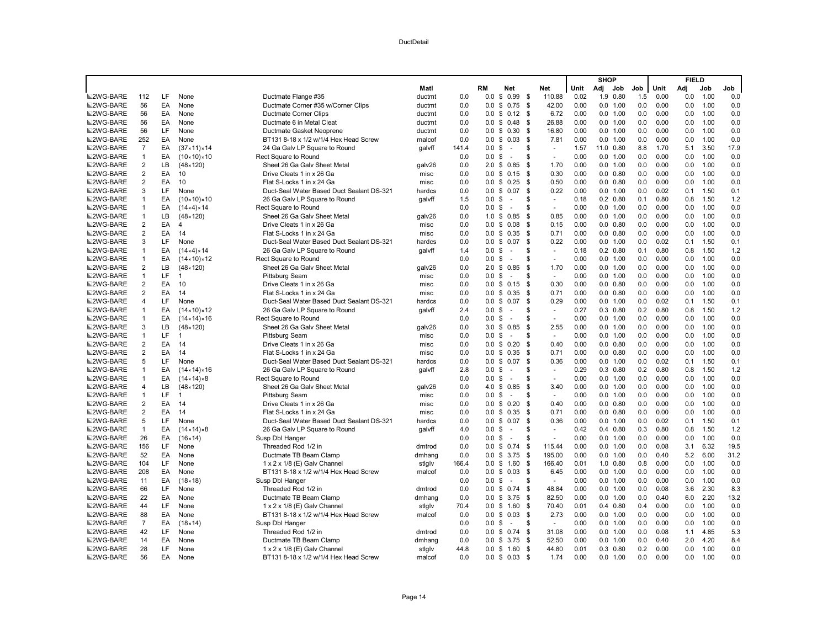|                  |                         |          |                            |                                           |        |             |                   |                          |      |          |      | <b>SHOP</b> |              |     |      | <b>FIELD</b> |      |            |
|------------------|-------------------------|----------|----------------------------|-------------------------------------------|--------|-------------|-------------------|--------------------------|------|----------|------|-------------|--------------|-----|------|--------------|------|------------|
|                  |                         |          |                            |                                           | Matl   |             | RM                | <b>Net</b>               |      | Net      | Unit | Adj         | Job          | Job | Unit | Adi          | Job  | Job        |
| <b>■2WG-BARE</b> | 112                     | LF       | None                       | Ductmate Flange #35                       | ductmt | 0.0         | 0.0               | \$<br>0.99               | - \$ | 110.88   | 0.02 |             | 1.9 0.80     | 1.5 | 0.00 | 0.0          | 1.00 | 0.0        |
| <b>■2WG-BARE</b> | 56                      | EA       | None                       | Ductmate Corner #35 w/Corner Clips        | ductmt | 0.0         | 0.0               | \$<br>0.75               | \$   | 42.00    | 0.00 |             | 0.0 1.00     | 0.0 | 0.00 | 0.0          | 1.00 | 0.0        |
| <b>■2WG-BARE</b> | 56                      | EA       | None                       | Ductmate Corner Clips                     | ductmt | 0.0         | 0.0               | 0.12<br>\$               | - \$ | 6.72     | 0.00 |             | 0.0 1.00     | 0.0 | 0.00 | 0.0          | 1.00 | 0.0        |
| ■2WG-BARE        | 56                      | EA       | None                       | Ductmate 6 in Metal Cleat                 | ductmt | 0.0         | $0.0 \text{ }$ \$ | 0.48                     | - \$ | 26.88    | 0.00 |             | 0.0 1.00     | 0.0 | 0.00 | 0.0          | 1.00 | 0.0        |
| <b>■2WG-BARE</b> | 56                      | LF       | None                       | Ductmate Gasket Neoprene                  | ductmt | 0.0         |                   | $0.0 \t$ 0.30$           | \$   | 16.80    | 0.00 |             | 0.0 1.00     | 0.0 | 0.00 | 0.0          | 1.00 | 0.0        |
| <b>■2WG-BARE</b> | 252                     | EA       | None                       | BT131 8-18 x 1/2 w/1/4 Hex Head Screw     | malcof | 0.0         | $0.0 \,$ \$       | 0.03                     | \$   | 7.81     | 0.00 |             | 0.0 1.00     | 0.0 | 0.00 | 0.0          | 1.00 | 0.0        |
| <b>■2WG-BARE</b> | $\overline{7}$          | EA       | (37×11)×14                 | 24 Ga Galv LP Square to Round             | qalvff | 141.4       | $0.0 \text{ }$ \$ | $\sim$                   | \$   | $\sim$   | 1.57 |             | 11.0 0.80    | 8.8 | 1.70 | 5.1          | 3.50 | 17.9       |
| ■2WG-BARE        | $\mathbf{1}$            | EA       | $(10 \times 10) \times 10$ | Rect Square to Round                      |        | 0.0         | $0.0 \text{ }$ \$ | $\sim$                   | S    | $\sim$   | 0.00 |             | 0.0 1.00     | 0.0 | 0.00 | 0.0          | 1.00 | 0.0        |
| <b>■2WG-BARE</b> | $\overline{2}$          | LB       | $(48 \times 120)$          | Sheet 26 Ga Galy Sheet Metal              | galv26 | 0.0         | 2.0 <sup>5</sup>  | 0.85                     | S.   | 1.70     | 0.00 |             | 0.0 1.00     | 0.0 | 0.00 | 0.0          | 1.00 | 0.0        |
| <b>■2WG-BARE</b> | $\overline{2}$          | EA       | 10                         | Drive Cleats 1 in x 26 Ga                 | misc   | 0.0         | $0.0 \text{ }$ \$ | 0.15                     | \$   | 0.30     | 0.00 |             | $0.0$ $0.80$ | 0.0 | 0.00 | 0.0          | 1.00 | 0.0        |
| <b>■2WG-BARE</b> | $\overline{2}$          | EA       | 10                         | Flat S-Locks 1 in x 24 Ga                 | misc   | 0.0         |                   | $0.0 \t$ 0.25$           | \$   | 0.50     | 0.00 |             | $0.0$ $0.80$ | 0.0 | 0.00 | 0.0          | 1.00 | 0.0        |
| <b>■2WG-BARE</b> | 3                       | LF       | None                       | Duct-Seal Water Based Duct Sealant DS-321 | hardcs | 0.0         | 0.0               | 0.07<br>\$               | \$   | 0.22     | 0.00 |             | 0.0 1.00     | 0.0 | 0.02 | 0.1          | 1.50 | 0.1        |
| <b>■2WG-BARE</b> | $\mathbf{1}$            | EA       | $(10 \times 10) \times 10$ | 26 Ga Galv LP Square to Round             | galvff | 1.5         | $0.0 \,$ \$       | $\sim$                   | \$   | $\sim$   | 0.18 |             | $0.2$ $0.80$ | 0.1 | 0.80 | 0.8          | 1.50 | 1.2        |
| ■2WG-BARE        | $\mathbf{1}$            | EA       | (14×4)×14                  | Rect Square to Round                      |        | 0.0         | $0.0 \,$ \$       | $\sim$                   | S    | $\omega$ | 0.00 |             | 0.0 1.00     | 0.0 | 0.00 | 0.0          | 1.00 | 0.0        |
| <b>■2WG-BARE</b> | $\mathbf{1}$            | LB.      | $(48 \times 120)$          | Sheet 26 Ga Galv Sheet Metal              | galv26 | 0.0         | $1.0 \text{ }$ \$ | 0.85                     | S.   | 0.85     | 0.00 |             | 0.0 1.00     | 0.0 | 0.00 | 0.0          | 1.00 | 0.0        |
| <b>■2WG-BARE</b> | $\overline{2}$          | EA       | $\overline{4}$             | Drive Cleats 1 in x 26 Ga                 | misc   | 0.0         |                   | $0.0 \t$ 0.08$           | S.   | 0.15     | 0.00 |             | $0.0$ $0.80$ | 0.0 | 0.00 | 0.0          | 1.00 | 0.0        |
| ■2WG-BARE        | $\overline{2}$          | EA       | 14                         | Flat S-Locks 1 in x 24 Ga                 | misc   | 0.0         | 0.0 S             | 0.35                     | S.   | 0.71     | 0.00 |             | $0.0$ $0.80$ | 0.0 | 0.00 | 0.0          | 1.00 | 0.0        |
| <b>■2WG-BARE</b> | 3                       | LF       | None                       | Duct-Seal Water Based Duct Sealant DS-321 | hardcs | 0.0         | 0.0               | \$0.07                   | \$   | 0.22     | 0.00 |             | 0.0 1.00     | 0.0 | 0.02 | 0.1          | 1.50 | 0.1        |
| <b>■2WG-BARE</b> | $\mathbf{1}$            | EA       | (14×4)×14                  | 26 Ga Galv LP Square to Round             | galvff | 1.4         | $0.0 \text{ }$ \$ | $\sim$                   | \$   | $\sim$   | 0.18 |             | $0.2$ $0.80$ | 0.1 | 0.80 | 0.8          | 1.50 | 1.2        |
| <b>■2WG-BARE</b> | $\mathbf{1}$            | EA       | $(14 \times 10) \times 12$ | Rect Square to Round                      |        | 0.0         | $0.0 \text{ }$ \$ | $\sim$                   | \$   | $\sim$   | 0.00 |             | 0.0 1.00     | 0.0 | 0.00 | 0.0          | 1.00 | 0.0        |
| <b>■2WG-BARE</b> | $\overline{2}$          | LВ       | $(48 \times 120)$          | Sheet 26 Ga Galv Sheet Metal              | galv26 | 0.0         | 2.0 <sup>5</sup>  | 0.85                     | \$   | 1.70     | 0.00 |             | 0.0 1.00     | 0.0 | 0.00 | 0.0          | 1.00 | 0.0        |
| <b>■2WG-BARE</b> | 1                       | LF.      | 1                          | Pittsburg Seam                            | misc   | 0.0         | 0.0               | \$<br>÷.                 | S    | $\sim$   | 0.00 |             | 0.0 1.00     | 0.0 | 0.00 | 0.0          | 1.00 | 0.0        |
| <b>■2WG-BARE</b> | $\overline{2}$          | EA       | 10                         | Drive Cleats 1 in x 26 Ga                 | misc   | 0.0         |                   | $0.0 \t$ 0.15$           | - \$ | 0.30     | 0.00 |             | $0.0$ $0.80$ | 0.0 | 0.00 | 0.0          | 1.00 | 0.0        |
| <b>■2WG-BARE</b> | $\overline{2}$          | EA       | 14                         | Flat S-Locks 1 in x 24 Ga                 | misc   | 0.0         |                   | $0.0 \t$ 0.35$           | S.   | 0.71     | 0.00 |             | $0.0$ $0.80$ | 0.0 | 0.00 | 0.0          | 1.00 | 0.0        |
| <b>■2WG-BARE</b> | 4                       | LF.      | None                       | Duct-Seal Water Based Duct Sealant DS-321 | hardcs | 0.0         | 0.0               | 0.07<br>\$               | S.   | 0.29     | 0.00 |             | 0.0 1.00     | 0.0 | 0.02 | 0.1          | 1.50 | 0.1        |
| <b>■2WG-BARE</b> | $\mathbf{1}$            | EA       | $(14 \times 10) \times 12$ | 26 Ga Galv LP Square to Round             | galvff | 2.4         | $0.0 \,$ \$       | $\sim$                   | S    | $\sim$   | 0.27 |             | $0.3$ $0.80$ | 0.2 | 0.80 | 0.8          | 1.50 | 1.2        |
| <b>■2WG-BARE</b> | $\mathbf{1}$            | EA       | $(14 \times 14) \times 16$ | Rect Square to Round                      |        | 0.0         | $0.0 \,$ \$       | $\sim$                   | \$   | $\omega$ | 0.00 |             | 0.0 1.00     | 0.0 | 0.00 | 0.0          | 1.00 | 0.0        |
| <b>■2WG-BARE</b> | 3                       | LВ       | $(48 \times 120)$          | Sheet 26 Ga Galv Sheet Metal              | galv26 | 0.0         | 3.0               | \$<br>0.85               | \$   | 2.55     | 0.00 |             | 0.0 1.00     | 0.0 | 0.00 | 0.0          | 1.00 | 0.0        |
| <b>■2WG-BARE</b> | $\mathbf{1}$            | LF       | 1                          | Pittsburg Seam                            | misc   | 0.0         | $0.0 \,$ \$       | $\sim$                   | \$   | $\sim$   | 0.00 |             | 0.0 1.00     | 0.0 | 0.00 | 0.0          | 1.00 | 0.0        |
| <b>■2WG-BARE</b> | $\overline{2}$          | EA       | 14                         | Drive Cleats 1 in x 26 Ga                 | misc   | 0.0         |                   | $0.0 \t$ 0.20$           | S.   | 0.40     | 0.00 |             | $0.0$ $0.80$ | 0.0 | 0.00 | 0.0          | 1.00 | 0.0        |
| <b>■2WG-BARE</b> | $\overline{2}$          | EA       | 14                         | Flat S-Locks 1 in x 24 Ga                 | misc   | 0.0         |                   | $0.0 \t$ 0.35$           | \$   | 0.71     | 0.00 |             | $0.0$ $0.80$ | 0.0 | 0.00 | 0.0          | 1.00 | 0.0        |
| ■2WG-BARE        | 5                       | LF       | None                       | Duct-Seal Water Based Duct Sealant DS-321 | hardcs | 0.0         | $0.0 \text{ }$ \$ | 0.07                     | \$   | 0.36     | 0.00 |             | 0.0 1.00     | 0.0 | 0.02 | 0.1          | 1.50 | 0.1        |
| <b>■2WG-BARE</b> | 1                       | EA       | $(14 \times 14) \times 16$ | 26 Ga Galv LP Square to Round             | qalvff | 2.8         | $0.0 \,$ \$       | $\sim$                   | \$   | $\sim$   | 0.29 |             | $0.3$ 0.80   | 0.2 | 0.80 | 0.8          | 1.50 | 1.2        |
| <b>■2WG-BARE</b> | $\mathbf{1}$            | EA       | $(14 \times 14) \times 8$  | Rect Square to Round                      |        | 0.0         | $0.0 \,$ \$       | $\sim$                   | \$   | $\sim$   | 0.00 |             | 0.0 1.00     | 0.0 | 0.00 | 0.0          | 1.00 | 0.0        |
| <b>■2WG-BARE</b> | 4                       | LВ       | $(48 \times 120)$          | Sheet 26 Ga Galv Sheet Metal              | galv26 | 0.0         | 4.0               | \$0.85                   | \$   | 3.40     | 0.00 |             | 0.0 1.00     | 0.0 | 0.00 | 0.0          | 1.00 | 0.0        |
| <b>■2WG-BARE</b> | $\mathbf{1}$            | LF       | $\overline{1}$             | Pittsburg Seam                            | misc   | 0.0         | $0.0 \,$ \$       | $\sim$                   | S    | $\sim$   | 0.00 |             | 0.0 1.00     | 0.0 | 0.00 | 0.0          | 1.00 | 0.0        |
| <b>■2WG-BARE</b> | $\overline{\mathbf{c}}$ | EA       | 14                         | Drive Cleats 1 in x 26 Ga                 | misc   | 0.0         | $0.0 \,$ \$       | 0.20                     | \$   | 0.40     | 0.00 |             | $0.0$ $0.80$ | 0.0 | 0.00 | 0.0          | 1.00 | 0.0        |
| ■2WG-BARE        | $\overline{2}$          | EA       | 14                         | Flat S-Locks 1 in x 24 Ga                 | misc   | 0.0         | 0.0               | \$0.35                   | \$   | 0.71     | 0.00 |             | $0.0$ $0.80$ | 0.0 | 0.00 | 0.0          | 1.00 | 0.0        |
| <b>■2WG-BARE</b> | 5                       | LF       | None                       | Duct-Seal Water Based Duct Sealant DS-321 | hardcs | 0.0         |                   | $0.0 \t$ 0.07$           | \$   | 0.36     | 0.00 |             | 0.0 1.00     | 0.0 | 0.02 | 0.1          | 1.50 | 0.1        |
| <b>■2WG-BARE</b> | $\mathbf{1}$            | EA       | $(14 \times 14) \times 8$  | 26 Ga Galv LP Square to Round             | galvff | 4.0         | $0.0 \text{ }$ \$ | $\overline{\phantom{a}}$ | \$   | $\sim$   | 0.42 |             | $0.4$ 0.80   | 0.3 | 0.80 | 0.8          | 1.50 | 1.2        |
| <b>■2WG-BARE</b> | 26                      | EA       | $(16 \times 14)$           | Susp Dbl Hanger                           |        | 0.0         | $0.0 \,$ \$       | $\sim$                   | \$   | ÷.       | 0.00 |             | 0.0 1.00     | 0.0 | 0.00 | 0.0          | 1.00 | 0.0        |
| <b>■2WG-BARE</b> | 156                     | LF       | None                       | Threaded Rod 1/2 in                       | dmtrod | 0.0         |                   | $0.0 \t S \t 0.74$       | - \$ | 115.44   | 0.00 |             | 0.0 1.00     | 0.0 | 0.08 | 3.1          | 6.32 | 19.5       |
| <b>■2WG-BARE</b> | 52                      | EA       | None                       | Ductmate TB Beam Clamp                    | dmhang | 0.0         |                   | $0.0 \t$ 3.75$           | - \$ | 195.00   | 0.00 |             | 0.0 1.00     | 0.0 | 0.40 | 5.2          | 6.00 | 31.2       |
| <b>■2WG-BARE</b> | 104                     | LF       | None                       | 1 x 2 x 1/8 (E) Galv Channel              | stiglv | 166.4       |                   | $0.0 \t$ 1.60$           | \$   | 166.40   | 0.01 |             | 1.0 0.80     | 0.8 | 0.00 | 0.0          | 1.00 | 0.0        |
| <b>■2WG-BARE</b> | 208                     | EA       | None                       | BT131 8-18 x 1/2 w/1/4 Hex Head Screw     | malcof | 0.0         | 0.0 S             | 0.03                     | - \$ | 6.45     | 0.00 |             | 0.0 1.00     | 0.0 | 0.00 | 0.0          | 1.00 | 0.0        |
| <b>■2WG-BARE</b> | 11                      | EA       | (18 × 18)                  | Susp Dbl Hanger                           |        | 0.0         | $0.0 \text{ }$ \$ | $\sim$                   | \$   | $\sim$   | 0.00 |             | 0.0 1.00     | 0.0 | 0.00 | 0.0          | 1.00 | 0.0        |
| <b>■2WG-BARE</b> | 66                      | LF       | None                       | Threaded Rod 1/2 in                       | dmtrod | 0.0         |                   | $0.0 \t S \t 0.74$       | - \$ | 48.84    | 0.00 |             | 0.0 1.00     | 0.0 | 0.08 | 3.6          | 2.30 | 8.3        |
| <b>■2WG-BARE</b> | 22                      | EA       | None                       | Ductmate TB Beam Clamp                    | dmhang | 0.0         |                   | $0.0 \t$ 3.75$           | - \$ | 82.50    | 0.00 |             | 0.0 1.00     | 0.0 | 0.40 | 6.0          | 2.20 | 13.2       |
| <b>■2WG-BARE</b> | 44                      | LF       | None                       | 1 x 2 x 1/8 (E) Galv Channel              | stiglv | 70.4        | $0.0 \,$ \$       | 1.60                     | \$   | 70.40    | 0.01 |             | $0.4$ 0.80   | 0.4 | 0.00 | 0.0          | 1.00 | 0.0        |
| <b>■2WG-BARE</b> | 88                      | EA       | None                       | BT131 8-18 x 1/2 w/1/4 Hex Head Screw     | malcof | 0.0         | $0.0 \text{ }$ \$ | 0.03                     | \$   | 2.73     | 0.00 |             | 0.0 1.00     | 0.0 | 0.00 | 0.0          | 1.00 | 0.0        |
| <b>■2WG-BARE</b> | $\overline{7}$          | EA       | $(18 \times 14)$           | Susp Dbl Hanger                           |        | 0.0         | 0.0               | \$<br>$\sim$             | \$   | $\sim$   | 0.00 |             | 0.0 1.00     | 0.0 | 0.00 | 0.0          | 1.00 | 0.0        |
| <b>■2WG-BARE</b> | 42                      | LF       | None                       | Threaded Rod 1/2 in                       | dmtrod | 0.0         |                   | $0.0 \$ 0.74$            | - \$ | 31.08    | 0.00 |             | 0.0 1.00     | 0.0 | 0.08 | 1.1          | 4.85 | 5.3        |
| <b>■2WG-BARE</b> | 14                      | EA       | None                       | Ductmate TB Beam Clamp                    | dmhang | 0.0         |                   | $0.0 \t S \t 3.75$       | - \$ | 52.50    | 0.00 |             | 0.0 1.00     | 0.0 | 0.40 | 2.0          | 4.20 | 8.4        |
| <b>■2WG-BARE</b> | 28<br>56                | LF<br>EA | None                       | 1 x 2 x 1/8 (E) Galv Channel              | stiglv | 44.8<br>0.0 |                   | $0.0 \t$ 1.60$           | - \$ | 44.80    | 0.01 |             | $0.3$ $0.80$ | 0.2 | 0.00 | 0.0          | 1.00 | 0.0<br>0.0 |
| <b>■2WG-BARE</b> |                         |          | None                       | BT131 8-18 x 1/2 w/1/4 Hex Head Screw     | malcof |             |                   | $0.0 \tS 0.03$           | - \$ | 1.74     | 0.00 |             | 0.0 1.00     | 0.0 | 0.00 | 0.0          | 1.00 |            |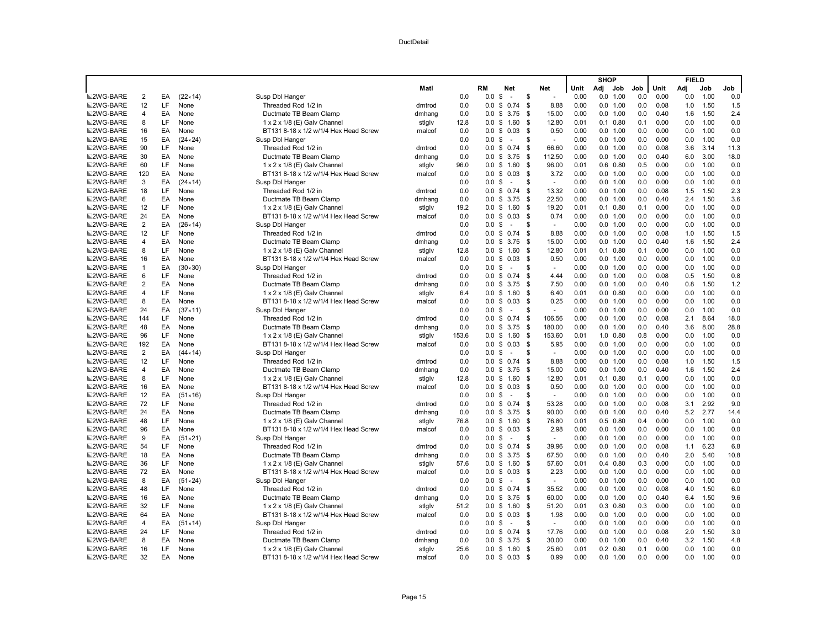|                  |                         |     |                  |                                       |        |       |                   |                |      |                   | <b>SHOP</b> |                  |     |      | <b>FIELD</b> |      |         |
|------------------|-------------------------|-----|------------------|---------------------------------------|--------|-------|-------------------|----------------|------|-------------------|-------------|------------------|-----|------|--------------|------|---------|
|                  |                         |     |                  |                                       | Matl   |       | RM                | Net            | Net  | Unit              | Adj         | Job              | Job | Unit | Adj          | Job  | Job     |
| ■2WG-BARE        | $\overline{2}$          | EA  | $(22 \times 14)$ | Susp Dbl Hanger                       |        | 0.0   | 0.0               | \$<br>$\sim$   | \$   | 0.00<br>÷,        |             | 0.0 1.00         | 0.0 | 0.00 | 0.0          | 1.00 | 0.0     |
| <b>■2WG-BARE</b> | 12                      | LF  | None             | Threaded Rod 1/2 in                   | dmtrod | 0.0   | 0.0               | 0.74<br>\$     | \$   | 8.88<br>0.00      |             | 0.0 1.00         | 0.0 | 0.08 | 1.0          | 1.50 | 1.5     |
| <b>■2WG-BARE</b> | $\overline{\mathbf{A}}$ | EA  | None             | Ductmate TB Beam Clamp                | dmhang | 0.0   | 0.0               | \$<br>3.75     | -\$  | 15.00<br>0.00     |             | 0.0 1.00         | 0.0 | 0.40 | 1.6          | 1.50 | 2.4     |
| <b>■2WG-BARE</b> | 8                       | LF  | None             | 1 x 2 x 1/8 (E) Galv Channel          | stiglv | 12.8  | 0.0 S             | 1.60           | - \$ | 12.80<br>0.01     |             | $0.1$ $0.80$     | 0.1 | 0.00 | 0.0          | 1.00 | 0.0     |
| <b>■2WG-BARE</b> | 16                      | EA  | None             | BT131 8-18 x 1/2 w/1/4 Hex Head Screw | malcof | 0.0   | 0.0               | \$0.03         | - \$ | 0.50<br>0.00      |             | 0.0 1.00         | 0.0 | 0.00 | 0.0          | 1.00 | 0.0     |
| <b>■2WG-BARE</b> | 15                      | EA  | $(24 \times 24)$ | Susp Dbl Hanger                       |        | 0.0   | 0.0               | \$<br>$\sim$   | \$   | 0.00<br>$\sim$    |             | 0.0 1.00         | 0.0 | 0.00 | 0.0          | 1.00 | 0.0     |
| <b>■2WG-BARE</b> | 90                      | LF. | None             | Threaded Rod 1/2 in                   | dmtrod | 0.0   |                   | $0.0 \t$ 0.74$ | -\$  | 66.60<br>0.00     |             | 0.0 1.00         | 0.0 | 0.08 | 3.6          | 3.14 | 11.3    |
| <b>■2WG-BARE</b> | 30                      | EA  | None             | Ductmate TB Beam Clamp                | dmhang | 0.0   | 0.0               | \$3.75         | - \$ | 112.50<br>0.00    |             | 0.0 1.00         | 0.0 | 0.40 | 6.0          | 3.00 | 18.0    |
| ■2WG-BARE        | 60                      | LF  | None             | 1 x 2 x 1/8 (E) Galv Channel          | stigly | 96.0  | 0.0               | \$1.60         | - \$ | 96.00<br>0.01     |             | $0.6$ $0.80$     | 0.5 | 0.00 | 0.0          | 1.00 | 0.0     |
| <b>■2WG-BARE</b> | 120                     | EA  | None             | BT131 8-18 x 1/2 w/1/4 Hex Head Screw | malcof | 0.0   | $0.0 \text{ }$ \$ | 0.03           | - \$ | 3.72<br>0.00      |             | 0.0 1.00         | 0.0 | 0.00 | 0.0          | 1.00 | 0.0     |
| <b>■2WG-BARE</b> | 3                       | EA  | $(24 \times 14)$ | Susp Dbl Hanger                       |        | 0.0   | 0.0               | \$<br>$\sim$   | \$   | 0.00<br>$\sim$    |             | 0.0 1.00         | 0.0 | 0.00 | 0.0          | 1.00 | 0.0     |
| <b>■2WG-BARE</b> | 18                      | LF  | None             | Threaded Rod 1/2 in                   | dmtrod | 0.0   | 0.0               | \$0.74         | \$   | 13.32<br>0.00     |             | 0.0 1.00         | 0.0 | 0.08 | 1.5          | 1.50 | 2.3     |
| <b>■2WG-BARE</b> | 6                       | EA  | None             | Ductmate TB Beam Clamp                | dmhang | 0.0   | 0.0               | \$<br>3.75     | - \$ | 22.50<br>0.00     |             | 0.0 1.00         | 0.0 | 0.40 | 2.4          | 1.50 | 3.6     |
| <b>■2WG-BARE</b> | 12                      | LF  | None             | 1 x 2 x 1/8 (E) Galv Channel          | stiglv | 19.2  |                   | $0.0 \t$ 1.60$ | - \$ | 19.20<br>0.01     |             | $0.1$ $0.80$     | 0.1 | 0.00 | 0.0          | 1.00 | 0.0     |
| <b>■2WG-BARE</b> | 24                      | EA  | None             | BT131 8-18 x 1/2 w/1/4 Hex Head Screw | malcof | 0.0   | 0.0               | 0.03<br>\$     | - \$ | 0.74<br>0.00      |             | 0.0 1.00         | 0.0 | 0.00 | 0.0          | 1.00 | 0.0     |
| ■2WG-BARE        | $\overline{2}$          | EA  | $(26 \times 14)$ | Susp Dbl Hanger                       |        | 0.0   | 0.0               | \$<br>$\sim$   | S    | 0.00<br>$\sim$    |             | 0.0 1.00         | 0.0 | 0.00 | 0.0          | 1.00 | 0.0     |
| <b>■2WG-BARE</b> | 12                      | LF  | None             | Threaded Rod 1/2 in                   | dmtrod | 0.0   | $0.0 \text{ }$ \$ | 0.74           | - \$ | 8.88<br>0.00      |             | 0.0 1.00         | 0.0 | 0.08 | 1.0          | 1.50 | 1.5     |
| ■2WG-BARE        | $\overline{4}$          | EA  | None             | Ductmate TB Beam Clamp                | dmhang | 0.0   | 0.0               | \$<br>3.75     | -\$  | 15.00<br>0.00     |             | 0.0 1.00         | 0.0 | 0.40 | 1.6          | 1.50 | 2.4     |
| ■2WG-BARE        | 8                       | LF  | None             | 1 x 2 x 1/8 (E) Galv Channel          | stigly | 12.8  |                   | $0.0 \tS 1.60$ | - \$ | 12.80<br>0.01     |             | $0.1$ $0.80$     | 0.1 | 0.00 | 0.0          | 1.00 | 0.0     |
| ■2WG-BARE        | 16                      | EA  | None             | BT131 8-18 x 1/2 w/1/4 Hex Head Screw | malcof | 0.0   |                   | $0.0 \tS 0.03$ | - \$ | 0.50<br>0.00      |             | 0.0 1.00         | 0.0 | 0.00 | 0.0          | 1.00 | 0.0     |
| <b>■2WG-BARE</b> | $\mathbf{1}$            | EA  | $(30 \times 30)$ | Susp Dbl Hanger                       |        | 0.0   | 0.0               | \$<br>$\sim$   | S    | 0.00<br>$\sim$    |             | 0.0 1.00         | 0.0 | 0.00 | 0.0          | 1.00 | 0.0     |
| <b>■2WG-BARE</b> | 6                       | LF  | None             | Threaded Rod 1/2 in                   | dmtrod | 0.0   | 0.0               | \$0.74         | \$   | 0.00<br>4.44      |             | 0.0 1.00         | 0.0 | 0.08 | 0.5          | 1.50 | 0.8     |
| <b>■2WG-BARE</b> | $\overline{2}$          | EA  | None             | Ductmate TB Beam Clamp                | dmhang | 0.0   |                   | $0.0 \t$ 3.75$ | -\$  | 7.50<br>0.00      |             | 0.0 1.00         | 0.0 | 0.40 | 0.8          | 1.50 | 1.2     |
| ■2WG-BARE        | $\overline{4}$          | LF  | None             | 1 x 2 x 1/8 (E) Galv Channel          | stigly | 6.4   | 0.0               | \$1.60         | \$   | 6.40<br>0.01      |             | $0.0$ $0.80$     | 0.0 | 0.00 | 0.0          | 1.00 | 0.0     |
| ■2WG-BARE        | 8                       | EA  | None             | BT131 8-18 x 1/2 w/1/4 Hex Head Screw | malcof | 0.0   | 0.0               | \$<br>0.03     | - \$ | 0.25<br>0.00      |             | 0.0 1.00         | 0.0 | 0.00 | 0.0          | 1.00 | 0.0     |
| <b>■2WG-BARE</b> | 24                      | EA  | $(37 \times 11)$ | Susp Dbl Hanger                       |        | 0.0   | 0.0               | \$<br>$\sim$   | S    | $\bar{a}$<br>0.00 |             | 0.0 1.00         | 0.0 | 0.00 | 0.0          | 1.00 | 0.0     |
| <b>■2WG-BARE</b> | 144                     | LF  | None             | Threaded Rod 1/2 in                   | dmtrod | 0.0   |                   | $0.0 \t$ 0.74$ | - \$ | 106.56<br>0.00    |             | 0.0 1.00         | 0.0 | 0.08 | 2.1          | 8.64 | 18.0    |
| <b>■2WG-BARE</b> | 48                      | EA  | None             | Ductmate TB Beam Clamp                | dmhang | 0.0   | 0.0               | \$3.75         | -\$  | 180.00<br>0.00    |             | 0.0 1.00         | 0.0 | 0.40 | 3.6          | 8.00 | 28.8    |
| ■2WG-BARE        | 96                      | LF  | None             | 1 x 2 x 1/8 (E) Galv Channel          | stiglv | 153.6 | 0.0               | \$<br>1.60     | - \$ | 153.60<br>0.01    |             | $1.0 \quad 0.80$ | 0.8 | 0.00 | 0.0          | 1.00 | 0.0     |
| <b>■2WG-BARE</b> | 192                     | EA  | None             | BT131 8-18 x 1/2 w/1/4 Hex Head Screw | malcof | 0.0   | 0.0               | \$0.03         | - \$ | 5.95<br>0.00      |             | 0.0 1.00         | 0.0 | 0.00 | 0.0          | 1.00 | 0.0     |
| <b>■2WG-BARE</b> | 2                       | EA  | $(44 \times 14)$ | Susp Dbl Hanger                       |        | 0.0   | 0.0               | \$<br>$\sim$   | S    | 0.00<br>÷.        |             | 0.0 1.00         | 0.0 | 0.00 | 0.0          | 1.00 | 0.0     |
| <b>■2WG-BARE</b> | 12                      | LF  | None             | Threaded Rod 1/2 in                   | dmtrod | 0.0   | 0.0               | \$0.74         | \$   | 8.88<br>0.00      |             | 0.0 1.00         | 0.0 | 0.08 | 1.0          | 1.50 | 1.5     |
| <b>■2WG-BARE</b> | $\overline{4}$          | EA  | None             | Ductmate TB Beam Clamp                | dmhang | 0.0   |                   | $0.0 \t$ 3.75$ | - \$ | 15.00<br>0.00     |             | 0.0 1.00         | 0.0 | 0.40 | 1.6          | 1.50 | 2.4     |
| ■2WG-BARE        | 8                       | LF  | None             | 1 x 2 x 1/8 (E) Galv Channel          | stiglv | 12.8  | 0.0               | \$<br>1.60     | - \$ | 12.80<br>0.01     |             | $0.1 \quad 0.80$ | 0.1 | 0.00 | 0.0          | 1.00 | 0.0     |
| <b>■2WG-BARE</b> | 16                      | EA  | None             | BT131 8-18 x 1/2 w/1/4 Hex Head Screw | malcof | 0.0   | 0.0               | \$<br>0.03     | - \$ | 0.50<br>0.00      |             | 0.0 1.00         | 0.0 | 0.00 | 0.0          | 1.00 | 0.0     |
| <b>■2WG-BARE</b> | 12                      | EA  | $(51 \times 16)$ | Susp Dbl Hanger                       |        | 0.0   | 0.0               | \$<br>$\sim$   | S    | 0.00<br>$\sim$    |             | 0.0 1.00         | 0.0 | 0.00 | 0.0          | 1.00 | 0.0     |
| <b>■2WG-BARE</b> | 72                      | LF  | None             | Threaded Rod 1/2 in                   | dmtrod | 0.0   | 0.0               | \$0.74         | -\$  | 53.28<br>0.00     |             | 0.0 1.00         | 0.0 | 0.08 | 3.1          | 2.92 | 9.0     |
| <b>■2WG-BARE</b> | 24                      | EA  | None             | Ductmate TB Beam Clamp                | dmhang | 0.0   | 0.0               | \$3.75         | - \$ | 90.00<br>0.00     |             | 0.0 1.00         | 0.0 | 0.40 | 5.2          | 2.77 | 14.4    |
| <b>■2WG-BARE</b> | 48                      | LF  | None             | 1 x 2 x 1/8 (E) Galv Channel          | stiglv | 76.8  | 0.0               | \$1.60         | - \$ | 76.80<br>0.01     |             | $0.5$ $0.80$     | 0.4 | 0.00 | 0.0          | 1.00 | 0.0     |
| <b>■2WG-BARE</b> | 96                      | EA  | None             | BT131 8-18 x 1/2 w/1/4 Hex Head Screw | malcof | 0.0   |                   | $0.0 \t$ 0.03$ | - \$ | 2.98<br>0.00      |             | 0.0 1.00         | 0.0 | 0.00 | 0.0          | 1.00 | 0.0     |
| ■2WG-BARE        | 9                       | EA  | $(51 \times 21)$ | Susp Dbl Hanger                       |        | 0.0   | 0.0               | \$             | \$.  | 0.00<br>÷,        |             | 0.0 1.00         | 0.0 | 0.00 | 0.0          | 1.00 | 0.0     |
| <b>■2WG-BARE</b> | 54                      | LF  | None             | Threaded Rod 1/2 in                   | dmtrod | 0.0   | 0.0               | \$<br>0.74     | \$   | 39.96<br>0.00     |             | 0.0 1.00         | 0.0 | 0.08 | 1.1          | 6.23 | 6.8     |
| <b>■2WG-BARE</b> | 18                      | EA  | None             | Ductmate TB Beam Clamp                | dmhang | 0.0   | 0.0               | \$3.75         | -\$  | 67.50<br>0.00     |             | 0.0 1.00         | 0.0 | 0.40 | 2.0          | 5.40 | 10.8    |
| ■2WG-BARE        | 36                      | LF  | None             | 1 x 2 x 1/8 (E) Galv Channel          | stiglv | 57.6  | 0.0               | \$1.60         | - \$ | 0.01<br>57.60     |             | $0.4$ $0.80$     | 0.3 | 0.00 | 0.0          | 1.00 | 0.0     |
| ■2WG-BARE        | 72                      | EA  | None             | BT131 8-18 x 1/2 w/1/4 Hex Head Screw | malcof | 0.0   | 0.0               | \$<br>0.03     | - \$ | 2.23<br>0.00      |             | 0.0 1.00         | 0.0 | 0.00 | 0.0          | 1.00 | 0.0     |
| <b>■2WG-BARE</b> | 8                       | EA  | $(51 \times 24)$ | Susp Dbl Hanger                       |        | 0.0   | $0.0 \text{ } $$  | $\sim$         | \$.  | 0.00<br>$\sim$    |             | 0.0 1.00         | 0.0 | 0.00 | 0.0          | 1.00 | 0.0     |
| <b>■2WG-BARE</b> | 48                      | LF  | None             | Threaded Rod 1/2 in                   | dmtrod | 0.0   | 0.0               | \$0.74         | -\$  | 35.52<br>0.00     |             | 0.0 1.00         | 0.0 | 0.08 | 4.0          | 1.50 | 6.0     |
| <b>■2WG-BARE</b> | 16                      | EA  | None             | Ductmate TB Beam Clamp                | dmhang | 0.0   |                   | $0.0 \t$ 3.75$ | - \$ | 60.00<br>0.00     |             | 0.0 1.00         | 0.0 | 0.40 | 6.4          | 1.50 | 9.6     |
| <b>■2WG-BARE</b> | 32                      | LF  | None             | 1 x 2 x 1/8 (E) Galv Channel          | stiglv | 51.2  |                   | $0.0 \t$ 1.60$ | -\$  | 51.20<br>0.01     |             | $0.3$ $0.80$     | 0.3 | 0.00 | 0.0          | 1.00 | 0.0     |
| <b>■2WG-BARE</b> | 64                      | EA  | None             | BT131 8-18 x 1/2 w/1/4 Hex Head Screw | malcof | 0.0   | 0.0               | \$<br>0.03     | - \$ | 1.98<br>0.00      |             | 0.0 1.00         | 0.0 | 0.00 | 0.0          | 1.00 | 0.0     |
| <b>■2WG-BARE</b> | $\overline{4}$          | EA  | $(51 \times 14)$ | Susp Dbl Hanger                       |        | 0.0   | 0.0               | \$<br>$\sim$   | \$.  | 0.00<br>÷.        |             | 0.0 1.00         | 0.0 | 0.00 | 0.0          | 1.00 | 0.0     |
| <b>■2WG-BARE</b> | 24                      | LF  | None             | Threaded Rod 1/2 in                   | dmtrod | 0.0   |                   | $0.0 \t$ 0.74$ | - \$ | 17.76<br>0.00     |             | 0.0 1.00         | 0.0 | 0.08 | 2.0          | 1.50 | $3.0\,$ |
| <b>■2WG-BARE</b> | 8                       | EA  | None             | Ductmate TB Beam Clamp                | dmhang | 0.0   |                   | $0.0 \t$ 3.75$ | - \$ | 30.00<br>0.00     |             | 0.0 1.00         | 0.0 | 0.40 | 3.2          | 1.50 | 4.8     |
| <b>■2WG-BARE</b> | 16                      | LF  | None             | 1 x 2 x 1/8 (E) Galv Channel          | stiglv | 25.6  |                   | $0.0 \t$ 1.60$ | \$   | 25.60<br>0.01     |             | $0.2 \quad 0.80$ | 0.1 | 0.00 | 0.0          | 1.00 | 0.0     |
| <b>■2WG-BARE</b> | 32                      | EA  | None             | BT131 8-18 x 1/2 w/1/4 Hex Head Screw | malcof | 0.0   |                   | $0.0 \tS 0.03$ | - \$ | 0.99<br>0.00      |             | 0.0 1.00         | 0.0 | 0.00 | 0.0          | 1.00 | 0.0     |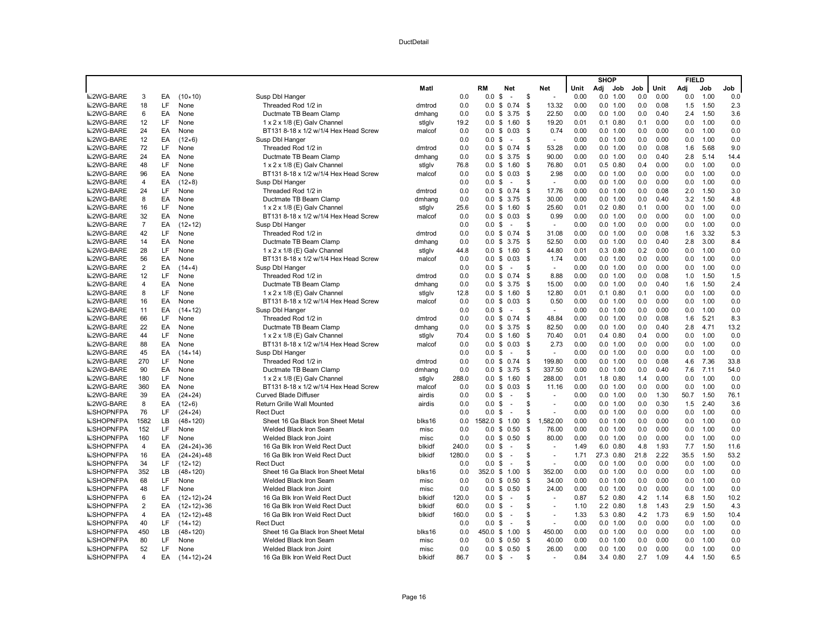|                  |                |     |                            |                                       |        |        |                   |                          |      |                     |      | <b>SHOP</b> |              |      |      | <b>FIELD</b> |      |      |
|------------------|----------------|-----|----------------------------|---------------------------------------|--------|--------|-------------------|--------------------------|------|---------------------|------|-------------|--------------|------|------|--------------|------|------|
|                  |                |     |                            |                                       | Matl   |        | RM                | Net                      |      | Net                 | Unit | Adj         | Job          | Job  | Unit | Adi          | Job  | Job  |
| ■2WG-BARE        | 3              | EA  | $(10 \times 10)$           | Susp Dbl Hanger                       |        | 0.0    | 0.0               | \$<br>$\sim$             | \$   | $\sim$              | 0.00 |             | 0.0 1.00     | 0.0  | 0.00 | 0.0          | 1.00 | 0.0  |
| <b>■2WG-BARE</b> | 18             | LF  | None                       | Threaded Rod 1/2 in                   | dmtrod | 0.0    | 0.0               | 0.74<br>\$               | \$   | 13.32               | 0.00 |             | 0.0 1.00     | 0.0  | 0.08 | 1.5          | 1.50 | 2.3  |
| <b>■2WG-BARE</b> | 6              | EA  | None                       | Ductmate TB Beam Clamp                | dmhang | 0.0    | 0.0               | \$<br>3.75               | \$   | 22.50               | 0.00 |             | 0.0 1.00     | 0.0  | 0.40 | 2.4          | 1.50 | 3.6  |
| <b>■2WG-BARE</b> | 12             | LF  | None                       | 1 x 2 x 1/8 (E) Galv Channel          | stigly | 19.2   |                   | $0.0 \tS 1.60$           | S.   | 19.20               | 0.01 |             | $0.1$ $0.80$ | 0.1  | 0.00 | 0.0          | 1.00 | 0.0  |
| <b>■2WG-BARE</b> | 24             | EA  | None                       | BT131 8-18 x 1/2 w/1/4 Hex Head Screw | malcof | 0.0    | 0.0               | \$<br>0.03               | - \$ | 0.74                | 0.00 |             | 0.0 1.00     | 0.0  | 0.00 | 0.0          | 1.00 | 0.0  |
| <b>■2WG-BARE</b> | 12             | EA  | $(12 \times 6)$            | Susp Dbl Hanger                       |        | 0.0    | 0.0 S             | $\sim$                   | \$   | $\sim$              | 0.00 |             | 0.0 1.00     | 0.0  | 0.00 | 0.0          | 1.00 | 0.0  |
| <b>■2WG-BARE</b> | 72             | LF. | None                       | Threaded Rod 1/2 in                   | dmtrod | 0.0    |                   | $0.0 \t S \t 0.74$       | \$   | 53.28               | 0.00 |             | 0.0 1.00     | 0.0  | 0.08 | 1.6          | 5.68 | 9.0  |
| <b>■2WG-BARE</b> | 24             | EA  | None                       | Ductmate TB Beam Clamp                | dmhang | 0.0    |                   | $0.0 \t$ 3.75$           | - \$ | 90.00               | 0.00 |             | 0.0 1.00     | 0.0  | 0.40 | 2.8          | 5.14 | 14.4 |
| ■2WG-BARE        | 48             | LF  | None                       | 1 x 2 x 1/8 (E) Galv Channel          | stigly | 76.8   |                   | $0.0$ \$ 1.60            | S.   | 76.80               | 0.01 |             | $0.5$ 0.80   | 0.4  | 0.00 | 0.0          | 1.00 | 0.0  |
| <b>■2WG-BARE</b> | 96             | EA  | None                       | BT131 8-18 x 1/2 w/1/4 Hex Head Screw | malcof | 0.0    | $0.0 \text{ }$ \$ | 0.03                     | S.   | 2.98                | 0.00 |             | 0.0 1.00     | 0.0  | 0.00 | 0.0          | 1.00 | 0.0  |
| <b>■2WG-BARE</b> | $\overline{4}$ | EA  | $(12 \times 8)$            | Susp Dbl Hanger                       |        | 0.0    | 0.0 S             | $\sim$                   | \$   | $\sim$              | 0.00 |             | 0.0 1.00     | 0.0  | 0.00 | 0.0          | 1.00 | 0.0  |
| <b>■2WG-BARE</b> | 24             | LF  | None                       | Threaded Rod 1/2 in                   | dmtrod | 0.0    | $0.0 \text{ }$ \$ | 0.74                     | \$   | 17.76               | 0.00 |             | 0.0 1.00     | 0.0  | 0.08 | 2.0          | 1.50 | 3.0  |
| <b>■2WG-BARE</b> | 8              | EA  | None                       | Ductmate TB Beam Clamp                | dmhang | 0.0    | 0.0 <sup>5</sup>  | 3.75                     | - \$ | 30.00               | 0.00 |             | 0.0 1.00     | 0.0  | 0.40 | 3.2          | 1.50 | 4.8  |
| <b>■2WG-BARE</b> | 16             | LF  | None                       | 1 x 2 x 1/8 (E) Galv Channel          | stiglv | 25.6   |                   | $0.0 \t$ 1.60$           | - \$ | 25.60               | 0.01 |             | $0.2$ $0.80$ | 0.1  | 0.00 | 0.0          | 1.00 | 0.0  |
| <b>■2WG-BARE</b> | 32             | EA  | None                       | BT131 8-18 x 1/2 w/1/4 Hex Head Screw | malcof | 0.0    | 0.0               | 0.03<br>\$               | - \$ | 0.99                | 0.00 |             | 0.0 1.00     | 0.0  | 0.00 | 0.0          | 1.00 | 0.0  |
| ■2WG-BARE        | $\overline{7}$ | EA  | $(12 \times 12)$           | Susp Dbl Hanger                       |        | 0.0    | $0.0 \text{ }$ \$ | $\sim$                   | \$   | $\sim$              | 0.00 |             | 0.0 1.00     | 0.0  | 0.00 | 0.0          | 1.00 | 0.0  |
| <b>■2WG-BARE</b> | 42             | LF  | None                       | Threaded Rod 1/2 in                   | dmtrod | 0.0    | $0.0 \text{ }$ \$ | 0.74                     | \$   | 31.08               | 0.00 |             | 0.0 1.00     | 0.0  | 0.08 | 1.6          | 3.32 | 5.3  |
| <b>■2WG-BARE</b> | 14             | EA  | None                       | Ductmate TB Beam Clamp                | dmhang | 0.0    | 0.0               | \$<br>3.75               | -\$  | 52.50               | 0.00 |             | 0.0 1.00     | 0.0  | 0.40 | 2.8          | 3.00 | 8.4  |
| ■2WG-BARE        | 28             | LF  | None                       | 1 x 2 x 1/8 (E) Galv Channel          | stigly | 44.8   |                   | $0.0 \tS 1.60$           | S.   | 44.80               | 0.01 |             | $0.3$ $0.80$ | 0.2  | 0.00 | 0.0          | 1.00 | 0.0  |
| <b>■2WG-BARE</b> | 56             | EA  | None                       | BT131 8-18 x 1/2 w/1/4 Hex Head Screw | malcof | 0.0    |                   | $0.0 \tS 0.03$           | - \$ | 1.74                | 0.00 |             | 0.0 1.00     | 0.0  | 0.00 | 0.0          | 1.00 | 0.0  |
| <b>■2WG-BARE</b> | 2              | EA  | $(14\times4)$              | Susp Dbl Hanger                       |        | 0.0    | 0.0               | \$<br>$\sim$             | \$   | $\sim$              | 0.00 |             | 0.0 1.00     | 0.0  | 0.00 | 0.0          | 1.00 | 0.0  |
| <b>■2WG-BARE</b> | 12             | LF  | None                       | Threaded Rod 1/2 in                   | dmtrod | 0.0    |                   | $0.0 \$ 0.74$            | \$   | 8.88                | 0.00 |             | 0.0 1.00     | 0.0  | 0.08 | 1.0          | 1.50 | 1.5  |
| <b>■2WG-BARE</b> | 4              | EA  | None                       | Ductmate TB Beam Clamp                | dmhang | 0.0    |                   | $0.0 \t S \t 3.75$       | -\$  | 15.00               | 0.00 |             | 0.0 1.00     | 0.0  | 0.40 | 1.6          | 1.50 | 2.4  |
| ■2WG-BARE        | 8              | LF  | None                       | 1 x 2 x 1/8 (E) Galv Channel          | stigly | 12.8   |                   | $0.0 \tS 1.60$           | \$   | 12.80               | 0.01 |             | $0.1$ $0.80$ | 0.1  | 0.00 | 0.0          | 1.00 | 0.0  |
| <b>■2WG-BARE</b> | 16             | EA  | None                       | BT131 8-18 x 1/2 w/1/4 Hex Head Screw | malcof | 0.0    | 0.0 <sup>5</sup>  | 0.03                     | - \$ | 0.50                | 0.00 |             | 0.0 1.00     | 0.0  | 0.00 | 0.0          | 1.00 | 0.0  |
| <b>■2WG-BARE</b> | 11             | EA  | $(14 \times 12)$           | Susp Dbl Hanger                       |        | 0.0    | 0.0 <sup>5</sup>  | $\sim$                   | S.   | $\sim$              | 0.00 |             | 0.0 1.00     | 0.0  | 0.00 | 0.0          | 1.00 | 0.0  |
| <b>■2WG-BARE</b> | 66             | LF  | None                       | Threaded Rod 1/2 in                   | dmtrod | 0.0    |                   | $0.0 \t S \t 0.74$       | S.   | 48.84               | 0.00 |             | 0.0 1.00     | 0.0  | 0.08 | 1.6          | 5.21 | 8.3  |
| <b>■2WG-BARE</b> | 22             | EA  | None                       | Ductmate TB Beam Clamp                | dmhang | 0.0    | 0.0               | \$3.75                   | \$   | 82.50               | 0.00 |             | 0.0 1.00     | 0.0  | 0.40 | 2.8          | 4.71 | 13.2 |
| ■2WG-BARE        | 44             | LF  | None                       | 1 x 2 x 1/8 (E) Galv Channel          | stiglv | 70.4   |                   | $0.0 \t S 1.60$          | S.   | 70.40               | 0.01 |             | $0.4$ $0.80$ | 0.4  | 0.00 | 0.0          | 1.00 | 0.0  |
| <b>■2WG-BARE</b> | 88             | EA  | None                       | BT131 8-18 x 1/2 w/1/4 Hex Head Screw | malcof | 0.0    | $0.0 \text{ }$ \$ | 0.03                     | S.   | 2.73                | 0.00 |             | 0.0 1.00     | 0.0  | 0.00 | 0.0          | 1.00 | 0.0  |
| <b>■2WG-BARE</b> | 45             | EA  | $(14 \times 14)$           | Susp Dbl Hanger                       |        | 0.0    | 0.0               | \$<br>$\sim$             | \$   | ÷.                  | 0.00 |             | 0.0 1.00     | 0.0  | 0.00 | 0.0          | 1.00 | 0.0  |
| <b>■2WG-BARE</b> | 270            | LF  | None                       | Threaded Rod 1/2 in                   | dmtrod | 0.0    |                   | $0.0 \t$ 0.74$           | S.   | 199.80              | 0.00 |             | 0.0 1.00     | 0.0  | 0.08 | 4.6          | 7.36 | 33.8 |
| <b>■2WG-BARE</b> | 90             | EA  | None                       | Ductmate TB Beam Clamp                | dmhang | 0.0    |                   | $0.0 \t S \t 3.75$       | - \$ | 337.50              | 0.00 |             | 0.0 1.00     | 0.0  | 0.40 | 7.6          | 7.11 | 54.0 |
| ■2WG-BARE        | 180            | LF  | None                       | 1 x 2 x 1/8 (E) Galv Channel          | stiglv | 288.0  | 0.0               | \$1.60                   | S.   | 288.00              | 0.01 |             | 1.8 0.80     | 1.4  | 0.00 | 0.0          | 1.00 | 0.0  |
| <b>■2WG-BARE</b> | 360            | EA  | None                       | BT131 8-18 x 1/2 w/1/4 Hex Head Screw | malcof | 0.0    | $0.0 \text{ }$ \$ | 0.03                     | S.   | 11.16               | 0.00 |             | 0.0 1.00     | 0.0  | 0.00 | 0.0          | 1.00 | 0.0  |
| <b>■2WG-BARE</b> | 39             | EA  | $(24 \times 24)$           | <b>Curved Blade Diffuser</b>          | airdis | 0.0    | $0.0 \text{ }$ \$ | $\sim$                   | \$   | $\sim$              | 0.00 |             | 0.0 1.00     | 0.0  | 1.30 | 50.7         | 1.50 | 76.1 |
| <b>■2WG-BARE</b> | 8              | EA  | $(12 \times 6)$            | <b>Return Grille Wall Mounted</b>     | airdis | 0.0    | 0.0               | \$<br>$\sim$             | \$   | ÷,                  | 0.00 |             | 0.0 1.00     | 0.0  | 0.30 | 1.5          | 2.40 | 3.6  |
| <b>SHOPNFPA</b>  | 76             | LF. | $(24 \times 24)$           | <b>Rect Duct</b>                      |        | 0.0    | 0.0               | \$<br>÷.                 | S    |                     | 0.00 |             | 0.0 1.00     | 0.0  | 0.00 | 0.0          | 1.00 | 0.0  |
| <b>SHOPNFPA</b>  | 1582           | LB  | $(48 \times 120)$          | Sheet 16 Ga Black Iron Sheet Metal    | blks16 | 0.0    | 1582.0            | \$<br>1.00               | \$   | 1.582.00            | 0.00 |             | 0.0 1.00     | 0.0  | 0.00 | 0.0          | 1.00 | 0.0  |
| <b>SHOPNFPA</b>  | 152            | LF  | None                       | Welded Black Iron Seam                | misc   | 0.0    |                   | $0.0 \t$ 0.50$           | \$   | 76.00               | 0.00 |             | 0.0 1.00     | 0.0  | 0.00 | 0.0          | 1.00 | 0.0  |
| <b>ESHOPNFPA</b> | 160            | LF  | None                       | Welded Black Iron Joint               | misc   | 0.0    |                   | $0.0 \t S \t 0.50$       | \$   | 80.00               | 0.00 |             | 0.0 1.00     | 0.0  | 0.00 | 0.0          | 1.00 | 0.0  |
| <b>SHOPNFPA</b>  | 4              | EA  | $(24 \times 24) \times 36$ | 16 Ga Blk Iron Weld Rect Duct         | blkidf | 240.0  | $0.0 \,$ \$       | $\sim$                   | \$   | $\overline{a}$      | 1.49 |             | 6.0 0.80     | 4.8  | 1.93 | 7.7          | 1.50 | 11.6 |
| <b>SHOPNFPA</b>  | 16             | EA  | $(24 \times 24) \times 48$ | 16 Ga Blk Iron Weld Rect Duct         | blkidf | 1280.0 | $0.0 \,$ \$       | $\sim$                   | \$   | $\bar{\phantom{a}}$ | 1.71 |             | 27.3 0.80    | 21.8 | 2.22 | 35.5         | 1.50 | 53.2 |
| <b>NSHOPNFPA</b> | 34             | LF. | $(12 \times 12)$           | <b>Rect Duct</b>                      |        | 0.0    | 0.0               | \$<br>÷.                 | S    | ÷.                  | 0.00 |             | 0.0 1.00     | 0.0  | 0.00 | 0.0          | 1.00 | 0.0  |
| <b>SHOPNFPA</b>  | 352            | LB  | $(48 \times 120)$          | Sheet 16 Ga Black Iron Sheet Metal    | blks16 | 0.0    | 352.0             | \$1.00                   | - \$ | 352.00              | 0.00 |             | 0.0 1.00     | 0.0  | 0.00 | 0.0          | 1.00 | 0.0  |
| <b>SHOPNFPA</b>  | 68             | LF  | None                       | Welded Black Iron Seam                | misc   | 0.0    | 0.0 S             | 0.50                     | \$   | 34.00               | 0.00 |             | 0.0 1.00     | 0.0  | 0.00 | 0.0          | 1.00 | 0.0  |
| <b>SHOPNFPA</b>  | 48             | LF  | None                       | Welded Black Iron Joint               | misc   | 0.0    | 0.0               | \$<br>0.50               | \$   | 24.00               | 0.00 |             | 0.0 1.00     | 0.0  | 0.00 | 0.0          | 1.00 | 0.0  |
| <b>SHOPNFPA</b>  | 6              | EA  | $(12 \times 12) \times 24$ | 16 Ga Blk Iron Weld Rect Duct         | blkidf | 120.0  | $0.0 \,$ \$       | $\overline{\phantom{a}}$ | \$   | $\sim$              | 0.87 |             | 5.2 0.80     | 4.2  | 1.14 | 6.8          | 1.50 | 10.2 |
| <b>SHOPNFPA</b>  | $\overline{2}$ | EA  | $(12 \times 12) \times 36$ | 16 Ga Blk Iron Weld Rect Duct         | blkidf | 60.0   | $0.0 \text{ }$ \$ | $\sim$                   | S    | $\sim$              | 1.10 |             | 2.2 0.80     | 1.8  | 1.43 | 2.9          | 1.50 | 4.3  |
| <b>SHOPNFPA</b>  | $\overline{4}$ | EA  | $(12 \times 12) \times 48$ | 16 Ga Blk Iron Weld Rect Duct         | blkidf | 160.0  | 0.0               | \$<br>$\sim$             | S    |                     | 1.33 |             | 5.3 0.80     | 4.2  | 1.73 | 6.9          | 1.50 | 10.4 |
| <b>SHOPNFPA</b>  | 40             | LF  | $(14 \times 12)$           | <b>Rect Duct</b>                      |        | 0.0    | 0.0               | \$<br>÷.                 | \$   | $\overline{a}$      | 0.00 |             | 0.0 1.00     | 0.0  | 0.00 | 0.0          | 1.00 | 0.0  |
| <b>SHOPNFPA</b>  | 450            | LB  | $(48 \times 120)$          | Sheet 16 Ga Black Iron Sheet Metal    | blks16 | 0.0    |                   | 450.0 \$ 1.00            | \$   | 450.00              | 0.00 |             | 0.0 1.00     | 0.0  | 0.00 | 0.0          | 1.00 | 0.0  |
| <b>SHOPNFPA</b>  | 80             | LF  | None                       | Welded Black Iron Seam                | misc   | 0.0    |                   | $0.0 \t$ 0.50$           | \$   | 40.00               | 0.00 |             | 0.0 1.00     | 0.0  | 0.00 | 0.0          | 1.00 | 0.0  |
| <b>ESHOPNFPA</b> | 52             | LF  | None                       | Welded Black Iron Joint               | misc   | 0.0    |                   | $0.0 \t S \t 0.50$       | -\$  | 26.00               | 0.00 |             | 0.0 1.00     | 0.0  | 0.00 | 0.0          | 1.00 | 0.0  |
| <b>ESHOPNFPA</b> | 4              | EA  | $(14 \times 12) \times 24$ | 16 Ga Blk Iron Weld Rect Duct         | blkidf | 86.7   | 0.0 S             | nia.                     | \$   |                     | 0.84 |             | 3.4 0.80     | 2.7  | 1.09 | 4.4          | 1.50 | 6.5  |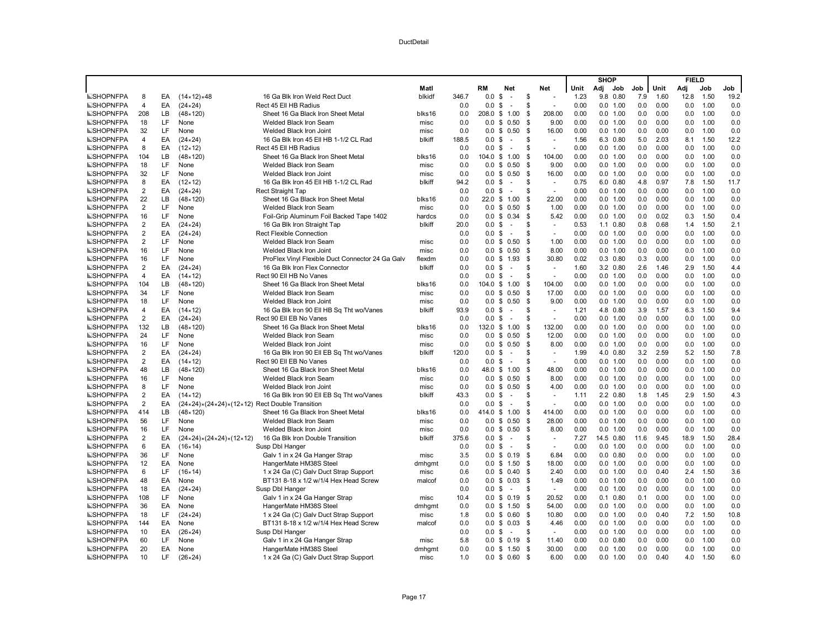|                                      |                         |          |                                                                                     |                                                                                |                |            |                   |                                |             |                |              | <b>SHOP</b> |                          |            |              | <b>FIELD</b> |              |            |
|--------------------------------------|-------------------------|----------|-------------------------------------------------------------------------------------|--------------------------------------------------------------------------------|----------------|------------|-------------------|--------------------------------|-------------|----------------|--------------|-------------|--------------------------|------------|--------------|--------------|--------------|------------|
|                                      |                         |          |                                                                                     |                                                                                | Matl           |            | RM                | Net                            |             | Net            | Unit         | Adj         | Job                      | Job        | Unit         | Adj          | Job          | Job        |
| <b>ESHOPNFPA</b>                     | 8                       | EA       | $(14 \times 12) \times 48$                                                          | 16 Ga Blk Iron Weld Rect Duct                                                  | blkidf         | 346.7      | 0.0               | \$<br>$\sim$                   | \$          | ÷,             | 1.23         |             | 9.8 0.80                 | 7.9        | 1.60         | 12.8         | 1.50         | 19.2       |
| <b>ESHOPNFPA</b>                     | $\overline{4}$          | EA       | $(24 \times 24)$                                                                    | Rect 45 Ell HB Radius                                                          |                | 0.0        | 0.0               | \$<br>$\sim$                   | \$          |                | 0.00         |             | 0.0 1.00                 | 0.0        | 0.00         | 0.0          | 1.00         | 0.0        |
| <b>SHOPNFPA</b>                      | 208                     | LB       | $(48 \times 120)$                                                                   | Sheet 16 Ga Black Iron Sheet Metal                                             | blks16         | 0.0        |                   | 208.0 \$ 1.00                  | -\$         | 208.00         | 0.00         |             | 0.0 1.00                 | 0.0        | 0.00         | 0.0          | 1.00         | 0.0        |
| <b>ESHOPNFPA</b>                     | 18                      | LF       | None                                                                                | Welded Black Iron Seam                                                         | misc           | 0.0        |                   | $0.0 \t S 0.50$                | -\$         | 9.00           | 0.00         |             | 0.0 1.00                 | 0.0        | 0.00         | 0.0          | 1.00         | 0.0        |
| <b>ESHOPNFPA</b>                     | 32                      | LF       | None                                                                                | Welded Black Iron Joint                                                        | misc           | 0.0        | 0.0               | \$0.50                         | -\$         | 16.00          | 0.00         |             | 0.0 1.00                 | 0.0        | 0.00         | 0.0          | 1.00         | 0.0        |
| <b>SHOPNFPA</b>                      | 4                       | EA       | $(24 \times 24)$                                                                    | 16 Ga Blk Iron 45 Ell HB 1-1/2 CL Rad                                          | blkiff         | 188.5      | 0.0               | \$<br>$\sim$                   | \$          | ÷,             | 1.56         |             | 6.3 0.80                 | 5.0        | 2.03         | 8.1          | 1.50         | 12.2       |
| <b>ESHOPNFPA</b>                     | 8                       | EA       | $(12 \times 12)$                                                                    | Rect 45 Ell HB Radius                                                          |                | 0.0        | 0.0               | \$<br>$\sim$                   | \$          | $\overline{a}$ | 0.00         |             | 0.0 1.00                 | 0.0        | 0.00         | 0.0          | 1.00         | 0.0        |
| <b>SHOPNFPA</b>                      | 104                     | LB       | $(48 \times 120)$                                                                   | Sheet 16 Ga Black Iron Sheet Metal                                             | blks16         | 0.0        |                   | 104.0 \$ 1.00                  | \$          | 104.00         | 0.00         |             | 0.0 1.00                 | 0.0        | 0.00         | 0.0          | 1.00         | 0.0        |
| <b>SHOPNFPA</b>                      | 18                      | LF       | None                                                                                | Welded Black Iron Seam                                                         | misc           | 0.0        | 0.0               | \$0.50                         | \$          | 9.00           | 0.00         |             | 0.0 1.00                 | 0.0        | 0.00         | 0.0          | 1.00         | 0.0        |
| NSHOPNFPA                            | 32                      | LF       | None                                                                                | Welded Black Iron Joint                                                        | misc           | 0.0        | 0.0               | \$0.50                         | \$          | 16.00          | 0.00         |             | 0.0 1.00                 | 0.0        | 0.00         | 0.0          | 1.00         | 0.0        |
| <b>ESHOPNFPA</b>                     | 8                       | EA       | $(12 \times 12)$                                                                    | 16 Ga Blk Iron 45 Ell HB 1-1/2 CL Rad                                          | blkiff         | 94.2       | 0.0 S             | $\blacksquare$                 | \$          | $\sim$         | 0.75         |             | 6.0 0.80                 | 4.8        | 0.97         | 7.8          | 1.50         | 11.7       |
| <b>SHOPNFPA</b>                      | $\overline{2}$          | EA       | $(24 \times 24)$                                                                    | Rect Straight Tap                                                              |                | 0.0        | 0.0               | \$<br>$\sim$                   | S           | $\overline{a}$ | 0.00         |             | 0.0 1.00                 | 0.0        | 0.00         | 0.0          | 1.00         | 0.0        |
| <b>SHOPNFPA</b>                      | 22                      | LB       | $(48 \times 120)$                                                                   | Sheet 16 Ga Black Iron Sheet Metal                                             | blks16         | 0.0        |                   | 22.0 \$ 1.00                   | \$          | 22.00          | 0.00         |             | 0.0 1.00                 | 0.0        | 0.00         | 0.0          | 1.00         | 0.0        |
| <b>SHOPNFPA</b>                      | $\overline{2}$          | LF       | None                                                                                | Welded Black Iron Seam                                                         | misc           | 0.0        |                   | $0.0 \t$ 0.50$                 | \$          | 1.00           | 0.00         |             | 0.0 1.00                 | 0.0        | 0.00         | 0.0          | 1.00         | 0.0        |
| <b>ESHOPNFPA</b>                     | 16                      | LF       | None                                                                                | Foil-Grip Aluminum Foil Backed Tape 1402                                       | hardcs         | 0.0        | 0.0               | \$0.34                         | -\$         | 5.42           | 0.00         |             | 0.0 1.00                 | 0.0        | 0.02         | 0.3          | 1.50         | 0.4        |
| <b>ESHOPNFPA</b>                     | $\overline{2}$          | EA       | $(24 \times 24)$                                                                    | 16 Ga Blk Iron Straight Tap                                                    | blkiff         | 20.0       | 0.0               | \$<br>$\sim$                   | \$.         | ÷.             | 0.53         |             | $1.1 \quad 0.80$         | 0.8        | 0.68         | 1.4          | 1.50         | 2.1        |
| <b>ESHOPNFPA</b>                     | $\overline{2}$          | EA       | $(24 \times 24)$                                                                    | <b>Rect Flexible Connection</b>                                                |                | 0.0        | $0.0 \text{ }$ \$ | $\sim$                         | \$          | $\sim$         | 0.00         |             | 0.0 1.00                 | 0.0        | 0.00         | 0.0          | 1.00         | 0.0        |
| <b>ESHOPNFPA</b>                     | $\overline{2}$          | LF       | None                                                                                | Welded Black Iron Seam                                                         | misc           | 0.0        |                   | $0.0 \t$ 0.50$                 | \$          | 1.00           | 0.00         |             | 0.0 1.00                 | 0.0        | 0.00         | 0.0          | 1.00         | 0.0        |
| <b>SHOPNFPA</b>                      | 16                      | LF       | None                                                                                | Welded Black Iron Joint                                                        | misc           | 0.0        | 0.0               | \$0.50                         | \$          | 8.00           | 0.00         |             | 0.0 1.00                 | 0.0        | 0.00         | 0.0          | 1.00         | 0.0        |
| <b>ESHOPNFPA</b>                     | 16                      | LF       | None                                                                                | ProFlex Vinyl Flexible Duct Connector 24 Ga Galv                               | flexdm         | 0.0        |                   | $0.0 \t$ 1.93$                 | \$          | 30.80          | 0.02         |             | $0.3$ $0.80$             | 0.3        | 0.00         | 0.0          | 1.00         | 0.0        |
| <b>SHOPNFPA</b>                      | $\overline{2}$          | EA       | $(24 \times 24)$                                                                    | 16 Ga Blk Iron Flex Connector                                                  | blkiff         | 0.0        | 0.0               | \$<br>$\blacksquare$           | \$          | $\bar{a}$      | 1.60         |             | 3.2 0.80                 | 2.6        | 1.46         | 2.9          | 1.50         | 4.4        |
| <b>ESHOPNFPA</b>                     | $\overline{\mathbf{4}}$ | EA       | $(14 \times 12)$                                                                    | Rect 90 Ell HB No Vanes                                                        |                | 0.0        | 0.0               | \$<br>$\sim$                   | \$          |                | 0.00         |             | 0.0 1.00                 | 0.0        | 0.00         | 0.0          | 1.00         | 0.0        |
| <b>SHOPNFPA</b>                      | 104                     | LВ       | $(48 \times 120)$                                                                   | Sheet 16 Ga Black Iron Sheet Metal                                             | blks16         | 0.0        |                   | 104.0 \$ 1.00                  | \$          | 104.00         | 0.00         |             | 0.0 1.00                 | 0.0        | 0.00         | 0.0          | 1.00         | 0.0        |
| <b>SHOPNFPA</b>                      | 34                      | LF       | None                                                                                | Welded Black Iron Seam                                                         | misc           | 0.0        |                   | $0.0 \t$ 0.50$                 | \$          | 17.00          | 0.00         |             | 0.0 1.00                 | 0.0        | 0.00         | 0.0          | 1.00         | 0.0        |
| <b>ESHOPNFPA</b>                     | 18                      | LF       | None                                                                                | Welded Black Iron Joint                                                        | misc           | 0.0        | 0.0               | \$0.50                         | -\$         | 9.00           | 0.00         |             | 0.0 1.00                 | 0.0        | 0.00         | 0.0          | 1.00         | 0.0        |
| <b>ESHOPNFPA</b>                     | $\overline{4}$          | EA       | $(14 \times 12)$                                                                    | 16 Ga Blk Iron 90 Ell HB Sq Tht wo/Vanes                                       | blkiff         | 93.9       | 0.0               | \$<br>$\sim$                   | \$.         | $\sim$         | 1.21         |             | 4.8 0.80                 | 3.9        | 1.57         | 6.3          | 1.50         | 9.4        |
| <b>SHOPNFPA</b>                      | $\overline{2}$          | EA       | $(24 \times 24)$                                                                    | Rect 90 Ell EB No Vanes                                                        |                | 0.0        | 0.0               | \$<br>$\overline{\phantom{a}}$ | \$          | ÷.             | 0.00         |             | 0.0 1.00                 | 0.0        | 0.00         | 0.0          | 1.00         | 0.0        |
| <b>SHOPNFPA</b>                      | 132                     | LB       | $(48 \times 120)$                                                                   | Sheet 16 Ga Black Iron Sheet Metal                                             | blks16         | 0.0        |                   | 132.0 \$ 1.00                  | \$          | 132.00         | 0.00         |             | 0.0 1.00                 | 0.0        | 0.00         | 0.0          | 1.00         | 0.0        |
| <b>ESHOPNFPA</b>                     | 24                      | LF       | None                                                                                | Welded Black Iron Seam                                                         | misc           | 0.0        | 0.0               | \$0.50                         | \$          | 12.00          | 0.00         |             | 0.0 1.00                 | 0.0        | 0.00         | 0.0          | 1.00         | 0.0        |
| <b>ESHOPNFPA</b>                     | 16                      | LF       | None                                                                                | Welded Black Iron Joint                                                        | misc           | 0.0        |                   | $0.0 \t$ 0.50$                 | -\$         | 8.00           | 0.00         |             | 0.0 1.00                 | 0.0        | 0.00         | 0.0          | 1.00         | 0.0        |
| <b>ESHOPNFPA</b>                     | $\overline{2}$          | EA       | $(24 \times 24)$                                                                    | 16 Ga Blk Iron 90 Ell EB Sq Tht wo/Vanes                                       | blkiff         | 120.0      | $0.0 \,$ \$       | $\sim$                         | S           | $\bar{a}$      | 1.99         |             | 4.0 0.80                 | 3.2        | 2.59         | 5.2          | 1.50         | 7.8        |
| <b>SHOPNFPA</b>                      | $\overline{2}$          | EA       | $(14 \times 12)$                                                                    | Rect 90 Ell EB No Vanes                                                        |                | 0.0        | 0.0               | \$<br>$\sim$                   | \$          | $\sim$         | 0.00         |             | 0.0 1.00                 | 0.0        | 0.00         | 0.0          | 1.00         | 0.0        |
| <b>SHOPNFPA</b>                      | 48                      | LВ       | $(48 \times 120)$                                                                   | Sheet 16 Ga Black Iron Sheet Metal                                             | blks16         | 0.0        |                   | 48.0 \$ 1.00                   | \$          | 48.00          | 0.00         |             | 0.0 1.00                 | 0.0        | 0.00         | 0.0          | 1.00         | 0.0        |
| <b>ESHOPNFPA</b>                     | 16                      | LF       | None                                                                                | Welded Black Iron Seam                                                         | misc           | 0.0        |                   | $0.0 \t S \t 0.50$             | \$          | 8.00           | 0.00         |             | 0.0 1.00                 | 0.0        | 0.00         | 0.0          | 1.00         | 0.0        |
| <b>ESHOPNFPA</b>                     | 8                       | LF       | None                                                                                | Welded Black Iron Joint                                                        | misc           | 0.0        | 0.0               | \$0.50                         | -\$         | 4.00           | 0.00         |             | 0.0 1.00                 | 0.0        | 0.00         | 0.0          | 1.00         | 0.0        |
| <b>ESHOPNFPA</b>                     | $\overline{2}$          | EA       | $(14 \times 12)$                                                                    | 16 Ga Blk Iron 90 Ell EB Sq Tht wo/Vanes                                       | blkiff         | 43.3       | 0.0               | \$<br>$\sim$                   | \$.         | $\sim$         | 1.11         |             | 2.2 0.80                 | 1.8        | 1.45         | 2.9          | 1.50         | 4.3        |
| <b>SHOPNFPA</b>                      | $\overline{2}$          | EA       | $(24 \times 24) \times (24 \times 24) \times (12 \times 12)$ Rect Double Transition |                                                                                |                | 0.0        | 0.0               | \$<br>$\blacksquare$           | \$          | $\bar{a}$      | 0.00         |             | 0.0 1.00                 | 0.0        | 0.00         | 0.0          | 1.00         | 0.0        |
| <b>ESHOPNFPA</b>                     | 414                     | LB       | $(48 \times 120)$                                                                   | Sheet 16 Ga Black Iron Sheet Metal                                             | blks16         | 0.0        | 414.0             | \$1.00                         | -\$         | 414.00         | 0.00         |             | 0.0 1.00                 | 0.0<br>0.0 | 0.00<br>0.00 | 0.0          | 1.00<br>1.00 | 0.0<br>0.0 |
| <b>ESHOPNFPA</b>                     | 56                      | LF       | None                                                                                | Welded Black Iron Seam                                                         | misc           | 0.0        | 0.0               | \$0.50                         | \$          | 28.00          | 0.00         |             | 0.0 1.00                 |            | 0.00         | 0.0          |              |            |
| <b>ESHOPNFPA</b>                     | 16                      | LF       | None                                                                                | Welded Black Iron Joint                                                        | misc           | 0.0        |                   | $0.0 \t$ 0.50$                 | -\$         | 8.00           | 0.00         |             | 0.0 1.00                 | 0.0        |              | 0.0          | 1.00         | 0.0        |
| <b>SHOPNFPA</b>                      | $\overline{2}$          | EA       | $(24 \times 24) \times (24 \times 24) \times (12 \times 12)$                        | 16 Ga Blk Iron Double Transition                                               | blkiff         | 375.6      | 0.0               | \$<br>$\sim$                   | S           | $\blacksquare$ | 7.27         |             | 14.5 0.80                | 11.6       | 9.45         | 18.9         | 1.50         | 28.4       |
| <b>SHOPNFPA</b>                      | 6<br>36                 | EA<br>LF | $(16 \times 14)$<br>None                                                            | Susp Dbl Hanger                                                                |                | 0.0<br>3.5 | 0.0               | \$<br>$\sim$<br>$0.0 \tS 0.19$ | \$.         | $\sim$<br>6.84 | 0.00<br>0.00 |             | 0.0 1.00<br>$0.0$ $0.80$ | 0.0<br>0.0 | 0.00<br>0.00 | 0.0          | 1.00<br>1.00 | 0.0<br>0.0 |
| <b>ESHOPNFPA</b><br><b>ESHOPNFPA</b> | 12                      | EA       |                                                                                     | Galv 1 in x 24 Ga Hanger Strap                                                 | misc           | 0.0        |                   |                                | - \$        | 18.00          | 0.00         |             | 0.0 1.00                 | 0.0        | 0.00         | 0.0<br>0.0   | 1.00         | 0.0        |
|                                      |                         |          | None                                                                                | HangerMate HM38S Steel                                                         | dmhgmt         |            |                   | $0.0 \t$ 1.50$                 | -S          |                |              |             |                          |            |              |              |              |            |
| <b>ESHOPNFPA</b>                     | 6<br>48                 | LF<br>EA | $(16 \times 14)$<br>None                                                            | 1 x 24 Ga (C) Galv Duct Strap Support                                          | misc           | 0.6<br>0.0 | 0.0               | \$0.40                         | \$          | 2.40<br>1.49   | 0.00<br>0.00 |             | 0.0 1.00<br>0.0 1.00     | 0.0<br>0.0 | 0.40<br>0.00 | 2.4<br>0.0   | 1.50<br>1.00 | 3.6<br>0.0 |
| <b>SHOPNFPA</b><br><b>SHOPNFPA</b>   | 18                      | EA       | $(24 \times 24)$                                                                    | BT131 8-18 x 1/2 w/1/4 Hex Head Screw<br>Susp Dbl Hanger                       | malcof         | 0.0        | $0.0 \text{ }$ \$ | $0.0 \t$ 0.03$<br>$\sim$       | - \$<br>S   | $\blacksquare$ | 0.00         |             | 0.0 1.00                 | 0.0        | 0.00         | 0.0          | 1.00         | 0.0        |
| <b>ESHOPNFPA</b>                     | 108                     | LF       | None                                                                                | Galv 1 in x 24 Ga Hanger Strap                                                 | misc           | 10.4       |                   | $0.0 \t$ 0.19$                 | - \$        | 20.52          | 0.00         |             | $0.1$ $0.80$             | 0.1        | 0.00         | 0.0          | 1.00         | 0.0        |
| <b>ESHOPNFPA</b>                     | 36                      | EA       | None                                                                                |                                                                                |                | 0.0        | 0.0               | \$1.50                         | \$          | 54.00          | 0.00         |             | 0.0 1.00                 | 0.0        | 0.00         | 0.0          | 1.00         | 0.0        |
|                                      | 18                      | LF       |                                                                                     | HangerMate HM38S Steel                                                         | dmhgmt         |            |                   |                                |             | 10.80          | 0.00         |             | 0.0 1.00                 | 0.0        | 0.40         | 7.2          | 1.50         | 10.8       |
| <b>SHOPNFPA</b><br><b>SHOPNFPA</b>   | 144                     | EA       | $(24 \times 24)$<br>None                                                            | 1 x 24 Ga (C) Galv Duct Strap Support<br>BT131 8-18 x 1/2 w/1/4 Hex Head Screw | misc<br>malcof | 1.8<br>0.0 | 0.0               | $0.0 \t$ 0.60$<br>\$0.03       | -\$<br>- \$ | 4.46           | 0.00         |             | 0.0 1.00                 | 0.0        | 0.00         | 0.0          | 1.00         | 0.0        |
| <b>ESHOPNFPA</b>                     | 10                      | EA       | $(26 \times 24)$                                                                    | Susp Dbl Hanger                                                                |                | 0.0        | 0.0               | \$<br>$\sim$                   | \$.         | ÷,             | 0.00         |             | 0.0 1.00                 | 0.0        | 0.00         | 0.0          | 1.00         | 0.0        |
| <b>ESHOPNFPA</b>                     | 60                      | LF       | None                                                                                | Galv 1 in x 24 Ga Hanger Strap                                                 | misc           | 5.8        |                   | $0.0 \t$ 0.19$                 | - \$        | 11.40          | 0.00         |             | $0.0$ $0.80$             | 0.0        | 0.00         | 0.0          | 1.00         | 0.0        |
| <b>ESHOPNFPA</b>                     | 20                      | EA       | None                                                                                | HangerMate HM38S Steel                                                         | dmhqmt         | 0.0        |                   | $0.0 \t$ 1.50$                 | - \$        | 30.00          | 0.00         |             | 0.0 1.00                 | 0.0        | 0.00         | 0.0          | 1.00         | 0.0        |
| <b>SHOPNFPA</b>                      | 10                      | LF       | $(26 \times 24)$                                                                    | 1 x 24 Ga (C) Galv Duct Strap Support                                          | misc           | 1.0        |                   | $0.0 \t$ 0.60$                 | - \$        | 6.00           | 0.00         |             | 0.0 1.00                 | 0.0        | 0.40         | 4.0          | 1.50         | 6.0        |
|                                      |                         |          |                                                                                     |                                                                                |                |            |                   |                                |             |                |              |             |                          |            |              |              |              |            |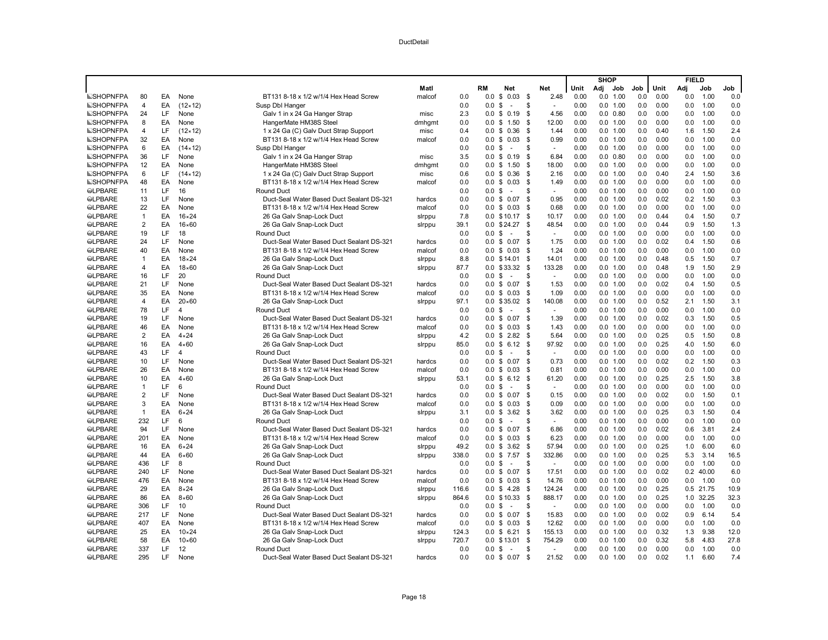|                 |                  |     |                  |                                           |        |       |                   |                                |      |        |      | <b>SHOP</b> |              |     |      | <b>FIELD</b> |           |      |
|-----------------|------------------|-----|------------------|-------------------------------------------|--------|-------|-------------------|--------------------------------|------|--------|------|-------------|--------------|-----|------|--------------|-----------|------|
|                 |                  |     |                  |                                           | Matl   |       | RM                | <b>Net</b>                     |      | Net    | Unit |             | Adj Job      | Job | Unit | Adi          | Job       | Job  |
| <b>SHOPNFPA</b> | 80               | EA  | None             | BT131 8-18 x 1/2 w/1/4 Hex Head Screw     | malcof | 0.0   |                   | $0.0 \t$ 0.03 \t$$             |      | 2.48   | 0.00 |             | 0.0 1.00     | 0.0 | 0.00 | 0.0          | 1.00      | 0.0  |
| <b>SHOPNFPA</b> | $\overline{4}$   | EA  | $(12 \times 12)$ | Susp Dbl Hanger                           |        | 0.0   | 0.0               | \$<br>$\sim$                   | \$   |        | 0.00 |             | 0.0 1.00     | 0.0 | 0.00 | 0.0          | 1.00      | 0.0  |
| <b>SHOPNFPA</b> | 24               | LF  | None             | Galv 1 in x 24 Ga Hanger Strap            | misc   | 2.3   | 0.0 S             | 0.19                           | - \$ | 4.56   | 0.00 |             | $0.0$ $0.80$ | 0.0 | 0.00 | 0.0          | 1.00      | 0.0  |
| <b>SHOPNFPA</b> | 8                | EA  | None             | HangerMate HM38S Steel                    | dmhqmt | 0.0   | $0.0 \text{ }$ \$ | 1.50                           | - \$ | 12.00  | 0.00 |             | 0.0 1.00     | 0.0 | 0.00 | 0.0          | 1.00      | 0.0  |
| <b>SHOPNFPA</b> | 4                | LF  | $(12 \times 12)$ | 1 x 24 Ga (C) Galv Duct Strap Support     | misc   | 0.4   | $0.0 \text{ } $$  | 0.36                           | \$   | 1.44   | 0.00 |             | 0.0 1.00     | 0.0 | 0.40 | 1.6          | 1.50      | 2.4  |
| <b>SHOPNFPA</b> | 32               | EA  | None             | BT131 8-18 x 1/2 w/1/4 Hex Head Screw     | malcof | 0.0   |                   | $0.0 \tS 0.03$                 | \$   | 0.99   | 0.00 |             | 0.0 1.00     | 0.0 | 0.00 | 0.0          | 1.00      | 0.0  |
| <b>SHOPNFPA</b> | 6                | EA  | $(14 \times 12)$ | Susp Dbl Hanger                           |        | 0.0   | 0.0 S             | ÷.                             | . ፍ  | $\sim$ | 0.00 |             | 0.0 1.00     | 0.0 | 0.00 | 0.0          | 1.00      | 0.0  |
| <b>SHOPNFPA</b> | 36               | LF  | None             | Galv 1 in x 24 Ga Hanger Strap            | misc   | 3.5   | $0.0 \text{ }$ \$ | 0.19                           | - \$ | 6.84   | 0.00 |             | $0.0$ $0.80$ | 0.0 | 0.00 | 0.0          | 1.00      | 0.0  |
| <b>SHOPNFPA</b> | 12               | EA  | None             | HangerMate HM38S Steel                    | dmhqmt | 0.0   | $0.0 \text{ }$ \$ | 1.50                           | - \$ | 18.00  | 0.00 |             | 0.0 1.00     | 0.0 | 0.00 | 0.0          | 1.00      | 0.0  |
| <b>SHOPNFPA</b> | 6                | LF  | $(14 \times 12)$ | 1 x 24 Ga (C) Galv Duct Strap Support     | misc   | 0.6   |                   | $0.0 \t$ 0.36$                 | \$   | 2.16   | 0.00 |             | 0.0 1.00     | 0.0 | 0.40 | 2.4          | 1.50      | 3.6  |
| <b>SHOPNFPA</b> | 48               | EA  | None             | BT131 8-18 x 1/2 w/1/4 Hex Head Screw     | malcof | 0.0   | $0.0 \text{ }$ \$ | 0.03                           | \$   | 1.49   | 0.00 |             | 0.0 1.00     | 0.0 | 0.00 | 0.0          | 1.00      | 0.0  |
| <b>SLPBARE</b>  | 11               | LF  | 16               | <b>Round Duct</b>                         |        | 0.0   | 0.0 S             | $\sim$                         | \$   |        | 0.00 |             | 0.0 1.00     | 0.0 | 0.00 | 0.0          | 1.00      | 0.0  |
| <b>SLPBARE</b>  | 13               | LF  | None             | Duct-Seal Water Based Duct Sealant DS-321 | hardcs | 0.0   | $0.0 \text{ }$ \$ | 0.07                           | \$   | 0.95   | 0.00 |             | 0.0 1.00     | 0.0 | 0.02 | 0.2          | 1.50      | 0.3  |
| <b>SLPBARE</b>  | 22               | EA  | None             | BT131 8-18 x 1/2 w/1/4 Hex Head Screw     | malcof | 0.0   |                   | $0.0 \tS 0.03$                 | \$   | 0.68   | 0.00 |             | 0.0 1.00     | 0.0 | 0.00 | 0.0          | 1.00      | 0.0  |
| <b>SLPBARE</b>  | $\mathbf{1}$     | EA  | $16 \times 24$   | 26 Ga Galv Snap-Lock Duct                 | slrppu | 7.8   |                   | 0.0 \$10.17                    | \$   | 10.17  | 0.00 |             | 0.0 1.00     | 0.0 | 0.44 | 0.4          | 1.50      | 0.7  |
| <b>SLPBARE</b>  | $\overline{2}$   | EA  | $16\times 60$    | 26 Ga Galv Snap-Lock Duct                 | sirppu | 39.1  |                   | $0.0$ \$ 24.27                 | \$   | 48.54  | 0.00 |             | 0.0 1.00     | 0.0 | 0.44 | 0.9          | 1.50      | 1.3  |
| <b>SLPBARE</b>  | 19               | LF  | 18               | <b>Round Duct</b>                         |        | 0.0   | 0.0 <sup>5</sup>  | $\sim$                         | \$   | $\sim$ | 0.00 |             | 0.0 1.00     | 0.0 | 0.00 | 0.0          | 1.00      | 0.0  |
| <b>SLPBARE</b>  | 24               | LF  | None             | Duct-Seal Water Based Duct Sealant DS-321 | hardcs | 0.0   | $0.0 \text{ }$ \$ | 0.07                           | \$   | 1.75   | 0.00 |             | 0.0 1.00     | 0.0 | 0.02 | 0.4          | 1.50      | 0.6  |
| <b>@LPBARE</b>  | 40               | EA  | None             | BT131 8-18 x 1/2 w/1/4 Hex Head Screw     | malcof | 0.0   |                   | $0.0 \t$ 0.03$                 | \$   | 1.24   | 0.00 |             | 0.0 1.00     | 0.0 | 0.00 | 0.0          | 1.00      | 0.0  |
| <b>SLPBARE</b>  | $\mathbf{1}$     | EA  | $18 \times 24$   | 26 Ga Galv Snap-Lock Duct                 | slrppu | 8.8   |                   | $0.0 \tS 14.01$                | - \$ | 14.01  | 0.00 |             | 0.0 1.00     | 0.0 | 0.48 | 0.5          | 1.50      | 0.7  |
| <b>SLPBARE</b>  | $\overline{4}$   | EA  | $18\times 60$    | 26 Ga Galv Snap-Lock Duct                 | sirppu | 87.7  | 0.0               | \$33.32                        | - \$ | 133.28 | 0.00 |             | 0.0 1.00     | 0.0 | 0.48 | 1.9          | 1.50      | 2.9  |
| <b>SLPBARE</b>  | 16               | LF  | 20               | <b>Round Duct</b>                         |        | 0.0   | 0.0 <sup>5</sup>  | $\sim$                         | \$   | $\sim$ | 0.00 |             | 0.0 1.00     | 0.0 | 0.00 | 0.0          | 1.00      | 0.0  |
| <b>SLPBARE</b>  | 21               | LF  | None             | Duct-Seal Water Based Duct Sealant DS-321 | hardcs | 0.0   |                   | $0.0 \t$ 0.07$                 | \$   | 1.53   | 0.00 |             | 0.0 1.00     | 0.0 | 0.02 | 0.4          | 1.50      | 0.5  |
| <b>SLPBARE</b>  | 35               | EA  | None             | BT131 8-18 x 1/2 w/1/4 Hex Head Screw     | malcof | 0.0   |                   | $0.0 \t$ 0.03$                 | \$   | 1.09   | 0.00 |             | 0.0 1.00     | 0.0 | 0.00 | 0.0          | 1.00      | 0.0  |
| <b>SLPBARE</b>  | $\overline{4}$   | EA  | $20 \times 60$   | 26 Ga Galv Snap-Lock Duct                 | sirppu | 97.1  |                   | 0.0 \$35.02                    | \$   | 140.08 | 0.00 |             | 0.0 1.00     | 0.0 | 0.52 | 2.1          | 1.50      | 3.1  |
| <b>SLPBARE</b>  | 78               | LF  | $\overline{4}$   | <b>Round Duct</b>                         |        | 0.0   | $0.0 \text{ }$ \$ | $\sim$                         | \$   | $\sim$ | 0.00 |             | 0.0 1.00     | 0.0 | 0.00 | 0.0          | 1.00      | 0.0  |
| <b>SLPBARE</b>  | 19               | LF  | None             | Duct-Seal Water Based Duct Sealant DS-321 | hardcs | 0.0   |                   | $0.0 \t S 0.07$                | \$   | 1.39   | 0.00 |             | 0.0 1.00     | 0.0 | 0.02 | 0.3          | 1.50      | 0.5  |
| <b>SLPBARE</b>  | 46               | EA  | None             | BT131 8-18 x 1/2 w/1/4 Hex Head Screw     | malcof | 0.0   | $0.0 \text{ }$ \$ | 0.03                           | - \$ | 1.43   | 0.00 |             | 0.0 1.00     | 0.0 | 0.00 | 0.0          | 1.00      | 0.0  |
| <b>SLPBARE</b>  | $\overline{2}$   | EA  | $4 \times 24$    | 26 Ga Galv Snap-Lock Duct                 | sirppu | 4.2   | $0.0 \text{ }$ \$ | 2.82                           | \$   | 5.64   | 0.00 |             | 0.0 1.00     | 0.0 | 0.25 | 0.5          | 1.50      | 0.8  |
| <b>SLPBARE</b>  | 16               | EA  | $4 \times 60$    | 26 Ga Galv Snap-Lock Duct                 | sirppu | 85.0  | $0.0 \text{ }$ \$ | 6.12                           | \$   | 97.92  | 0.00 |             | 0.0 1.00     | 0.0 | 0.25 | 4.0          | 1.50      | 6.0  |
| <b>SLPBARE</b>  | 43               | LF  | $\overline{4}$   | <b>Round Duct</b>                         |        | 0.0   | 0.0               | \$<br>$\overline{\phantom{a}}$ | \$   | $\sim$ | 0.00 |             | 0.0 1.00     | 0.0 | 0.00 | 0.0          | 1.00      | 0.0  |
| <b>SLPBARE</b>  | 10               | LF  | None             | Duct-Seal Water Based Duct Sealant DS-321 | hardcs | 0.0   | $0.0 \text{ }$ \$ | 0.07                           | \$   | 0.73   | 0.00 |             | 0.0 1.00     | 0.0 | 0.02 | 0.2          | 1.50      | 0.3  |
| <b>SLPBARE</b>  | 26               | EA  | None             | BT131 8-18 x 1/2 w/1/4 Hex Head Screw     | malcof | 0.0   |                   | $0.0 \tS 0.03$                 | \$   | 0.81   | 0.00 |             | 0.0 1.00     | 0.0 | 0.00 | 0.0          | 1.00      | 0.0  |
| <b>SLPBARE</b>  | 10               | EA  | $4 \times 60$    | 26 Ga Galv Snap-Lock Duct                 | sirppu | 53.1  |                   | $0.0 \t$ 6.12$                 | - \$ | 61.20  | 0.00 |             | 0.0 1.00     | 0.0 | 0.25 | 2.5          | 1.50      | 3.8  |
| <b>SLPBARE</b>  | $\overline{1}$   | LF  | 6                | <b>Round Duct</b>                         |        | 0.0   | 0.0 <sup>5</sup>  | $\sim$                         | \$   | $\sim$ | 0.00 |             | 0.0 1.00     | 0.0 | 0.00 | 0.0          | 1.00      | 0.0  |
| <b>SLPBARE</b>  | $\boldsymbol{2}$ | LF  | None             | Duct-Seal Water Based Duct Sealant DS-321 | hardcs | 0.0   |                   | $0.0 \t$ 0.07$                 | \$   | 0.15   | 0.00 |             | 0.0 1.00     | 0.0 | 0.02 | 0.0          | 1.50      | 0.1  |
| <b>SLPBARE</b>  | 3                | EA  | None             | BT131 8-18 x 1/2 w/1/4 Hex Head Screw     | malcof | 0.0   | 0.0               | \$0.03                         | \$   | 0.09   | 0.00 |             | 0.0 1.00     | 0.0 | 0.00 | 0.0          | 1.00      | 0.0  |
| <b>SLPBARE</b>  | $\mathbf{1}$     | EA  | $6 \times 24$    | 26 Ga Galv Snap-Lock Duct                 | sirppu | 3.1   | 0.0 S             | 3.62                           | \$   | 3.62   | 0.00 |             | 0.0 1.00     | 0.0 | 0.25 | 0.3          | 1.50      | 0.4  |
| <b>SLPBARE</b>  | 232              | LF  | 6                | <b>Round Duct</b>                         |        | 0.0   | 0.0 <sup>5</sup>  | $\sim$                         | \$   | $\sim$ | 0.00 |             | 0.0 1.00     | 0.0 | 0.00 | 0.0          | 1.00      | 0.0  |
| <b>SLPBARE</b>  | 94               | LF  | None             | Duct-Seal Water Based Duct Sealant DS-321 | hardcs | 0.0   | $0.0 \text{ }$ \$ | 0.07                           | \$   | 6.86   | 0.00 |             | 0.0 1.00     | 0.0 | 0.02 | 0.6          | 3.81      | 2.4  |
| <b>SLPBARE</b>  | 201              | EA  | None             | BT131 8-18 x 1/2 w/1/4 Hex Head Screw     | malcof | 0.0   |                   | $0.0 \t$ 0.03$                 | \$   | 6.23   | 0.00 |             | 0.0 1.00     | 0.0 | 0.00 | 0.0          | 1.00      | 0.0  |
| <b>SLPBARE</b>  | 16               | EA  | $6 \times 24$    | 26 Ga Galv Snap-Lock Duct                 | sirppu | 49.2  | 0.0 S             | 3.62                           | \$   | 57.94  | 0.00 |             | 0.0 1.00     | 0.0 | 0.25 | 1.0          | 6.00      | 6.0  |
| <b>SLPBARE</b>  | 44               | EA  | $6 \times 60$    | 26 Ga Galv Snap-Lock Duct                 | sirppu | 338.0 | $0.0 \text{ }$ \$ | 7.57                           | \$   | 332.86 | 0.00 |             | 0.0 1.00     | 0.0 | 0.25 | 5.3          | 3.14      | 16.5 |
| <b>SLPBARE</b>  | 436              | LF  | 8                | <b>Round Duct</b>                         |        | 0.0   | 0.0 <sup>5</sup>  | $\sim$                         | \$   |        | 0.00 |             | 0.0 1.00     | 0.0 | 0.00 | 0.0          | 1.00      | 0.0  |
| <b>SLPBARE</b>  | 240              | LF  | None             | Duct-Seal Water Based Duct Sealant DS-321 | hardcs | 0.0   | $0.0 \text{ }$ \$ | 0.07                           | \$   | 17.51  | 0.00 |             | 0.0 1.00     | 0.0 | 0.02 |              | 0.2 40.00 | 6.0  |
| <b>SLPBARE</b>  | 476              | EA  | None             | BT131 8-18 x 1/2 w/1/4 Hex Head Screw     | malcof | 0.0   |                   | $0.0 \tS 0.03$                 | \$   | 14.76  | 0.00 |             | 0.0 1.00     | 0.0 | 0.00 | 0.0          | 1.00      | 0.0  |
| <b>SLPBARE</b>  | 29               | EA  | $8 \times 24$    | 26 Ga Galv Snap-Lock Duct                 | sirppu | 116.6 |                   | $0.0 \t$ 4.28$                 | - \$ | 124.24 | 0.00 |             | 0.0 1.00     | 0.0 | 0.25 | 0.5          | 21.75     | 10.9 |
| <b>OLPBARE</b>  | 86               | EA  | $8\times60$      | 26 Ga Galv Snap-Lock Duct                 | sirppu | 864.6 |                   | $0.0 \t$ 10.33$                | - \$ | 888.17 | 0.00 |             | $0.0$ 1.00   | 0.0 | 0.25 | 1.0          | 32.25     | 32.3 |
| <b>SLPBARE</b>  | 306              | LF  | 10               | Round Duct                                |        | 0.0   | 0.0 <sup>5</sup>  | $\sim$                         | \$   | $\sim$ | 0.00 |             | 0.0 1.00     | 0.0 | 0.00 | 0.0          | 1.00      | 0.0  |
| <b>SLPBARE</b>  | 217              | LF  | None             | Duct-Seal Water Based Duct Sealant DS-321 | hardcs | 0.0   | 0.0               | 0.07<br>\$                     | \$   | 15.83  | 0.00 |             | 0.0 1.00     | 0.0 | 0.02 | 0.9          | 6.14      | 5.4  |
| <b>SLPBARE</b>  | 407              | EA  | None             | BT131 8-18 x 1/2 w/1/4 Hex Head Screw     | malcof | 0.0   |                   | $0.0 \tS 0.03$                 | - \$ | 12.62  | 0.00 |             | 0.0 1.00     | 0.0 | 0.00 | 0.0          | 1.00      | 0.0  |
| <b>SLPBARE</b>  | 25               | EA  | $10 \times 24$   | 26 Ga Galv Snap-Lock Duct                 | sirppu | 124.3 |                   | $0.0 \t$ 6.21$                 | - \$ | 155.13 | 0.00 |             | 0.0 1.00     | 0.0 | 0.32 | 1.3          | 9.38      | 12.0 |
| <b>SLPBARE</b>  | 58               | EA  | $10\times 60$    | 26 Ga Galv Snap-Lock Duct                 | slrppu | 720.7 |                   | 0.0 \$13.01                    | - \$ | 754.29 | 0.00 |             | 0.0 1.00     | 0.0 | 0.32 | 5.8          | 4.83      | 27.8 |
| <b>SLPBARE</b>  | 337              | LF  | 12               | Round Duct                                |        | 0.0   | $0.0 \text{ } $$  | $\sim$                         | \$   |        | 0.00 |             | 0.0 1.00     | 0.0 | 0.00 | 0.0          | 1.00      | 0.0  |
| <b>SLPBARE</b>  | 295              | LF. | None             | Duct-Seal Water Based Duct Sealant DS-321 | hardcs | 0.0   |                   | $0.0 \tS 0.07$                 | S.   | 21.52  | 0.00 |             | 0.0 1.00     | 0.0 | 0.02 | 1.1          | 6.60      | 7.4  |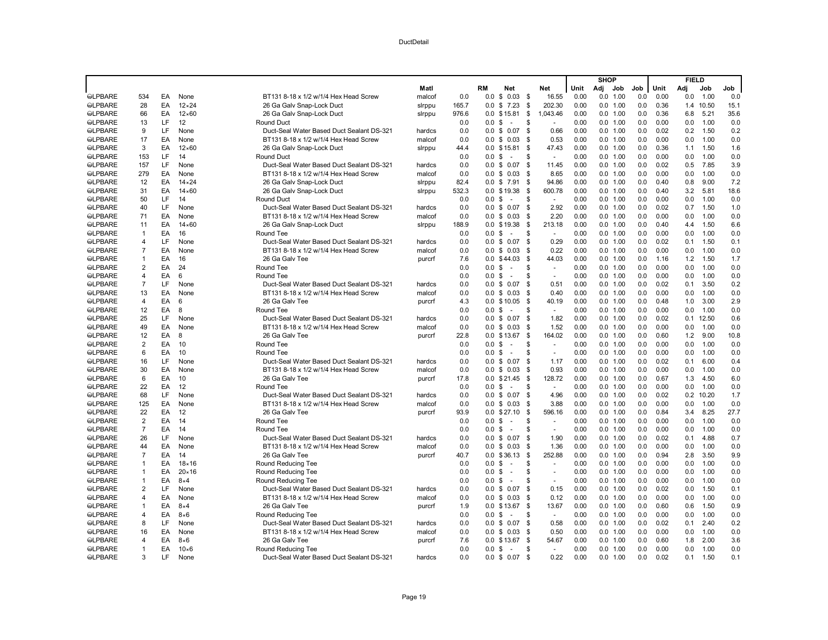|                |                |    |                |                                           |        |            |                   |                                |                         |                 |              | <b>SHOP</b> |                        |     |      | <b>FIELD</b> |              |      |
|----------------|----------------|----|----------------|-------------------------------------------|--------|------------|-------------------|--------------------------------|-------------------------|-----------------|--------------|-------------|------------------------|-----|------|--------------|--------------|------|
|                |                |    |                |                                           | Matl   |            | RM                | <b>Net</b>                     | Net                     |                 | Unit         | Adj         | Job                    | Job | Unit | Adi          | Job          | Job  |
| <b>SLPBARE</b> | 534            | EA | None           | BT131 8-18 x 1/2 w/1/4 Hex Head Screw     | malcof | 0.0        | 0.0               | \$0.03                         | - \$                    | 16.55           | 0.00         | 0.0         | 1.00                   | 0.0 | 0.00 | 0.0          | 1.00         | 0.0  |
| <b>SLPBARE</b> | 28             | EA | $12 \times 24$ | 26 Ga Galv Snap-Lock Duct                 | slrppu | 165.7      | 0.0               | \$<br>7.23                     | - \$                    | 202.30          | 0.00         |             | 0.0 1.00               | 0.0 | 0.36 |              | 1.4 10.50    | 15.1 |
| <b>SLPBARE</b> | 66             | EA | $12\times 60$  | 26 Ga Galv Snap-Lock Duct                 | sirppu | 976.6      |                   | $0.0$ \$15.81                  | \$                      | 1.043.46        | 0.00         |             | 0.0 1.00               | 0.0 | 0.36 | 6.8          | 5.21         | 35.6 |
| <b>SLPBARE</b> | 13             | LF | 12             | <b>Round Duct</b>                         |        | 0.0        | 0.0 S             | $\sim$                         | \$                      |                 | 0.00         |             | 0.0 1.00               | 0.0 | 0.00 | 0.0          | 1.00         | 0.0  |
| <b>SLPBARE</b> | 9              | LF | None           | Duct-Seal Water Based Duct Sealant DS-321 | hardcs | 0.0        | $0.0 \text{ } $$  | 0.07                           | - \$                    | 0.66            | 0.00         |             | 0.0 1.00               | 0.0 | 0.02 | 0.2          | 1.50         | 0.2  |
| <b>SLPBARE</b> | 17             | EA | None           | BT131 8-18 x 1/2 w/1/4 Hex Head Screw     | malcof | 0.0        |                   | $0.0 \t$ 0.03$                 | \$                      | 0.53            | 0.00         |             | 0.0 1.00               | 0.0 | 0.00 | 0.0          | 1.00         | 0.0  |
| <b>SLPBARE</b> | 3              | EA | $12\times 60$  | 26 Ga Galv Snap-Lock Duct                 | sirppu | 44.4       |                   | $0.0$ \$15.81                  | \$                      | 47.43           | 0.00         |             | 0.0 1.00               | 0.0 | 0.36 | 1.1          | 1.50         | 1.6  |
| <b>OLPBARE</b> | 153            | LF | 14             | <b>Round Duct</b>                         |        | 0.0        | 0.0               | \$<br>÷.                       | \$                      |                 | 0.00         |             | 0.0 1.00               | 0.0 | 0.00 | 0.0          | 1.00         | 0.0  |
| <b>SLPBARE</b> | 157            | LF | None           | Duct-Seal Water Based Duct Sealant DS-321 | hardcs | 0.0        | $0.0 \text{ }$ \$ | 0.07                           | - \$                    | 11.45           | 0.00         |             | 0.0 1.00               | 0.0 | 0.02 | 0.5          | 7.85         | 3.9  |
| <b>SLPBARE</b> | 279            | EA | None           | BT131 8-18 x 1/2 w/1/4 Hex Head Screw     | malcof | 0.0        | $0.0 \text{ }$ \$ | 0.03                           | - \$                    | 8.65            | 0.00         |             | 0.0 1.00               | 0.0 | 0.00 | 0.0          | 1.00         | 0.0  |
| <b>SLPBARE</b> | 12             | EA | $14 \times 24$ | 26 Ga Galv Snap-Lock Duct                 | slrppu | 82.4       |                   | $0.0$ \$ 7.91                  | \$                      | 94.86           | 0.00         |             | 0.0 1.00               | 0.0 | 0.40 | 0.8          | 9.00         | 7.2  |
| <b>SLPBARE</b> | 31             | EA | $14\times60$   | 26 Ga Galv Snap-Lock Duct                 | sirppu | 532.3      |                   | 0.0 \$19.38                    | - \$                    | 600.78          | 0.00         |             | 0.0 1.00               | 0.0 | 0.40 | 3.2          | 5.81         | 18.6 |
| <b>SLPBARE</b> | 50             | LF | 14             | <b>Round Duct</b>                         |        | 0.0        | 0.0 <sup>5</sup>  | $\sim$                         | \$                      | $\sim$          | 0.00         |             | 0.0 1.00               | 0.0 | 0.00 | 0.0          | 1.00         | 0.0  |
| <b>SLPBARE</b> | 40             | LF | None           | Duct-Seal Water Based Duct Sealant DS-321 | hardcs | 0.0        |                   | $0.0$ \$ 0.07                  | \$                      | 2.92            | 0.00         |             | 0.0 1.00               | 0.0 | 0.02 | 0.7          | 1.50         | 1.0  |
| <b>SLPBARE</b> | 71             | EA | None           | BT131 8-18 x 1/2 w/1/4 Hex Head Screw     | malcof | 0.0        | $0.0 \text{ }$ \$ | 0.03                           | \$                      | 2.20            | 0.00         |             | 0.0 1.00               | 0.0 | 0.00 | 0.0          | 1.00         | 0.0  |
| <b>OLPBARE</b> | 11             | EA | $14\times60$   | 26 Ga Galy Snap-Lock Duct                 | sirppu | 188.9      |                   | 0.0 \$19.38                    | \$                      | 213.18          | 0.00         |             | 0.0 1.00               | 0.0 | 0.40 | 4.4          | 1.50         | 6.6  |
| <b>SLPBARE</b> | $\mathbf{1}$   | EA | 16             | Round Tee                                 |        | 0.0        | 0.0 S             | ÷.                             | . ፍ                     | $\sim$          | 0.00         |             | 0.0 1.00               | 0.0 | 0.00 | 0.0          | 1.00         | 0.0  |
| <b>SLPBARE</b> | 4              | LF | None           | Duct-Seal Water Based Duct Sealant DS-321 | hardcs | 0.0        | 0.0               | \$<br>0.07                     | \$                      | 0.29            | 0.00         |             | 0.0 1.00               | 0.0 | 0.02 | 0.1          | 1.50         | 0.1  |
| <b>SLPBARE</b> | $\overline{7}$ | EA | None           | BT131 8-18 x 1/2 w/1/4 Hex Head Screw     | malcof | 0.0        |                   | $0.0 \t$ 0.03$                 | \$                      | 0.22            | 0.00         |             | 0.0 1.00               | 0.0 | 0.00 | 0.0          | 1.00         | 0.0  |
| <b>SLPBARE</b> | $\mathbf{1}$   | EA | 16             | 26 Ga Galv Tee                            | purcrf | 7.6        |                   | $0.0$ \$44.03                  | - \$                    | 44.03           | 0.00         |             | 0.0 1.00               | 0.0 | 1.16 | 1.2          | 1.50         | 1.7  |
| <b>OLPBARE</b> | 2              | EA | 24             | Round Tee                                 |        | 0.0        | 0.0               | \$<br>$\sim$                   | \$                      |                 | 0.00         |             | 0.0 1.00               | 0.0 | 0.00 | 0.0          | 1.00         | 0.0  |
| <b>SLPBARE</b> | 4              | EA | 6              | Round Tee                                 |        | 0.0        | 0.0               | - \$<br>$\sim$                 | \$                      |                 | 0.00         |             | $0.0$ 1.00             | 0.0 | 0.00 | 0.0          | 1.00         | 0.0  |
| <b>SLPBARE</b> | $\overline{7}$ | LF | None           | Duct-Seal Water Based Duct Sealant DS-321 | hardcs | 0.0        | $0.0 \text{ }$ \$ | 0.07                           | \$                      | 0.51            | 0.00         |             | 0.0 1.00               | 0.0 | 0.02 | 0.1          | 3.50         | 0.2  |
| <b>@LPBARE</b> | 13             | EA | None           | BT131 8-18 x 1/2 w/1/4 Hex Head Screw     |        | 0.0        |                   | $0.0 \t$ 0.03$                 | -S                      | 0.40            | 0.00         |             | 0.0 1.00               | 0.0 | 0.00 | 0.0          | 1.00         | 0.0  |
|                | $\overline{4}$ | EA | 6              | 26 Ga Galv Tee                            | malcof |            |                   |                                |                         |                 |              |             |                        | 0.0 | 0.48 |              |              |      |
| <b>SLPBARE</b> |                | EA | 8              |                                           | purcrf | 4.3<br>0.0 |                   | $0.0 \t$ 10.05$<br>$\sim$      | - \$<br>\$              | 40.19<br>$\sim$ | 0.00<br>0.00 |             | 0.0 1.00               | 0.0 | 0.00 | 1.0          | 3.00<br>1.00 | 2.9  |
| <b>SLPBARE</b> | 12             | LF | None           | Round Tee                                 |        | 0.0        | 0.0               | - \$                           | \$                      |                 | 0.00         |             | $0.0$ 1.00<br>0.0 1.00 | 0.0 |      | 0.0<br>0.1   |              | 0.0  |
| <b>SLPBARE</b> | 25             |    |                | Duct-Seal Water Based Duct Sealant DS-321 | hardcs |            |                   | $0.0 \t$ 0.07$                 |                         | 1.82            |              |             |                        |     | 0.02 |              | 12.50        | 0.6  |
| <b>SLPBARE</b> | 49             | EA | None           | BT131 8-18 x 1/2 w/1/4 Hex Head Screw     | malcof | 0.0        | 0.0               | \$0.03                         | - \$                    | 1.52            | 0.00         |             | 0.0 1.00               | 0.0 | 0.00 | 0.0          | 1.00         | 0.0  |
| <b>OLPBARE</b> | 12             | EA | 8              | 26 Ga Galv Tee                            | purcrf | 22.8       |                   | $0.0 \t$ 13.67$                | \$                      | 164.02          | 0.00         |             | 0.0 1.00               | 0.0 | 0.60 | 1.2          | 9.00         | 10.8 |
| <b>SLPBARE</b> | 2              | EA | 10             | Round Tee                                 |        | 0.0        | 0.0 <sup>5</sup>  | $\sim$                         | \$                      | $\sim$          | 0.00         |             | 0.0 1.00               | 0.0 | 0.00 | 0.0          | 1.00         | 0.0  |
| <b>SLPBARE</b> | 6              | EA | 10             | Round Tee                                 |        | 0.0        | 0.0               | \$<br>$\overline{\phantom{a}}$ | S.                      |                 | 0.00         |             | 0.0 1.00               | 0.0 | 0.00 | 0.0          | 1.00         | 0.0  |
| <b>@LPBARE</b> | 16             | LF | None           | Duct-Seal Water Based Duct Sealant DS-321 | hardcs | 0.0        |                   | $0.0 \t$ 0.07$                 | \$                      | 1.17            | 0.00         |             | 0.0 1.00               | 0.0 | 0.02 | 0.1          | 6.00         | 0.4  |
| <b>SLPBARE</b> | 30             | EA | None           | BT131 8-18 x 1/2 w/1/4 Hex Head Screw     | malcof | 0.0        |                   | $0.0 \tS 0.03$                 | - \$                    | 0.93            | 0.00         |             | 0.0 1.00               | 0.0 | 0.00 | 0.0          | 1.00         | 0.0  |
| <b>SLPBARE</b> | 6              | EA | 10             | 26 Ga Galv Tee                            | purcrf | 17.8       | 0.0               | \$21.45                        | - \$                    | 128.72          | 0.00         |             | 0.0 1.00               | 0.0 | 0.67 | 1.3          | 4.50         | 6.0  |
| <b>SLPBARE</b> | 22             | EA | 12             | Round Tee                                 |        | 0.0        | 0.0               | \$<br>- 1                      | \$                      |                 | 0.00         |             | 0.0 1.00               | 0.0 | 0.00 | 0.0          | 1.00         | 0.0  |
| <b>@LPBARE</b> | 68             | LF | None           | Duct-Seal Water Based Duct Sealant DS-321 | hardcs | 0.0        |                   | $0.0 \t$ 0.07$                 | \$                      | 4.96            | 0.00         |             | 0.0 1.00               | 0.0 | 0.02 | 0.2          | 10.20        | 1.7  |
| <b>SLPBARE</b> | 125            | EA | None           | BT131 8-18 x 1/2 w/1/4 Hex Head Screw     | malcof | 0.0        | 0.0               | \$<br>0.03                     | \$                      | 3.88            | 0.00         |             | 0.0 1.00               | 0.0 | 0.00 | 0.0          | 1.00         | 0.0  |
| <b>SLPBARE</b> | 22             | EA | 12             | 26 Ga Galv Tee                            | purcrf | 93.9       |                   | $0.0$ \$27.10                  | \$                      | 596.16          | 0.00         |             | 0.0 1.00               | 0.0 | 0.84 | 3.4          | 8.25         | 27.7 |
| <b>SLPBARE</b> | 2              | EA | 14             | Round Tee                                 |        | 0.0        | $0.0 \text{ }$ \$ | $\sim$                         | S.                      |                 | 0.00         |             | 0.0 1.00               | 0.0 | 0.00 | 0.0          | 1.00         | 0.0  |
| <b>@LPBARE</b> | $\overline{7}$ | EA | 14             | Round Tee                                 |        | 0.0        | $0.0 \text{ } $$  | $\sim$                         | \$                      | $\sim$          | 0.00         |             | 0.0 1.00               | 0.0 | 0.00 | 0.0          | 1.00         | 0.0  |
| <b>SLPBARE</b> | 26             | LF | None           | Duct-Seal Water Based Duct Sealant DS-321 | hardcs | 0.0        | 0.0               | \$<br>0.07                     | \$                      | 1.90            | 0.00         |             | 0.0 1.00               | 0.0 | 0.02 | 0.1          | 4.88         | 0.7  |
| <b>SLPBARE</b> | 44             | EA | None           | BT131 8-18 x 1/2 w/1/4 Hex Head Screw     | malcof | 0.0        | 0.0 S             | 0.03                           | -S                      | 1.36            | 0.00         |             | 0.0 1.00               | 0.0 | 0.00 | 0.0          | 1.00         | 0.0  |
| <b>SLPBARE</b> | $\overline{7}$ | EA | 14             | 26 Ga Galv Tee                            | purcrf | 40.7       |                   | 0.0 \$36.13                    | \$                      | 252.88          | 0.00         |             | 0.0 1.00               | 0.0 | 0.94 | 2.8          | 3.50         | 9.9  |
| <b>SLPBARE</b> | $\mathbf{1}$   | EA | $18 \times 16$ | Round Reducing Tee                        |        | 0.0        | 0.0               | \$<br>$\sim$                   | \$                      |                 | 0.00         | 0.0         | 1.00                   | 0.0 | 0.00 | 0.0          | 1.00         | 0.0  |
| <b>SLPBARE</b> | $\mathbf{1}$   | EA | $20 \times 16$ | Round Reducing Tee                        |        | 0.0        | 0.0               | \$<br>$\sim$                   | \$                      |                 | 0.00         |             | 0.0 1.00               | 0.0 | 0.00 | 0.0          | 1.00         | 0.0  |
| <b>SLPBARE</b> | $\mathbf{1}$   | EA | $8\times4$     | Round Reducing Tee                        |        | 0.0        | 0.0 S             | ÷.                             | $\mathbf{\mathfrak{R}}$ | $\overline{a}$  | 0.00         |             | 0.0 1.00               | 0.0 | 0.00 | 0.0          | 1.00         | 0.0  |
| <b>SLPBARE</b> | 2              | LF | None           | Duct-Seal Water Based Duct Sealant DS-321 | hardcs | 0.0        | 0.0               | \$<br>0.07                     | \$                      | 0.15            | 0.00         |             | 0.0 1.00               | 0.0 | 0.02 | 0.0          | 1.50         | 0.1  |
| <b>@LPBARE</b> | 4              | EA | None           | BT131 8-18 x 1/2 w/1/4 Hex Head Screw     | malcof | 0.0        |                   | $0.0 \t$ 0.03$                 | - \$                    | 0.12            | 0.00         |             | 0.0 1.00               | 0.0 | 0.00 | 0.0          | 1.00         | 0.0  |
| <b>SLPBARE</b> | $\mathbf{1}$   | EA | $8\times4$     | 26 Ga Galv Tee                            | purcrf | 1.9        |                   | 0.0 \$13.67                    | \$                      | 13.67           | 0.00         |             | 0.0 1.00               | 0.0 | 0.60 | 0.6          | 1.50         | 0.9  |
| <b>SLPBARE</b> | 4              | EA | $8\times 6$    | Round Reducing Tee                        |        | 0.0        | 0.0               | \$<br>$\sim$                   | $\mathbf{\mathfrak{R}}$ | $\sim$          | 0.00         |             | 0.0 1.00               | 0.0 | 0.00 | 0.0          | 1.00         | 0.0  |
| <b>SLPBARE</b> | 8              | LF | None           | Duct-Seal Water Based Duct Sealant DS-321 | hardcs | 0.0        |                   | $0.0 \t$ 0.07$                 | - \$                    | 0.58            | 0.00         |             | 0.0 1.00               | 0.0 | 0.02 | 0.1          | 2.40         | 0.2  |
| <b>SLPBARE</b> | 16             | EA | None           | BT131 8-18 x 1/2 w/1/4 Hex Head Screw     | malcof | 0.0        | $0.0 \text{ }$ \$ | 0.03                           | - \$                    | 0.50            | 0.00         |             | 0.0 1.00               | 0.0 | 0.00 | 0.0          | 1.00         | 0.0  |
| <b>OLPBARE</b> | 4              | EA | $8\times 6$    | 26 Ga Galv Tee                            | purcrf | 7.6        | 0.0               | \$13.67                        | \$                      | 54.67           | 0.00         | 0.0         | 1.00                   | 0.0 | 0.60 | 1.8          | 2.00         | 3.6  |
| <b>SLPBARE</b> | $\mathbf{1}$   | EA | $10\times 6$   | Round Reducing Tee                        |        | 0.0        | 0.0 <sup>5</sup>  | $\sim$                         | \$                      | $\sim$          | 0.00         |             | 0.0 1.00               | 0.0 | 0.00 | 0.0          | 1.00         | 0.0  |
| <b>SLPBARE</b> | 3              | ΙF | None           | Duct-Seal Water Based Duct Sealant DS-321 | hardcs | 0.0        |                   | $0.0 \tS 0.07$                 | \$                      | 0.22            | 0.00         |             | 0.0 1.00               | 0.0 | 0.02 | 0.1          | 1.50         | 0.1  |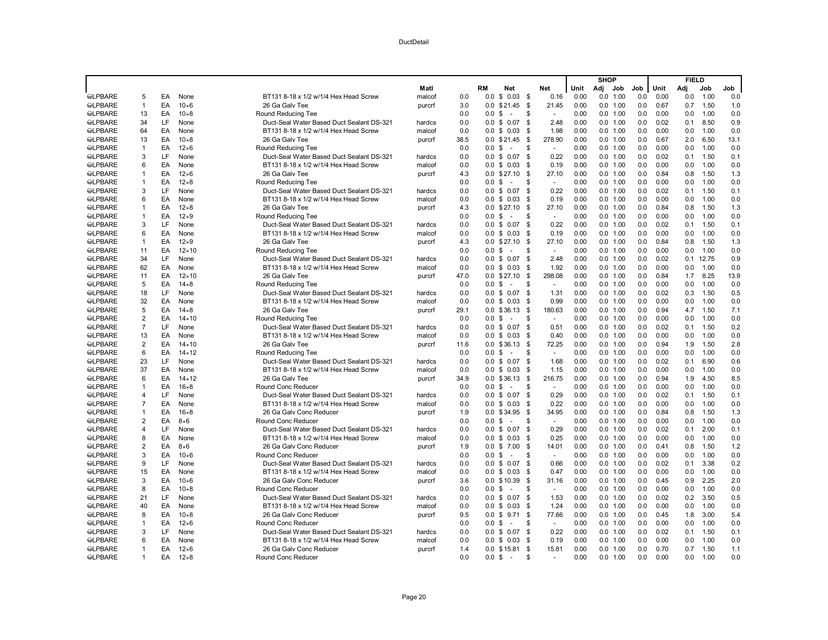|                |                         |     |                |                                           |        |      |                   |                                |                     |              |     | <b>SHOP</b> |     |      | <b>FIELD</b> |       |      |
|----------------|-------------------------|-----|----------------|-------------------------------------------|--------|------|-------------------|--------------------------------|---------------------|--------------|-----|-------------|-----|------|--------------|-------|------|
|                |                         |     |                |                                           | Matl   |      | <b>RM</b>         | <b>Net</b>                     | Net                 | Unit         | Adj | Job         | Job | Unit | Adj          | Job   | Job  |
| <b>@LPBARE</b> | 5                       | EA  | None           | BT131 8-18 x 1/2 w/1/4 Hex Head Screw     | malcof | 0.0  | 0.0               | \$0.03\$                       |                     | 0.16<br>0.00 | 0.0 | 1.00        | 0.0 | 0.00 | 0.0          | 1.00  | 0.0  |
| <b>SLPBARE</b> | 1                       | EA  | $10\times 6$   | 26 Ga Galv Tee                            | purcrf | 3.0  | 0.0               | \$21.45                        | - \$<br>21.45       | 0.00         |     | 0.0 1.00    | 0.0 | 0.67 | 0.7          | 1.50  | 1.0  |
| <b>SLPBARE</b> | 13                      | EA  | $10\times8$    | Round Reducing Tee                        |        | 0.0  | 0.0 <sup>5</sup>  | $\overline{a}$                 | \$                  | 0.00         |     | 0.0 1.00    | 0.0 | 0.00 | 0.0          | 1.00  | 0.0  |
| <b>SLPBARE</b> | 34                      | LF  | None           | Duct-Seal Water Based Duct Sealant DS-321 | hardcs | 0.0  | $0.0 \text{ } $$  | 0.07                           | <b>S</b>            | 2.48<br>0.00 |     | 0.0 1.00    | 0.0 | 0.02 | 0.1          | 8.50  | 0.9  |
| <b>OLPBARE</b> | 64                      | EA  | None           | BT131 8-18 x 1/2 w/1/4 Hex Head Screw     | malcof | 0.0  |                   | $0.0 \tS 0.03$                 | - \$                | 1.98<br>0.00 |     | 0.0 1.00    | 0.0 | 0.00 | 0.0          | 1.00  | 0.0  |
| <b>SLPBARE</b> | 13                      | EA  | $10\times8$    | 26 Ga Galv Tee                            | purcrf | 38.5 |                   | 0.0 \$21.45                    | - \$<br>278.90      | 0.00         |     | 0.0 1.00    | 0.0 | 0.67 | 2.0          | 6.50  | 13.1 |
| <b>SLPBARE</b> | $\mathbf{1}$            | EA  | $12\times 6$   | Round Reducing Tee                        |        | 0.0  | 0.0 <sup>5</sup>  | $\sim$                         | \$<br>$\sim$        | 0.00         |     | 0.0 1.00    | 0.0 | 0.00 | 0.0          | 1.00  | 0.0  |
| <b>@LPBARE</b> | 3                       | LF  | None           | Duct-Seal Water Based Duct Sealant DS-321 | hardcs | 0.0  |                   | $0.0 \t S 0.07$                | <b>S</b>            | 0.22<br>0.00 |     | 0.0 1.00    | 0.0 | 0.02 | 0.1          | 1.50  | 0.1  |
| <b>SLPBARE</b> | 6                       | EA  | None           | BT131 8-18 x 1/2 w/1/4 Hex Head Screw     | malcof | 0.0  |                   | $0.0 \tS 0.03$                 | \$                  | 0.19<br>0.00 |     | 0.0 1.00    | 0.0 | 0.00 | 0.0          | 1.00  | 0.0  |
| <b>SLPBARE</b> | 1                       | EA  | $12\times 6$   | 26 Ga Galv Tee                            | purcrf | 4.3  |                   | $0.0$ \$27.10                  | 27.10<br>- \$       | 0.00         |     | 0.0 1.00    | 0.0 | 0.84 | 0.8          | 1.50  | 1.3  |
| <b>SLPBARE</b> | $\mathbf{1}$            | EA  | $12\times8$    | Round Reducing Tee                        |        | 0.0  | 0.0 <sup>5</sup>  | $\sim$                         | \$<br>$\sim$        | 0.00         |     | 0.0 1.00    | 0.0 | 0.00 | 0.0          | 1.00  | 0.0  |
| <b>SLPBARE</b> | 3                       | LF  | None           | Duct-Seal Water Based Duct Sealant DS-321 | hardcs | 0.0  |                   | $0.0$ \$ 0.07                  | \$                  | 0.22<br>0.00 |     | 0.0 1.00    | 0.0 | 0.02 | 0.1          | 1.50  | 0.1  |
| <b>SLPBARE</b> | 6                       | EA  | None           | BT131 8-18 x 1/2 w/1/4 Hex Head Screw     | malcof | 0.0  |                   | $0.0 \t$ 0.03$                 | -S                  | 0.19<br>0.00 |     | 0.0 1.00    | 0.0 | 0.00 | 0.0          | 1.00  | 0.0  |
| <b>SLPBARE</b> | 1                       | EA  | $12\times8$    | 26 Ga Galv Tee                            | purcrf | 4.3  |                   | $0.0$ \$27.10                  | \$<br>27.10         | 0.00         |     | 0.0 1.00    | 0.0 | 0.84 | 0.8          | 1.50  | 1.3  |
| <b>SLPBARE</b> | $\mathbf{1}$            | EA  | $12\times9$    | Round Reducing Tee                        |        | 0.0  | 0.0               | -\$<br>$\sim$                  | S                   | 0.00         |     | 0.0 1.00    | 0.0 | 0.00 | 0.0          | 1.00  | 0.0  |
| <b>SLPBARE</b> | 3                       | LF  | None           | Duct-Seal Water Based Duct Sealant DS-321 | hardcs | 0.0  |                   | $0.0 \t S 0.07$                | \$                  | 0.22<br>0.00 |     | 0.0 1.00    | 0.0 | 0.02 | 0.1          | 1.50  | 0.1  |
| <b>SLPBARE</b> | 6                       | EA  | None           | BT131 8-18 x 1/2 w/1/4 Hex Head Screw     | malcof | 0.0  |                   | $0.0 \tS 0.03$                 | -S                  | 0.19<br>0.00 |     | 0.0 1.00    | 0.0 | 0.00 | 0.0          | 1.00  | 0.0  |
| <b>SLPBARE</b> | $\mathbf{1}$            | EA  | $12\times9$    | 26 Ga Galv Tee                            | purcrf | 4.3  | 0.0               | \$27.10                        | 27.10<br>- \$       | 0.00         |     | 0.0 1.00    | 0.0 | 0.84 | 0.8          | 1.50  | 1.3  |
| <b>SLPBARE</b> | 11                      | EA  | $12 \times 10$ | Round Reducing Tee                        |        | 0.0  | $0.0 \text{ } $$  | $\sim$                         | \$<br>$\sim$        | 0.00         |     | 0.0 1.00    | 0.0 | 0.00 | 0.0          | 1.00  | 0.0  |
| <b>SLPBARE</b> | 34                      | LF  | None           | Duct-Seal Water Based Duct Sealant DS-321 | hardcs | 0.0  |                   | $0.0 \t$ 0.07$                 | -\$                 | 2.48<br>0.00 |     | 0.0 1.00    | 0.0 | 0.02 | 0.1          | 12.75 | 0.9  |
| <b>SLPBARE</b> | 62                      | EA  | None           | BT131 8-18 x 1/2 w/1/4 Hex Head Screw     | malcof | 0.0  |                   | $0.0 \t$ 0.03$                 | - \$                | 1.92<br>0.00 |     | 0.0 1.00    | 0.0 | 0.00 | 0.0          | 1.00  | 0.0  |
| <b>SLPBARE</b> | 11                      | EA  | $12 \times 10$ | 26 Ga Galv Tee                            | purcrf | 47.0 |                   | $0.0$ \$27.10                  | 298.08<br>- \$      | 0.00         |     | 0.0 1.00    | 0.0 | 0.84 | 1.7          | 8.25  | 13.9 |
| <b>SLPBARE</b> | 5                       | EA  | $14\times8$    |                                           |        | 0.0  | 0.0 <sup>5</sup>  | $\sim$                         | \$<br>$\sim$        | 0.00         |     | 0.0 1.00    | 0.0 | 0.00 | 0.0          | 1.00  | 0.0  |
|                | 18                      | LF  |                | Round Reducing Tee                        |        | 0.0  |                   |                                | \$                  | 0.00         |     |             | 0.0 | 0.02 |              | 1.50  | 0.5  |
| <b>SLPBARE</b> |                         | EA  | None           | Duct-Seal Water Based Duct Sealant DS-321 | hardcs |      |                   | $0.0 \t$ 0.07$                 |                     | 1.31         |     | 0.0 1.00    |     | 0.00 | 0.3          |       |      |
| <b>SLPBARE</b> | 32                      |     | None           | BT131 8-18 x 1/2 w/1/4 Hex Head Screw     | malcof | 0.0  |                   | $0.0 \tS 0.03$                 | \$                  | 0.99<br>0.00 |     | 0.0 1.00    | 0.0 |      | 0.0          | 1.00  | 0.0  |
| <b>SLPBARE</b> | 5                       | EA  | $14\times8$    | 26 Ga Galv Tee                            | purcrf | 29.1 |                   | $0.0 \t$36.13$                 | 180.63<br>-\$<br>\$ | 0.00         |     | 0.0 1.00    | 0.0 | 0.94 | 4.7          | 1.50  | 7.1  |
| <b>SLPBARE</b> | $\overline{2}$          | EA  | $14 \times 10$ | Round Reducing Tee                        |        | 0.0  | $0.0 \text{ } $$  | $\sim$                         | $\sim$              | 0.00         |     | 0.0 1.00    | 0.0 | 0.00 | 0.0          | 1.00  | 0.0  |
| <b>SLPBARE</b> | $\overline{7}$          | LF  | None           | Duct-Seal Water Based Duct Sealant DS-321 | hardcs | 0.0  | 0.0               | \$0.07                         | \$                  | 0.51<br>0.00 |     | 0.0 1.00    | 0.0 | 0.02 | 0.1          | 1.50  | 0.2  |
| <b>SLPBARE</b> | 13                      | EA  | None           | BT131 8-18 x 1/2 w/1/4 Hex Head Screw     | malcof | 0.0  |                   | $0.0 \tS 0.03$                 | - \$                | 0.40<br>0.00 |     | 0.0 1.00    | 0.0 | 0.00 | 0.0          | 1.00  | 0.0  |
| <b>SLPBARE</b> | 2                       | EA  | $14 \times 10$ | 26 Ga Galv Tee                            | purcrf | 11.6 |                   | 0.0 \$36.13                    | 72.25<br>- \$       | 0.00         |     | 0.0 1.00    | 0.0 | 0.94 | 1.9          | 1.50  | 2.8  |
| <b>SLPBARE</b> | 6                       | EA  | $14 \times 12$ | Round Reducing Tee                        |        | 0.0  | 0.0               | \$<br>$\sim$                   | \$<br>$\sim$        | 0.00         |     | 0.0 1.00    | 0.0 | 0.00 | 0.0          | 1.00  | 0.0  |
| <b>SLPBARE</b> | 23                      | LF  | None           | Duct-Seal Water Based Duct Sealant DS-321 | hardcs | 0.0  |                   | $0.0 \text{ } $0.07$           | - \$                | 1.68<br>0.00 |     | 0.0 1.00    | 0.0 | 0.02 | 0.1          | 6.90  | 0.6  |
| <b>SLPBARE</b> | 37                      | EA  | None           | BT131 8-18 x 1/2 w/1/4 Hex Head Screw     | malcof | 0.0  |                   | $0.0 \t$ 0.03$                 | - \$                | 1.15<br>0.00 |     | 0.0 1.00    | 0.0 | 0.00 | 0.0          | 1.00  | 0.0  |
| <b>SLPBARE</b> | 6                       | EA  | $14 \times 12$ | 26 Ga Galv Tee                            | purcrf | 34.9 | 0.0               | \$36.13                        | 216.75<br>- \$      | 0.00         |     | 0.0 1.00    | 0.0 | 0.94 | 1.9          | 4.50  | 8.5  |
| <b>SLPBARE</b> | $\mathbf{1}$            | EA  | $16 \times 8$  | Round Conc Reducer                        |        | 0.0  | $0.0 \text{ } $$  | $\sim$                         | \$<br>$\sim$        | 0.00         |     | 0.0 1.00    | 0.0 | 0.00 | 0.0          | 1.00  | 0.0  |
| <b>SLPBARE</b> | 4                       | LF  | None           | Duct-Seal Water Based Duct Sealant DS-321 | hardcs | 0.0  |                   | $0.0 \tS 0.07$                 | - \$                | 0.29<br>0.00 |     | 0.0 1.00    | 0.0 | 0.02 | 0.1          | 1.50  | 0.1  |
| <b>SLPBARE</b> | $\overline{7}$          | EA  | None           | BT131 8-18 x 1/2 w/1/4 Hex Head Screw     | malcof | 0.0  |                   | $0.0 \t$ 0.03$                 | - \$                | 0.22<br>0.00 |     | 0.0 1.00    | 0.0 | 0.00 | 0.0          | 1.00  | 0.0  |
| <b>@LPBARE</b> | $\mathbf{1}$            | EA  | $16 \times 8$  | 26 Ga Galv Conc Reducer                   | purcrf | 1.9  |                   | 0.0 \$34.95                    | 34.95<br>\$         | 0.00         |     | 0.0 1.00    | 0.0 | 0.84 | 0.8          | 1.50  | 1.3  |
| <b>SLPBARE</b> | $\overline{\mathbf{c}}$ | EA  | $8\times 6$    | Round Conc Reducer                        |        | 0.0  | 0.0 <sup>5</sup>  | $\sim$                         | S<br>$\sim$         | 0.00         |     | 0.0 1.00    | 0.0 | 0.00 | 0.0          | 1.00  | 0.0  |
| <b>SLPBARE</b> | $\overline{4}$          | LF  | None           | Duct-Seal Water Based Duct Sealant DS-321 | hardcs | 0.0  | 0.0 S             | 0.07                           | \$                  | 0.29<br>0.00 |     | 0.0 1.00    | 0.0 | 0.02 | 0.1          | 2.00  | 0.1  |
| <b>SLPBARE</b> | 8                       | EA  | None           | BT131 8-18 x 1/2 w/1/4 Hex Head Screw     | malcof | 0.0  |                   | $0.0 \t$ 0.03$                 | - \$                | 0.25<br>0.00 |     | 0.0 1.00    | 0.0 | 0.00 | 0.0          | 1.00  | 0.0  |
| <b>@LPBARE</b> | $\overline{\mathbf{c}}$ | EA  | $8\times 6$    | 26 Ga Galv Conc Reducer                   | purcrf | 1.9  | $0.0 \text{ }$ \$ | 7.00                           | 14.01<br>\$         | 0.00         |     | 0.0 1.00    | 0.0 | 0.41 | 0.8          | 1.50  | 1.2  |
| <b>SLPBARE</b> | 3                       | EA  | $10\times 6$   | Round Conc Reducer                        |        | 0.0  | $0.0 \text{ } $$  | $\sim$                         | \$<br>$\sim$        | 0.00         |     | 0.0 1.00    | 0.0 | 0.00 | 0.0          | 1.00  | 0.0  |
| <b>SLPBARE</b> | 9                       | LF. | None           | Duct-Seal Water Based Duct Sealant DS-321 | hardcs | 0.0  | 0.0               | \$0.07                         | - \$                | 0.66<br>0.00 |     | 0.0 1.00    | 0.0 | 0.02 | 0.1          | 3.38  | 0.2  |
| <b>SLPBARE</b> | 15                      | EA  | None           | BT131 8-18 x 1/2 w/1/4 Hex Head Screw     | malcof | 0.0  |                   | $0.0 \t$ 0.03$                 | - \$                | 0.47<br>0.00 |     | 0.0 1.00    | 0.0 | 0.00 | 0.0          | 1.00  | 0.0  |
| <b>@LPBARE</b> | 3                       | EA  | $10\times 6$   | 26 Ga Galv Conc Reducer                   | purcrf | 3.6  |                   | 0.0 \$10.39                    | \$<br>31.16         | 0.00         |     | 0.0 1.00    | 0.0 | 0.45 | 0.9          | 2.25  | 2.0  |
| <b>@LPBARE</b> | 8                       | EA  | $10\times8$    | Round Conc Reducer                        |        | 0.0  | $0.0\,$           | \$<br>$\overline{\phantom{a}}$ | \$<br>$\sim$        | 0.00         |     | 0.0 1.00    | 0.0 | 0.00 | 0.0          | 1.00  | 0.0  |
| <b>SLPBARE</b> | 21                      | LF  | None           | Duct-Seal Water Based Duct Sealant DS-321 | hardcs | 0.0  |                   | $0.0 \tS 0.07$                 | - \$                | 1.53<br>0.00 |     | 0.0 1.00    | 0.0 | 0.02 | 0.2          | 3.50  | 0.5  |
| <b>SLPBARE</b> | 40                      | EA  | None           | BT131 8-18 x 1/2 w/1/4 Hex Head Screw     | malcof | 0.0  |                   | $0.0 \t$ 0.03$                 | - \$                | 1.24<br>0.00 |     | 0.0 1.00    | 0.0 | 0.00 | 0.0          | 1.00  | 0.0  |
| <b>SLPBARE</b> | 8                       | EA  | $10\times8$    | 26 Ga Galv Conc Reducer                   | purcrf | 9.5  | 0.0               | \$<br>9.71                     | - \$<br>77.66       | 0.00         |     | 0.0 1.00    | 0.0 | 0.45 | 1.8          | 3.00  | 5.4  |
| <b>SLPBARE</b> | $\mathbf{1}$            | EA  | $12\times 6$   | Round Conc Reducer                        |        | 0.0  | 0.0 S             | $\sim$                         | \$<br>$\sim$        | 0.00         |     | 0.0 1.00    | 0.0 | 0.00 | 0.0          | 1.00  | 0.0  |
| <b>SLPBARE</b> | 3                       | LF. | None           | Duct-Seal Water Based Duct Sealant DS-321 | hardcs | 0.0  |                   | $0.0 \tS 0.07$                 | - \$                | 0.22<br>0.00 |     | 0.0 1.00    | 0.0 | 0.02 | 0.1          | 1.50  | 0.1  |
| <b>@LPBARE</b> | 6                       | EA  | None           | BT131 8-18 x 1/2 w/1/4 Hex Head Screw     | malcof | 0.0  |                   | $0.0 \t$ 0.03$                 | - \$                | 0.00<br>0.19 |     | 0.0 1.00    | 0.0 | 0.00 | 0.0          | 1.00  | 0.0  |
| <b>@LPBARE</b> | $\mathbf{1}$            | EA  | $12\times 6$   | 26 Ga Galv Conc Reducer                   | purcrf | 1.4  |                   | $0.0$ \$15.81 \$               | 15.81               | 0.00         |     | 0.0 1.00    | 0.0 | 0.70 | 0.7          | 1.50  | 1.1  |
| <b>SLPBARE</b> | $\mathbf{1}$            | EA  | $12\times8$    | Round Conc Reducer                        |        | 0.0  | 0.0 S             | $\sim$ $-$                     | £.<br>in 1919.      | 0.00         |     | 0.0 1.00    | 0.0 | 0.00 | 0.0          | 1.00  | 0.0  |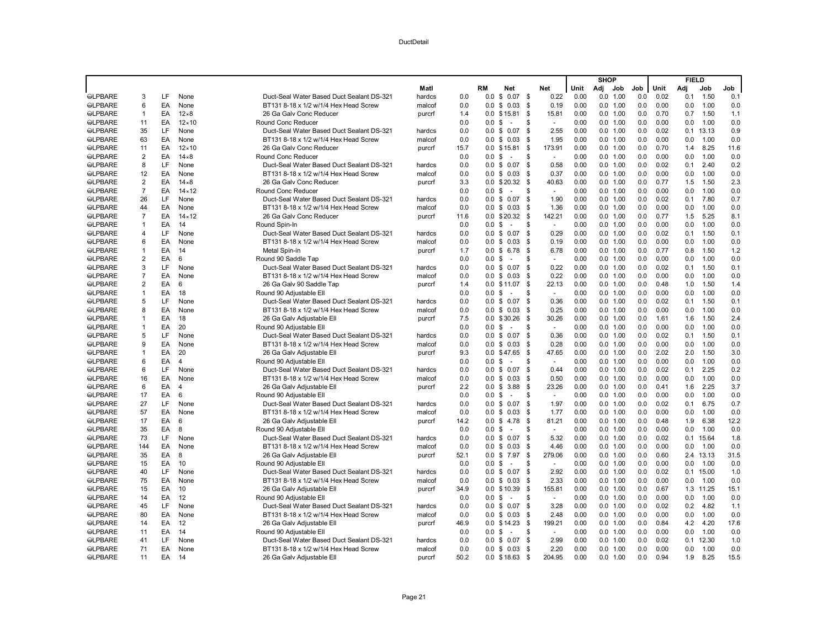|                |                |    |                |                                           |        |      |                   |                    |      |                |      | <b>SHOP</b> |          |     |      | <b>FIELD</b> |           |      |
|----------------|----------------|----|----------------|-------------------------------------------|--------|------|-------------------|--------------------|------|----------------|------|-------------|----------|-----|------|--------------|-----------|------|
|                |                |    |                |                                           | Matl   |      | RM                | Net                |      | Net            | Unit | Adj         | Job      | Job | Unit | Adj          | Job       | Job  |
| <b>SLPBARE</b> | 3              | LF | None           | Duct-Seal Water Based Duct Sealant DS-321 | hardcs | 0.0  | 0.0               | \$<br>0.07         | \$   | 0.22           | 0.00 | 0.0         | 1.00     | 0.0 | 0.02 | 0.1          | 1.50      | 0.1  |
| <b>SLPBARE</b> | 6              | EA | None           | BT131 8-18 x 1/2 w/1/4 Hex Head Screw     | malcof | 0.0  | 0.0               | \$<br>0.03         | \$   | 0.19           | 0.00 |             | 0.0 1.00 | 0.0 | 0.00 | 0.0          | 1.00      | 0.0  |
| <b>SLPBARE</b> | $\overline{1}$ | EA | $12\times8$    | 26 Ga Galv Conc Reducer                   | purcrf | 1.4  |                   | $0.0$ \$15.81      | \$   | 15.81          | 0.00 |             | 0.0 1.00 | 0.0 | 0.70 | 0.7          | 1.50      | 1.1  |
| <b>SLPBARE</b> | 11             | EA | $12 \times 10$ | <b>Round Conc Reducer</b>                 |        | 0.0  | 0.0 S             | ÷.                 | \$   | $\sim$         | 0.00 |             | 0.0 1.00 | 0.0 | 0.00 | 0.0          | 1.00      | 0.0  |
| <b>SLPBARE</b> | 35             | LF | None           | Duct-Seal Water Based Duct Sealant DS-321 | hardcs | 0.0  | 0.0               | \$<br>0.07         | S.   | 2.55           | 0.00 |             | 0.0 1.00 | 0.0 | 0.02 | 0.1          | 13.13     | 0.9  |
| <b>SLPBARE</b> | 63             | EA | None           | BT131 8-18 x 1/2 w/1/4 Hex Head Screw     | malcof | 0.0  | 0.0               | \$0.03             | \$   | 1.95           | 0.00 |             | 0.0 1.00 | 0.0 | 0.00 | 0.0          | 1.00      | 0.0  |
| <b>SLPBARE</b> | 11             | EA | $12 \times 10$ | 26 Ga Galv Conc Reducer                   | purcrf | 15.7 |                   | $0.0$ \$15.81      | \$   | 173.91         | 0.00 |             | 0.0 1.00 | 0.0 | 0.70 | 1.4          | 8.25      | 11.6 |
| <b>SLPBARE</b> | $\overline{2}$ | EA | $14\times8$    | <b>Round Conc Reducer</b>                 |        | 0.0  | 0.0               | \$<br>÷.           | S    | ÷              | 0.00 |             | 0.0 1.00 | 0.0 | 0.00 | 0.0          | 1.00      | 0.0  |
| <b>SLPBARE</b> | 8              | LF | None           | Duct-Seal Water Based Duct Sealant DS-321 | hardcs | 0.0  | 0.0               | \$<br>0.07         | \$   | 0.58           | 0.00 |             | 0.0 1.00 | 0.0 | 0.02 | 0.1          | 2.40      | 0.2  |
| <b>SLPBARE</b> | 12             | EA | None           | BT131 8-18 x 1/2 w/1/4 Hex Head Screw     | malcof | 0.0  |                   | $0.0 \t$ 0.03$     | \$   | 0.37           | 0.00 |             | 0.0 1.00 | 0.0 | 0.00 | 0.0          | 1.00      | 0.0  |
| <b>SLPBARE</b> | 2              | EA | $14\times8$    | 26 Ga Galv Conc Reducer                   | purcrf | 3.3  |                   | 0.0 \$20.32        | -\$  | 40.63          | 0.00 |             | 0.0 1.00 | 0.0 | 0.77 | 1.5          | 1.50      | 2.3  |
| <b>SLPBARE</b> | $\overline{7}$ | EA | $14 \times 12$ | Round Conc Reducer                        |        | 0.0  | 0.0               | \$<br>÷.           | S    | ÷              | 0.00 |             | 0.0 1.00 | 0.0 | 0.00 | 0.0          | 1.00      | 0.0  |
| <b>SLPBARE</b> | 26             | LF | None           | Duct-Seal Water Based Duct Sealant DS-321 | hardcs | 0.0  | 0.0               | \$<br>0.07         | \$   | 1.90           | 0.00 |             | 0.0 1.00 | 0.0 | 0.02 | 0.1          | 7.80      | 0.7  |
| <b>SLPBARE</b> | 44             | EA | None           | BT131 8-18 x 1/2 w/1/4 Hex Head Screw     | malcof | 0.0  |                   | $0.0 \t S \t 0.03$ | - \$ | 1.36           | 0.00 |             | 0.0 1.00 | 0.0 | 0.00 | 0.0          | 1.00      | 0.0  |
| <b>SLPBARE</b> | $\overline{7}$ | EA | $14 \times 12$ | 26 Ga Galv Conc Reducer                   | purcrf | 11.6 | 0.0               | \$20.32            | -\$  | 142.21         | 0.00 |             | 0.0 1.00 | 0.0 | 0.77 | 1.5          | 5.25      | 8.1  |
| <b>SLPBARE</b> | $\overline{1}$ | EA | 14             | Round Spin-In                             |        | 0.0  | 0.0               | \$<br>$\sim$       | \$   | $\sim$         | 0.00 |             | 0.0 1.00 | 0.0 | 0.00 | 0.0          | 1.00      | 0.0  |
| <b>SLPBARE</b> | $\overline{4}$ | LF | None           | Duct-Seal Water Based Duct Sealant DS-321 | hardcs | 0.0  | 0.0 S             | 0.07               | \$   | 0.29           | 0.00 |             | 0.0 1.00 | 0.0 | 0.02 | 0.1          | 1.50      | 0.1  |
| <b>SLPBARE</b> | 6              | EA | None           | BT131 8-18 x 1/2 w/1/4 Hex Head Screw     | malcof | 0.0  | 0.0               | \$<br>0.03         | - \$ | 0.19           | 0.00 |             | 0.0 1.00 | 0.0 | 0.00 | 0.0          | 1.00      | 0.0  |
| <b>SLPBARE</b> | $\overline{1}$ | EA | 14             | Metal Spin-in                             | purcrf | 1.7  |                   | $0.0 \t$ 6.78$     | \$   | 6.78           | 0.00 |             | 0.0 1.00 | 0.0 | 0.77 | 0.8          | 1.50      | 1.2  |
| <b>SLPBARE</b> | $\overline{2}$ | EA | 6              | Round 90 Saddle Tap                       |        | 0.0  | $0.0 \text{ }$ \$ | $\sim$             | \$   | $\blacksquare$ | 0.00 |             | 0.0 1.00 | 0.0 | 0.00 | 0.0          | 1.00      | 0.0  |
| <b>SLPBARE</b> | 3              | LF | None           | Duct-Seal Water Based Duct Sealant DS-321 | hardcs | 0.0  | 0.0               | \$<br>0.07         | \$   | 0.22           | 0.00 |             | 0.0 1.00 | 0.0 | 0.02 | 0.1          | 1.50      | 0.1  |
| <b>SLPBARE</b> | $\overline{7}$ | EA | None           | BT131 8-18 x 1/2 w/1/4 Hex Head Screw     | malcof | 0.0  | 0.0               | \$0.03             | \$   | 0.22           | 0.00 |             | 0.0 1.00 | 0.0 | 0.00 | 0.0          | 1.00      | 0.0  |
| <b>SLPBARE</b> | 2              | EA | 6              | 26 Ga Galv 90 Saddle Tap                  | purcrf | 1.4  |                   | 0.0 \$11.07        | \$   | 22.13          | 0.00 |             | 0.0 1.00 | 0.0 | 0.48 | 1.0          | 1.50      | 1.4  |
| <b>SLPBARE</b> | $\overline{1}$ | EA | 18             | Round 90 Adjustable Ell                   |        | 0.0  | $0.0 \text{ }$ \$ | $\sim$             | S    | $\sim$         | 0.00 |             | 0.0 1.00 | 0.0 | 0.00 | 0.0          | 1.00      | 0.0  |
| <b>SLPBARE</b> | 5              | LF | None           | Duct-Seal Water Based Duct Sealant DS-321 | hardcs | 0.0  | 0.0               | \$<br>0.07         | \$   | 0.36           | 0.00 |             | 0.0 1.00 | 0.0 | 0.02 | 0.1          | 1.50      | 0.1  |
| <b>SLPBARE</b> | 8              | EA | None           | BT131 8-18 x 1/2 w/1/4 Hex Head Screw     | malcof | 0.0  | 0.0               | \$0.03             | \$   | 0.25           | 0.00 |             | 0.0 1.00 | 0.0 | 0.00 | 0.0          | 1.00      | 0.0  |
| <b>SLPBARE</b> | $\overline{1}$ | EA | 18             | 26 Ga Galv Adjustable Ell                 | purcrf | 7.5  |                   | $0.0 \t$30.26$     | S.   | 30.26          | 0.00 |             | 0.0 1.00 | 0.0 | 1.61 | 1.6          | 1.50      | 2.4  |
| <b>SLPBARE</b> | $\mathbf{1}$   | EA | 20             | Round 90 Adjustable Ell                   |        | 0.0  | 0.0               | \$<br>$\sim$       | \$   | $\sim$         | 0.00 |             | 0.0 1.00 | 0.0 | 0.00 | 0.0          | 1.00      | 0.0  |
| <b>@LPBARE</b> | 5              | LF | None           | Duct-Seal Water Based Duct Sealant DS-321 | hardcs | 0.0  | 0.0               | \$<br>0.07         | \$   | 0.36           | 0.00 |             | 0.0 1.00 | 0.0 | 0.02 | 0.1          | 1.50      | 0.1  |
| <b>SLPBARE</b> | 9              | EA | None           | BT131 8-18 x 1/2 w/1/4 Hex Head Screw     | malcof | 0.0  |                   | $0.0 \t$ 0.03$     | \$   | 0.28           | 0.00 |             | 0.0 1.00 | 0.0 | 0.00 | 0.0          | 1.00      | 0.0  |
| <b>SLPBARE</b> | $\mathbf{1}$   | EA | 20             | 26 Ga Galv Adjustable Ell                 | purcrf | 9.3  | 0.0               | \$47.65            | - \$ | 47.65          | 0.00 |             | 0.0 1.00 | 0.0 | 2.02 | 2.0          | 1.50      | 3.0  |
| <b>SLPBARE</b> | 6              | EA | $\overline{4}$ | Round 90 Adjustable Ell                   |        | 0.0  | 0.0               | \$<br>$\sim$       | S    | $\sim$         | 0.00 |             | 0.0 1.00 | 0.0 | 0.00 | 0.0          | 1.00      | 0.0  |
| <b>SLPBARE</b> | 6              | LF | None           | Duct-Seal Water Based Duct Sealant DS-321 | hardcs | 0.0  |                   | $0.0$ \$ $0.07$    | - \$ | 0.44           | 0.00 |             | 0.0 1.00 | 0.0 | 0.02 | 0.1          | 2.25      | 0.2  |
| <b>SLPBARE</b> | 16             | EA | None           | BT131 8-18 x 1/2 w/1/4 Hex Head Screw     | malcof | 0.0  | 0.0               | \$<br>0.03         | \$   | 0.50           | 0.00 |             | 0.0 1.00 | 0.0 | 0.00 | 0.0          | 1.00      | 0.0  |
| <b>SLPBARE</b> | 6              | EA | $\Delta$       | 26 Ga Galv Adjustable Ell                 | purcrf | 2.2  | 0.0               | \$<br>3.88         | \$   | 23.26          | 0.00 |             | 0.0 1.00 | 0.0 | 0.41 | 1.6          | 2.25      | 3.7  |
| <b>SLPBARE</b> | 17             | EA | 6              | Round 90 Adjustable Ell                   |        | 0.0  | 0.0               | \$<br>$\sim$       | \$   | $\omega$       | 0.00 |             | 0.0 1.00 | 0.0 | 0.00 | 0.0          | 1.00      | 0.0  |
| <b>SLPBARE</b> | 27             | LF | None           | Duct-Seal Water Based Duct Sealant DS-321 | hardcs | 0.0  | 0.0               | \$<br>0.07         | - \$ | 1.97           | 0.00 |             | 0.0 1.00 | 0.0 | 0.02 | 0.1          | 6.75      | 0.7  |
| <b>SLPBARE</b> | 57             | EA | None           | BT131 8-18 x 1/2 w/1/4 Hex Head Screw     | malcof | 0.0  | 0.0               | 0.03<br>\$         | \$   | 1.77           | 0.00 |             | 0.0 1.00 | 0.0 | 0.00 | 0.0          | 1.00      | 0.0  |
| <b>SLPBARE</b> | 17             | EA | 6              | 26 Ga Galv Adjustable Ell                 | purcrf | 14.2 | 0.0               | \$<br>4.78         | \$   | 81.21          | 0.00 |             | 0.0 1.00 | 0.0 | 0.48 | 1.9          | 6.38      | 12.2 |
| <b>SLPBARE</b> | 35             | EA | 8              | Round 90 Adjustable Ell                   |        | 0.0  | $0.0 \,$ \$       | ÷.                 | \$   | $\sim$         | 0.00 |             | 0.0 1.00 | 0.0 | 0.00 | 0.0          | 1.00      | 0.0  |
| <b>SLPBARE</b> | 73             | LF | None           | Duct-Seal Water Based Duct Sealant DS-321 | hardcs | 0.0  | 0.0               | 0.07<br>\$         | - \$ | 5.32           | 0.00 |             | 0.0 1.00 | 0.0 | 0.02 | 0.1          | 15.64     | 1.8  |
| <b>SLPBARE</b> | 144            | EA | None           | BT131 8-18 x 1/2 w/1/4 Hex Head Screw     | malcof | 0.0  | 0.0               | \$<br>0.03         | - \$ | 4.46           | 0.00 |             | 0.0 1.00 | 0.0 | 0.00 | 0.0          | 1.00      | 0.0  |
| <b>SLPBARE</b> | 35             | EA | 8              | 26 Ga Galv Adjustable Ell                 | purcrf | 52.1 | 0.0               | \$7.97             | \$   | 279.06         | 0.00 |             | 0.0 1.00 | 0.0 | 0.60 |              | 2.4 13.13 | 31.5 |
| <b>SLPBARE</b> | 15             | EA | 10             | Round 90 Adjustable Ell                   |        | 0.0  | 0.0               | \$                 | \$   | $\sim$         | 0.00 |             | 0.0 1.00 | 0.0 | 0.00 | 0.0          | 1.00      | 0.0  |
| <b>SLPBARE</b> | 40             | LF | None           | Duct-Seal Water Based Duct Sealant DS-321 | hardcs | 0.0  | 0.0               | \$<br>0.07         | \$   | 2.92           | 0.00 |             | 0.0 1.00 | 0.0 | 0.02 | 0.1          | 15.00     | 1.0  |
| <b>SLPBARE</b> | 75             | EA | None           | BT131 8-18 x 1/2 w/1/4 Hex Head Screw     | malcof | 0.0  | 0.0 S             | 0.03               | \$   | 2.33           | 0.00 |             | 0.0 1.00 | 0.0 | 0.00 | 0.0          | 1.00      | 0.0  |
| <b>SLPBARE</b> | 15             | EA | 10             | 26 Ga Galv Adjustable Ell                 | purcrf | 34.9 | 0.0               | \$10.39            | - \$ | 155.81         | 0.00 |             | 0.0 1.00 | 0.0 | 0.67 |              | 1.3 11.25 | 15.1 |
| <b>SLPBARE</b> | 14             | EA | 12             | Round 90 Adjustable Ell                   |        | 0.0  | $0.0 \,$ \$       | ÷.                 | \$   | $\sim$         | 0.00 |             | 0.0 1.00 | 0.0 | 0.00 | 0.0          | 1.00      | 0.0  |
| <b>SLPBARE</b> | 45             | LF | None           | Duct-Seal Water Based Duct Sealant DS-321 | hardcs | 0.0  |                   | $0.0 \t$ 0.07$     | \$   | 3.28           | 0.00 |             | 0.0 1.00 | 0.0 | 0.02 | 0.2          | 4.82      | 1.1  |
| <b>SLPBARE</b> | 80             | EA | None           | BT131 8-18 x 1/2 w/1/4 Hex Head Screw     | malcof | 0.0  | 0.0               | \$0.03             | S.   | 2.48           | 0.00 |             | 0.0 1.00 | 0.0 | 0.00 | 0.0          | 1.00      | 0.0  |
| <b>SLPBARE</b> | 14             | EA | 12             | 26 Ga Galv Adjustable Ell                 | purcrf | 46.9 |                   | $0.0 \t$ 14.23$    | \$   | 199.21         | 0.00 |             | 0.0 1.00 | 0.0 | 0.84 | 4.2          | 4.20      | 17.6 |
| <b>SLPBARE</b> | 11             | EA | 14             | Round 90 Adjustable Ell                   |        | 0.0  | $0.0 \text{ }$ \$ | $\sim$             | \$   | $\sim$         | 0.00 |             | 0.0 1.00 | 0.0 | 0.00 | 0.0          | 1.00      | 0.0  |
| <b>@LPBARE</b> | 41             | LF | None           | Duct-Seal Water Based Duct Sealant DS-321 | hardcs | 0.0  | $0.0 \text{ }$ \$ | 0.07               | \$   | 2.99           | 0.00 |             | 0.0 1.00 | 0.0 | 0.02 | 0.1          | 12.30     | 1.0  |
| <b>SLPBARE</b> | 71             | EA | None           | BT131 8-18 x 1/2 w/1/4 Hex Head Screw     | malcof | 0.0  |                   | $0.0 \t$ 0.03$     | \$   | 2.20           | 0.00 |             | 0.0 1.00 | 0.0 | 0.00 | 0.0          | 1.00      | 0.0  |
| <b>SLPBARE</b> | 11             | EA | 14             | 26 Ga Galv Adjustable Ell                 | purcrf | 50.2 |                   | $0.0 \t$ 18.63$    | - \$ | 204.95         | 0.00 |             | 0.0 1.00 | 0.0 | 0.94 | 1.9          | 8.25      | 15.5 |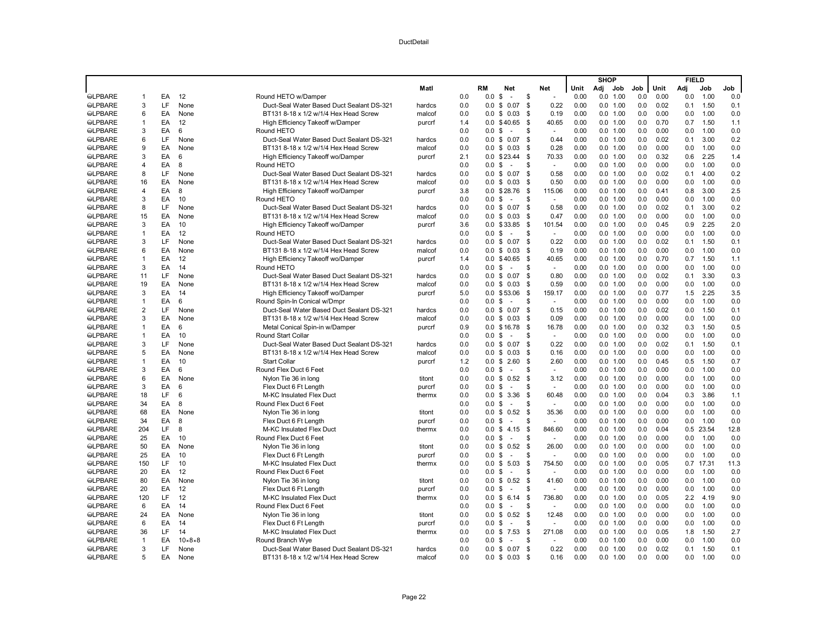|                |                |    |                        |                                           |        |     |                   |                                  |                         |                |     | <b>SHOP</b> |     |      | <b>FIELD</b> |           |      |
|----------------|----------------|----|------------------------|-------------------------------------------|--------|-----|-------------------|----------------------------------|-------------------------|----------------|-----|-------------|-----|------|--------------|-----------|------|
|                |                |    |                        |                                           | Matl   |     | RM                | <b>Net</b>                       | Net                     | Unit           | Adj | Job         | Job | Unit | Adi          | Job       | Job  |
| <b>SLPBARE</b> | $\overline{1}$ | EA | 12                     | Round HETO w/Damper                       |        | 0.0 | 0.0               | \$<br>÷,                         | \$                      | 0.00           | 0.0 | 1.00        | 0.0 | 0.00 | 0.0          | 1.00      | 0.0  |
| <b>SLPBARE</b> | 3              | LF | None                   | Duct-Seal Water Based Duct Sealant DS-321 | hardcs | 0.0 | 0.0               | 0.07<br>\$                       | \$                      | 0.22<br>0.00   |     | 0.0 1.00    | 0.0 | 0.02 | 0.1          | 1.50      | 0.1  |
| <b>SLPBARE</b> | 6              | EA | None                   | BT131 8-18 x 1/2 w/1/4 Hex Head Screw     | malcof | 0.0 | 0.0               | \$<br>0.03                       | - \$                    | 0.19<br>0.00   |     | 0.0 1.00    | 0.0 | 0.00 | 0.0          | 1.00      | 0.0  |
| <b>SLPBARE</b> | $\mathbf{1}$   | EA | 12                     | High Efficiency Takeoff w/Damper          | purcrf | 1.4 |                   | 0.0 \$40.65                      | \$                      | 40.65<br>0.00  |     | 0.0 1.00    | 0.0 | 0.70 | 0.7          | 1.50      | 1.1  |
| <b>SLPBARE</b> | 3              | EA | 6                      | Round HETO                                |        | 0.0 | 0.0               | - \$<br>÷.                       | \$                      | 0.00<br>$\sim$ |     | 0.0 1.00    | 0.0 | 0.00 | 0.0          | 1.00      | 0.0  |
| <b>SLPBARE</b> | 6              | LF | None                   | Duct-Seal Water Based Duct Sealant DS-321 | hardcs | 0.0 |                   | $0.0 \t$ 0.07$                   | \$                      | 0.44<br>0.00   |     | 0.0 1.00    | 0.0 | 0.02 | 0.1          | 3.00      | 0.2  |
| <b>SLPBARE</b> | 9              | EA | None                   | BT131 8-18 x 1/2 w/1/4 Hex Head Screw     | malcof | 0.0 |                   | $0.0 \tS 0.03$                   | - \$                    | 0.28<br>0.00   |     | 0.0 1.00    | 0.0 | 0.00 | 0.0          | 1.00      | 0.0  |
| <b>SLPBARE</b> | 3              | EA | 6                      | High Efficiency Takeoff wo/Damper         | purcrf | 2.1 | 0.0               | \$23.44                          | \$                      | 70.33<br>0.00  |     | 0.0 1.00    | 0.0 | 0.32 | 0.6          | 2.25      | 1.4  |
| <b>SLPBARE</b> | 4              | EA | 8                      | Round HETO                                |        | 0.0 | 0.0 <sup>5</sup>  | $\overline{\phantom{a}}$         | $\mathbf{\mathfrak{R}}$ | 0.00<br>$\sim$ |     | 0.0 1.00    | 0.0 | 0.00 | 0.0          | 1.00      | 0.0  |
| <b>SLPBARE</b> | 8              | LF | None                   | Duct-Seal Water Based Duct Sealant DS-321 | hardcs | 0.0 | $0.0 \text{ }$ \$ | 0.07                             | \$                      | 0.58<br>0.00   |     | 0.0 1.00    | 0.0 | 0.02 | 0.1          | 4.00      | 0.2  |
| <b>SLPBARE</b> | 16             | EA | None                   | BT131 8-18 x 1/2 w/1/4 Hex Head Screw     | malcof | 0.0 |                   | $0.0 \tS 0.03$                   | \$                      | 0.50<br>0.00   |     | 0.0 1.00    | 0.0 | 0.00 | 0.0          | 1.00      | 0.0  |
| <b>SLPBARE</b> | 4              | EA | 8                      | High Efficiency Takeoff wo/Damper         | purcrf | 3.8 |                   | 0.0 \$28.76                      | \$<br>115.06            | 0.00           |     | 0.0 1.00    | 0.0 | 0.41 | 0.8          | 3.00      | 2.5  |
| <b>SLPBARE</b> | 3              | EA | 10                     | Round HETO                                |        | 0.0 | 0.0 <sup>5</sup>  | $\sim$                           | \$                      | 0.00<br>$\sim$ |     | 0.0 1.00    | 0.0 | 0.00 | 0.0          | 1.00      | 0.0  |
| <b>SLPBARE</b> | 8              | LF | None                   | Duct-Seal Water Based Duct Sealant DS-321 | hardcs | 0.0 | $0.0 \text{ }$ \$ | 0.07                             | \$                      | 0.58<br>0.00   |     | 0.0 1.00    | 0.0 | 0.02 | 0.1          | 3.00      | 0.2  |
| <b>SLPBARE</b> | 15             | EA | None                   | BT131 8-18 x 1/2 w/1/4 Hex Head Screw     | malcof | 0.0 |                   | $0.0 \t$ 0.03$                   | - \$                    | 0.47<br>0.00   |     | 0.0 1.00    | 0.0 | 0.00 | 0.0          | 1.00      | 0.0  |
| <b>SLPBARE</b> | 3              | EA | 10                     | High Efficiency Takeoff wo/Damper         | purcrf | 3.6 |                   | 0.0 \$33.85                      | - \$<br>101.54          | 0.00           |     | $0.0$ 1.00  | 0.0 | 0.45 | 0.9          | 2.25      | 2.0  |
| <b>SLPBARE</b> | $\mathbf{1}$   | EA | 12                     | Round HETO                                |        | 0.0 | 0.0 <sup>5</sup>  | $\sim$                           | \$                      | 0.00<br>$\sim$ |     | 0.0 1.00    | 0.0 | 0.00 | 0.0          | 1.00      | 0.0  |
| <b>SLPBARE</b> | 3              | LF | None                   | Duct-Seal Water Based Duct Sealant DS-321 | hardcs | 0.0 | 0.0               | \$<br>0.07                       | - \$                    | 0.22<br>0.00   |     | 0.0 1.00    | 0.0 | 0.02 | 0.1          | 1.50      | 0.1  |
| <b>SLPBARE</b> | 6              | EA | None                   | BT131 8-18 x 1/2 w/1/4 Hex Head Screw     | malcof | 0.0 |                   | $0.0 \tS 0.03$                   | \$                      | 0.19<br>0.00   |     | 0.0 1.00    | 0.0 | 0.00 | 0.0          | 1.00      | 0.0  |
| <b>SLPBARE</b> | $\mathbf{1}$   | EA | 12                     | High Efficiency Takeoff wo/Damper         | purcrf | 1.4 |                   | 0.0 \$40.65                      | - \$                    | 0.00<br>40.65  |     | 0.0 1.00    | 0.0 | 0.70 | 0.7          | 1.50      | 1.1  |
| <b>SLPBARE</b> | 3              | EA | 14                     | Round HETO                                |        | 0.0 | 0.0               | - \$<br>÷.                       | \$                      | 0.00<br>$\sim$ |     | 0.0 1.00    | 0.0 | 0.00 | 0.0          | 1.00      | 0.0  |
| <b>SLPBARE</b> | 11             | LF | None                   | Duct-Seal Water Based Duct Sealant DS-321 | hardcs | 0.0 | 0.0               | \$<br>0.07                       | \$                      | 0.80<br>0.00   |     | 0.0 1.00    | 0.0 | 0.02 | 0.1          | 3.30      | 0.3  |
| <b>SLPBARE</b> | 19             | EA | None                   | BT131 8-18 x 1/2 w/1/4 Hex Head Screw     | malcof | 0.0 |                   | $0.0 \t$ 0.03$                   | \$                      | 0.59<br>0.00   |     | 0.0 1.00    | 0.0 | 0.00 | 0.0          | 1.00      | 0.0  |
| <b>SLPBARE</b> | 3              | EA | 14                     | High Efficiency Takeoff wo/Damper         | purcrf | 5.0 | 0.0               | \$53.06                          | \$<br>159.17            | 0.00           |     | 0.0 1.00    | 0.0 | 0.77 | 1.5          | 2.25      | 3.5  |
| <b>SLPBARE</b> | $\mathbf{1}$   | EA | 6                      | Round Spin-In Conical w/Dmpr              |        | 0.0 | 0.0               | - \$<br>$\overline{\phantom{a}}$ | . ፍ                     | 0.00<br>$\sim$ |     | 0.0 1.00    | 0.0 | 0.00 | 0.0          | 1.00      | 0.0  |
| <b>SLPBARE</b> | 2              | LF | None                   | Duct-Seal Water Based Duct Sealant DS-321 | hardcs | 0.0 | $0.0 \text{ }$ \$ | 0.07                             | - \$                    | 0.15<br>0.00   |     | $0.0$ 1.00  | 0.0 | 0.02 | 0.0          | 1.50      | 0.1  |
| <b>SLPBARE</b> | 3              | EA | None                   | BT131 8-18 x 1/2 w/1/4 Hex Head Screw     | malcof | 0.0 |                   | $0.0 \t$ 0.03$                   | \$                      | 0.09<br>0.00   |     | 0.0 1.00    | 0.0 | 0.00 | 0.0          | 1.00      | 0.0  |
| <b>SLPBARE</b> | $\mathbf{1}$   | EA | 6                      | Metal Conical Spin-in w/Damper            | purcrf | 0.9 | 0.0               | \$16.78                          | \$                      | 16.78<br>0.00  |     | 0.0 1.00    | 0.0 | 0.32 | 0.3          | 1.50      | 0.5  |
| <b>SLPBARE</b> | $\overline{1}$ | EA | 10                     | Round Start Collar                        |        | 0.0 | 0.0               | \$<br>$\sim$                     | . ፍ                     | 0.00<br>$\sim$ |     | 0.0 1.00    | 0.0 | 0.00 | 0.0          | 1.00      | 0.0  |
| <b>SLPBARE</b> | 3              | LF | None                   | Duct-Seal Water Based Duct Sealant DS-321 | hardcs | 0.0 | $0.0 \text{ }$ \$ | 0.07                             | - \$                    | 0.22<br>0.00   |     | 0.0 1.00    | 0.0 | 0.02 | 0.1          | 1.50      | 0.1  |
| <b>SLPBARE</b> | 5              | EA | None                   | BT131 8-18 x 1/2 w/1/4 Hex Head Screw     | malcof | 0.0 | 0.0               | \$<br>0.03                       | - \$                    | 0.00<br>0.16   |     | 0.0 1.00    | 0.0 | 0.00 | 0.0          | 1.00      | 0.0  |
| <b>SLPBARE</b> | $\overline{1}$ | EA | 10                     | <b>Start Collar</b>                       | purcrf | 1.2 | $0.0 \text{ }$ \$ | 2.60                             | \$                      | 2.60<br>0.00   |     | 0.0 1.00    | 0.0 | 0.45 | 0.5          | 1.50      | 0.7  |
| <b>SLPBARE</b> | 3              | EA | 6                      | Round Flex Duct 6 Feet                    |        | 0.0 | 0.0 <sup>5</sup>  | $\sim$                           | \$                      | 0.00<br>$\sim$ |     | 0.0 1.00    | 0.0 | 0.00 | 0.0          | 1.00      | 0.0  |
| <b>SLPBARE</b> | 6              | EA | None                   | Nylon Tie 36 in long                      | titont | 0.0 | 0.0               | 0.52<br>\$                       | - \$                    | 3.12<br>0.00   |     | 0.0 1.00    | 0.0 | 0.00 | 0.0          | 1.00      | 0.0  |
| <b>SLPBARE</b> | 3              | EA | 6                      | Flex Duct 6 Ft Length                     | purcrf | 0.0 | $0.0 \text{ }$ \$ | $\sim$                           | \$                      | 0.00           |     | 0.0 1.00    | 0.0 | 0.00 | 0.0          | 1.00      | 0.0  |
| <b>SLPBARE</b> | 18             | LF | 6                      | M-KC Insulated Flex Duct                  | thermx | 0.0 | $0.0 \text{ }$ \$ | 3.36                             | - \$                    | 60.48<br>0.00  |     | 0.0 1.00    | 0.0 | 0.04 | 0.3          | 3.86      | 1.1  |
| <b>SLPBARE</b> | 34             | EA | 8                      | Round Flex Duct 6 Feet                    |        | 0.0 | 0.0               | \$<br>$\overline{\phantom{a}}$   | \$                      | 0.00           |     | 0.0 1.00    | 0.0 | 0.00 | 0.0          | 1.00      | 0.0  |
| <b>SLPBARE</b> | 68             | EA | None                   | Nylon Tie 36 in long                      | titont | 0.0 | $0.0 \text{ }$ \$ | 0.52                             | \$                      | 35.36<br>0.00  |     | 0.0 1.00    | 0.0 | 0.00 | 0.0          | 1.00      | 0.0  |
| <b>SLPBARE</b> | 34             | EA | 8                      | Flex Duct 6 Ft Length                     | purcrf | 0.0 | $0.0 \,$ \$       | $\sim$                           | \$                      | 0.00           |     | 0.0 1.00    | 0.0 | 0.00 | 0.0          | 1.00      | 0.0  |
| <b>SLPBARE</b> | 204            | LF | 8                      | M-KC Insulated Flex Duct                  | thermx | 0.0 | $0.0 \text{ }$ \$ | 4.15                             | \$<br>846.60            | 0.00           |     | 0.0 1.00    | 0.0 | 0.04 |              | 0.5 23.54 | 12.8 |
| <b>SLPBARE</b> | 25             | EA | 10                     | Round Flex Duct 6 Feet                    |        | 0.0 | 0.0               | - \$<br>$\sim$                   | \$                      | 0.00           | 0.0 | 1.00        | 0.0 | 0.00 | 0.0          | 1.00      | 0.0  |
| <b>SLPBARE</b> | 50             | EA | None                   | Nylon Tie 36 in long                      | titont | 0.0 | $0.0 \text{ }$ \$ | 0.52                             | \$                      | 26.00<br>0.00  |     | 0.0 1.00    | 0.0 | 0.00 | 0.0          | 1.00      | 0.0  |
| <b>SLPBARE</b> | 25             | EA | 10                     | Flex Duct 6 Ft Length                     | purcrf | 0.0 | 0.0 <sup>5</sup>  | $\sim$                           | \$                      | 0.00           |     | 0.0 1.00    | 0.0 | 0.00 | 0.0          | 1.00      | 0.0  |
| <b>SLPBARE</b> | 150            | LF | 10                     | M-KC Insulated Flex Duct                  | thermx | 0.0 | $0.0 \text{ } $$  | 5.03                             | \$<br>754.50            | 0.00           |     | 0.0 1.00    | 0.0 | 0.05 | 0.7          | 17.31     | 11.3 |
| <b>OLPBARE</b> | 20             | EA | 12                     | Round Flex Duct 6 Feet                    |        | 0.0 | 0.0               | \$<br>$\sim$                     | . ፍ                     | 0.00           |     | $0.0$ 1.00  | 0.0 | 0.00 | 0.0          | 1.00      | 0.0  |
| <b>SLPBARE</b> | 80             | EA | None                   | Nylon Tie 36 in long                      | titont | 0.0 | $0.0 \text{ }$ \$ | 0.52                             | - \$                    | 41.60<br>0.00  |     | $0.0$ 1.00  | 0.0 | 0.00 | 0.0          | 1.00      | 0.0  |
| <b>SLPBARE</b> | 20             | EA | 12                     | Flex Duct 6 Ft Length                     | purcrf | 0.0 | 0.0               | \$<br>÷.                         | S.                      | 0.00           |     | 0.0 1.00    | 0.0 | 0.00 | 0.0          | 1.00      | 0.0  |
| <b>SLPBARE</b> | 120            | LF | 12                     | M-KC Insulated Flex Duct                  | thermx | 0.0 | $0.0 \text{ }$ \$ | 6.14                             | 736.80<br>\$            | 0.00           |     | 0.0 1.00    | 0.0 | 0.05 | 2.2          | 4.19      | 9.0  |
| <b>SLPBARE</b> | 6              | EA | 14                     | Round Flex Duct 6 Feet                    |        | 0.0 | 0.0 <sup>5</sup>  | $\sim$                           | . ፍ                     | 0.00<br>$\sim$ |     | 0.0 1.00    | 0.0 | 0.00 | 0.0          | 1.00      | 0.0  |
| <b>SLPBARE</b> | 24             | EA | None                   | Nylon Tie 36 in long                      | titont | 0.0 | 0.0               | 0.52<br>\$                       | - \$                    | 12.48<br>0.00  |     | 0.0 1.00    | 0.0 | 0.00 | 0.0          | 1.00      | 0.0  |
| <b>SLPBARE</b> | 6              | EA | 14                     | Flex Duct 6 Ft Length                     | purcrf | 0.0 | 0.0               | - \$<br>÷.                       | \$                      | 0.00           |     | $0.0$ 1.00  | 0.0 | 0.00 | 0.0          | 1.00      | 0.0  |
| <b>SLPBARE</b> | 36             | LF | 14                     | M-KC Insulated Flex Duct                  | thermx | 0.0 | $0.0 \text{ }$ \$ | 7.53                             | 271.08<br>\$            | 0.00           |     | 0.0 1.00    | 0.0 | 0.05 | 1.8          | 1.50      | 2.7  |
| <b>@LPBARE</b> | $\overline{1}$ | EA | $10 \times 8 \times 8$ | Round Branch Wye                          |        | 0.0 | $0.0\,$           | \$<br>$\sim$                     | \$                      | 0.00           |     | 0.0 1.00    | 0.0 | 0.00 | 0.0          | 1.00      | 0.0  |
| <b>SLPBARE</b> | 3              | LF | None                   | Duct-Seal Water Based Duct Sealant DS-321 | hardcs | 0.0 |                   | $0.0 \t$ 0.07$                   | - \$                    | 0.22<br>0.00   | 0.0 | 1.00        | 0.0 | 0.02 | 0.1          | 1.50      | 0.1  |
| <b>SLPBARE</b> | 5              | EA | None                   | BT131 8-18 x 1/2 w/1/4 Hex Head Screw     | malcof | 0.0 |                   | $0.0 \tS 0.03$                   | - \$                    | 0.16<br>0.00   | 0.0 | 1.00        | 0.0 | 0.00 | 0.0          | 1.00      | 0.0  |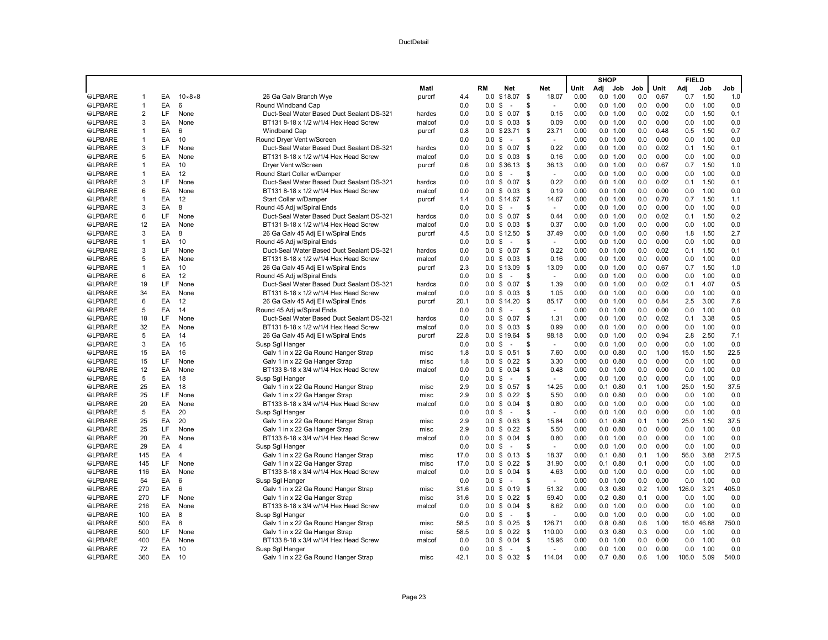|                |                |    |                    |                                           |        |      |                  |                      |      |                |      | <b>SHOP</b> |                  |     |      | <b>FIELD</b> |       |       |
|----------------|----------------|----|--------------------|-------------------------------------------|--------|------|------------------|----------------------|------|----------------|------|-------------|------------------|-----|------|--------------|-------|-------|
|                |                |    |                    |                                           | Matl   |      | RM               | Net                  |      | Net            | Unit | Adj         | Job              | Job | Unit | Adj          | Job   | Job   |
| <b>SLPBARE</b> | $\mathbf{1}$   | EA | $10\times8\times8$ | 26 Ga Galv Branch Wye                     | purcrf | 4.4  | 0.0              | \$18.07              | \$   | 18.07          | 0.00 |             | 0.0 1.00         | 0.0 | 0.67 | 0.7          | 1.50  | 1.0   |
| <b>SLPBARE</b> | $\overline{1}$ | EA | 6                  | Round Windband Cap                        |        | 0.0  | 0.0              | \$<br>$\overline{a}$ | \$   |                | 0.00 |             | 0.0 1.00         | 0.0 | 0.00 | 0.0          | 1.00  | 0.0   |
| <b>SLPBARE</b> | $\overline{2}$ | LF | None               | Duct-Seal Water Based Duct Sealant DS-321 | hardcs | 0.0  |                  | $0.0 \t$ 0.07$       | \$   | 0.15           | 0.00 |             | 0.0 1.00         | 0.0 | 0.02 | 0.0          | 1.50  | 0.1   |
| <b>SLPBARE</b> | 3              | EA | None               | BT131 8-18 x 1/2 w/1/4 Hex Head Screw     | malcof | 0.0  |                  | $0.0 \tS 0.03$       | - \$ | 0.09           | 0.00 |             | 0.0 1.00         | 0.0 | 0.00 | 0.0          | 1.00  | 0.0   |
| <b>SLPBARE</b> | $\overline{1}$ | EA | 6                  | <b>Windband Cap</b>                       | purcrf | 0.8  | 0.0              | \$23.71              | \$   | 23.71          | 0.00 |             | 0.0 1.00         | 0.0 | 0.48 | 0.5          | 1.50  | 0.7   |
| <b>SLPBARE</b> | $\overline{1}$ | EA | 10                 | Round Dryer Vent w/Screen                 |        | 0.0  | 0.0              | \$<br>$\sim$         | \$   | $\sim$         | 0.00 |             | 0.0 1.00         | 0.0 | 0.00 | 0.0          | 1.00  | 0.0   |
| <b>SLPBARE</b> | 3              | LF | None               | Duct-Seal Water Based Duct Sealant DS-321 | hardcs | 0.0  |                  | $0.0 \t$ 0.07$       | \$   | 0.22           | 0.00 |             | 0.0 1.00         | 0.0 | 0.02 | 0.1          | 1.50  | 0.1   |
| <b>SLPBARE</b> | 5              | EA | None               | BT131 8-18 x 1/2 w/1/4 Hex Head Screw     | malcof | 0.0  |                  | $0.0 \t$ 0.03$       | \$   | 0.16           | 0.00 |             | 0.0 1.00         | 0.0 | 0.00 | 0.0          | 1.00  | 0.0   |
| <b>SLPBARE</b> | $\overline{1}$ | EA | 10                 | Dryer Vent w/Screen                       | purcrf | 0.6  |                  | $0.0$ \$36.13        | -S   | 36.13          | 0.00 |             | 0.0 1.00         | 0.0 | 0.67 | 0.7          | 1.50  | 1.0   |
| <b>SLPBARE</b> | $\overline{1}$ | EA | 12                 | Round Start Collar w/Damper               |        | 0.0  | 0.0              | \$<br>$\sim$         | \$   | $\sim$         | 0.00 |             | 0.0 1.00         | 0.0 | 0.00 | 0.0          | 1.00  | 0.0   |
| <b>SLPBARE</b> | 3              | LF | None               | Duct-Seal Water Based Duct Sealant DS-321 | hardcs | 0.0  |                  | $0.0 \$ 0.07$        | \$   | 0.22           | 0.00 |             | 0.0 1.00         | 0.0 | 0.02 | 0.1          | 1.50  | 0.1   |
| <b>SLPBARE</b> | 6              | EA | None               | BT131 8-18 x 1/2 w/1/4 Hex Head Screw     | malcof | 0.0  | 0.0              | \$0.03               | \$   | 0.19           | 0.00 |             | 0.0 1.00         | 0.0 | 0.00 | 0.0          | 1.00  | 0.0   |
| <b>SLPBARE</b> | $\overline{1}$ | EA | 12                 | Start Collar w/Damper                     | purcrf | 1.4  |                  | $0.0 \t$ 14.67$      | S.   | 14.67          | 0.00 |             | 0.0 1.00         | 0.0 | 0.70 | 0.7          | 1.50  | 1.1   |
| <b>SLPBARE</b> | 3              | EA | 8                  | Round 45 Adj w/Spiral Ends                |        | 0.0  | 0.0 <sup>5</sup> | $\sim$               | \$   | $\sim$         | 0.00 |             | 0.0 1.00         | 0.0 | 0.00 | 0.0          | 1.00  | 0.0   |
| <b>SLPBARE</b> | 6              | LF | None               | Duct-Seal Water Based Duct Sealant DS-321 | hardcs | 0.0  | 0.0              | \$0.07               | \$   | 0.44           | 0.00 |             | 0.0 1.00         | 0.0 | 0.02 | 0.1          | 1.50  | 0.2   |
| <b>SLPBARE</b> | 12             | EA | None               | BT131 8-18 x 1/2 w/1/4 Hex Head Screw     | malcof | 0.0  |                  | $0.0 \tS 0.03$       | - \$ | 0.37           | 0.00 |             | 0.0 1.00         | 0.0 | 0.00 | 0.0          | 1.00  | 0.0   |
| <b>SLPBARE</b> | 3              | EA | 8                  | 26 Ga Galv 45 Adj Ell w/Spiral Ends       | purcrf | 4.5  |                  | $0.0 \t$ 12.50$      | - \$ | 37.49          | 0.00 |             | 0.0 1.00         | 0.0 | 0.60 | 1.8          | 1.50  | 2.7   |
| <b>SLPBARE</b> | $\mathbf{1}$   | EA | 10                 | Round 45 Adj w/Spiral Ends                |        | 0.0  | 0.0              | \$<br>$\sim$         | \$   | $\sim$         | 0.00 |             | 0.0 1.00         | 0.0 | 0.00 | 0.0          | 1.00  | 0.0   |
| <b>SLPBARE</b> | 3              | LF | None               | Duct-Seal Water Based Duct Sealant DS-321 | hardcs | 0.0  | 0.0              | \$0.07               | \$   | 0.22           | 0.00 |             | 0.0 1.00         | 0.0 | 0.02 | 0.1          | 1.50  | 0.1   |
| <b>SLPBARE</b> | 5              | EA | None               | BT131 8-18 x 1/2 w/1/4 Hex Head Screw     | malcof | 0.0  |                  | $0.0 \tS 0.03$       | - \$ | 0.16           | 0.00 |             | 0.0 1.00         | 0.0 | 0.00 | 0.0          | 1.00  | 0.0   |
| <b>SLPBARE</b> | $\mathbf{1}$   | EA | 10                 | 26 Ga Galv 45 Adj Ell w/Spiral Ends       | purcrf | 2.3  | 0.0              | \$13.09              | - \$ | 13.09          | 0.00 |             | 0.0 1.00         | 0.0 | 0.67 | 0.7          | 1.50  | 1.0   |
| <b>SLPBARE</b> | 6              | EA | 12                 | Round 45 Adj w/Spiral Ends                |        | 0.0  | 0.0              | \$<br>$\sim$         | \$   | $\sim$         | 0.00 |             | 0.0 1.00         | 0.0 | 0.00 | 0.0          | 1.00  | 0.0   |
| <b>SLPBARE</b> | 19             | LF | None               | Duct-Seal Water Based Duct Sealant DS-321 | hardcs | 0.0  |                  | $0.0 \t$ 0.07$       | \$   | 1.39           | 0.00 |             | 0.0 1.00         | 0.0 | 0.02 | 0.1          | 4.07  | 0.5   |
| <b>SLPBARE</b> | 34             | EA | None               | BT131 8-18 x 1/2 w/1/4 Hex Head Screw     | malcof | 0.0  |                  | $0.0 \tS 0.03$       | - \$ | 1.05           | 0.00 |             | 0.0 1.00         | 0.0 | 0.00 | 0.0          | 1.00  | 0.0   |
| <b>SLPBARE</b> | 6              | EA | 12                 | 26 Ga Galv 45 Adj Ell w/Spiral Ends       | purcrf | 20.1 | 0.0              | \$14.20              | - \$ | 85.17          | 0.00 |             | 0.0 1.00         | 0.0 | 0.84 | 2.5          | 3.00  | 7.6   |
| <b>SLPBARE</b> | 5              | EA | 14                 | Round 45 Adj w/Spiral Ends                |        | 0.0  | 0.0              | \$<br>÷.             | S    | $\sim$         | 0.00 |             | 0.0 1.00         | 0.0 | 0.00 | 0.0          | 1.00  | 0.0   |
| <b>SLPBARE</b> | 18             | LF | None               | Duct-Seal Water Based Duct Sealant DS-321 | hardcs | 0.0  |                  | $0.0 \t$ 0.07$       | \$   | 1.31           | 0.00 |             | 0.0 1.00         | 0.0 | 0.02 | 0.1          | 3.38  | 0.5   |
| <b>SLPBARE</b> | 32             | EA | None               | BT131 8-18 x 1/2 w/1/4 Hex Head Screw     | malcof | 0.0  | 0.0              | \$0.03               | \$   | 0.99           | 0.00 |             | 0.0 1.00         | 0.0 | 0.00 | 0.0          | 1.00  | 0.0   |
| <b>SLPBARE</b> | 5              | EA | 14                 | 26 Ga Galv 45 Adj Ell w/Spiral Ends       | purcrf | 22.8 | 0.0              | \$19.64              | \$   | 98.18          | 0.00 |             | 0.0 1.00         | 0.0 | 0.94 | 2.8          | 2.50  | 7.1   |
| <b>SLPBARE</b> | 3              | EA | 16                 | Susp Sgl Hanger                           |        | 0.0  | 0.0 S            | $\sim$               | S    | $\sim$         | 0.00 |             | 0.0 1.00         | 0.0 | 0.00 | 0.0          | 1.00  | 0.0   |
| <b>SLPBARE</b> | 15             | EA | 16                 | Galv 1 in x 22 Ga Round Hanger Strap      | misc   | 1.8  | 0.0              | \$0.51               | \$   | 7.60           | 0.00 |             | $0.0$ $0.80$     | 0.0 | 1.00 | 15.0         | 1.50  | 22.5  |
| <b>SLPBARE</b> | 15             | LF | None               | Galv 1 in x 22 Ga Hanger Strap            | misc   | 1.8  | 0.0              | \$0.22               | \$   | 3.30           | 0.00 |             | $0.0$ $0.80$     | 0.0 | 0.00 | 0.0          | 1.00  | 0.0   |
| <b>SLPBARE</b> | 12             | EA | None               | BT133 8-18 x 3/4 w/1/4 Hex Head Screw     | malcof | 0.0  |                  | $0.0 \tS 0.04$       | \$   | 0.48           | 0.00 |             | 0.0 1.00         | 0.0 | 0.00 | 0.0          | 1.00  | 0.0   |
| <b>SLPBARE</b> | 5              | EA | 18                 | Susp Sql Hanger                           |        | 0.0  | 0.0              | \$<br>$\sim$         | S    | $\overline{a}$ | 0.00 |             | 0.0 1.00         | 0.0 | 0.00 | 0.0          | 1.00  | 0.0   |
| <b>SLPBARE</b> | 25             | EA | 18                 | Galv 1 in x 22 Ga Round Hanger Strap      | misc   | 2.9  | 0.0              | \$0.57               | \$   | 14.25          | 0.00 |             | $0.1 \quad 0.80$ | 0.1 | 1.00 | 25.0         | 1.50  | 37.5  |
| <b>SLPBARE</b> | 25             | LF | None               | Galv 1 in x 22 Ga Hanger Strap            | misc   | 2.9  |                  | $0.0 \t$ 0.22$       | -\$  | 5.50           | 0.00 |             | $0.0$ $0.80$     | 0.0 | 0.00 | 0.0          | 1.00  | 0.0   |
| <b>SLPBARE</b> | 20             | EA | None               | BT133 8-18 x 3/4 w/1/4 Hex Head Screw     | malcof | 0.0  | 0.0              | \$0.04               | -S   | 0.80           | 0.00 |             | 0.0 1.00         | 0.0 | 0.00 | 0.0          | 1.00  | 0.0   |
| <b>SLPBARE</b> | 5              | EA | 20                 | Susp Sgl Hanger                           |        | 0.0  | 0.0              | \$<br>$\sim$         | S    | $\sim$         | 0.00 |             | 0.0 1.00         | 0.0 | 0.00 | 0.0          | 1.00  | 0.0   |
| <b>SLPBARE</b> | 25             | EA | 20                 | Galv 1 in x 22 Ga Round Hanger Strap      | misc   | 2.9  |                  | $0.0 \t$ 0.63$       | -\$  | 15.84          | 0.00 |             | $0.1$ $0.80$     | 0.1 | 1.00 | 25.0         | 1.50  | 37.5  |
| <b>SLPBARE</b> | 25             | LF | None               | Galv 1 in x 22 Ga Hanger Strap            | misc   | 2.9  |                  | $0.0 \t$ 0.22$       | -\$  | 5.50           | 0.00 |             | $0.0$ $0.80$     | 0.0 | 0.00 | 0.0          | 1.00  | 0.0   |
| <b>SLPBARE</b> | 20             | EA | None               | BT133 8-18 x 3/4 w/1/4 Hex Head Screw     | malcof | 0.0  | 0.0              | \$0.04               | \$   | 0.80           | 0.00 |             | 0.0 1.00         | 0.0 | 0.00 | 0.0          | 1.00  | 0.0   |
| <b>SLPBARE</b> | 29             | EA | $\overline{4}$     | Susp Sql Hanger                           |        | 0.0  | 0.0              | \$<br>$\sim$         | S    | $\sim$         | 0.00 |             | 0.0 1.00         | 0.0 | 0.00 | 0.0          | 1.00  | 0.0   |
| <b>SLPBARE</b> | 145            | EA | $\overline{4}$     | Galv 1 in x 22 Ga Round Hanger Strap      | misc   | 17.0 |                  | $0.0 \t$ 0.13$       | -\$  | 18.37          | 0.00 |             | $0.1$ $0.80$     | 0.1 | 1.00 | 56.0         | 3.88  | 217.5 |
| <b>SLPBARE</b> | 145            | LF | None               | Galv 1 in x 22 Ga Hanger Strap            | misc   | 17.0 | 0.0              | \$0.22               | \$   | 31.90          | 0.00 |             | $0.1$ $0.80$     | 0.1 | 0.00 | 0.0          | 1.00  | 0.0   |
| <b>@LPBARE</b> | 116            | EA | None               | BT133 8-18 x 3/4 w/1/4 Hex Head Screw     | malcof | 0.0  |                  | $0.0 \t$ 0.04$       | \$   | 4.63           | 0.00 |             | 0.0 1.00         | 0.0 | 0.00 | 0.0          | 1.00  | 0.0   |
| <b>SLPBARE</b> | 54             | EA | 6                  | Susp Sql Hanger                           |        | 0.0  | 0.0 S            | $\sim$               | S    | $\sim$         | 0.00 |             | 0.0 1.00         | 0.0 | 0.00 | 0.0          | 1.00  | 0.0   |
| <b>SLPBARE</b> | 270            | EA | 6                  | Galv 1 in x 22 Ga Round Hanger Strap      | misc   | 31.6 | 0.0              | \$0.19               | -\$  | 51.32          | 0.00 |             | $0.3$ $0.80$     | 0.2 | 1.00 | 126.0        | 3.21  | 405.0 |
| <b>SLPBARE</b> | 270            | LF | None               | Galv 1 in x 22 Ga Hanger Strap            | misc   | 31.6 |                  | $0.0 \t$ 0.22$       | -S   | 59.40          | 0.00 |             | $0.2 \quad 0.80$ | 0.1 | 0.00 | 0.0          | 1.00  | 0.0   |
| <b>SLPBARE</b> | 216            | EA | None               | BT133 8-18 x 3/4 w/1/4 Hex Head Screw     | malcof | 0.0  |                  | $0.0 \t$ 0.04$       | \$   | 8.62           | 0.00 |             | 0.0 1.00         | 0.0 | 0.00 | 0.0          | 1.00  | 0.0   |
| <b>SLPBARE</b> | 100            | EA | 8                  | Susp Sgl Hanger                           |        | 0.0  | 0.0              | \$<br>$\sim$         | S    | $\overline{a}$ | 0.00 |             | 0.0 1.00         | 0.0 | 0.00 | 0.0          | 1.00  | 0.0   |
| <b>SLPBARE</b> | 500            | EA | 8                  | Galv 1 in x 22 Ga Round Hanger Strap      | misc   | 58.5 | 0.0              | \$0.25               | - \$ | 126.71         | 0.00 |             | $0.8$ 0.80       | 0.6 | 1.00 | 16.0         | 46.88 | 750.0 |
| <b>SLPBARE</b> | 500            | LF | None               | Galv 1 in x 22 Ga Hanger Strap            | misc   | 58.5 |                  | $0.0 \t$ 0.22$       | - \$ | 110.00         | 0.00 |             | $0.3$ $0.80$     | 0.3 | 0.00 | 0.0          | 1.00  | 0.0   |
| <b>@LPBARE</b> | 400            | EA | None               | BT133 8-18 x 3/4 w/1/4 Hex Head Screw     | malcof | 0.0  | 0.0              | \$0.04               | \$   | 15.96          | 0.00 |             | 0.0 1.00         | 0.0 | 0.00 | 0.0          | 1.00  | 0.0   |
| <b>SLPBARE</b> | 72             | EA | 10                 | Susp Sgl Hanger                           |        | 0.0  | 0.0              | \$<br>$\sim$         | \$   | ÷.             | 0.00 |             | 0.0 1.00         | 0.0 | 0.00 | 0.0          | 1.00  | 0.0   |
| <b>SLPBARE</b> | 360            | EA | 10                 | Galv 1 in x 22 Ga Round Hanger Strap      | misc   | 42.1 |                  | $0.0 \tS 0.32 \tS$   |      | 114.04         | 0.00 |             | $0.7$ $0.80$     | 0.6 | 1.00 | 106.0        | 5.09  | 540.0 |
|                |                |    |                    |                                           |        |      |                  |                      |      |                |      |             |                  |     |      |              |       |       |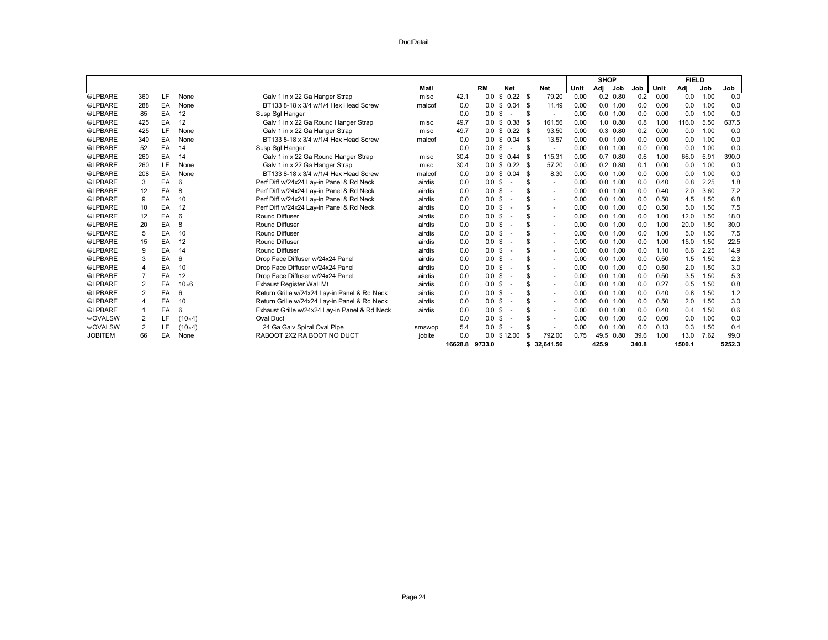|                |                |     |               |                                               |        |         |                 |            |                          |      | <b>SHOP</b> |              |       |      | <b>FIELD</b> |      |        |
|----------------|----------------|-----|---------------|-----------------------------------------------|--------|---------|-----------------|------------|--------------------------|------|-------------|--------------|-------|------|--------------|------|--------|
|                |                |     |               |                                               | Matl   |         | <b>RM</b>       | <b>Net</b> | Net                      | Unit | Adj         | Job          | Job   | Unit | Adi          | Job  | Job    |
| <b>SLPBARE</b> | 360            | LF. | None          | Galv 1 in x 22 Ga Hanger Strap                | misc   | 42.1    | £.<br>0.0       | 0.22       | 79.20<br>- \$            | 0.00 |             | $0.2$ $0.80$ | 0.2   | 0.00 | 0.0          | 1.00 | 0.0    |
| <b>@LPBARE</b> | 288            | EA  | None          | BT133 8-18 x 3/4 w/1/4 Hex Head Screw         | malcof | 0.0     | 0.0<br>\$       | 0.04       | 11.49<br>- \$            | 0.00 |             | 0.0 1.00     | 0.0   | 0.00 | 0.0          | 1.00 | 0.0    |
| <b>SLPBARE</b> | 85             | EA  | 12            | Susp Sql Hanger                               |        | 0.0     | 0.0 S           |            | -S                       | 0.00 | 0.0 1.00    |              | 0.0   | 0.00 | 0.0          | 1.00 | 0.0    |
| <b>SLPBARE</b> | 425            | EA  | 12            | Galv 1 in x 22 Ga Round Hanger Strap          | misc   | 49.7    | 0.0<br>- \$     | 0.38<br>-9 | 161.56                   | 0.00 |             | $1.0$ $0.80$ | 0.8   | 1.00 | 116.0        | 5.50 | 637.5  |
| <b>SLPBARE</b> | 425            | LF  | None          | Galv 1 in x 22 Ga Hanger Strap                | misc   | 49.7    | 0.0<br>\$       | 0.22       | 93.50<br>- \$            | 0.00 |             | $0.3$ $0.80$ | 0.2   | 0.00 | 0.0          | 1.00 | 0.0    |
| <b>SLPBARE</b> | 340            | EA  | None          | BT133 8-18 x 3/4 w/1/4 Hex Head Screw         | malcof | 0.0     | 0.0<br>\$       | 0.04       | 13.57<br>- \$            | 0.00 | 0.0 1.00    |              | 0.0   | 0.00 | 0.0          | 1.00 | 0.0    |
| <b>SLPBARE</b> | 52             | EA  | 14            | Susp Sql Hanger                               |        | 0.0     | 0.0<br>\$       |            | $\sim$                   | 0.00 |             | 0.0 1.00     | 0.0   | 0.00 | 0.0          | 1.00 | 0.0    |
| <b>@LPBARE</b> | 260            | EA  | 14            | Galv 1 in x 22 Ga Round Hanger Strap          | misc   | 30.4    | 0.0<br>\$       | 0.44       | 115.31<br>- \$           | 0.00 |             | $0.7$ $0.80$ | 0.6   | 1.00 | 66.0         | 5.91 | 390.0  |
| <b>SLPBARE</b> | 260            | LF  | None          | Galv 1 in x 22 Ga Hanger Strap                | misc   | 30.4    | 0.0<br>- \$     | 0.22       | 57.20<br>- \$            | 0.00 |             | $0.2$ $0.80$ | 0.1   | 0.00 | 0.0          | 1.00 | 0.0    |
| <b>SLPBARE</b> | 208            | EA  | None          | BT133 8-18 x 3/4 w/1/4 Hex Head Screw         | malcof | 0.0     | 0.0<br>\$       | 0.04       | 8.30<br>£                | 0.00 |             | 0.0 1.00     | 0.0   | 0.00 | 0.0          | 1.00 | 0.0    |
| <b>SLPBARE</b> | 3              | EA  | 6             | Perf Diff w/24x24 Lay-in Panel & Rd Neck      | airdis | 0.0     | 0.0<br>-\$      |            | $\sim$                   | 0.00 | 0.0 1.00    |              | 0.0   | 0.40 | 0.8          | 2.25 | 1.8    |
| <b>©LPBARE</b> | 12             | EA  | 8             | Perf Diff w/24x24 Lay-in Panel & Rd Neck      | airdis | 0.0     | 0.0<br>- \$     |            | ٠                        | 0.00 | 0.0 1.00    |              | 0.0   | 0.40 | 2.0          | 3.60 | 7.2    |
| <b>SLPBARE</b> | 9              | EA  | 10            | Perf Diff w/24x24 Lay-in Panel & Rd Neck      | airdis | 0.0     | 0.0<br>\$       |            | $\sim$                   | 0.00 | 0.0 1.00    |              | 0.0   | 0.50 | 4.5          | 1.50 | 6.8    |
| <b>SLPBARE</b> | 10             | EA  | 12            | Perf Diff w/24x24 Lay-in Panel & Rd Neck      | airdis | 0.0     | 0.0<br>\$       |            | $\sim$                   | 0.00 |             | 0.0 1.00     | 0.0   | 0.50 | 5.0          | 1.50 | 7.5    |
| <b>©LPBARE</b> | 12             | EA  | 6             | <b>Round Diffuser</b>                         | airdis | 0.0     | 0.0<br>\$       |            | ۰                        | 0.00 |             | 0.0 1.00     | 0.0   | 1.00 | 12.0         | 1.50 | 18.0   |
| <b>SLPBARE</b> | 20             | EA  | 8             | Round Diffuser                                | airdis | 0.0     | 0.0<br>- \$     |            | $\sim$                   | 0.00 | 0.0 1.00    |              | 0.0   | 1.00 | 20.0         | 1.50 | 30.0   |
| <b>SLPBARE</b> | 5              | EA  | 10            | <b>Round Diffuser</b>                         | airdis | 0.0     | 0.0<br>-\$      |            | $\sim$                   | 0.00 | 0.0 1.00    |              | 0.0   | 1.00 | 5.0          | 1.50 | 7.5    |
| <b>©LPBARE</b> | 15             | EA  | 12            | <b>Round Diffuser</b>                         | airdis | 0.0     | 0.0<br>\$       |            | $\sim$                   | 0.00 | 0.0         | 1.00         | 0.0   | 1.00 | 15.0         | 1.50 | 22.5   |
| <b>SLPBARE</b> | 9              | EA  | 14            | <b>Round Diffuser</b>                         | airdis | 0.0     | 0.0<br>- \$     |            | $\sim$                   | 0.00 | 0.0 1.00    |              | 0.0   | 1.10 | 6.6          | 2.25 | 14.9   |
| <b>SLPBARE</b> | 3              | EA  | 6             | Drop Face Diffuser w/24x24 Panel              | airdis | 0.0     | 0.0<br>\$       |            | $\sim$                   | 0.00 |             | 0.0 1.00     | 0.0   | 0.50 | 1.5          | 1.50 | 2.3    |
| <b>©LPBARE</b> | 4              | EA  | 10            | Drop Face Diffuser w/24x24 Panel              | airdis | 0.0     | 0.0<br>\$       |            | $\sim$                   | 0.00 |             | 0.0 1.00     | 0.0   | 0.50 | 2.0          | 1.50 | 3.0    |
| <b>SLPBARE</b> | $\overline{7}$ | EA  | 12            | Drop Face Diffuser w/24x24 Panel              | airdis | 0.0     | 0.0<br>\$       |            | $\sim$                   | 0.00 | 0.0 1.00    |              | 0.0   | 0.50 | 3.5          | 1.50 | 5.3    |
| <b>SLPBARE</b> | $\overline{2}$ | EA  | $10\times 6$  | Exhaust Register Wall Mt                      | airdis | 0.0     | \$<br>0.0       |            | ۰                        | 0.00 |             | 0.0 1.00     | 0.0   | 0.27 | 0.5          | 1.50 | 0.8    |
| <b>SLPBARE</b> | 2              | EA  | 6             | Return Grille w/24x24 Lay-in Panel & Rd Neck  | airdis | 0.0     | 0.0<br>\$       |            | $\sim$                   | 0.00 | 0.0         | 1.00         | 0.0   | 0.40 | 0.8          | 1.50 | 1.2    |
| <b>SLPBARE</b> | 4              | EA  | 10            | Return Grille w/24x24 Lay-in Panel & Rd Neck  | airdis | 0.0     | 0.0<br>\$       |            | $\overline{\phantom{a}}$ | 0.00 | 0.0 1.00    |              | 0.0   | 0.50 | 2.0          | 1.50 | 3.0    |
| <b>SLPBARE</b> |                | EA  | 6             | Exhaust Grille w/24x24 Lay-in Panel & Rd Neck | airdis | 0.0     | \$<br>0.0       |            | $\sim$                   | 0.00 | 0.0 1.00    |              | 0.0   | 0.40 | 0.4          | 1.50 | 0.6    |
| <b>©OVALSW</b> | 2              | LF  | $(10\times4)$ | <b>Oval Duct</b>                              |        | 0.0     | 0.0<br>-\$      |            | $\overline{\phantom{a}}$ | 0.00 | 0.0         | 1.00         | 0.0   | 0.00 | 0.0          | 1.00 | 0.0    |
| <b>©OVALSW</b> | 2              | LF  | $(10\times4)$ | 24 Ga Galv Spiral Oval Pipe                   | smswop | 5.4     | 0.0<br>\$       |            |                          | 0.00 | 0.0         | 1.00         | 0.0   | 0.13 | 0.3          | 1.50 | 0.4    |
| <b>JOBITEM</b> | 66             | EA  | None          | RABOOT 2X2 RA BOOT NO DUCT                    | jobite | 0.0     | $0.0 \t$ 12.00$ |            | 792.00                   | 0.75 | 49.5 0.80   |              | 39.6  | 1.00 | 13.0         | 7.62 | 99.0   |
|                |                |     |               |                                               |        | 16628.8 | 9733.0          |            | 32.641.56<br>\$          |      | 425.9       |              | 340.8 |      | 1500.1       |      | 5252.3 |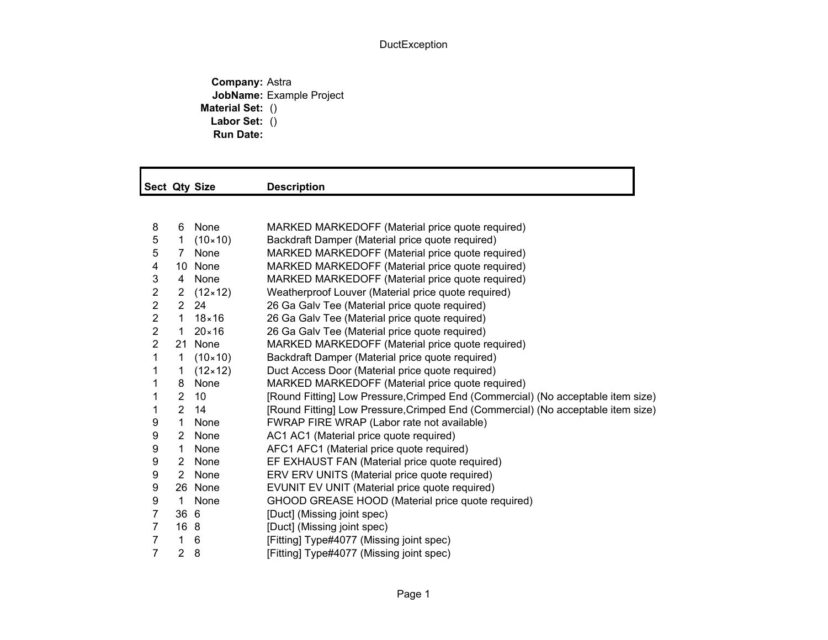## DuctException

**Company:** Astra **JobName:** Example Project **Material Set:** () **Labor Set:** () **Run Date:**

|                         |                | Sect Qty Size      | <b>Description</b>                                                               |
|-------------------------|----------------|--------------------|----------------------------------------------------------------------------------|
|                         |                |                    |                                                                                  |
| 8                       | 6              | None               | MARKED MARKEDOFF (Material price quote required)                                 |
| 5                       | $\mathbf{1}$   | $(10 \times 10)$   | Backdraft Damper (Material price quote required)                                 |
| 5                       | $7^{\circ}$    | None               | MARKED MARKEDOFF (Material price quote required)                                 |
| 4                       |                | 10 None            | MARKED MARKEDOFF (Material price quote required)                                 |
| 3                       | 4              | None               | MARKED MARKEDOFF (Material price quote required)                                 |
| $\overline{c}$          |                | 2 $(12 \times 12)$ | Weatherproof Louver (Material price quote required)                              |
| $\overline{c}$          | $2^{\circ}$    | 24                 | 26 Ga Galv Tee (Material price quote required)                                   |
| $\overline{c}$          | $\mathbf{1}$   | $18\times 16$      | 26 Ga Galv Tee (Material price quote required)                                   |
| $\overline{\mathbf{c}}$ | 1              | $20 \times 16$     | 26 Ga Galv Tee (Material price quote required)                                   |
| $\overline{2}$          |                | 21 None            | MARKED MARKEDOFF (Material price quote required)                                 |
| 1                       | $\mathbf 1$    | $(10 \times 10)$   | Backdraft Damper (Material price quote required)                                 |
| 1                       | $\mathbf 1$    | $(12 \times 12)$   | Duct Access Door (Material price quote required)                                 |
| 1                       | 8              | None               | MARKED MARKEDOFF (Material price quote required)                                 |
| 1                       | $\overline{2}$ | 10                 | [Round Fitting] Low Pressure, Crimped End (Commercial) (No acceptable item size) |
| 1                       | 2 <sup>1</sup> | 14                 | [Round Fitting] Low Pressure, Crimped End (Commercial) (No acceptable item size) |
| 9                       | $\mathbf{1}$   | None               | FWRAP FIRE WRAP (Labor rate not available)                                       |
| 9                       | $2^{\circ}$    | None               | AC1 AC1 (Material price quote required)                                          |
| 9                       | $\mathbf{1}$   | None               | AFC1 AFC1 (Material price quote required)                                        |
| 9                       |                | 2 None             | EF EXHAUST FAN (Material price quote required)                                   |
| 9                       | $\mathbf{2}$   | None               | ERV ERV UNITS (Material price quote required)                                    |
| 9                       |                | 26 None            | EVUNIT EV UNIT (Material price quote required)                                   |
| 9                       | $\mathbf{1}$   | None               | GHOOD GREASE HOOD (Material price quote required)                                |
| $\overline{7}$          | 36 6           |                    | [Duct] (Missing joint spec)                                                      |
| $\overline{7}$          | 16 8           |                    | [Duct] (Missing joint spec)                                                      |
| 7                       | $\mathbf{1}$   | 6                  | [Fitting] Type#4077 (Missing joint spec)                                         |
| $\overline{7}$          | $\overline{2}$ | 8                  | [Fitting] Type#4077 (Missing joint spec)                                         |